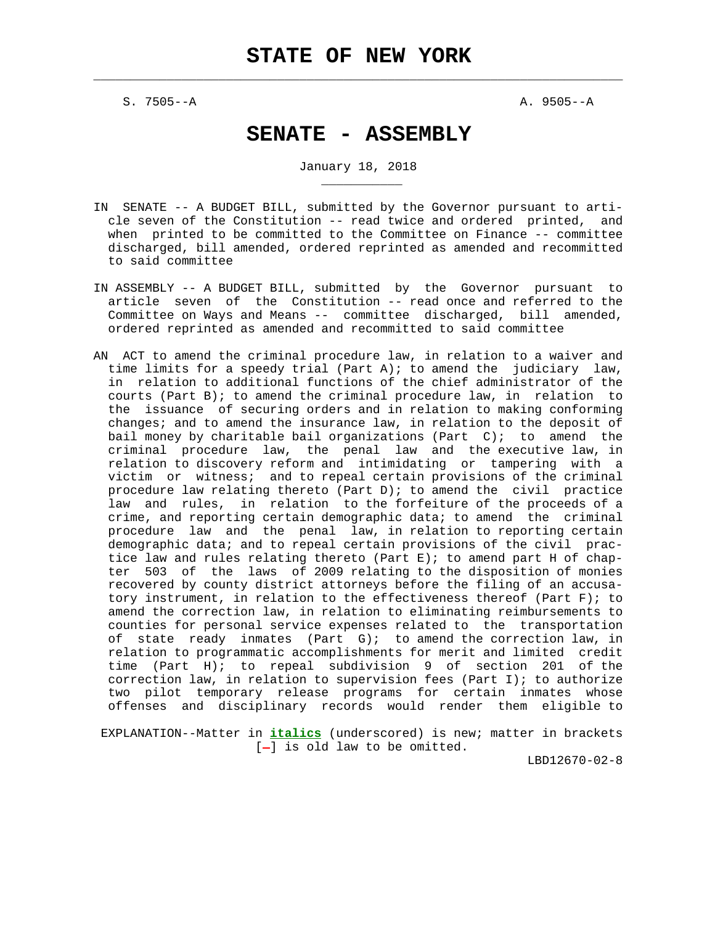$\mathcal{L}_\text{max} = \frac{1}{2} \sum_{i=1}^{n} \frac{1}{2} \sum_{i=1}^{n} \frac{1}{2} \sum_{i=1}^{n} \frac{1}{2} \sum_{i=1}^{n} \frac{1}{2} \sum_{i=1}^{n} \frac{1}{2} \sum_{i=1}^{n} \frac{1}{2} \sum_{i=1}^{n} \frac{1}{2} \sum_{i=1}^{n} \frac{1}{2} \sum_{i=1}^{n} \frac{1}{2} \sum_{i=1}^{n} \frac{1}{2} \sum_{i=1}^{n} \frac{1}{2} \sum_{i=1}^{n} \frac{1$ 

S. 7505--A A. 9505--A

\_\_\_\_\_\_\_\_\_\_\_

# **SENATE - ASSEMBLY**

January 18, 2018

- IN SENATE -- A BUDGET BILL, submitted by the Governor pursuant to arti cle seven of the Constitution -- read twice and ordered printed, and when printed to be committed to the Committee on Finance -- committee discharged, bill amended, ordered reprinted as amended and recommitted to said committee
- IN ASSEMBLY -- A BUDGET BILL, submitted by the Governor pursuant to article seven of the Constitution -- read once and referred to the Committee on Ways and Means -- committee discharged, bill amended, ordered reprinted as amended and recommitted to said committee
- AN ACT to amend the criminal procedure law, in relation to a waiver and time limits for a speedy trial (Part A); to amend the judiciary law, in relation to additional functions of the chief administrator of the courts (Part B); to amend the criminal procedure law, in relation to the issuance of securing orders and in relation to making conforming changes; and to amend the insurance law, in relation to the deposit of bail money by charitable bail organizations (Part C); to amend the criminal procedure law, the penal law and the executive law, in relation to discovery reform and intimidating or tampering with a victim or witness; and to repeal certain provisions of the criminal procedure law relating thereto (Part  $D$ ); to amend the civil practice law and rules, in relation to the forfeiture of the proceeds of a crime, and reporting certain demographic data; to amend the criminal procedure law and the penal law, in relation to reporting certain demographic data; and to repeal certain provisions of the civil prac tice law and rules relating thereto (Part E); to amend part H of chap ter 503 of the laws of 2009 relating to the disposition of monies recovered by county district attorneys before the filing of an accusa tory instrument, in relation to the effectiveness thereof (Part F); to amend the correction law, in relation to eliminating reimbursements to counties for personal service expenses related to the transportation of state ready inmates (Part G); to amend the correction law, in relation to programmatic accomplishments for merit and limited credit time (Part H); to repeal subdivision 9 of section 201 of the correction law, in relation to supervision fees (Part I); to authorize two pilot temporary release programs for certain inmates whose offenses and disciplinary records would render them eligible to

 EXPLANATION--Matter in **italics** (underscored) is new; matter in brackets  $[-]$  is old law to be omitted.

LBD12670-02-8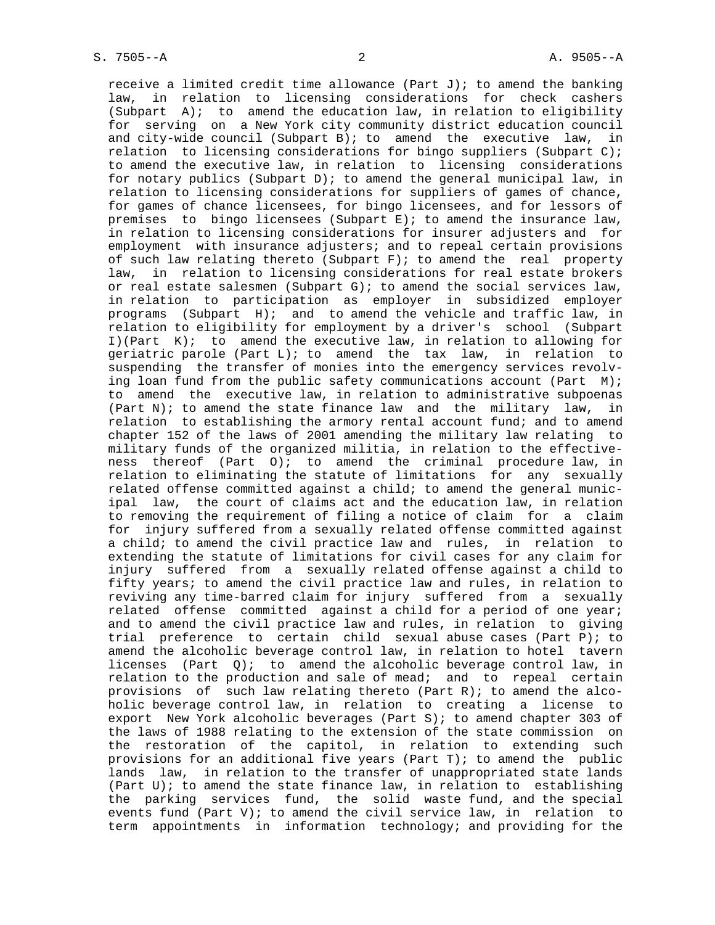receive a limited credit time allowance (Part J); to amend the banking law, in relation to licensing considerations for check cashers (Subpart  $A$ ); to amend the education law, in relation to eligibility for serving on a New York city community district education council and city-wide council (Subpart B); to amend the executive law, in relation to licensing considerations for bingo suppliers (Subpart C); to amend the executive law, in relation to licensing considerations for notary publics (Subpart D); to amend the general municipal law, in relation to licensing considerations for suppliers of games of chance, for games of chance licensees, for bingo licensees, and for lessors of premises to bingo licensees (Subpart E); to amend the insurance law, in relation to licensing considerations for insurer adjusters and for employment with insurance adjusters; and to repeal certain provisions of such law relating thereto (Subpart F); to amend the real property law, in relation to licensing considerations for real estate brokers or real estate salesmen (Subpart G); to amend the social services law, in relation to participation as employer in subsidized employer programs (Subpart H); and to amend the vehicle and traffic law, in relation to eligibility for employment by a driver's school (Subpart I)(Part K); to amend the executive law, in relation to allowing for geriatric parole (Part L); to amend the tax law, in relation to suspending the transfer of monies into the emergency services revolv ing loan fund from the public safety communications account (Part M); to amend the executive law, in relation to administrative subpoenas (Part N); to amend the state finance law and the military law, in relation to establishing the armory rental account fund; and to amend chapter 152 of the laws of 2001 amending the military law relating to military funds of the organized militia, in relation to the effective ness thereof (Part O); to amend the criminal procedure law, in relation to eliminating the statute of limitations for any sexually related offense committed against a child; to amend the general munic ipal law, the court of claims act and the education law, in relation to removing the requirement of filing a notice of claim for a claim for injury suffered from a sexually related offense committed against a child; to amend the civil practice law and rules, in relation to extending the statute of limitations for civil cases for any claim for injury suffered from a sexually related offense against a child to fifty years; to amend the civil practice law and rules, in relation to reviving any time-barred claim for injury suffered from a sexually related offense committed against a child for a period of one year; and to amend the civil practice law and rules, in relation to giving trial preference to certain child sexual abuse cases (Part P); to amend the alcoholic beverage control law, in relation to hotel tavern licenses (Part  $Q$ ); to amend the alcoholic beverage control law, in relation to the production and sale of mead; and to repeal certain provisions of such law relating thereto (Part R); to amend the alco holic beverage control law, in relation to creating a license to export New York alcoholic beverages (Part S); to amend chapter 303 of the laws of 1988 relating to the extension of the state commission on the restoration of the capitol, in relation to extending such provisions for an additional five years (Part T); to amend the public lands law, in relation to the transfer of unappropriated state lands (Part U); to amend the state finance law, in relation to establishing the parking services fund, the solid waste fund, and the special events fund (Part V); to amend the civil service law, in relation to term appointments in information technology; and providing for the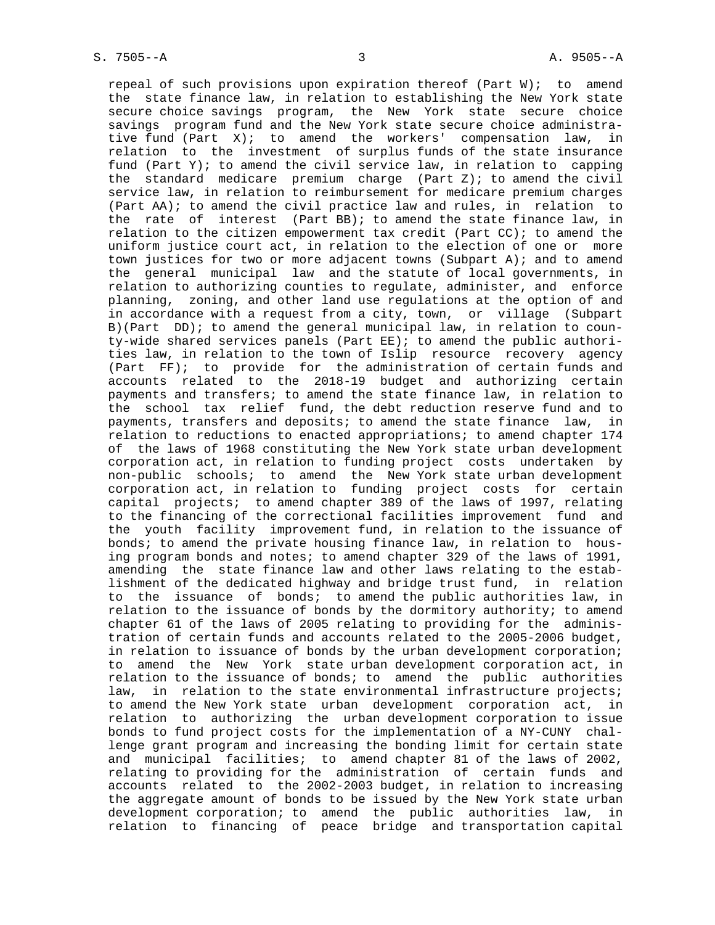repeal of such provisions upon expiration thereof (Part W); to amend the state finance law, in relation to establishing the New York state secure choice savings program, the New York state secure choice savings program fund and the New York state secure choice administra tive fund  $(Part X)$ ; to amend the workers' compensation law, in relation to the investment of surplus funds of the state insurance fund (Part Y); to amend the civil service law, in relation to capping the standard medicare premium charge (Part Z); to amend the civil service law, in relation to reimbursement for medicare premium charges (Part AA); to amend the civil practice law and rules, in relation to the rate of interest (Part BB); to amend the state finance law, in relation to the citizen empowerment tax credit (Part CC); to amend the uniform justice court act, in relation to the election of one or more town justices for two or more adjacent towns (Subpart A); and to amend the general municipal law and the statute of local governments, in relation to authorizing counties to regulate, administer, and enforce planning, zoning, and other land use regulations at the option of and in accordance with a request from a city, town, or village (Subpart B)(Part DD); to amend the general municipal law, in relation to coun ty-wide shared services panels (Part EE); to amend the public authori ties law, in relation to the town of Islip resource recovery agency (Part FF); to provide for the administration of certain funds and accounts related to the 2018-19 budget and authorizing certain payments and transfers; to amend the state finance law, in relation to the school tax relief fund, the debt reduction reserve fund and to payments, transfers and deposits; to amend the state finance law, in relation to reductions to enacted appropriations; to amend chapter 174 of the laws of 1968 constituting the New York state urban development corporation act, in relation to funding project costs undertaken by non-public schools; to amend the New York state urban development corporation act, in relation to funding project costs for certain capital projects; to amend chapter 389 of the laws of 1997, relating to the financing of the correctional facilities improvement fund and the youth facility improvement fund, in relation to the issuance of bonds; to amend the private housing finance law, in relation to hous ing program bonds and notes; to amend chapter 329 of the laws of 1991, amending the state finance law and other laws relating to the estab lishment of the dedicated highway and bridge trust fund, in relation to the issuance of bonds; to amend the public authorities law, in relation to the issuance of bonds by the dormitory authority; to amend chapter 61 of the laws of 2005 relating to providing for the adminis tration of certain funds and accounts related to the 2005-2006 budget, in relation to issuance of bonds by the urban development corporation; to amend the New York state urban development corporation act, in relation to the issuance of bonds; to amend the public authorities law, in relation to the state environmental infrastructure projects; to amend the New York state urban development corporation act, in relation to authorizing the urban development corporation to issue bonds to fund project costs for the implementation of a NY-CUNY chal lenge grant program and increasing the bonding limit for certain state and municipal facilities; to amend chapter 81 of the laws of 2002, relating to providing for the administration of certain funds and accounts related to the 2002-2003 budget, in relation to increasing the aggregate amount of bonds to be issued by the New York state urban development corporation; to amend the public authorities law, in relation to financing of peace bridge and transportation capital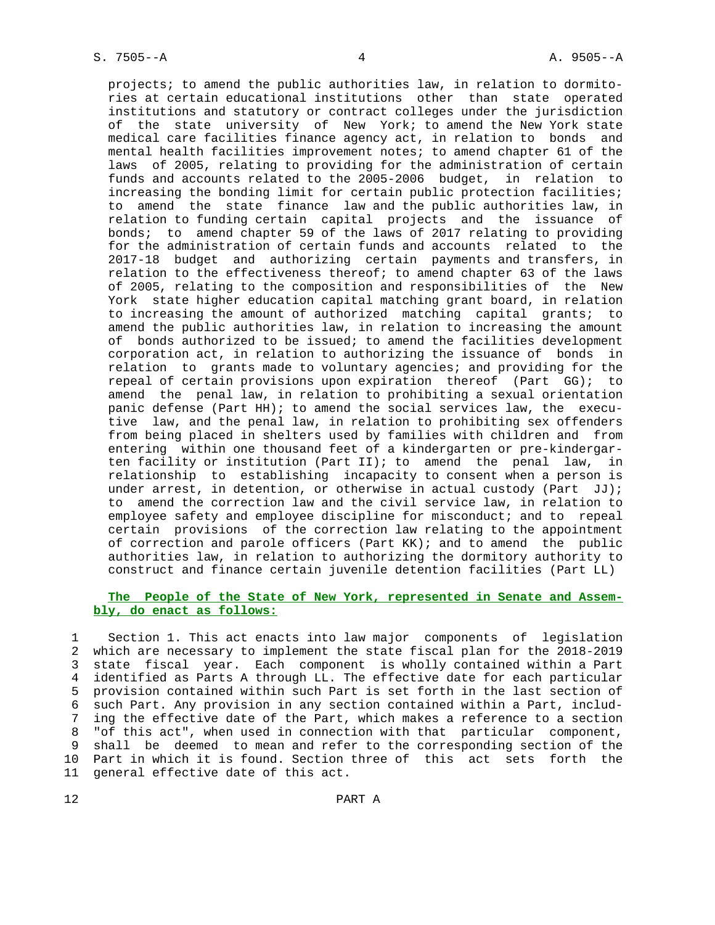projects; to amend the public authorities law, in relation to dormito ries at certain educational institutions other than state operated institutions and statutory or contract colleges under the jurisdiction of the state university of New York; to amend the New York state medical care facilities finance agency act, in relation to bonds and mental health facilities improvement notes; to amend chapter 61 of the laws of 2005, relating to providing for the administration of certain funds and accounts related to the 2005-2006 budget, in relation to increasing the bonding limit for certain public protection facilities; to amend the state finance law and the public authorities law, in relation to funding certain capital projects and the issuance of bonds; to amend chapter 59 of the laws of 2017 relating to providing for the administration of certain funds and accounts related to the 2017-18 budget and authorizing certain payments and transfers, in relation to the effectiveness thereof; to amend chapter 63 of the laws of 2005, relating to the composition and responsibilities of the New York state higher education capital matching grant board, in relation to increasing the amount of authorized matching capital grants; to amend the public authorities law, in relation to increasing the amount of bonds authorized to be issued; to amend the facilities development corporation act, in relation to authorizing the issuance of bonds in relation to grants made to voluntary agencies; and providing for the repeal of certain provisions upon expiration thereof (Part GG); to amend the penal law, in relation to prohibiting a sexual orientation panic defense (Part HH); to amend the social services law, the execu tive law, and the penal law, in relation to prohibiting sex offenders from being placed in shelters used by families with children and from entering within one thousand feet of a kindergarten or pre-kindergar ten facility or institution (Part II); to amend the penal law, in relationship to establishing incapacity to consent when a person is under arrest, in detention, or otherwise in actual custody (Part JJ); to amend the correction law and the civil service law, in relation to employee safety and employee discipline for misconduct; and to repeal certain provisions of the correction law relating to the appointment of correction and parole officers (Part KK); and to amend the public authorities law, in relation to authorizing the dormitory authority to construct and finance certain juvenile detention facilities (Part LL)

### **The People of the State of New York, represented in Senate and Assem bly, do enact as follows:**

 1 Section 1. This act enacts into law major components of legislation 2 which are necessary to implement the state fiscal plan for the 2018-2019 3 state fiscal year. Each component is wholly contained within a Part 4 identified as Parts A through LL. The effective date for each particular 5 provision contained within such Part is set forth in the last section of 6 such Part. Any provision in any section contained within a Part, includ- 7 ing the effective date of the Part, which makes a reference to a section 8 "of this act", when used in connection with that particular component, 9 shall be deemed to mean and refer to the corresponding section of the 10 Part in which it is found. Section three of this act sets forth the 11 general effective date of this act.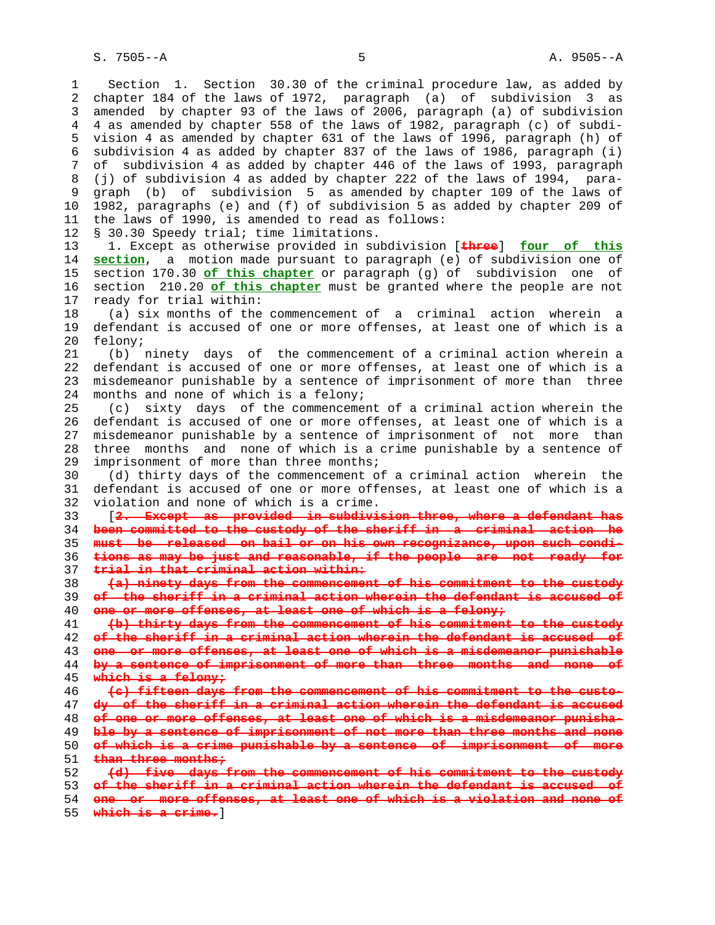1 Section 1. Section 30.30 of the criminal procedure law, as added by 2 chapter 184 of the laws of 1972, paragraph (a) of subdivision 3 as 3 amended by chapter 93 of the laws of 2006, paragraph (a) of subdivision 4 4 as amended by chapter 558 of the laws of 1982, paragraph (c) of subdi- 5 vision 4 as amended by chapter 631 of the laws of 1996, paragraph (h) of 6 subdivision 4 as added by chapter 837 of the laws of 1986, paragraph (i) 7 of subdivision 4 as added by chapter 446 of the laws of 1993, paragraph 8 (j) of subdivision 4 as added by chapter 222 of the laws of 1994, para- 9 graph (b) of subdivision 5 as amended by chapter 109 of the laws of 10 1982, paragraphs (e) and (f) of subdivision 5 as added by chapter 209 of 11 the laws of 1990, is amended to read as follows: 12 § 30.30 Speedy trial; time limitations. 13 1. Except as otherwise provided in subdivision [**three**] **four of this** 14 **section**, a motion made pursuant to paragraph (e) of subdivision one of 15 section 170.30 **of this chapter** or paragraph (g) of subdivision one of 16 section 210.20 **of this chapter** must be granted where the people are not 17 ready for trial within: 18 (a) six months of the commencement of a criminal action wherein a 19 defendant is accused of one or more offenses, at least one of which is a 20 felony; 21 (b) ninety days of the commencement of a criminal action wherein a 22 defendant is accused of one or more offenses, at least one of which is a 23 misdemeanor punishable by a sentence of imprisonment of more than three 24 months and none of which is a felony; 25 (c) sixty days of the commencement of a criminal action wherein the 26 defendant is accused of one or more offenses, at least one of which is a 27 misdemeanor punishable by a sentence of imprisonment of not more than 28 three months and none of which is a crime punishable by a sentence of 29 imprisonment of more than three months; 30 (d) thirty days of the commencement of a criminal action wherein the 31 defendant is accused of one or more offenses, at least one of which is a 32 violation and none of which is a crime. 33 [**2. Except as provided in subdivision three, where a defendant has** 34 **been committed to the custody of the sheriff in a criminal action he** 35 **must be released on bail or on his own recognizance, upon such condi-** 36 **tions as may be just and reasonable, if the people are not ready for** 37 **trial in that criminal action within:** 38 **(a) ninety days from the commencement of his commitment to the custody** 39 **of the sheriff in a criminal action wherein the defendant is accused of** 40 **one or more offenses, at least one of which is a felony;** 41 **(b) thirty days from the commencement of his commitment to the custody** 42 **of the sheriff in a criminal action wherein the defendant is accused of** 43 **one or more offenses, at least one of which is a misdemeanor punishable** 44 **by a sentence of imprisonment of more than three months and none of** 45 **which is a felony;** 46 **(c) fifteen days from the commencement of his commitment to the custo-** 47 **dy of the sheriff in a criminal action wherein the defendant is accused** 48 **of one or more offenses, at least one of which is a misdemeanor punisha-** 49 **ble by a sentence of imprisonment of not more than three months and none** 50 **of which is a crime punishable by a sentence of imprisonment of more** 51 **than three months;** 52 **(d) five days from the commencement of his commitment to the custody** 53 **of the sheriff in a criminal action wherein the defendant is accused of** 54 **one or more offenses, at least one of which is a violation and none of**

55 **which is a crime.**]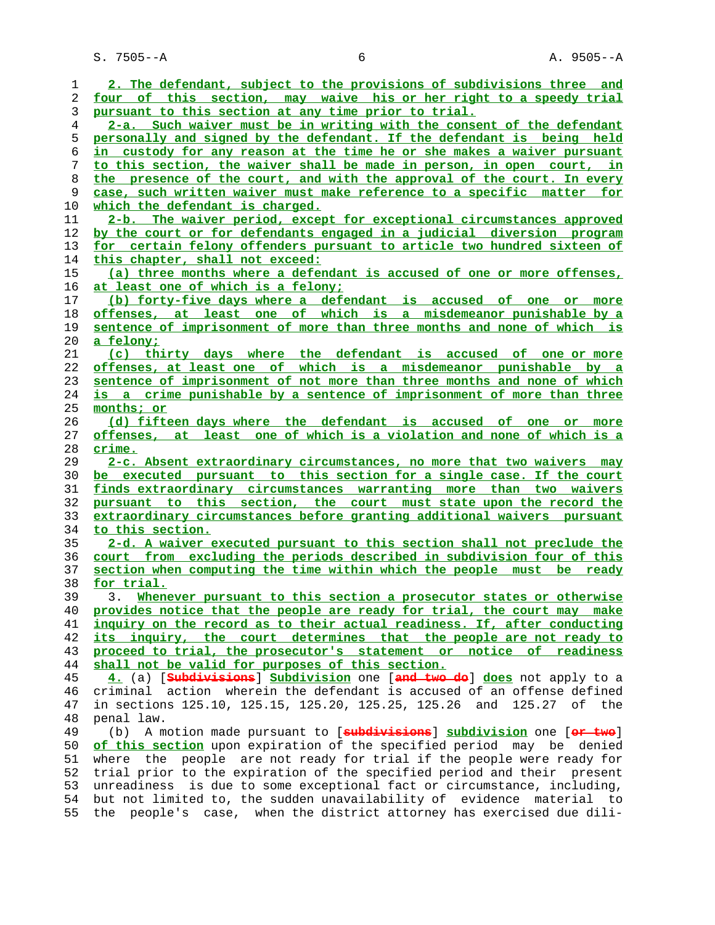| 1              | 2. The defendant, subject to the provisions of subdivisions three and                                                                          |
|----------------|------------------------------------------------------------------------------------------------------------------------------------------------|
| 2              | four of this section, may waive his or her right to a speedy trial                                                                             |
| 3              | pursuant to this section at any time prior to trial.                                                                                           |
| $\overline{4}$ | 2-a. Such waiver must be in writing with the consent of the defendant                                                                          |
| 5              | personally and signed by the defendant. If the defendant is being held                                                                         |
| 6              | in custody for any reason at the time he or she makes a waiver pursuant                                                                        |
| 7              | to this section, the waiver shall be made in person, in open court, in                                                                         |
| 8              | the presence of the court, and with the approval of the court. In every                                                                        |
| 9              | case, such written waiver must make reference to a specific matter for                                                                         |
| 10             | which the defendant is charged.                                                                                                                |
| 11             | 2-b. The waiver period, except for exceptional circumstances approved                                                                          |
| 12             | by the court or for defendants engaged in a judicial diversion program                                                                         |
| 13             | for certain felony offenders pursuant to article two hundred sixteen of                                                                        |
| 14             | this chapter, shall not exceed:                                                                                                                |
| 15             | (a) three months where a defendant is accused of one or more offenses,                                                                         |
| 16             | at least one of which is a felony;                                                                                                             |
| 17             | (b) forty-five days where a defendant is accused of one or more                                                                                |
| 18             | offenses, at least one of which is a misdemeanor punishable by a                                                                               |
| 19             | sentence of imprisonment of more than three months and none of which is                                                                        |
| 20             | a felony;                                                                                                                                      |
| 21             | (c) thirty days where the defendant is accused of one or more                                                                                  |
| 22             | offenses, at least one of which is a misdemeanor punishable by a                                                                               |
| 23             | sentence of imprisonment of not more than three months and none of which                                                                       |
| 24             | is a crime punishable by a sentence of imprisonment of more than three                                                                         |
| 25             | <u>months; or</u>                                                                                                                              |
| 26             | (d) fifteen days where the defendant is accused of one or more                                                                                 |
| 27             | <u>offenses, at least one of which is a violation and none of which is a</u>                                                                   |
|                |                                                                                                                                                |
|                |                                                                                                                                                |
| 28             | crime.                                                                                                                                         |
| 29             | 2-c. Absent extraordinary circumstances, no more that two waivers may                                                                          |
| 30             | be executed pursuant to this section for a single case. If the court                                                                           |
| 31             | finds extraordinary circumstances warranting more than two waivers                                                                             |
| 32             | pursuant to this section, the court must state upon the record the                                                                             |
| 33             | extraordinary circumstances before granting additional waivers pursuant                                                                        |
| 34             | to this section.                                                                                                                               |
| 35             | 2-d. A waiver executed pursuant to this section shall not preclude the                                                                         |
| 36             | court from excluding the periods described in subdivision four of this                                                                         |
| 37             | section when computing the time within which the people must be ready                                                                          |
| 38             | for trial.                                                                                                                                     |
| 39             | Whenever pursuant to this section a prosecutor states or otherwise<br>3.                                                                       |
| 40             | provides notice that the people are ready for trial, the court may make                                                                        |
| 41             | inquiry on the record as to their actual readiness. If, after conducting                                                                       |
| 42             | its inquiry, the court determines that the people are not ready to                                                                             |
| 43             | proceed to trial, the prosecutor's statement or notice of readiness                                                                            |
| 44             | shall not be valid for purposes of this section.                                                                                               |
| 45             | 4. (a) [ <i>Subdivisions</i> ] Subdivision one [and two do] does not apply to a                                                                |
| 46             | criminal action wherein the defendant is accused of an offense defined                                                                         |
| 47             | in sections 125.10, 125.15, 125.20, 125.25, 125.26 and 125.27 of the                                                                           |
| 48             | penal law.                                                                                                                                     |
| 49             | A motion made pursuant to [subdivisions] subdivision one [or two]<br>(b)                                                                       |
| 50             | of this section upon expiration of the specified period may be denied                                                                          |
| 51             | where the people are not ready for trial if the people were ready for                                                                          |
| 52             | trial prior to the expiration of the specified period and their present                                                                        |
| 53             | unreadiness is due to some exceptional fact or circumstance, including,                                                                        |
| 54<br>55       | but not limited to, the sudden unavailability of evidence material to<br>the people's case, when the district attorney has exercised due dili- |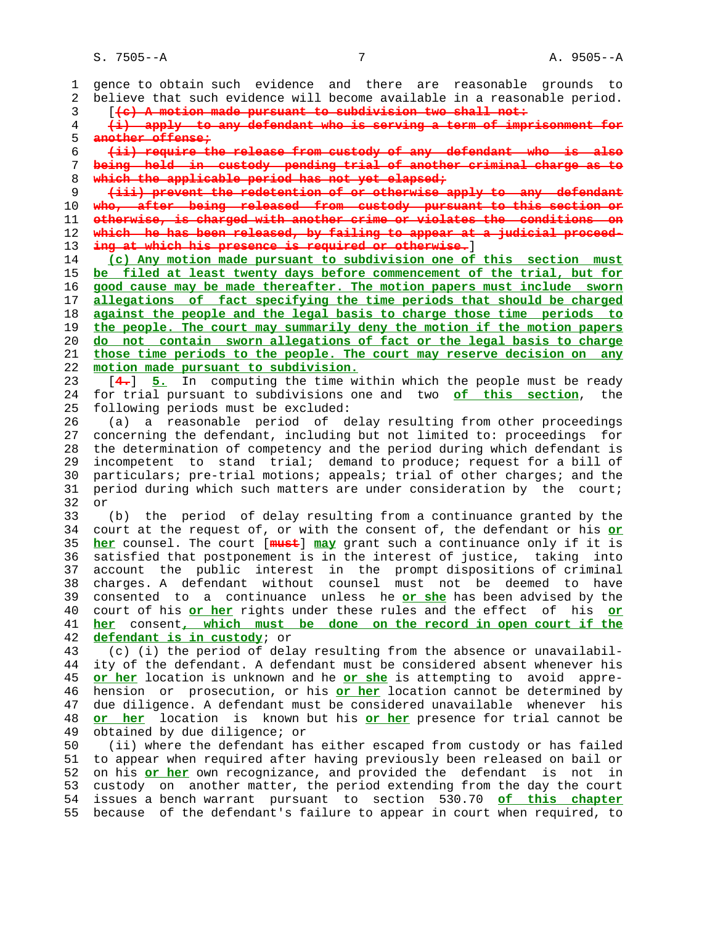1 gence to obtain such evidence and there are reasonable grounds to 2 believe that such evidence will become available in a reasonable period. 3 [**(c) A motion made pursuant to subdivision two shall not:** 4 **(i) apply to any defendant who is serving a term of imprisonment for** 5 **another offense;** 6 **(ii) require the release from custody of any defendant who is also** 7 **being held in custody pending trial of another criminal charge as to** 8 **which the applicable period has not yet elapsed;** 9 **(iii) prevent the redetention of or otherwise apply to any defendant** 10 **who, after being released from custody pursuant to this section or** 11 **otherwise, is charged with another crime or violates the conditions on** 12 **which he has been released, by failing to appear at a judicial proceed-** 13 **ing at which his presence is required or otherwise.**] 14 **(c) Any motion made pursuant to subdivision one of this section must** 15 **be filed at least twenty days before commencement of the trial, but for** 16 **good cause may be made thereafter. The motion papers must include sworn** 17 **allegations of fact specifying the time periods that should be charged** 18 **against the people and the legal basis to charge those time periods to** 19 **the people. The court may summarily deny the motion if the motion papers** 20 **do not contain sworn allegations of fact or the legal basis to charge** 21 **those time periods to the people. The court may reserve decision on any** 22 **motion made pursuant to subdivision.** 23 [**4.**] **5.** In computing the time within which the people must be ready 24 for trial pursuant to subdivisions one and two **of this section**, the 25 following periods must be excluded: 26 (a) a reasonable period of delay resulting from other proceedings 27 concerning the defendant, including but not limited to: proceedings for 28 the determination of competency and the period during which defendant is 29 incompetent to stand trial; demand to produce; request for a bill of 30 particulars; pre-trial motions; appeals; trial of other charges; and the 31 period during which such matters are under consideration by the court; 32 or 33 (b) the period of delay resulting from a continuance granted by the 34 court at the request of, or with the consent of, the defendant or his **or** 35 **her** counsel. The court [**must**] **may** grant such a continuance only if it is 36 satisfied that postponement is in the interest of justice, taking into 37 account the public interest in the prompt dispositions of criminal 38 charges. A defendant without counsel must not be deemed to have 39 consented to a continuance unless he **or she** has been advised by the 40 court of his **or her** rights under these rules and the effect of his **or** 41 **her** consent**, which must be done on the record in open court if the** 42 **defendant is in custody**; or 43 (c) (i) the period of delay resulting from the absence or unavailabil- 44 ity of the defendant. A defendant must be considered absent whenever his 45 **or her** location is unknown and he **or she** is attempting to avoid appre- 46 hension or prosecution, or his **or her** location cannot be determined by 47 due diligence. A defendant must be considered unavailable whenever his 48 **or her** location is known but his **or her** presence for trial cannot be 49 obtained by due diligence; or 50 (ii) where the defendant has either escaped from custody or has failed 51 to appear when required after having previously been released on bail or 52 on his **or her** own recognizance, and provided the defendant is not in 53 custody on another matter, the period extending from the day the court 54 issues a bench warrant pursuant to section 530.70 **of this chapter** 55 because of the defendant's failure to appear in court when required, to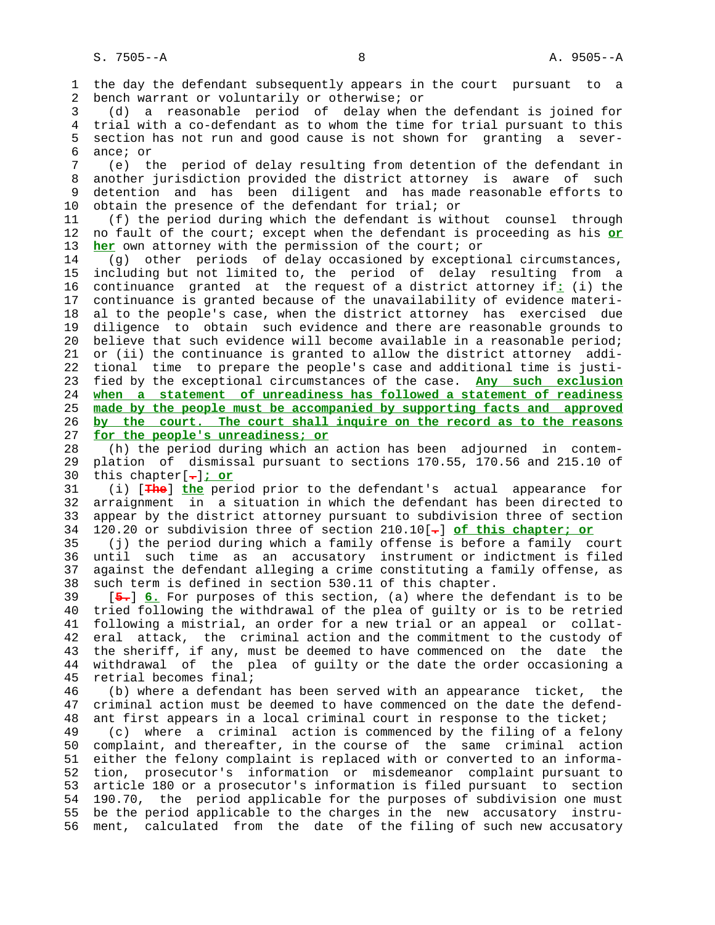1 the day the defendant subsequently appears in the court pursuant to a 2 bench warrant or voluntarily or otherwise; or

 3 (d) a reasonable period of delay when the defendant is joined for 4 trial with a co-defendant as to whom the time for trial pursuant to this 5 section has not run and good cause is not shown for granting a sever- 6 ance; or

 7 (e) the period of delay resulting from detention of the defendant in 8 another jurisdiction provided the district attorney is aware of such 9 detention and has been diligent and has made reasonable efforts to 10 obtain the presence of the defendant for trial; or

 11 (f) the period during which the defendant is without counsel through 12 no fault of the court; except when the defendant is proceeding as his **or** 13 **her** own attorney with the permission of the court; or

 14 (g) other periods of delay occasioned by exceptional circumstances, 15 including but not limited to, the period of delay resulting from a 16 continuance granted at the request of a district attorney if**:** (i) the 17 continuance is granted because of the unavailability of evidence materi- 18 al to the people's case, when the district attorney has exercised due 19 diligence to obtain such evidence and there are reasonable grounds to 20 believe that such evidence will become available in a reasonable period; 21 or (ii) the continuance is granted to allow the district attorney addi- 22 tional time to prepare the people's case and additional time is justi- 23 fied by the exceptional circumstances of the case. **Any such exclusion** 24 **when a statement of unreadiness has followed a statement of readiness** 25 **made by the people must be accompanied by supporting facts and approved** 26 **by the court. The court shall inquire on the record as to the reasons** 27 **for the people's unreadiness; or**

 28 (h) the period during which an action has been adjourned in contem- 29 plation of dismissal pursuant to sections 170.55, 170.56 and 215.10 of 30 this chapter[**.**]**; or**

 31 (i) [**The**] **the** period prior to the defendant's actual appearance for 32 arraignment in a situation in which the defendant has been directed to 33 appear by the district attorney pursuant to subdivision three of section 34 120.20 or subdivision three of section 210.10[**.**] **of this chapter; or**

 35 (j) the period during which a family offense is before a family court 36 until such time as an accusatory instrument or indictment is filed 37 against the defendant alleging a crime constituting a family offense, as 38 such term is defined in section 530.11 of this chapter.

 39 [**5.**] **6.** For purposes of this section, (a) where the defendant is to be 40 tried following the withdrawal of the plea of guilty or is to be retried 41 following a mistrial, an order for a new trial or an appeal or collat- 42 eral attack, the criminal action and the commitment to the custody of 43 the sheriff, if any, must be deemed to have commenced on the date the 44 withdrawal of the plea of guilty or the date the order occasioning a 45 retrial becomes final;

 46 (b) where a defendant has been served with an appearance ticket, the 47 criminal action must be deemed to have commenced on the date the defend- 48 ant first appears in a local criminal court in response to the ticket;

 49 (c) where a criminal action is commenced by the filing of a felony 50 complaint, and thereafter, in the course of the same criminal action 51 either the felony complaint is replaced with or converted to an informa- 52 tion, prosecutor's information or misdemeanor complaint pursuant to 53 article 180 or a prosecutor's information is filed pursuant to section 54 190.70, the period applicable for the purposes of subdivision one must 55 be the period applicable to the charges in the new accusatory instru- 56 ment, calculated from the date of the filing of such new accusatory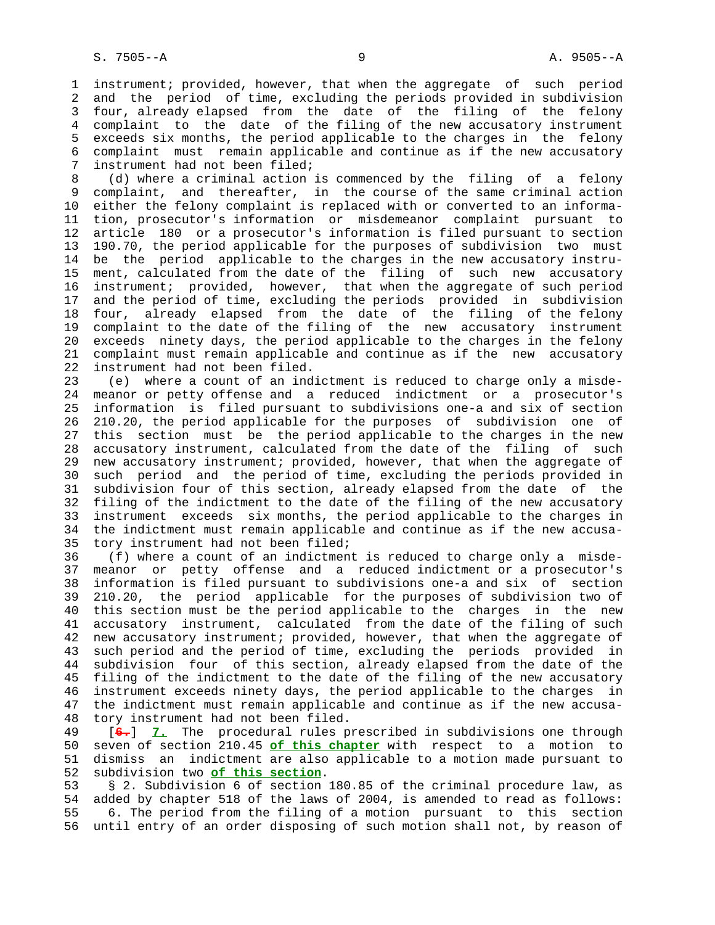1 instrument; provided, however, that when the aggregate of such period 2 and the period of time, excluding the periods provided in subdivision 3 four, already elapsed from the date of the filing of the felony 4 complaint to the date of the filing of the new accusatory instrument 5 exceeds six months, the period applicable to the charges in the felony 6 complaint must remain applicable and continue as if the new accusatory 7 instrument had not been filed;

8 (d) where a criminal action is commenced by the filing of a felony<br>9 complaint, and thereafter, in the course of the same criminal action complaint, and thereafter, in the course of the same criminal action 10 either the felony complaint is replaced with or converted to an informa- 11 tion, prosecutor's information or misdemeanor complaint pursuant to 12 article 180 or a prosecutor's information is filed pursuant to section 13 190.70, the period applicable for the purposes of subdivision two must 14 be the period applicable to the charges in the new accusatory instru- 15 ment, calculated from the date of the filing of such new accusatory 16 instrument; provided, however, that when the aggregate of such period 17 and the period of time, excluding the periods provided in subdivision 18 four, already elapsed from the date of the filing of the felony 19 complaint to the date of the filing of the new accusatory instrument 20 exceeds ninety days, the period applicable to the charges in the felony 21 complaint must remain applicable and continue as if the new accusatory 22 instrument had not been filed.

 23 (e) where a count of an indictment is reduced to charge only a misde- 24 meanor or petty offense and a reduced indictment or a prosecutor's 25 information is filed pursuant to subdivisions one-a and six of section 26 210.20, the period applicable for the purposes of subdivision one of 27 this section must be the period applicable to the charges in the new 28 accusatory instrument, calculated from the date of the filing of such 29 new accusatory instrument; provided, however, that when the aggregate of 30 such period and the period of time, excluding the periods provided in 31 subdivision four of this section, already elapsed from the date of the 32 filing of the indictment to the date of the filing of the new accusatory 33 instrument exceeds six months, the period applicable to the charges in 34 the indictment must remain applicable and continue as if the new accusa- 35 tory instrument had not been filed;

 36 (f) where a count of an indictment is reduced to charge only a misde- 37 meanor or petty offense and a reduced indictment or a prosecutor's 38 information is filed pursuant to subdivisions one-a and six of section 39 210.20, the period applicable for the purposes of subdivision two of 40 this section must be the period applicable to the charges in the new 41 accusatory instrument, calculated from the date of the filing of such 42 new accusatory instrument; provided, however, that when the aggregate of 43 such period and the period of time, excluding the periods provided in 44 subdivision four of this section, already elapsed from the date of the 45 filing of the indictment to the date of the filing of the new accusatory 46 instrument exceeds ninety days, the period applicable to the charges in 47 the indictment must remain applicable and continue as if the new accusa- 48 tory instrument had not been filed.

 49 [**6.**] **7.** The procedural rules prescribed in subdivisions one through 50 seven of section 210.45 **of this chapter** with respect to a motion to 51 dismiss an indictment are also applicable to a motion made pursuant to 52 subdivision two **of this section**.

 53 § 2. Subdivision 6 of section 180.85 of the criminal procedure law, as 54 added by chapter 518 of the laws of 2004, is amended to read as follows: 55 6. The period from the filing of a motion pursuant to this section 56 until entry of an order disposing of such motion shall not, by reason of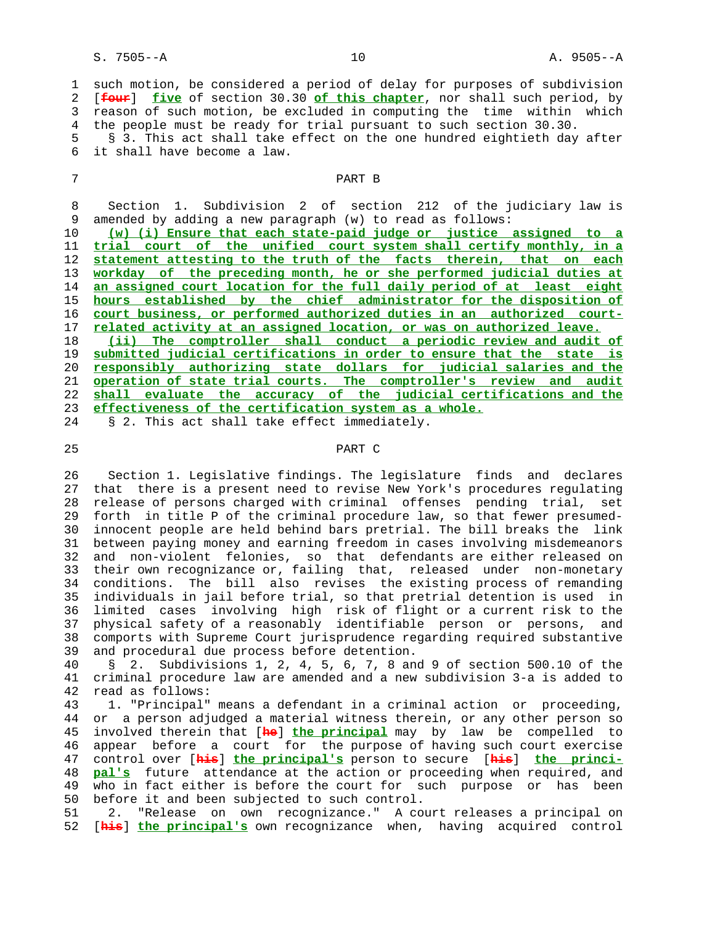1 such motion, be considered a period of delay for purposes of subdivision 2 [**four**] **five** of section 30.30 **of this chapter**, nor shall such period, by 3 reason of such motion, be excluded in computing the time within which 4 the people must be ready for trial pursuant to such section 30.30.

 5 § 3. This act shall take effect on the one hundred eightieth day after 6 it shall have become a law.

### 7 PART B

 8 Section 1. Subdivision 2 of section 212 of the judiciary law is 9 amended by adding a new paragraph (w) to read as follows:

**(w) (i) Ensure that each state-paid judge or justice assigned to a trial court of the unified court system shall certify monthly, in a statement attesting to the truth of the facts therein, that on each workday of the preceding month, he or she performed judicial duties at an assigned court location for the full daily period of at least eight hours established by the chief administrator for the disposition of court business, or performed authorized duties in an authorized court- related activity at an assigned location, or was on authorized leave.**

**(ii) The comptroller shall conduct a periodic review and audit of submitted judicial certifications in order to ensure that the state is responsibly authorizing state dollars for judicial salaries and the operation of state trial courts. The comptroller's review and audit shall evaluate the accuracy of the judicial certifications and the effectiveness of the certification system as a whole.**

24 § 2. This act shall take effect immediately.

## 25 PART C

 26 Section 1. Legislative findings. The legislature finds and declares 27 that there is a present need to revise New York's procedures regulating 28 release of persons charged with criminal offenses pending trial, set 29 forth in title P of the criminal procedure law, so that fewer presumed- 30 innocent people are held behind bars pretrial. The bill breaks the link 31 between paying money and earning freedom in cases involving misdemeanors 32 and non-violent felonies, so that defendants are either released on 33 their own recognizance or, failing that, released under non-monetary 34 conditions. The bill also revises the existing process of remanding 35 individuals in jail before trial, so that pretrial detention is used in 36 limited cases involving high risk of flight or a current risk to the 37 physical safety of a reasonably identifiable person or persons, and 38 comports with Supreme Court jurisprudence regarding required substantive 39 and procedural due process before detention.

 40 § 2. Subdivisions 1, 2, 4, 5, 6, 7, 8 and 9 of section 500.10 of the 41 criminal procedure law are amended and a new subdivision 3-a is added to 42 read as follows:

 43 1. "Principal" means a defendant in a criminal action or proceeding, 44 or a person adjudged a material witness therein, or any other person so 45 involved therein that [**he**] **the principal** may by law be compelled to 46 appear before a court for the purpose of having such court exercise 47 control over [**his**] **the principal's** person to secure [**his**] **the princi-** 48 **pal's** future attendance at the action or proceeding when required, and 49 who in fact either is before the court for such purpose or has been 50 before it and been subjected to such control.

 51 2. "Release on own recognizance." A court releases a principal on 52 [**his**] **the principal's** own recognizance when, having acquired control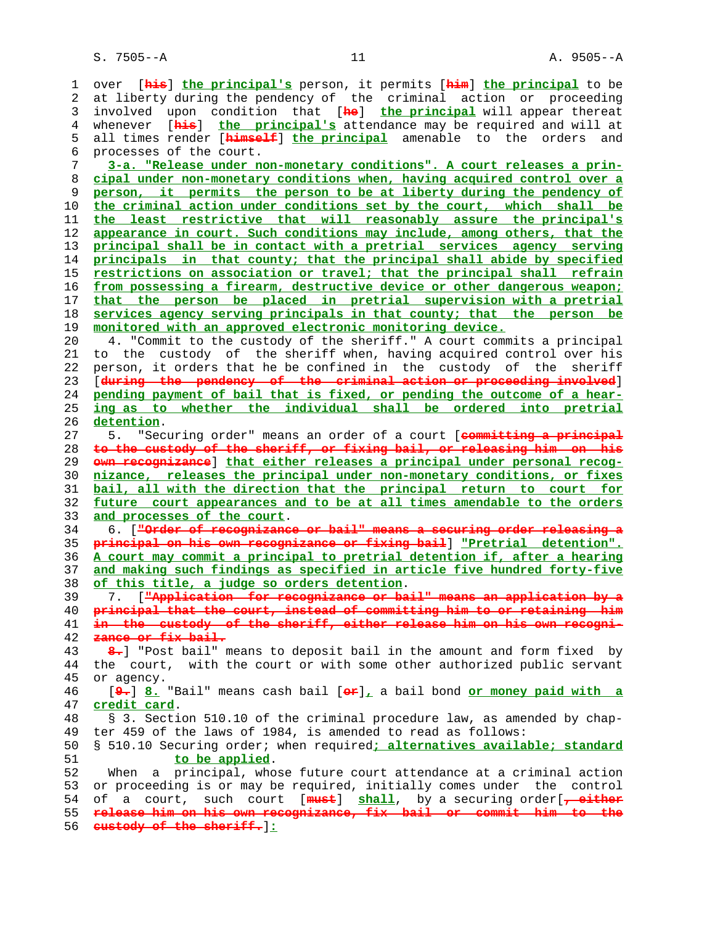1 over [**his**] **the principal's** person, it permits [**him**] **the principal** to be 2 at liberty during the pendency of the criminal action or proceeding 3 involved upon condition that [**he**] **the principal** will appear thereat 4 whenever [**his**] **the principal's** attendance may be required and will at 5 all times render [**himself**] **the principal** amenable to the orders and 6 processes of the court. **3-a. "Release under non-monetary conditions". A court releases a prin- cipal under non-monetary conditions when, having acquired control over a person, it permits the person to be at liberty during the pendency of the criminal action under conditions set by the court, which shall be the least restrictive that will reasonably assure the principal's appearance in court. Such conditions may include, among others, that the principal shall be in contact with a pretrial services agency serving principals in that county; that the principal shall abide by specified restrictions on association or travel; that the principal shall refrain from possessing a firearm, destructive device or other dangerous weapon; that the person be placed in pretrial supervision with a pretrial services agency serving principals in that county; that the person be monitored with an approved electronic monitoring device.** 20 4. "Commit to the custody of the sheriff." A court commits a principal 21 to the custody of the sheriff when, having acquired control over his 22 person, it orders that he be confined in the custody of the sheriff 23 [**during the pendency of the criminal action or proceeding involved**] **pending payment of bail that is fixed, or pending the outcome of a hear- ing as to whether the individual shall be ordered into pretrial detention**. 27 5. "Securing order" means an order of a court [**committing a principal to the custody of the sheriff, or fixing bail, or releasing him on his own recognizance**] **that either releases a principal under personal recog- nizance, releases the principal under non-monetary conditions, or fixes bail, all with the direction that the principal return to court for future court appearances and to be at all times amendable to the orders and processes of the court**. 34 6. [**"Order of recognizance or bail" means a securing order releasing a principal on his own recognizance or fixing bail**] **"Pretrial detention". A court may commit a principal to pretrial detention if, after a hearing and making such findings as specified in article five hundred forty-five of this title, a judge so orders detention**. 39 7. [**"Application for recognizance or bail" means an application by a principal that the court, instead of committing him to or retaining him in the custody of the sheriff, either release him on his own recogni- zance or fix bail. 8.**] "Post bail" means to deposit bail in the amount and form fixed by 44 the court, with the court or with some other authorized public servant 45 or agency. 46 [**9.**] **8.** "Bail" means cash bail [**or**]**,** a bail bond **or money paid with a credit card**. 48 § 3. Section 510.10 of the criminal procedure law, as amended by chap- 49 ter 459 of the laws of 1984, is amended to read as follows: 50 § 510.10 Securing order; when required**; alternatives available; standard to be applied**. 52 When a principal, whose future court attendance at a criminal action 53 or proceeding is or may be required, initially comes under the control 54 of a court, such court [**must**] **shall**, by a securing order[**, either release him on his own recognizance, fix bail or commit him to the custody of the sheriff.**]**:**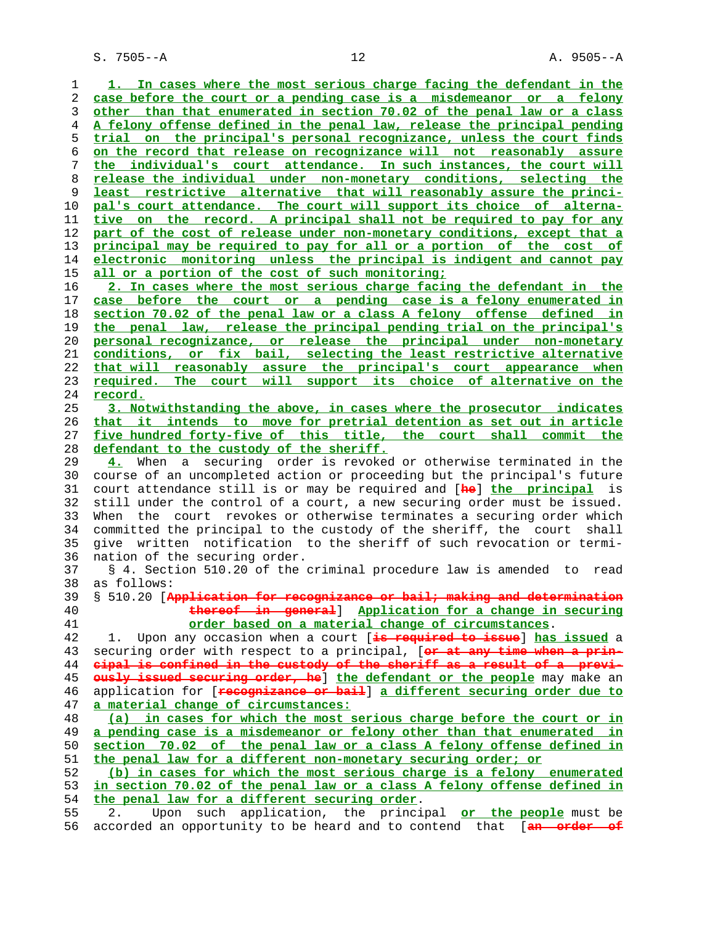S. 7505--A 12 A. 9505--A

**1. In cases where the most serious charge facing the defendant in the case before the court or a pending case is a misdemeanor or a felony other than that enumerated in section 70.02 of the penal law or a class A felony offense defined in the penal law, release the principal pending trial on the principal's personal recognizance, unless the court finds on the record that release on recognizance will not reasonably assure the individual's court attendance. In such instances, the court will release the individual under non-monetary conditions, selecting the least restrictive alternative that will reasonably assure the princi- pal's court attendance. The court will support its choice of alterna- tive on the record. A principal shall not be required to pay for any part of the cost of release under non-monetary conditions, except that a principal may be required to pay for all or a portion of the cost of electronic monitoring unless the principal is indigent and cannot pay all or a portion of the cost of such monitoring; 2. In cases where the most serious charge facing the defendant in the case before the court or a pending case is a felony enumerated in section 70.02 of the penal law or a class A felony offense defined in the penal law, release the principal pending trial on the principal's personal recognizance, or release the principal under non-monetary conditions, or fix bail, selecting the least restrictive alternative that will reasonably assure the principal's court appearance when required. The court will support its choice of alternative on the record. 3. Notwithstanding the above, in cases where the prosecutor indicates that it intends to move for pretrial detention as set out in article five hundred forty-five of this title, the court shall commit the defendant to the custody of the sheriff. 4.** When a securing order is revoked or otherwise terminated in the 30 course of an uncompleted action or proceeding but the principal's future 31 court attendance still is or may be required and [**he**] **the principal** is 32 still under the control of a court, a new securing order must be issued. 33 When the court revokes or otherwise terminates a securing order which 34 committed the principal to the custody of the sheriff, the court shall 35 give written notification to the sheriff of such revocation or termi- 36 nation of the securing order. 37 § 4. Section 510.20 of the criminal procedure law is amended to read 38 as follows: 39 § 510.20 [**Application for recognizance or bail; making and determination thereof in general**] **Application for a change in securing order based on a material change of circumstances**. 42 1. Upon any occasion when a court [**is required to issue**] **has issued** a 43 securing order with respect to a principal, [**or at any time when a prin- cipal is confined in the custody of the sheriff as a result of a previ- ously issued securing order, he**] **the defendant or the people** may make an 46 application for [**recognizance or bail**] **a different securing order due to a material change of circumstances: (a) in cases for which the most serious charge before the court or in a pending case is a misdemeanor or felony other than that enumerated in section 70.02 of the penal law or a class A felony offense defined in the penal law for a different non-monetary securing order; or (b) in cases for which the most serious charge is a felony enumerated in section 70.02 of the penal law or a class A felony offense defined in the penal law for a different securing order**. 55 2. Upon such application, the principal **or the people** must be

56 accorded an opportunity to be heard and to contend that [**an order of**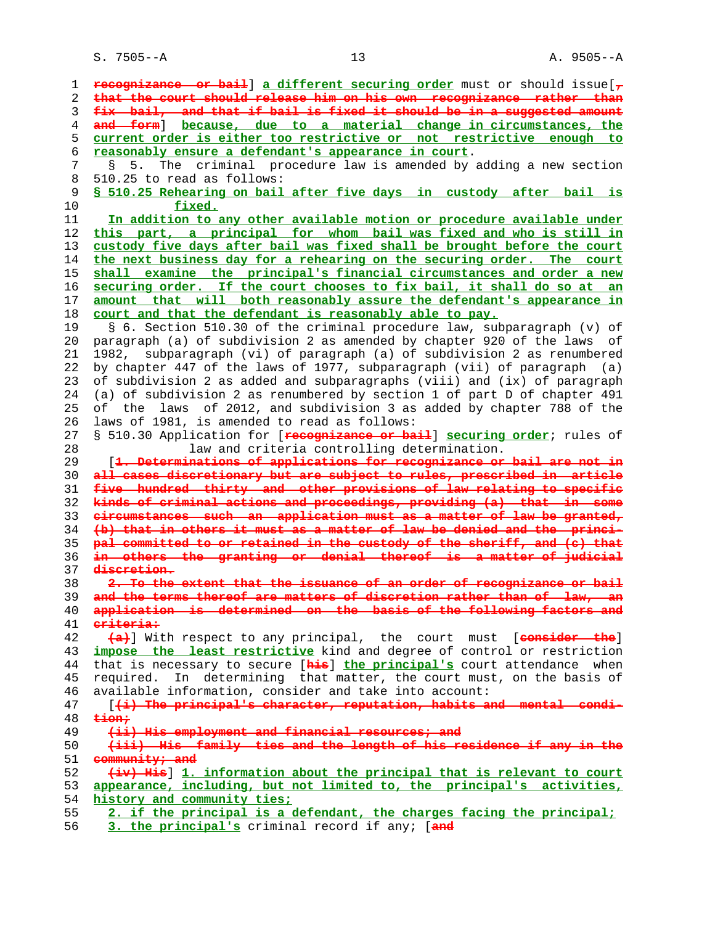S. 7505--A 13 A. 9505--A

**recognizance or bail**] **a different securing order** must or should issue[**, that the court should release him on his own recognizance rather than fix bail, and that if bail is fixed it should be in a suggested amount and form**] **because, due to a material change in circumstances, the current order is either too restrictive or not restrictive enough to reasonably ensure a defendant's appearance in court**. 7 § 5. The criminal procedure law is amended by adding a new section 8 510.25 to read as follows:<br>9 **S 510.25 Rehearing on bail § 510.25 Rehearing on bail after five days in custody after bail is fixed. In addition to any other available motion or procedure available under this part, a principal for whom bail was fixed and who is still in custody five days after bail was fixed shall be brought before the court the next business day for a rehearing on the securing order. The court shall examine the principal's financial circumstances and order a new securing order. If the court chooses to fix bail, it shall do so at an amount that will both reasonably assure the defendant's appearance in court and that the defendant is reasonably able to pay.** 19 § 6. Section 510.30 of the criminal procedure law, subparagraph (v) of 20 paragraph (a) of subdivision 2 as amended by chapter 920 of the laws of 21 1982, subparagraph (vi) of paragraph (a) of subdivision 2 as renumbered 22 by chapter 447 of the laws of 1977, subparagraph (vii) of paragraph (a) 23 of subdivision 2 as added and subparagraphs (viii) and (ix) of paragraph 24 (a) of subdivision 2 as renumbered by section 1 of part D of chapter 491 25 of the laws of 2012, and subdivision 3 as added by chapter 788 of the 26 laws of 1981, is amended to read as follows: 27 § 510.30 Application for [**recognizance or bail**] **securing order**; rules of 28 law and criteria controlling determination. 29 [**1. Determinations of applications for recognizance or bail are not in all cases discretionary but are subject to rules, prescribed in article five hundred thirty and other provisions of law relating to specific kinds of criminal actions and proceedings, providing (a) that in some circumstances such an application must as a matter of law be granted, (b) that in others it must as a matter of law be denied and the princi- pal committed to or retained in the custody of the sheriff, and (c) that in others the granting or denial thereof is a matter of judicial discretion. 2. To the extent that the issuance of an order of recognizance or bail and the terms thereof are matters of discretion rather than of law, an application is determined on the basis of the following factors and criteria: (a)**] With respect to any principal, the court must [**consider the**] **impose the least restrictive** kind and degree of control or restriction 44 that is necessary to secure [**his**] **the principal's** court attendance when 45 required. In determining that matter, the court must, on the basis of 46 available information, consider and take into account: 47 [**(i) The principal's character, reputation, habits and mental condi- tion; (ii) His employment and financial resources; and (iii) His family ties and the length of his residence if any in the community; and (iv) His**] **1. information about the principal that is relevant to court appearance, including, but not limited to, the principal's activities,** history and community ties; **2. if the principal is a defendant, the charges facing the principal;**

**3. the principal's** criminal record if any; [**and**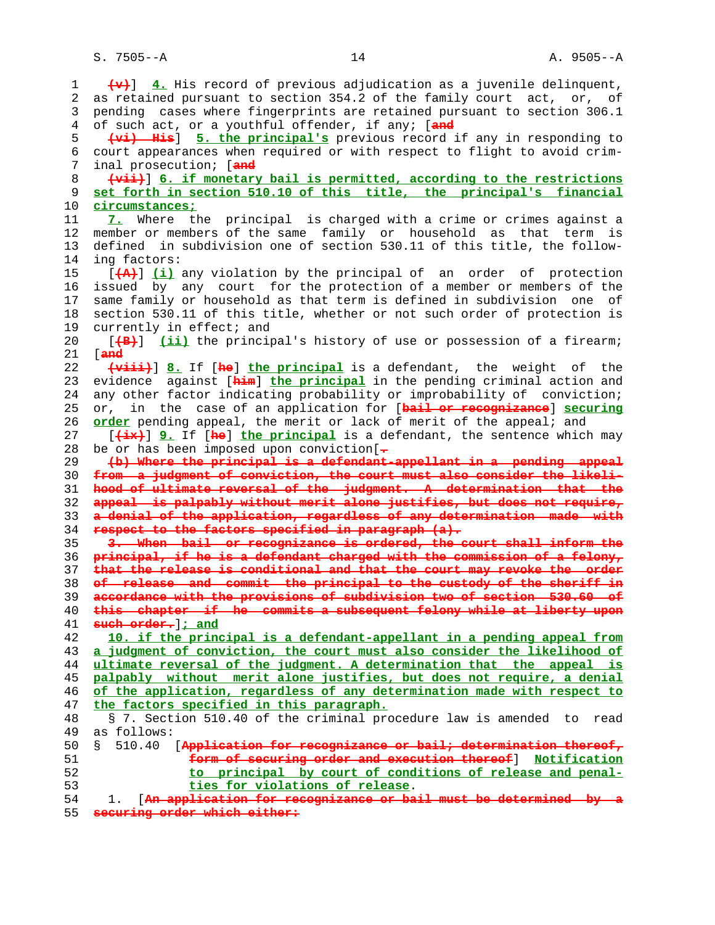1 **(v)**] **4.** His record of previous adjudication as a juvenile delinquent, 2 as retained pursuant to section 354.2 of the family court act, or, of 3 pending cases where fingerprints are retained pursuant to section 306.1 4 of such act, or a youthful offender, if any; [**and** 5 **(vi) His**] **5. the principal's** previous record if any in responding to 6 court appearances when required or with respect to flight to avoid crim- 7 inal prosecution; [**and** 8 **(vii)**] **6. if monetary bail is permitted, according to the restrictions** 9 **set forth in section 510.10 of this title, the principal's financial** 10 **circumstances;** 11 **7.** Where the principal is charged with a crime or crimes against a 12 member or members of the same family or household as that term is 13 defined in subdivision one of section 530.11 of this title, the follow- 14 ing factors: 15 [**(A)**] **(i)** any violation by the principal of an order of protection 16 issued by any court for the protection of a member or members of the 17 same family or household as that term is defined in subdivision one of 18 section 530.11 of this title, whether or not such order of protection is 19 currently in effect; and 20 [**(B)**] **(ii)** the principal's history of use or possession of a firearm; 21 [**and** 22 **(viii)**] **8.** If [**he**] **the principal** is a defendant, the weight of the 23 evidence against [**him**] **the principal** in the pending criminal action and 24 any other factor indicating probability or improbability of conviction; 25 or, in the case of an application for [**bail or recognizance**] **securing** 26 **order** pending appeal, the merit or lack of merit of the appeal; and 27 [**(ix)**] **9.** If [**he**] **the principal** is a defendant, the sentence which may 28 be or has been imposed upon conviction[**.** 29 **(b) Where the principal is a defendant-appellant in a pending appeal** 30 **from a judgment of conviction, the court must also consider the likeli-** 31 **hood of ultimate reversal of the judgment. A determination that the** 32 **appeal is palpably without merit alone justifies, but does not require,** 33 **a denial of the application, regardless of any determination made with** 34 **respect to the factors specified in paragraph (a).** 35 **3. When bail or recognizance is ordered, the court shall inform the** 36 **principal, if he is a defendant charged with the commission of a felony,** 37 **that the release is conditional and that the court may revoke the order** 38 **of release and commit the principal to the custody of the sheriff in** 39 **accordance with the provisions of subdivision two of section 530.60 of** 40 **this chapter if he commits a subsequent felony while at liberty upon** 41 **such order.**]**; and** 42 **10. if the principal is a defendant-appellant in a pending appeal from** 43 **a judgment of conviction, the court must also consider the likelihood of** 44 **ultimate reversal of the judgment. A determination that the appeal is** 45 **palpably without merit alone justifies, but does not require, a denial** 46 **of the application, regardless of any determination made with respect to** 47 **the factors specified in this paragraph.** 48 § 7. Section 510.40 of the criminal procedure law is amended to read as follows: 50 § 510.40 [**Application for recognizance or bail; determination thereof,** 51 **form of securing order and execution thereof**] **Notification** 52 **to principal by court of conditions of release and penal-** 53 **ties for violations of release**. 54 1. [**An application for recognizance or bail must be determined by a** 55 **securing order which either:**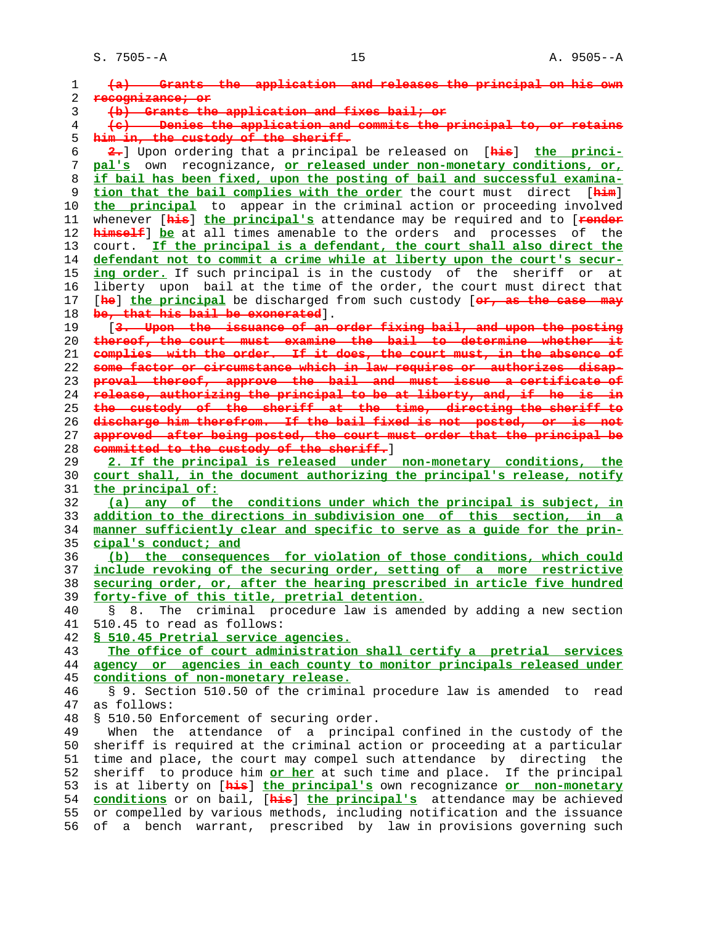| 1  | (a) Grants the application and releases the principal on his own           |
|----|----------------------------------------------------------------------------|
| 2  | recognizance, or                                                           |
| 3  | (b) Grants the application and fixes bail; or                              |
| 4  | (e) Denies the application and commits the principal to, or                |
| 5  | him in, the custody of the sheriff.                                        |
| 6  | 2. Upon ordering that a principal be released on [his] the princi-         |
| 7  | pal's own recognizance, or released under non-monetary conditions, or,     |
| 8  | if bail has been fixed, upon the posting of bail and successful examina-   |
| 9  | tion that the bail complies with the order the court must direct [him]     |
| 10 | the principal to appear in the criminal action or proceeding involved      |
| 11 | whenever [his] the principal's attendance may be required and to [render   |
|    | himself] be at all times amenable to the orders and processes of the       |
| 12 |                                                                            |
| 13 | If the principal is a defendant, the court shall also direct the<br>court. |
| 14 | defendant not to commit a crime while at liberty upon the court's secur-   |
| 15 | ing order. If such principal is in the custody of the sheriff or at        |
| 16 | liberty upon bail at the time of the order, the court must direct that     |
| 17 | [he] the principal be discharged from such custody [or, as the case may    |
| 18 | be, that his bail be exonerated].                                          |
| 19 | [3. Upon the issuance of an order fixing bail, and upon the posting        |
| 20 | thereof, the court must examine the bail to determine whether it           |
| 21 | complies with the order. If it does, the court must, in the absence of     |
| 22 | some factor or circumstance which in law requires or authorizes disap-     |
| 23 | proval thereof, approve the bail and must issue a certificate of           |
| 24 | release, authorizing the principal to be at liberty, and, if he is in      |
| 25 | the custody of the sheriff at the time, directing the sheriff to           |
| 26 | discharge him therefrom. If the bail fixed is not posted, or is not        |
| 27 | approved after being posted, the court must order that the principal be    |
| 28 | committed to the custody of the sheriff.]                                  |
| 29 | 2. If the principal is released under non-monetary conditions, the         |
| 30 | court shall, in the document authorizing the principal's release, notify   |
| 31 | the principal of:                                                          |
| 32 | (a) any of the conditions under which the principal is subject, in         |
| 33 | addition to the directions in subdivision one of this section, in a        |
| 34 | manner sufficiently clear and specific to serve as a guide for the prin-   |
| 35 | cipal's conduct; and                                                       |
| 36 | (b) the consequences for violation of those conditions, which could        |
| 37 | include revoking of the securing order, setting of a more restrictive      |
| 38 | securing order, or, after the hearing prescribed in article five hundred   |
| 39 | forty-five of this title, pretrial detention.                              |
| 40 | The criminal procedure law is amended by adding a new section<br>$\S 8.$   |
| 41 | 510.45 to read as follows:                                                 |
| 42 | § 510.45 Pretrial service agencies.                                        |
| 43 | The office of court administration shall certify a pretrial services       |
|    |                                                                            |
| 44 | agency or agencies in each county to monitor principals released under     |
| 45 | conditions of non-monetary release.                                        |
| 46 | § 9. Section 510.50 of the criminal procedure law is amended to read       |
| 47 | as follows:                                                                |
| 48 | § 510.50 Enforcement of securing order.                                    |
| 49 | When the attendance of a principal confined in the custody of the          |
| 50 | sheriff is required at the criminal action or proceeding at a particular   |
| 51 | time and place, the court may compel such attendance by directing the      |
| 52 | sheriff to produce him or her at such time and place. If the principal     |
| 53 | is at liberty on [his] the principal's own recognizance or non-monetary    |
| 54 | conditions or on bail, [his] the principal's attendance may be achieved    |
| 55 | or compelled by various methods, including notification and the issuance   |
| 56 | оf<br>bench warrant, prescribed by law in provisions governing such<br>a   |
|    |                                                                            |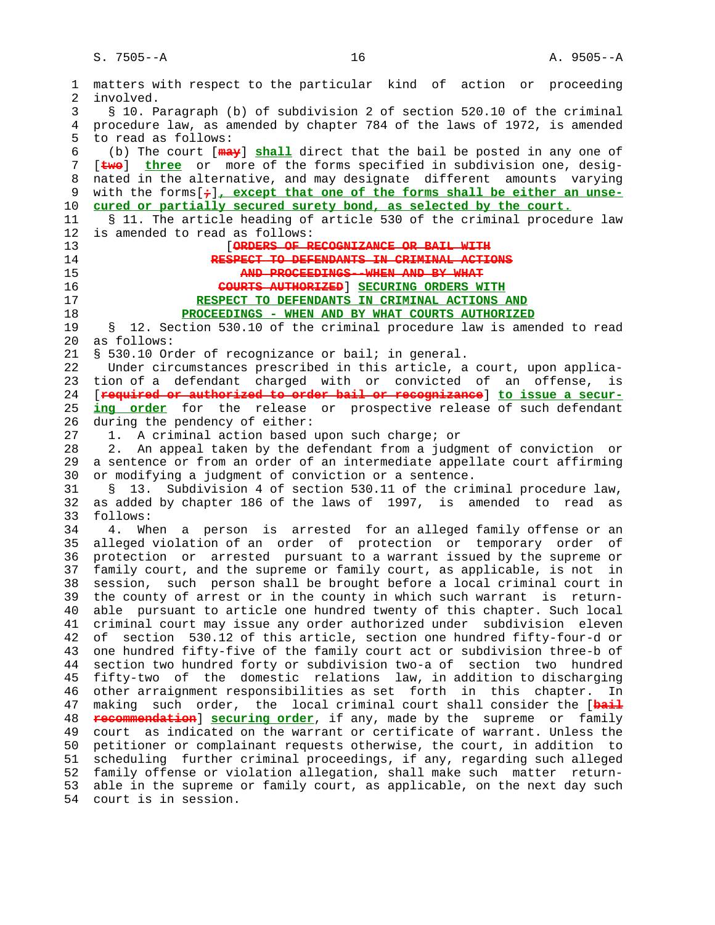1 matters with respect to the particular kind of action or proceeding 2 involved. 3 § 10. Paragraph (b) of subdivision 2 of section 520.10 of the criminal 4 procedure law, as amended by chapter 784 of the laws of 1972, is amended 5 to read as follows: 6 (b) The court [**may**] **shall** direct that the bail be posted in any one of 7 [**two**] **three** or more of the forms specified in subdivision one, desig- 8 nated in the alternative, and may designate different amounts varying<br>9 with the forms[+], except that one of the forms shall be either an unse- 9 with the forms[**;**]**, except that one of the forms shall be either an unse-** 10 **cured or partially secured surety bond, as selected by the court.** 11 § 11. The article heading of article 530 of the criminal procedure law 12 is amended to read as follows: 13 [**ORDERS OF RECOGNIZANCE OR BAIL WITH** 14 **RESPECT TO DEFENDANTS IN CRIMINAL ACTIONS** 15 **AND PROCEEDINGS--WHEN AND BY WHAT** 16 **COURTS AUTHORIZED**] **SECURING ORDERS WITH** 17 **RESPECT TO DEFENDANTS IN CRIMINAL ACTIONS AND** 18 **PROCEEDINGS - WHEN AND BY WHAT COURTS AUTHORIZED** 19 § 12. Section 530.10 of the criminal procedure law is amended to read 20 as follows: 21 § 530.10 Order of recognizance or bail; in general. 22 Under circumstances prescribed in this article, a court, upon applica- 23 tion of a defendant charged with or convicted of an offense, is 24 [**required or authorized to order bail or recognizance**] **to issue a secur-** 25 **ing order** for the release or prospective release of such defendant 26 during the pendency of either: 27 1. A criminal action based upon such charge; or 28 2. An appeal taken by the defendant from a judgment of conviction or 29 a sentence or from an order of an intermediate appellate court affirming 30 or modifying a judgment of conviction or a sentence. 31 § 13. Subdivision 4 of section 530.11 of the criminal procedure law, 32 as added by chapter 186 of the laws of 1997, is amended to read as 33 follows: 34 4. When a person is arrested for an alleged family offense or an 35 alleged violation of an order of protection or temporary order of 36 protection or arrested pursuant to a warrant issued by the supreme or 37 family court, and the supreme or family court, as applicable, is not in 38 session, such person shall be brought before a local criminal court in 39 the county of arrest or in the county in which such warrant is return- 40 able pursuant to article one hundred twenty of this chapter. Such local 41 criminal court may issue any order authorized under subdivision eleven 42 of section 530.12 of this article, section one hundred fifty-four-d or 43 one hundred fifty-five of the family court act or subdivision three-b of 44 section two hundred forty or subdivision two-a of section two hundred 45 fifty-two of the domestic relations law, in addition to discharging 46 other arraignment responsibilities as set forth in this chapter. In 47 making such order, the local criminal court shall consider the [**bail** 48 **recommendation**] **securing order**, if any, made by the supreme or family 49 court as indicated on the warrant or certificate of warrant. Unless the 50 petitioner or complainant requests otherwise, the court, in addition to 51 scheduling further criminal proceedings, if any, regarding such alleged 52 family offense or violation allegation, shall make such matter return- 53 able in the supreme or family court, as applicable, on the next day such 54 court is in session.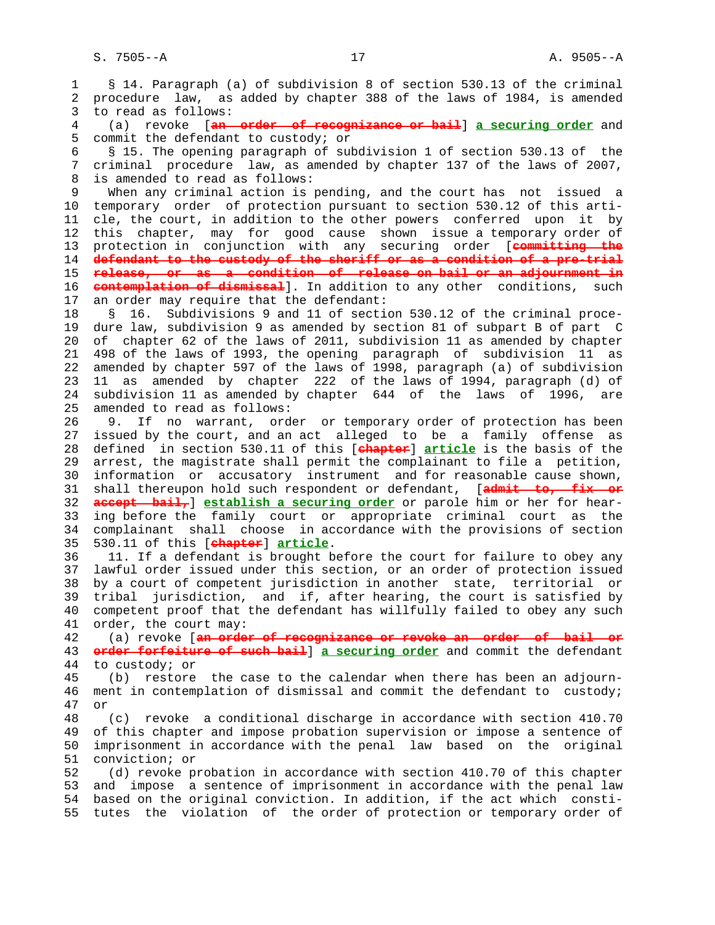1 § 14. Paragraph (a) of subdivision 8 of section 530.13 of the criminal 2 procedure law, as added by chapter 388 of the laws of 1984, is amended 3 to read as follows: 4 (a) revoke [**an order of recognizance or bail**] **a securing order** and 5 commit the defendant to custody; or 6 § 15. The opening paragraph of subdivision 1 of section 530.13 of the 7 criminal procedure law, as amended by chapter 137 of the laws of 2007, 8 is amended to read as follows:<br>9 When any criminal action is When any criminal action is pending, and the court has not issued a 10 temporary order of protection pursuant to section 530.12 of this arti- 11 cle, the court, in addition to the other powers conferred upon it by 12 this chapter, may for good cause shown issue a temporary order of 13 protection in conjunction with any securing order [**committing the** 14 **defendant to the custody of the sheriff or as a condition of a pre-trial** 15 **release, or as a condition of release on bail or an adjournment in** 16 **contemplation of dismissal**]. In addition to any other conditions, such 17 an order may require that the defendant: 18 § 16. Subdivisions 9 and 11 of section 530.12 of the criminal proce- 19 dure law, subdivision 9 as amended by section 81 of subpart B of part C 20 of chapter 62 of the laws of 2011, subdivision 11 as amended by chapter 21 498 of the laws of 1993, the opening paragraph of subdivision 11 as 22 amended by chapter 597 of the laws of 1998, paragraph (a) of subdivision 23 11 as amended by chapter 222 of the laws of 1994, paragraph (d) of 24 subdivision 11 as amended by chapter 644 of the laws of 1996, are 25 amended to read as follows: 26 9. If no warrant, order or temporary order of protection has been 27 issued by the court, and an act alleged to be a family offense as 28 defined in section 530.11 of this [**chapter**] **article** is the basis of the 29 arrest, the magistrate shall permit the complainant to file a petition, 30 information or accusatory instrument and for reasonable cause shown, 31 shall thereupon hold such respondent or defendant, [**admit to, fix or** 32 **accept bail,**] **establish a securing order** or parole him or her for hear- 33 ing before the family court or appropriate criminal court as the 34 complainant shall choose in accordance with the provisions of section 35 530.11 of this [**chapter**] **article**. 36 11. If a defendant is brought before the court for failure to obey any 37 lawful order issued under this section, or an order of protection issued 38 by a court of competent jurisdiction in another state, territorial or 39 tribal jurisdiction, and if, after hearing, the court is satisfied by 40 competent proof that the defendant has willfully failed to obey any such 41 order, the court may: 42 (a) revoke [**an order of recognizance or revoke an order of bail or** 43 **order forfeiture of such bail**] **a securing order** and commit the defendant 44 to custody; or 45 (b) restore the case to the calendar when there has been an adjourn- 46 ment in contemplation of dismissal and commit the defendant to custody; 47 or 48 (c) revoke a conditional discharge in accordance with section 410.70 49 of this chapter and impose probation supervision or impose a sentence of 50 imprisonment in accordance with the penal law based on the original 51 conviction; or 52 (d) revoke probation in accordance with section 410.70 of this chapter 53 and impose a sentence of imprisonment in accordance with the penal law 54 based on the original conviction. In addition, if the act which consti- 55 tutes the violation of the order of protection or temporary order of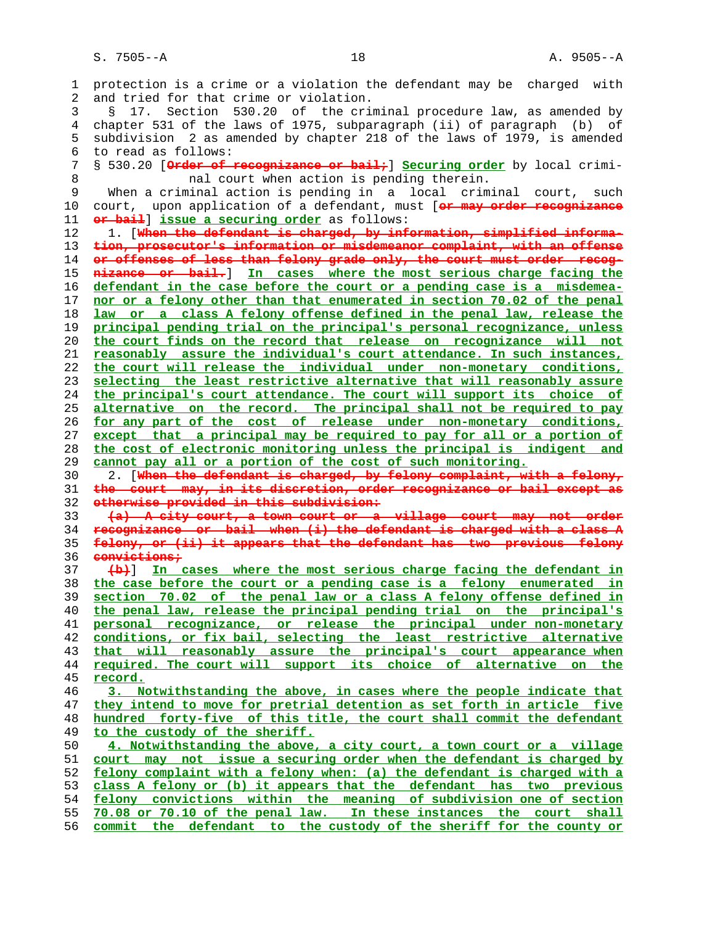1 protection is a crime or a violation the defendant may be charged with 2 and tried for that crime or violation. 3 § 17. Section 530.20 of the criminal procedure law, as amended by 4 chapter 531 of the laws of 1975, subparagraph (ii) of paragraph (b) of 5 subdivision 2 as amended by chapter 218 of the laws of 1979, is amended 6 to read as follows: 7 § 530.20 [**Order of recognizance or bail;**] **Securing order** by local crimi- 8 12 12 nal court when action is pending therein.<br>8 10 when a criminal action is pending in a local crim When a criminal action is pending in a local criminal court, such 10 court, upon application of a defendant, must [**or may order recognizance or bail**] **issue a securing order** as follows: 12 1. [**When the defendant is charged, by information, simplified informa- tion, prosecutor's information or misdemeanor complaint, with an offense or offenses of less than felony grade only, the court must order recog- nizance or bail.**] **In cases where the most serious charge facing the defendant in the case before the court or a pending case is a misdemea- nor or a felony other than that enumerated in section 70.02 of the penal law or a class A felony offense defined in the penal law, release the principal pending trial on the principal's personal recognizance, unless the court finds on the record that release on recognizance will not reasonably assure the individual's court attendance. In such instances, the court will release the individual under non-monetary conditions, selecting the least restrictive alternative that will reasonably assure the principal's court attendance. The court will support its choice of alternative on the record. The principal shall not be required to pay for any part of the cost of release under non-monetary conditions, except that a principal may be required to pay for all or a portion of the cost of electronic monitoring unless the principal is indigent and cannot pay all or a portion of the cost of such monitoring.** 30 2. [**When the defendant is charged, by felony complaint, with a felony, the court may, in its discretion, order recognizance or bail except as otherwise provided in this subdivision: (a) A city court, a town court or a village court may not order recognizance or bail when (i) the defendant is charged with a class A felony, or (ii) it appears that the defendant has two previous felony convictions; (b)**] **In cases where the most serious charge facing the defendant in the case before the court or a pending case is a felony enumerated in section 70.02 of the penal law or a class A felony offense defined in the penal law, release the principal pending trial on the principal's personal recognizance, or release the principal under non-monetary conditions, or fix bail, selecting the least restrictive alternative that will reasonably assure the principal's court appearance when required. The court will support its choice of alternative on the record. 3. Notwithstanding the above, in cases where the people indicate that they intend to move for pretrial detention as set forth in article five hundred forty-five of this title, the court shall commit the defendant to the custody of the sheriff. 4. Notwithstanding the above, a city court, a town court or a village court may not issue a securing order when the defendant is charged by felony complaint with a felony when: (a) the defendant is charged with a class A felony or (b) it appears that the defendant has two previous felony convictions within the meaning of subdivision one of section 70.08 or 70.10 of the penal law. In these instances the court shall commit the defendant to the custody of the sheriff for the county or**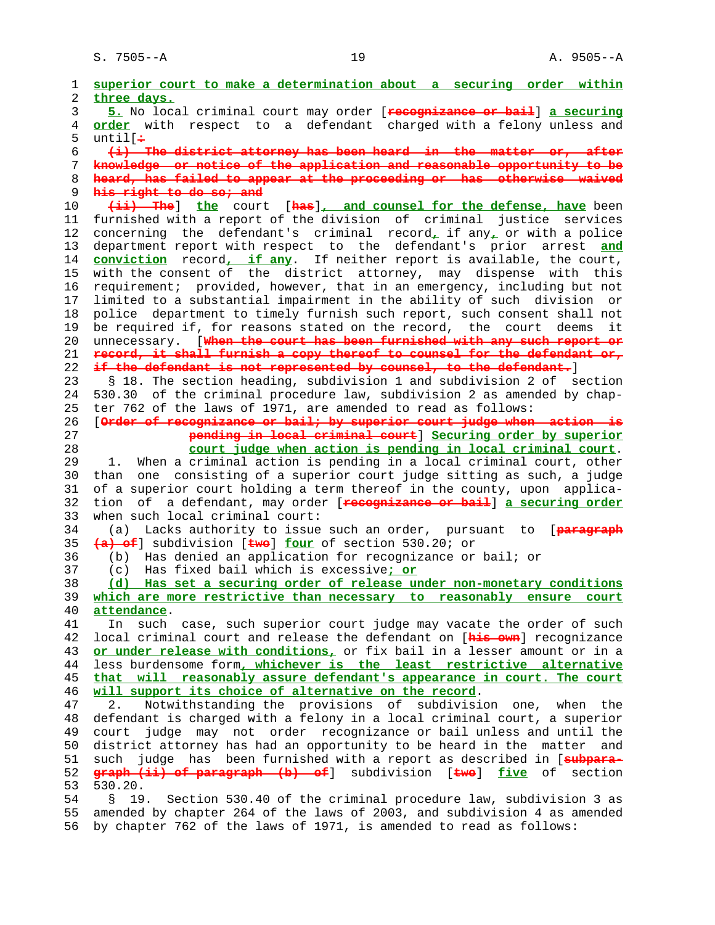| 1              | superior court to make a determination about a securing order within                 |
|----------------|--------------------------------------------------------------------------------------|
| $\overline{2}$ | three days.                                                                          |
| 3              | 5. No local criminal court may order [recognizance or bail] a securing               |
| $\overline{4}$ | order with respect to a defendant charged with a felony unless and                   |
| 5              | until $[$ +                                                                          |
| 6              | (i) The district attorney has been heard in the matter or, after                     |
| 7              | knowledge or notice of the application and reasonable opportunity to be              |
| 8              | heard, has failed to appear at the proceeding or has otherwise waived                |
| 9              | his right to do so; and                                                              |
| 10             | (ii) The] the court [has], and counsel for the defense, have been                    |
| 11             | furnished with a report of the division of criminal<br>justice services              |
| 12             | concerning the defendant's criminal record, if any, or with a police                 |
| 13             | department report with respect to the defendant's prior arrest and                   |
| 14             | conviction record, if any. If neither report is available, the court,                |
| 15             | with the consent of the district attorney, may dispense with this                    |
| 16             | requirement; provided, however, that in an emergency, including but not              |
| 17             | limited to a substantial impairment in the ability of such division or               |
| 18             | police department to timely furnish such report, such consent shall not              |
| 19             | be required if, for reasons stated on the record, the court deems it                 |
| $20 \,$        | unnecessary. [When the court has been furnished with any such report or              |
| 21             | record, it shall furnish a copy thereof to counsel for the defendant or,             |
| 22             | if the defendant is not represented by counsel, to the defendant. ]                  |
| 23             | § 18. The section heading, subdivision 1 and subdivision 2 of section                |
| 24             | 530.30 of the criminal procedure law, subdivision 2 as amended by chap-              |
| 25             | ter 762 of the laws of 1971, are amended to read as follows:                         |
| 26             | [Order of recognizance or bail, by superior court judge when action is               |
| 27             | pending in local criminal court] Securing order by superior                          |
| 28             | court judge when action is pending in local criminal court.                          |
| 29             | When a criminal action is pending in a local criminal court, other<br>1.             |
| 30             | one consisting of a superior court judge sitting as such, a judge<br>than            |
| 31             | of a superior court holding a term thereof in the county, upon applica-              |
| 32             | of a defendant, may order [recognizance or bail] a securing order<br>tion            |
| 33             | when such local criminal court:                                                      |
| 34             | Lacks authority to issue such an order, pursuant to<br>(a)<br>l <del>paragraph</del> |
| 35             | (a) of subdivision [two] four of section 530.20; or                                  |
| 36             | (b) Has denied an application for recognizance or bail; or                           |
| 37             | Has fixed bail which is excessive; or<br>(c)                                         |
| 38             | (d) Has set a securing order of release under non-monetary conditions                |
| 39             | which are more restrictive than necessary to reasonably ensure<br>court              |
| 40             | attendance.                                                                          |
| 41             | such case, such superior court judge may vacate the order of such<br>In              |
| 42             | local criminal court and release the defendant on [his own] recognizance             |
| 43             | or under release with conditions, or fix bail in a lesser amount or in a             |
| 44             | less burdensome form, whichever is the least restrictive alternative                 |
| 45             | that will reasonably assure defendant's appearance in court. The court               |
| 46             | will support its choice of alternative on the record.                                |
| 47             | 2.<br>Notwithstanding the provisions of subdivision one, when the                    |
| 48             | defendant is charged with a felony in a local criminal court, a superior             |
| 49             | judge may not order recognizance or bail unless and until the<br>court               |
| 50             | district attorney has had an opportunity to be heard in the matter and               |
| 51             | such                                                                                 |
|                | judge has been furnished with a report as described in [aubpara-                     |
| 52<br>53       | graph (ii) of paragraph (b) of cubdivision [twe] five of section<br>530.20.          |
|                |                                                                                      |
| 54             | Section 530.40 of the criminal procedure law, subdivision 3 as<br>Š.<br>19.          |
| 55             | amended by chapter 264 of the laws of 2003, and subdivision 4 as amended             |

56 by chapter 762 of the laws of 1971, is amended to read as follows: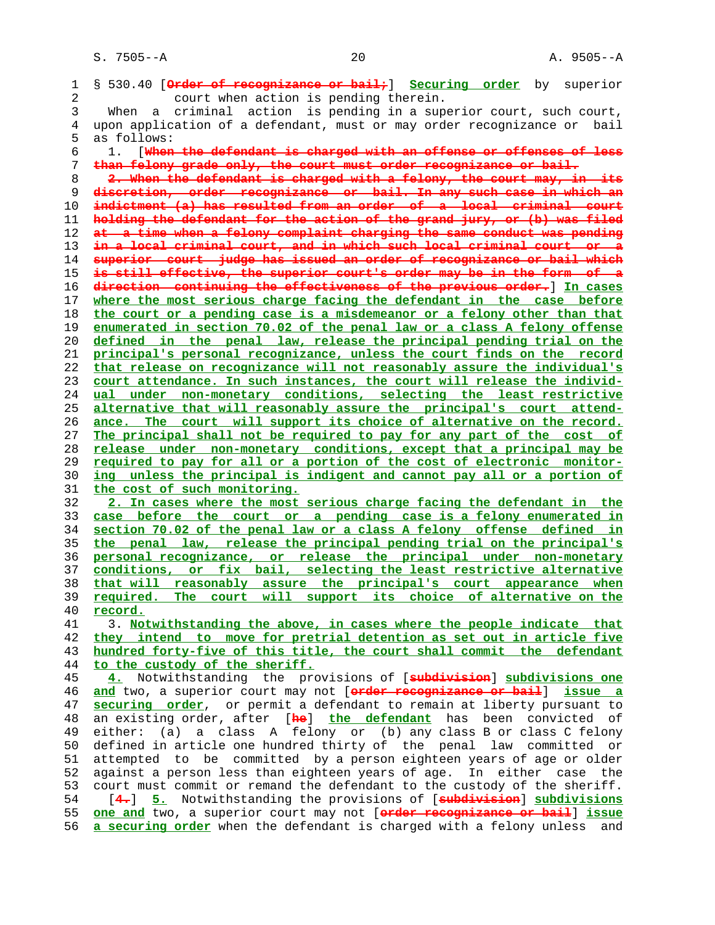1 § 530.40 [**Order of recognizance or bail;**] **Securing order** by superior 2 court when action is pending therein. 3 When a criminal action is pending in a superior court, such court, 4 upon application of a defendant, must or may order recognizance or bail 5 as follows: 6 1. [**When the defendant is charged with an offense or offenses of less than felony grade only, the court must order recognizance or bail. 2. When the defendant is charged with a felony, the court may, in its discretion, order recognizance or bail. In any such case in which an indictment (a) has resulted from an order of a local criminal court holding the defendant for the action of the grand jury, or (b) was filed at a time when a felony complaint charging the same conduct was pending** 13 in a local criminal court, and in which such local criminal court **superior court judge has issued an order of recognizance or bail which is still effective, the superior court's order may be in the form of a direction continuing the effectiveness of the previous order.**] **In cases where the most serious charge facing the defendant in the case before the court or a pending case is a misdemeanor or a felony other than that enumerated in section 70.02 of the penal law or a class A felony offense defined in the penal law, release the principal pending trial on the principal's personal recognizance, unless the court finds on the record that release on recognizance will not reasonably assure the individual's court attendance. In such instances, the court will release the individ- ual under non-monetary conditions, selecting the least restrictive alternative that will reasonably assure the principal's court attend- ance. The court will support its choice of alternative on the record. The principal shall not be required to pay for any part of the cost of release under non-monetary conditions, except that a principal may be required to pay for all or a portion of the cost of electronic monitor- ing unless the principal is indigent and cannot pay all or a portion of the cost of such monitoring. 2. In cases where the most serious charge facing the defendant in the case before the court or a pending case is a felony enumerated in section 70.02 of the penal law or a class A felony offense defined in the penal law, release the principal pending trial on the principal's personal recognizance, or release the principal under non-monetary conditions, or fix bail, selecting the least restrictive alternative that will reasonably assure the principal's court appearance when required. The court will support its choice of alternative on the record.** 41 3. **Notwithstanding the above, in cases where the people indicate that they intend to move for pretrial detention as set out in article five hundred forty-five of this title, the court shall commit the defendant to the custody of the sheriff. 4.** Notwithstanding the provisions of [**subdivision**] **subdivisions one and** two, a superior court may not [**order recognizance or bail**] **issue a securing order**, or permit a defendant to remain at liberty pursuant to 48 an existing order, after [**he**] **the defendant** has been convicted of 49 either: (a) a class A felony or (b) any class B or class C felony 50 defined in article one hundred thirty of the penal law committed or 51 attempted to be committed by a person eighteen years of age or older 52 against a person less than eighteen years of age. In either case the 53 court must commit or remand the defendant to the custody of the sheriff. 54 [**4.**] **5.** Notwithstanding the provisions of [**subdivision**] **subdivisions one and** two, a superior court may not [**order recognizance or bail**] **issue a securing order** when the defendant is charged with a felony unless and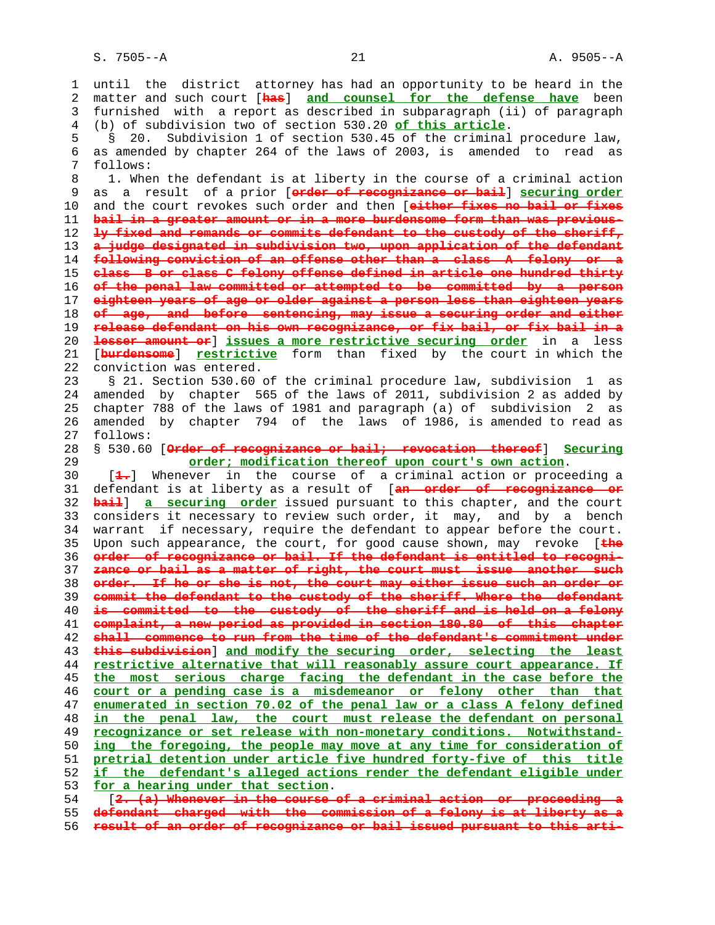1 until the district attorney has had an opportunity to be heard in the 2 matter and such court [**has**] **and counsel for the defense have** been 3 furnished with a report as described in subparagraph (ii) of paragraph 4 (b) of subdivision two of section 530.20 **of this article**. 5 § 20. Subdivision 1 of section 530.45 of the criminal procedure law, 6 as amended by chapter 264 of the laws of 2003, is amended to read as 7 follows: 8 1. When the defendant is at liberty in the course of a criminal action<br>9 as a result of a prior [o<del>rder of regognizange or bail</del>] securing order 9 as a result of a prior [**order of recognizance or bail**] **securing order** 10 and the court revokes such order and then [**either fixes no bail or fixes** 11 **bail in a greater amount or in a more burdensome form than was previous-** 12 **ly fixed and remands or commits defendant to the custody of the sheriff,** 13 **a judge designated in subdivision two, upon application of the defendant** 14 **following conviction of an offense other than a class A felony or a** 15 **class B or class C felony offense defined in article one hundred thirty** 16 **of the penal law committed or attempted to be committed by a person** 17 **eighteen years of age or older against a person less than eighteen years** 18 **of age, and before sentencing, may issue a securing order and either** 19 **release defendant on his own recognizance, or fix bail, or fix bail in a** 20 **lesser amount or**] **issues a more restrictive securing order** in a less 21 [**burdensome**] **restrictive** form than fixed by the court in which the 22 conviction was entered. 23 § 21. Section 530.60 of the criminal procedure law, subdivision 1 as 24 amended by chapter 565 of the laws of 2011, subdivision 2 as added by 25 chapter 788 of the laws of 1981 and paragraph (a) of subdivision 2 as 26 amended by chapter 794 of the laws of 1986, is amended to read as 27 follows: 28 § 530.60 [**Order of recognizance or bail; revocation thereof**] **Securing** 29 **order; modification thereof upon court's own action**. 30 [**1.**] Whenever in the course of a criminal action or proceeding a 31 defendant is at liberty as a result of [**an order of recognizance or** 32 **bail**] **a securing order** issued pursuant to this chapter, and the court 33 considers it necessary to review such order, it may, and by a bench 34 warrant if necessary, require the defendant to appear before the court. 35 Upon such appearance, the court, for good cause shown, may revoke [**the** 36 **order of recognizance or bail. If the defendant is entitled to recogni-** 37 **zance or bail as a matter of right, the court must issue another such** 38 **order. If he or she is not, the court may either issue such an order or** 39 **commit the defendant to the custody of the sheriff. Where the defendant** 40 **is committed to the custody of the sheriff and is held on a felony** 41 **complaint, a new period as provided in section 180.80 of this chapter** 42 **shall commence to run from the time of the defendant's commitment under** 43 **this subdivision**] **and modify the securing order, selecting the least** 44 **restrictive alternative that will reasonably assure court appearance. If** 45 **the most serious charge facing the defendant in the case before the** 46 **court or a pending case is a misdemeanor or felony other than that** 47 **enumerated in section 70.02 of the penal law or a class A felony defined** 48 **in the penal law, the court must release the defendant on personal** 49 **recognizance or set release with non-monetary conditions. Notwithstand-** 50 **ing the foregoing, the people may move at any time for consideration of** 51 **pretrial detention under article five hundred forty-five of this title** 52 **if the defendant's alleged actions render the defendant eligible under** 53 **for a hearing under that section**. 54 [**2. (a) Whenever in the course of a criminal action or proceeding a** 55 **defendant charged with the commission of a felony is at liberty as a**

56 **result of an order of recognizance or bail issued pursuant to this arti-**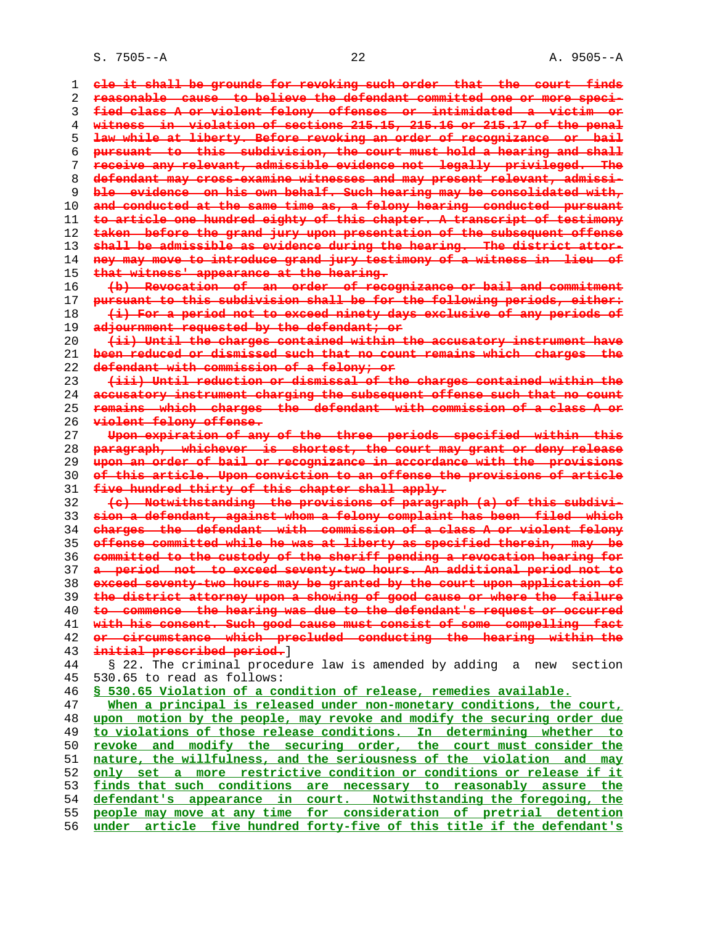S. 7505--A 22 A. 9505--A

**cle it shall be grounds for revoking such order that the court finds reasonable cause to believe the defendant committed one or more speci- fied class A or violent felony offenses or intimidated a victim or witness in violation of sections 215.15, 215.16 or 215.17 of the penal law while at liberty. Before revoking an order of recognizance or bail pursuant to this subdivision, the court must hold a hearing and shall receive any relevant, admissible evidence not legally privileged. The defendant may cross-examine witnesses and may present relevant, admissi- ble evidence on his own behalf. Such hearing may be consolidated with, and conducted at the same time as, a felony hearing conducted pursuant to article one hundred eighty of this chapter. A transcript of testimony taken before the grand jury upon presentation of the subsequent offense shall be admissible as evidence during the hearing. The district attor- ney may move to introduce grand jury testimony of a witness in lieu of that witness' appearance at the hearing. (b) Revocation of an order of recognizance or bail and commitment pursuant to this subdivision shall be for the following periods, either: (i) For a period not to exceed ninety days exclusive of any periods of adjournment requested by the defendant; or (ii) Until the charges contained within the accusatory instrument have been reduced or dismissed such that no count remains which charges the defendant with commission of a felony; or (iii) Until reduction or dismissal of the charges contained within the accusatory instrument charging the subsequent offense such that no count remains which charges the defendant with commission of a class A or violent felony offense. Upon expiration of any of the three periods specified within this paragraph, whichever is shortest, the court may grant or deny release upon an order of bail or recognizance in accordance with the provisions of this article. Upon conviction to an offense the provisions of article five hundred thirty of this chapter shall apply. (c) Notwithstanding the provisions of paragraph (a) of this subdivi- sion a defendant, against whom a felony complaint has been filed which charges the defendant with commission of a class A or violent felony offense committed while he was at liberty as specified therein, may be committed to the custody of the sheriff pending a revocation hearing for a period not to exceed seventy-two hours. An additional period not to exceed seventy-two hours may be granted by the court upon application of the district attorney upon a showing of good cause or where the failure to commence the hearing was due to the defendant's request or occurred with his consent. Such good cause must consist of some compelling fact or circumstance which precluded conducting the hearing within the initial prescribed period.**] 44 § 22. The criminal procedure law is amended by adding a new section 45 530.65 to read as follows: **§ 530.65 Violation of a condition of release, remedies available. When a principal is released under non-monetary conditions, the court, upon motion by the people, may revoke and modify the securing order due to violations of those release conditions. In determining whether to revoke and modify the securing order, the court must consider the nature, the willfulness, and the seriousness of the violation and may only set a more restrictive condition or conditions or release if it finds that such conditions are necessary to reasonably assure the defendant's appearance in court. Notwithstanding the foregoing, the people may move at any time for consideration of pretrial detention under article five hundred forty-five of this title if the defendant's**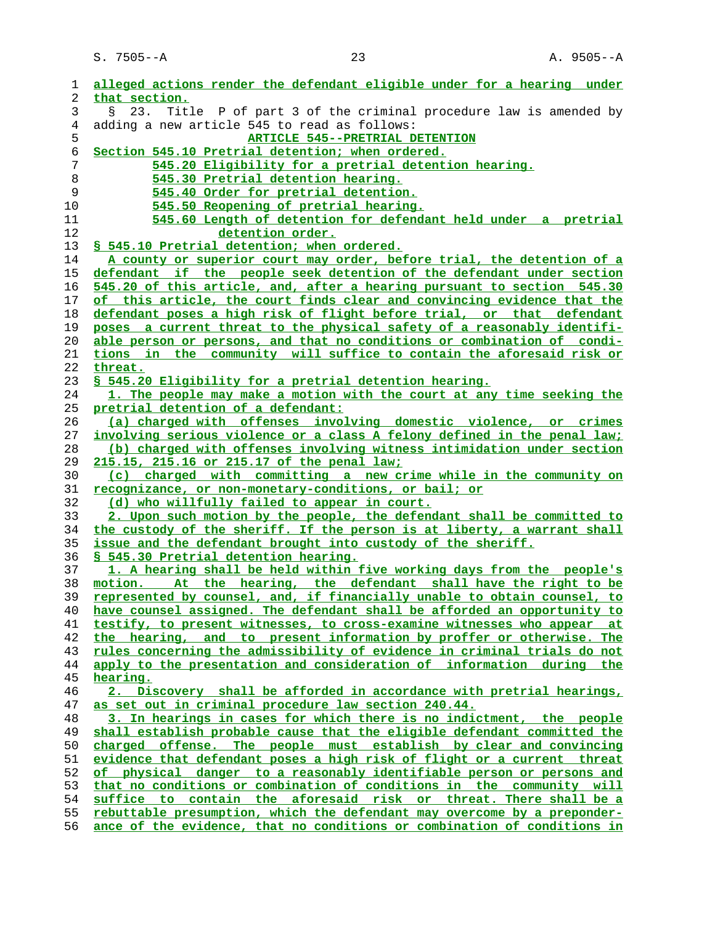| ı<br>2         | alleged actions render the defendant eligible under for a hearing under<br>that section. |
|----------------|------------------------------------------------------------------------------------------|
| 3              | Title P of part 3 of the criminal procedure law is amended by<br>23.<br>$S$ .            |
| $\overline{4}$ | adding a new article 545 to read as follows:                                             |
|                | <b>ARTICLE 545--PRETRIAL DETENTION</b>                                                   |
| 5              |                                                                                          |
| 6              | Section 545.10 Pretrial detention; when ordered.                                         |
| 7              | 545.20 Eligibility for a pretrial detention hearing.                                     |
| 8              | 545.30 Pretrial detention hearing.                                                       |
| 9              | 545.40 Order for pretrial detention.                                                     |
| 10             | 545.50 Reopening of pretrial hearing.                                                    |
| 11             | 545.60 Length of detention for defendant held under a pretrial                           |
| 12             | detention order.                                                                         |
| 13             | § 545.10 Pretrial detention; when ordered.                                               |
| 14             | A county or superior court may order, before trial, the detention of a                   |
| 15             | defendant if the people seek detention of the defendant under section                    |
| 16             | 545.20 of this article, and, after a hearing pursuant to section 545.30                  |
| 17             | of this article, the court finds clear and convincing evidence that the                  |
| 18             | defendant poses a high risk of flight before trial, or that defendant                    |
| 19             | poses a current threat to the physical safety of a reasonably identifi-                  |
| 20             | able person or persons, and that no conditions or combination of condi-                  |
| 21             | tions in the community will suffice to contain the aforesaid risk or                     |
| 22             | threat.                                                                                  |
| 23             | § 545.20 Eligibility for a pretrial detention hearing.                                   |
| 24             | 1. The people may make a motion with the court at any time seeking the                   |
| 25             | pretrial detention of a defendant:                                                       |
| 26             | (a) charged with offenses involving domestic violence, or crimes                         |
| 27             | involving serious violence or a class A felony defined in the penal law;                 |
| 28             | (b) charged with offenses involving witness intimidation under section                   |
| 29             | 215.15, 215.16 or 215.17 of the penal law;                                               |
| 30             | (c) charged with committing a new crime while in the community on                        |
| 31             | recognizance, or non-monetary-conditions, or bail; or                                    |
| 32             | (d) who willfully failed to appear in court.                                             |
| 33             | 2. Upon such motion by the people, the defendant shall be committed to                   |
| 34             | the custody of the sheriff. If the person is at liberty, a warrant shall                 |
| 35             | issue and the defendant brought into custody of the sheriff.                             |
| 36             | § 545.30 Pretrial detention hearing.                                                     |
| 37             | 1. A hearing shall be held within five working days from the people's                    |
| 38             | motion. At the hearing, the defendant shall have the right to be                         |
|                | represented by counsel, and, if financially unable to obtain counsel, to                 |
| 39             |                                                                                          |
| 40             | have counsel assigned. The defendant shall be afforded an opportunity to                 |
| 41             | testify, to present witnesses, to cross-examine witnesses who appear at                  |
| 42             | the hearing, and to present information by proffer or otherwise. The                     |
| 43             | rules concerning the admissibility of evidence in criminal trials do not                 |
| 44             | apply to the presentation and consideration of information during the                    |
| 45             | hearing.                                                                                 |
| 46             | 2. Discovery shall be afforded in accordance with pretrial hearings,                     |
| 47             | as set out in criminal procedure law section 240.44.                                     |
| 48             | 3. In hearings in cases for which there is no indictment, the people                     |
| 49             | shall establish probable cause that the eligible defendant committed the                 |
| 50             | offense. The people must establish by clear and convincing<br>charged                    |
| 51             | evidence that defendant poses a high risk of flight or a current threat                  |
| 52             | of physical danger to a reasonably identifiable person or persons and                    |
| 53             | that no conditions or combination of conditions in the community will                    |
| 54             | suffice to contain the aforesaid risk or threat. There shall be a                        |
| 55             | rebuttable presumption, which the defendant may overcome by a preponder-                 |
| 56             | ance of the evidence, that no conditions or combination of conditions in                 |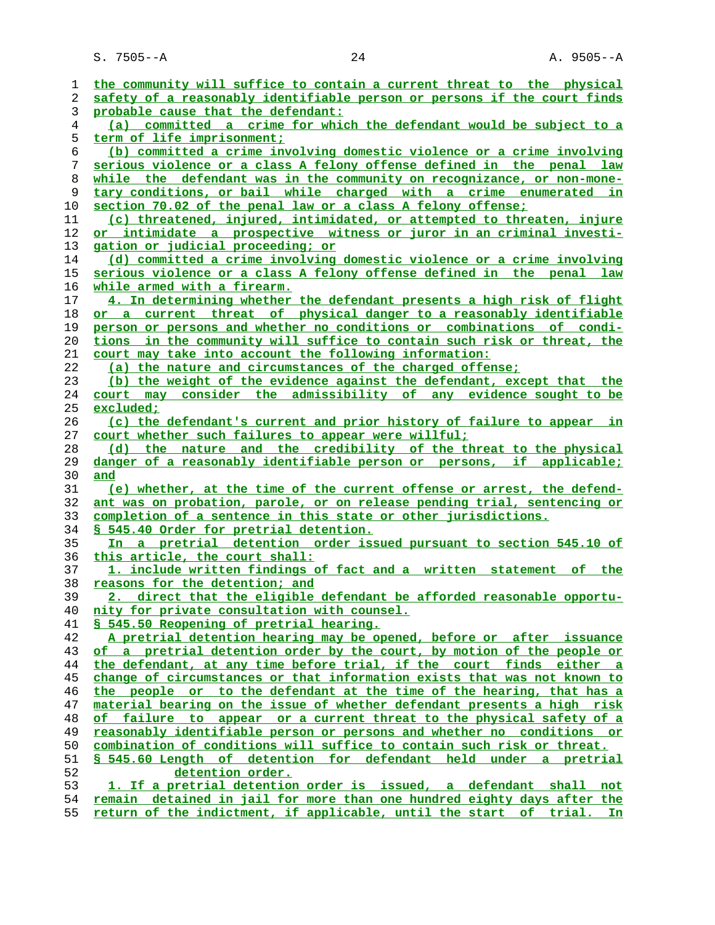S. 7505--A 24 A. 9505--A

| ᅩ  | <u>the community will suffice to contain a current threat to the physical</u> |
|----|-------------------------------------------------------------------------------|
| 2  | safety of a reasonably identifiable person or persons if the court finds      |
| 3  | probable cause that the defendant:                                            |
| 4  | (a) committed a crime for which the defendant would be subject to a           |
| 5  | term of life imprisonment;                                                    |
| 6  | (b) committed a crime involving domestic violence or a crime involving        |
| 7  | serious violence or a class A felony offense defined in the penal law         |
| 8  | while the defendant was in the community on recognizance, or non-mone-        |
| 9  | tary conditions, or bail while charged with a crime enumerated in             |
| 10 | section 70.02 of the penal law or a class A felony offense;                   |
| 11 | (c) threatened, injured, intimidated, or attempted to threaten, injure        |
| 12 | or intimidate a prospective witness or juror in an criminal investi-          |
| 13 | gation or judicial proceeding; or                                             |
| 14 | (d) committed a crime involving domestic violence or a crime involving        |
| 15 | serious violence or a class A felony offense defined in the penal law         |
| 16 | <u>while armed with a firearm.</u>                                            |
| 17 | 4. In determining whether the defendant presents a high risk of flight        |
| 18 | or a current threat of physical danger to a reasonably identifiable           |
| 19 | person or persons and whether no conditions or combinations of condi-         |
| 20 | tions in the community will suffice to contain such risk or threat, the       |
| 21 | court may take into account the following information:                        |
| 22 | (a) the nature and circumstances of the charged offense;                      |
| 23 | (b) the weight of the evidence against the defendant, except that the         |
| 24 | court may consider the admissibility of any evidence sought to be             |
| 25 | <u>excluded;</u>                                                              |
| 26 | (c) the defendant's current and prior history of failure to appear in         |
| 27 | court whether such failures to appear were willful;                           |
| 28 | (d) the nature and the credibility of the threat to the physical              |
| 29 | danger of a reasonably identifiable person or persons, if applicable;         |
| 30 | <u>and</u>                                                                    |
| 31 | (e) whether, at the time of the current offense or arrest, the defend-        |
| 32 | ant was on probation, parole, or on release pending trial, sentencing or      |
| 33 | completion of a sentence in this state or other jurisdictions.                |
| 34 | \$ 545.40 Order for pretrial detention.                                       |
| 35 | In a pretrial detention order issued pursuant to section 545.10 of            |
| 36 | this article, the court shall:                                                |
| 37 | 1. include written findings of fact and a written statement of the            |
| 38 | reasons for the detention; and                                                |
| 39 | 2. direct that the eligible defendant be afforded reasonable opportu-         |
| 40 | nity for private consultation with counsel.                                   |
| 41 | § 545.50 Reopening of pretrial hearing.                                       |
| 42 | A pretrial detention hearing may be opened, before or after issuance          |
| 43 | of a pretrial detention order by the court, by motion of the people or        |
| 44 | the defendant, at any time before trial, if the court finds either a          |
| 45 | change of circumstances or that information exists that was not known to      |
| 46 | the people or to the defendant at the time of the hearing, that has a         |
| 47 | material bearing on the issue of whether defendant presents a high risk       |
| 48 | of failure to appear or a current threat to the physical safety of a          |
| 49 | reasonably identifiable person or persons and whether no conditions or        |
| 50 | combination of conditions will suffice to contain such risk or threat.        |
| 51 | § 545.60 Length of detention for defendant held under a pretrial              |
| 52 | detention order.                                                              |
| 53 | 1. If a pretrial detention order is issued, a defendant shall not             |
| 54 | remain detained in jail for more than one hundred eighty days after the       |

**return of the indictment, if applicable, until the start of trial. In**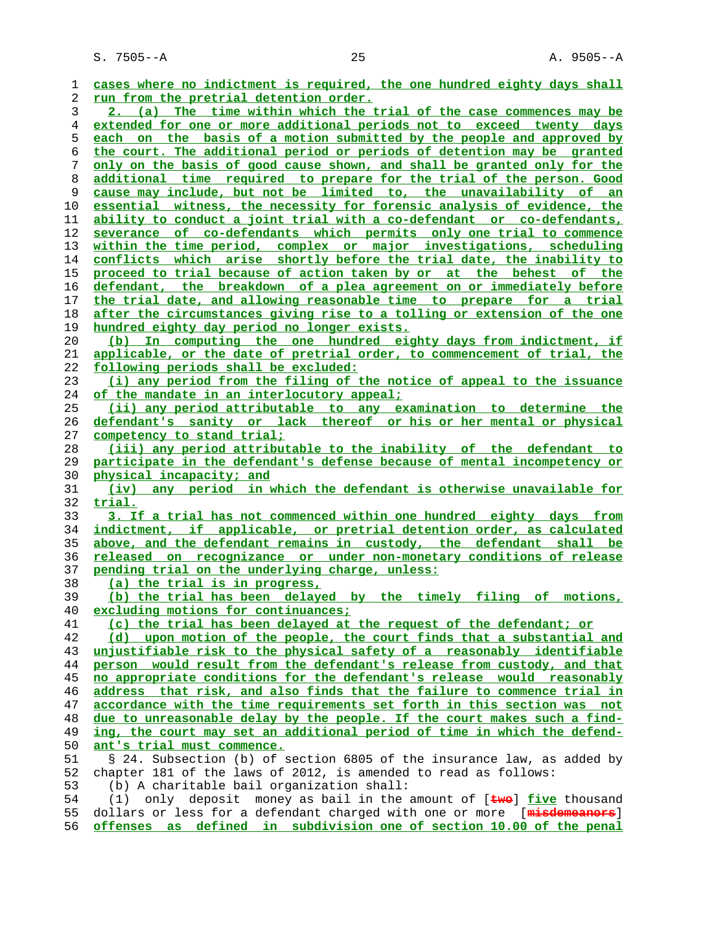| 1        | cases where no indictment is required, the one hundred eighty days shall                                  |
|----------|-----------------------------------------------------------------------------------------------------------|
| 2        | run from the pretrial detention order.                                                                    |
| 3        | 2. (a) The time within which the trial of the case commences may be                                       |
| 4        | extended for one or more additional periods not to exceed twenty days                                     |
| 5        | each on the basis of a motion submitted by the people and approved by                                     |
| 6        | the court. The additional period or periods of detention may be granted                                   |
| 7        | only on the basis of good cause shown, and shall be granted only for the                                  |
| 8        | additional time required to prepare for the trial of the person. Good                                     |
| 9        | cause may include, but not be limited to, the unavailability of an                                        |
| 10       | essential witness, the necessity for forensic analysis of evidence, the                                   |
| 11       | ability to conduct a joint trial with a co-defendant or co-defendants,                                    |
| 12       | severance of co-defendants which permits only one trial to commence                                       |
| 13       | within the time period, complex or major investigations, scheduling                                       |
| 14       | conflicts which arise shortly before the trial date, the inability to                                     |
| 15       | proceed to trial because of action taken by or at the behest of the                                       |
| 16       | defendant, the breakdown of a plea agreement on or immediately before                                     |
| 17       | the trial date, and allowing reasonable time to prepare for a trial                                       |
| 18       | after the circumstances giving rise to a tolling or extension of the one                                  |
| 19       | <u>hundred eighty day period no longer exists.</u>                                                        |
| 20       | (b) In computing the one hundred eighty days from indictment, if                                          |
| 21       | applicable, or the date of pretrial order, to commencement of trial, the                                  |
| 22       | following periods shall be excluded:                                                                      |
| 23       | (i) any period from the filing of the notice of appeal to the issuance                                    |
| 24       | of the mandate in an interlocutory appeal;                                                                |
| 25       | (ii) any period attributable to any examination to determine the                                          |
| 26       | defendant's sanity or lack thereof or his or her mental or physical                                       |
| 27       | competency to stand trial;                                                                                |
| 28       | (iii) any period attributable to the inability of the defendant to                                        |
| 29       | participate in the defendant's defense because of mental incompetency or                                  |
| 30       | physical incapacity; and                                                                                  |
| 31       | any period in which the defendant is otherwise unavailable for<br>(iv)                                    |
| 32       | trial.                                                                                                    |
| 33       | 3. If a trial has not commenced within one hundred eighty days from                                       |
| 34       | indictment, if applicable, or pretrial detention order, as calculated                                     |
| 35       | above, and the defendant remains in custody, the defendant shall be                                       |
| 36       | released on recognizance or under non-monetary conditions of release                                      |
| 37       | pending trial on the underlying charge, unless:                                                           |
| 38       | (a) the trial is in progress,                                                                             |
| 39       | (b) the trial has been delayed by the timely filing of motions,                                           |
| 40<br>41 | excluding motions for continuances;<br>(c) the trial has been delayed at the request of the defendant; or |
| 42       | (d) upon motion of the people, the court finds that a substantial and                                     |
| 43       | unjustifiable risk to the physical safety of a reasonably identifiable                                    |
| 44       | person would result from the defendant's release from custody, and that                                   |
| 45       | no appropriate conditions for the defendant's release would reasonably                                    |
| 46       | address that risk, and also finds that the failure to commence trial in                                   |
| 47       | accordance with the time requirements set forth in this section was not                                   |
| 48       | due to unreasonable delay by the people. If the court makes such a find-                                  |
| 49       | ing, the court may set an additional period of time in which the defend-                                  |
| 50       | ant's trial must commence.                                                                                |
| 51       | § 24. Subsection (b) of section 6805 of the insurance law, as added by                                    |
| 52       | chapter 181 of the laws of 2012, is amended to read as follows:                                           |
| 53       | (b) A charitable bail organization shall:                                                                 |
| 54       | (1) only deposit money as bail in the amount of [twe] five thousand                                       |
| 55       | dollars or less for a defendant charged with one or more [misdemeanors]                                   |
| 56       | offenses as defined in subdivision one of section 10.00 of the penal                                      |
|          |                                                                                                           |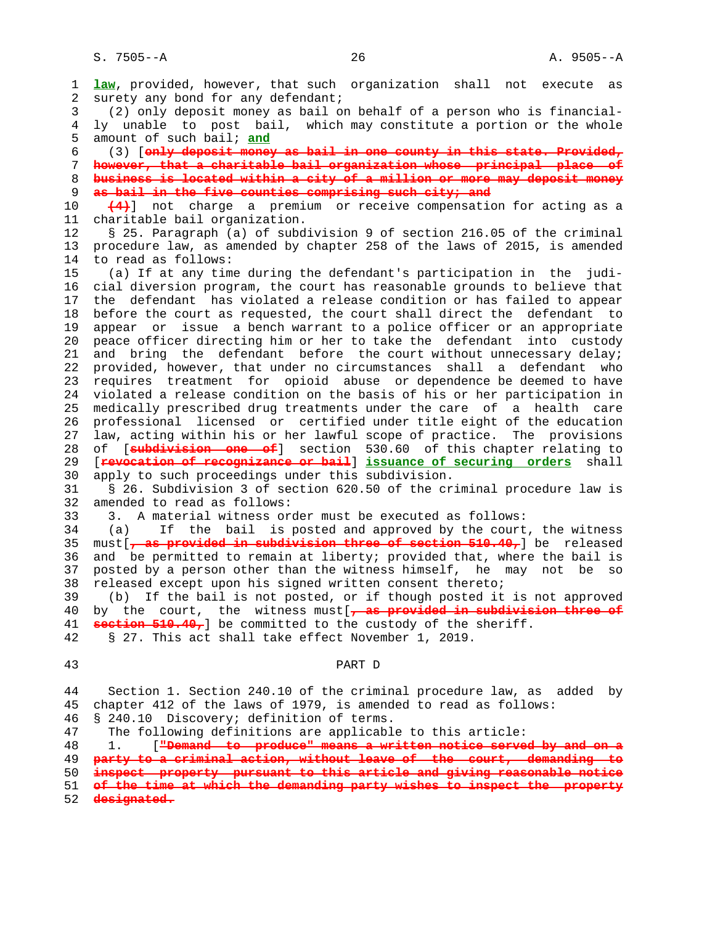1 **law**, provided, however, that such organization shall not execute as 2 surety any bond for any defendant; 3 (2) only deposit money as bail on behalf of a person who is financial- 4 ly unable to post bail, which may constitute a portion or the whole 5 amount of such bail; **and** 6 (3) [**only deposit money as bail in one county in this state. Provided,** 7 **however, that a charitable bail organization whose principal place of** 8 **business is located within a city of a million or more may deposit money** 9 **as bail in the five counties comprising such city; and** 10 **(4)**] not charge a premium or receive compensation for acting as a 11 charitable bail organization. 12 § 25. Paragraph (a) of subdivision 9 of section 216.05 of the criminal 13 procedure law, as amended by chapter 258 of the laws of 2015, is amended 14 to read as follows: 15 (a) If at any time during the defendant's participation in the judi- 16 cial diversion program, the court has reasonable grounds to believe that 17 the defendant has violated a release condition or has failed to appear 18 before the court as requested, the court shall direct the defendant to 19 appear or issue a bench warrant to a police officer or an appropriate 20 peace officer directing him or her to take the defendant into custody 21 and bring the defendant before the court without unnecessary delay; 22 provided, however, that under no circumstances shall a defendant who 23 requires treatment for opioid abuse or dependence be deemed to have 24 violated a release condition on the basis of his or her participation in 25 medically prescribed drug treatments under the care of a health care 26 professional licensed or certified under title eight of the education 27 law, acting within his or her lawful scope of practice. The provisions 28 of [**subdivision one of**] section 530.60 of this chapter relating to 29 [**revocation of recognizance or bail**] **issuance of securing orders** shall 30 apply to such proceedings under this subdivision. 31 § 26. Subdivision 3 of section 620.50 of the criminal procedure law is 32 amended to read as follows: 33 3. A material witness order must be executed as follows: 34 (a) If the bail is posted and approved by the court, the witness 35 must[**, as provided in subdivision three of section 510.40,**] be released 36 and be permitted to remain at liberty; provided that, where the bail is 37 posted by a person other than the witness himself, he may not be so 38 released except upon his signed written consent thereto; 39 (b) If the bail is not posted, or if though posted it is not approved 40 by the court, the witness must[**, as provided in subdivision three of** 41 **section 510.40,**] be committed to the custody of the sheriff. 42 § 27. This act shall take effect November 1, 2019. 43 PART D 44 Section 1. Section 240.10 of the criminal procedure law, as added by 45 chapter 412 of the laws of 1979, is amended to read as follows: 46 § 240.10 Discovery; definition of terms. 47 The following definitions are applicable to this article: 48 1. [**"Demand to produce" means a written notice served by and on a** 49 **party to a criminal action, without leave of the court, demanding to** 50 **inspect property pursuant to this article and giving reasonable notice** 51 **of the time at which the demanding party wishes to inspect the property** 52 **designated.**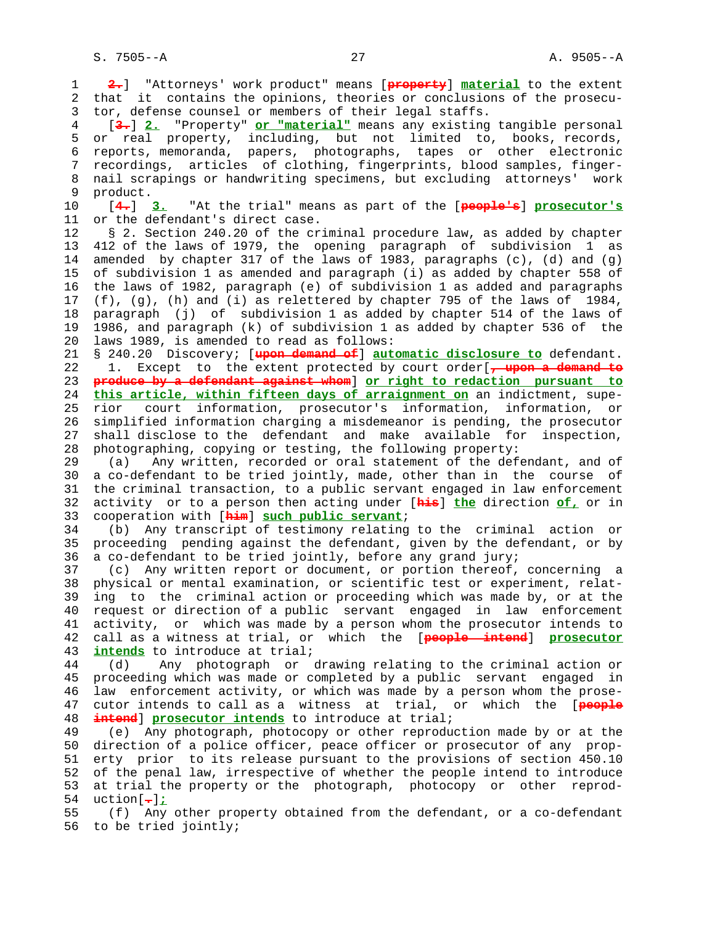1 **2.**] "Attorneys' work product" means [**property**] **material** to the extent 2 that it contains the opinions, theories or conclusions of the prosecu- 3 tor, defense counsel or members of their legal staffs. 4 [**3.**] **2.** "Property" **or "material"** means any existing tangible personal 5 or real property, including, but not limited to, books, records, 6 reports, memoranda, papers, photographs, tapes or other electronic 7 recordings, articles of clothing, fingerprints, blood samples, finger- 8 nail scrapings or handwriting specimens, but excluding attorneys' work product. 10 [**4.**] **3.** "At the trial" means as part of the [**people's**] **prosecutor's** 11 or the defendant's direct case. 12 § 2. Section 240.20 of the criminal procedure law, as added by chapter 13 412 of the laws of 1979, the opening paragraph of subdivision 1 as 14 amended by chapter 317 of the laws of 1983, paragraphs (c), (d) and (g) 15 of subdivision 1 as amended and paragraph (i) as added by chapter 558 of 16 the laws of 1982, paragraph (e) of subdivision 1 as added and paragraphs 17 (f), (g), (h) and (i) as relettered by chapter 795 of the laws of 1984, 18 paragraph (j) of subdivision 1 as added by chapter 514 of the laws of 19 1986, and paragraph (k) of subdivision 1 as added by chapter 536 of the 20 laws 1989, is amended to read as follows: 21 § 240.20 Discovery; [**upon demand of**] **automatic disclosure to** defendant. 22 1. Except to the extent protected by court order[<sub>7</sub> upon a dem 23 **produce by a defendant against whom**] **or right to redaction pursuant to** 24 **this article, within fifteen days of arraignment on** an indictment, supe- 25 rior court information, prosecutor's information, information, or 26 simplified information charging a misdemeanor is pending, the prosecutor 27 shall disclose to the defendant and make available for inspection, 28 photographing, copying or testing, the following property: 29 (a) Any written, recorded or oral statement of the defendant, and of 30 a co-defendant to be tried jointly, made, other than in the course of 31 the criminal transaction, to a public servant engaged in law enforcement 32 activity or to a person then acting under [**his**] **the** direction **of,** or in 33 cooperation with [**him**] **such public servant**; 34 (b) Any transcript of testimony relating to the criminal action or 35 proceeding pending against the defendant, given by the defendant, or by 36 a co-defendant to be tried jointly, before any grand jury; 37 (c) Any written report or document, or portion thereof, concerning a 38 physical or mental examination, or scientific test or experiment, relat- 39 ing to the criminal action or proceeding which was made by, or at the 40 request or direction of a public servant engaged in law enforcement 41 activity, or which was made by a person whom the prosecutor intends to 42 call as a witness at trial, or which the [**people intend**] **prosecutor** 43 **intends** to introduce at trial; 44 (d) Any photograph or drawing relating to the criminal action or 45 proceeding which was made or completed by a public servant engaged in 46 law enforcement activity, or which was made by a person whom the prose- 47 cutor intends to call as a witness at trial, or which the [**people** 48 **intend**] **prosecutor intends** to introduce at trial; 49 (e) Any photograph, photocopy or other reproduction made by or at the 50 direction of a police officer, peace officer or prosecutor of any prop- 51 erty prior to its release pursuant to the provisions of section 450.10 52 of the penal law, irrespective of whether the people intend to introduce 53 at trial the property or the photograph, photocopy or other reprod- 54 uction[**.**]**;**

 55 (f) Any other property obtained from the defendant, or a co-defendant 56 to be tried jointly;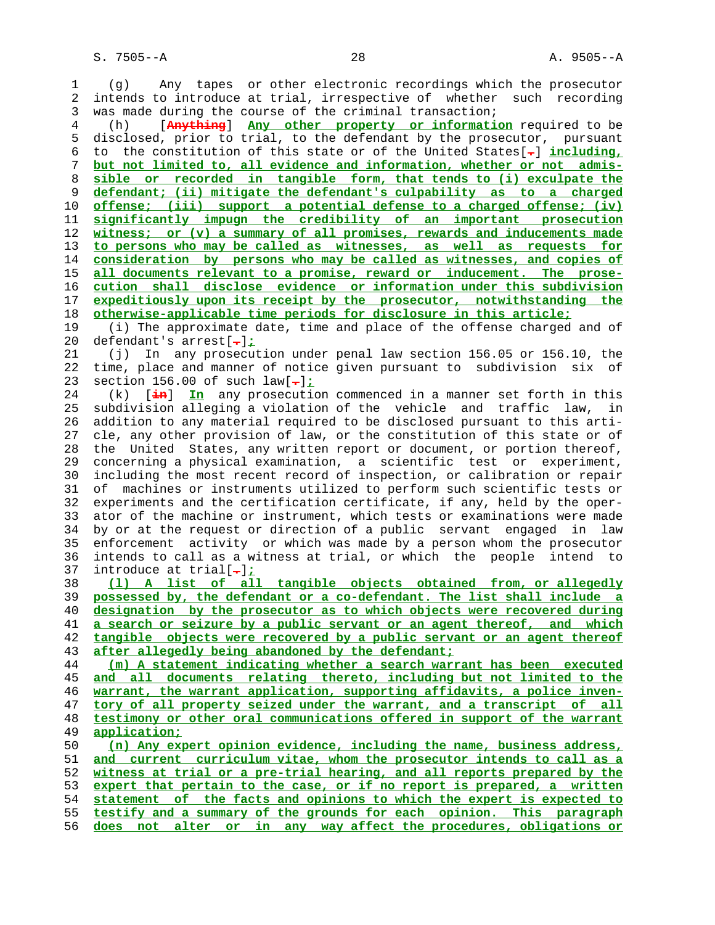1 (g) Any tapes or other electronic recordings which the prosecutor 2 intends to introduce at trial, irrespective of whether such recording 3 was made during the course of the criminal transaction; 4 (h) [**Anything**] **Any other property or information** required to be 5 disclosed, prior to trial, to the defendant by the prosecutor, pursuant 6 to the constitution of this state or of the United States[**.**] **including,** 7 **but not limited to, all evidence and information, whether or not admis-** 8 **sible or recorded in tangible form, that tends to (i) exculpate the** 9 **defendant; (ii) mitigate the defendant's culpability as to a charged** 10 **offense; (iii) support a potential defense to a charged offense; (iv)** 11 **significantly impugn the credibility of an important prosecution** 12 **witness; or (v) a summary of all promises, rewards and inducements made** 13 **to persons who may be called as witnesses, as well as requests for** 14 **consideration by persons who may be called as witnesses, and copies of** 15 **all documents relevant to a promise, reward or inducement. The prose-** 16 **cution shall disclose evidence or information under this subdivision** 17 **expeditiously upon its receipt by the prosecutor, notwithstanding the** 18 **otherwise-applicable time periods for disclosure in this article;** 19 (i) The approximate date, time and place of the offense charged and of 20 defendant's arrest[**.**]**;** 21 (j) In any prosecution under penal law section 156.05 or 156.10, the 22 time, place and manner of notice given pursuant to subdivision six of 23 section 156.00 of such law[**.**]**;** 24 (k) [**in**] **In** any prosecution commenced in a manner set forth in this 25 subdivision alleging a violation of the vehicle and traffic law, in 26 addition to any material required to be disclosed pursuant to this arti- 27 cle, any other provision of law, or the constitution of this state or of 28 the United States, any written report or document, or portion thereof, 29 concerning a physical examination, a scientific test or experiment, 30 including the most recent record of inspection, or calibration or repair 31 of machines or instruments utilized to perform such scientific tests or 32 experiments and the certification certificate, if any, held by the oper- 33 ator of the machine or instrument, which tests or examinations were made 34 by or at the request or direction of a public servant engaged in law 35 enforcement activity or which was made by a person whom the prosecutor 36 intends to call as a witness at trial, or which the people intend to 37 introduce at trial[**.**]**;** 38 **(l) A list of all tangible objects obtained from, or allegedly** 39 **possessed by, the defendant or a co-defendant. The list shall include a** 40 **designation by the prosecutor as to which objects were recovered during** 41 **a search or seizure by a public servant or an agent thereof, and which** 42 **tangible objects were recovered by a public servant or an agent thereof** 43 **after allegedly being abandoned by the defendant;** 44 **(m) A statement indicating whether a search warrant has been executed** 45 **and all documents relating thereto, including but not limited to the** 46 **warrant, the warrant application, supporting affidavits, a police inven-** 47 **tory of all property seized under the warrant, and a transcript of all** 48 **testimony or other oral communications offered in support of the warrant** 49 **application;** 50 **(n) Any expert opinion evidence, including the name, business address,** 51 **and current curriculum vitae, whom the prosecutor intends to call as a** 52 **witness at trial or a pre-trial hearing, and all reports prepared by the** 53 **expert that pertain to the case, or if no report is prepared, a written** 54 **statement of the facts and opinions to which the expert is expected to** 55 **testify and a summary of the grounds for each opinion. This paragraph** 56 **does not alter or in any way affect the procedures, obligations or**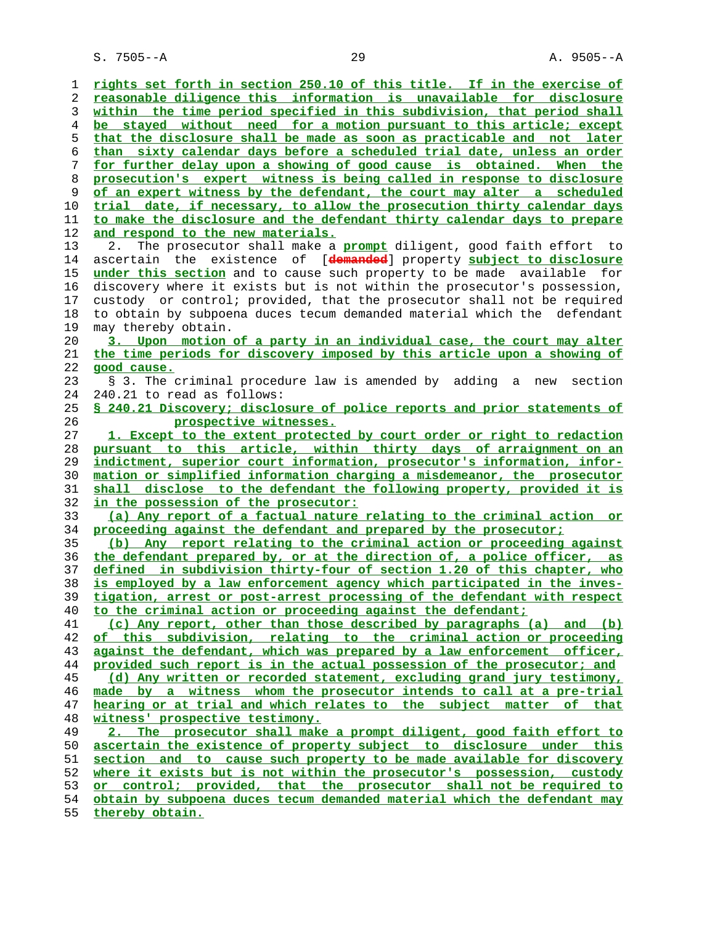S. 7505--A 29 A. 9505--A

**rights set forth in section 250.10 of this title. If in the exercise of reasonable diligence this information is unavailable for disclosure within the time period specified in this subdivision, that period shall be stayed without need for a motion pursuant to this article; except that the disclosure shall be made as soon as practicable and not later than sixty calendar days before a scheduled trial date, unless an order for further delay upon a showing of good cause is obtained. When the prosecution's expert witness is being called in response to disclosure of an expert witness by the defendant, the court may alter a scheduled trial date, if necessary, to allow the prosecution thirty calendar days to make the disclosure and the defendant thirty calendar days to prepare and respond to the new materials.** 13 2. The prosecutor shall make a **prompt** diligent, good faith effort to 14 ascertain the existence of [**demanded**] property **subject to disclosure under this section** and to cause such property to be made available for 16 discovery where it exists but is not within the prosecutor's possession, 17 custody or control; provided, that the prosecutor shall not be required 18 to obtain by subpoena duces tecum demanded material which the defendant 19 may thereby obtain. **3. Upon motion of a party in an individual case, the court may alter the time periods for discovery imposed by this article upon a showing of good cause.** 23 § 3. The criminal procedure law is amended by adding a new section 24 240.21 to read as follows: **§ 240.21 Discovery; disclosure of police reports and prior statements of prospective witnesses. 1. Except to the extent protected by court order or right to redaction pursuant to this article, within thirty days of arraignment on an indictment, superior court information, prosecutor's information, infor- mation or simplified information charging a misdemeanor, the prosecutor shall disclose to the defendant the following property, provided it is in the possession of the prosecutor: (a) Any report of a factual nature relating to the criminal action or proceeding against the defendant and prepared by the prosecutor; (b) Any report relating to the criminal action or proceeding against the defendant prepared by, or at the direction of, a police officer, as defined in subdivision thirty-four of section 1.20 of this chapter, who is employed by a law enforcement agency which participated in the inves- tigation, arrest or post-arrest processing of the defendant with respect to the criminal action or proceeding against the defendant; (c) Any report, other than those described by paragraphs (a) and (b) of this subdivision, relating to the criminal action or proceeding against the defendant, which was prepared by a law enforcement officer, provided such report is in the actual possession of the prosecutor; and (d) Any written or recorded statement, excluding grand jury testimony, made by a witness whom the prosecutor intends to call at a pre-trial hearing or at trial and which relates to the subject matter of that witness' prospective testimony. 2. The prosecutor shall make a prompt diligent, good faith effort to ascertain the existence of property subject to disclosure under this section and to cause such property to be made available for discovery where it exists but is not within the prosecutor's possession, custody or control; provided, that the prosecutor shall not be required to obtain by subpoena duces tecum demanded material which the defendant may thereby obtain.**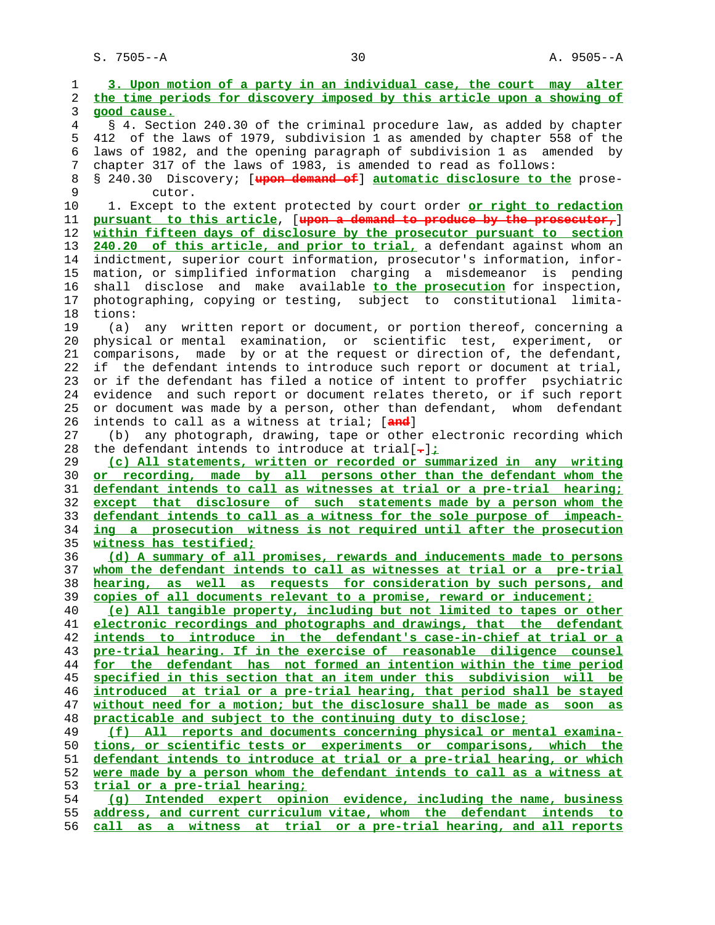1 **3. Upon motion of a party in an individual case, the court may alter** 2 **the time periods for discovery imposed by this article upon a showing of** 3 **good cause.** 4 § 4. Section 240.30 of the criminal procedure law, as added by chapter 5 412 of the laws of 1979, subdivision 1 as amended by chapter 558 of the 6 laws of 1982, and the opening paragraph of subdivision 1 as amended by 7 chapter 317 of the laws of 1983, is amended to read as follows: 8 § 240.30 Discovery; [**upon demand of**] **automatic disclosure to the** prose cutor. 10 1. Except to the extent protected by court order **or right to redaction** 11 **pursuant to this article**, [**upon a demand to produce by the prosecutor,**] 12 **within fifteen days of disclosure by the prosecutor pursuant to section** 13 **240.20 of this article, and prior to trial,** a defendant against whom an 14 indictment, superior court information, prosecutor's information, infor- 15 mation, or simplified information charging a misdemeanor is pending 16 shall disclose and make available **to the prosecution** for inspection, 17 photographing, copying or testing, subject to constitutional limita- 18 tions: 19 (a) any written report or document, or portion thereof, concerning a 20 physical or mental examination, or scientific test, experiment, or 21 comparisons, made by or at the request or direction of, the defendant, 22 if the defendant intends to introduce such report or document at trial, 23 or if the defendant has filed a notice of intent to proffer psychiatric 24 evidence and such report or document relates thereto, or if such report 25 or document was made by a person, other than defendant, whom defendant 26 intends to call as a witness at trial; [**and**] 27 (b) any photograph, drawing, tape or other electronic recording which 28 the defendant intends to introduce at trial[**.**]**;** 29 **(c) All statements, written or recorded or summarized in any writing** 30 **or recording, made by all persons other than the defendant whom the** 31 **defendant intends to call as witnesses at trial or a pre-trial hearing;** 32 **except that disclosure of such statements made by a person whom the** 33 **defendant intends to call as a witness for the sole purpose of impeach-** 34 **ing a prosecution witness is not required until after the prosecution** 35 **witness has testified;** 36 **(d) A summary of all promises, rewards and inducements made to persons** 37 **whom the defendant intends to call as witnesses at trial or a pre-trial** 38 **hearing, as well as requests for consideration by such persons, and** 39 **copies of all documents relevant to a promise, reward or inducement;** 40 **(e) All tangible property, including but not limited to tapes or other** 41 **electronic recordings and photographs and drawings, that the defendant** 42 **intends to introduce in the defendant's case-in-chief at trial or a** 43 **pre-trial hearing. If in the exercise of reasonable diligence counsel** 44 **for the defendant has not formed an intention within the time period** 45 **specified in this section that an item under this subdivision will be** 46 **introduced at trial or a pre-trial hearing, that period shall be stayed** 47 **without need for a motion; but the disclosure shall be made as soon as** 48 **practicable and subject to the continuing duty to disclose;** 49 **(f) All reports and documents concerning physical or mental examina-** 50 **tions, or scientific tests or experiments or comparisons, which the** 51 **defendant intends to introduce at trial or a pre-trial hearing, or which** 52 **were made by a person whom the defendant intends to call as a witness at** 53 **trial or a pre-trial hearing;** 54 **(g) Intended expert opinion evidence, including the name, business** 55 **address, and current curriculum vitae, whom the defendant intends to**

56 **call as a witness at trial or a pre-trial hearing, and all reports**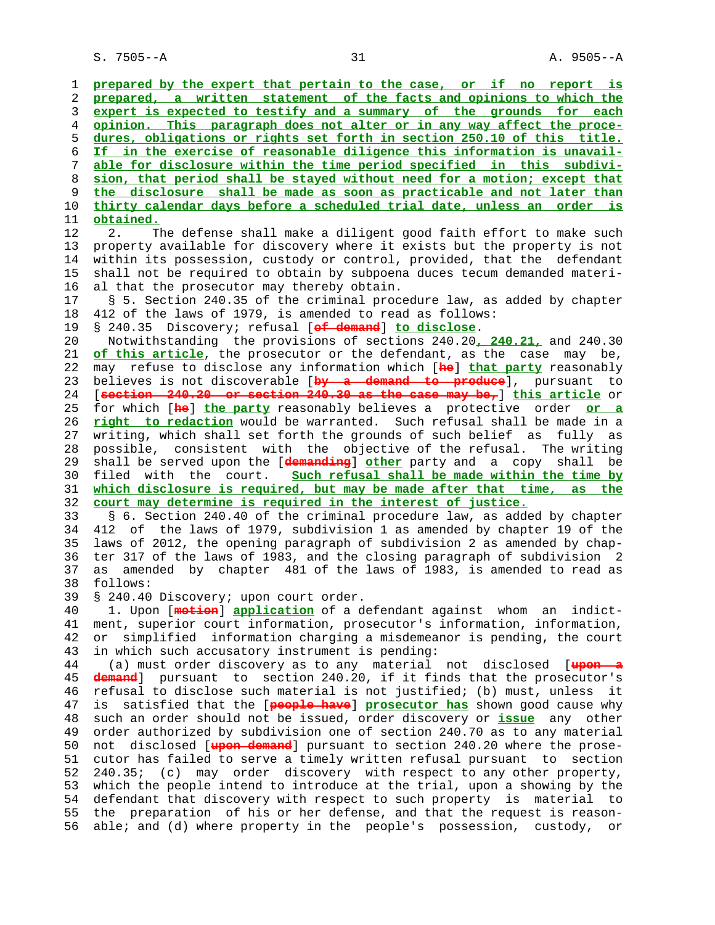1 **prepared by the expert that pertain to the case, or if no report is** 2 **prepared, a written statement of the facts and opinions to which the** 3 **expert is expected to testify and a summary of the grounds for each** 4 **opinion. This paragraph does not alter or in any way affect the proce-** 5 **dures, obligations or rights set forth in section 250.10 of this title.** 6 **If in the exercise of reasonable diligence this information is unavail-** 7 **able for disclosure within the time period specified in this subdivi-** 8 **sion, that period shall be stayed without need for a motion; except that** 9 **the disclosure shall be made as soon as practicable and not later than** 10 **thirty calendar days before a scheduled trial date, unless an order is** 11 **obtained.** 12 2. The defense shall make a diligent good faith effort to make such 13 property available for discovery where it exists but the property is not 14 within its possession, custody or control, provided, that the defendant 15 shall not be required to obtain by subpoena duces tecum demanded materi- 16 al that the prosecutor may thereby obtain. 17 § 5. Section 240.35 of the criminal procedure law, as added by chapter 18 412 of the laws of 1979, is amended to read as follows: 19 § 240.35 Discovery; refusal [**of demand**] **to disclose**. 20 Notwithstanding the provisions of sections 240.20**, 240.21,** and 240.30 21 **of this article**, the prosecutor or the defendant, as the case may be, 22 may refuse to disclose any information which [**he**] **that party** reasonably 23 believes is not discoverable [**by a demand to produce**], pursuant to 24 [**section 240.20 or section 240.30 as the case may be,**] **this article** or 25 for which [**he**] **the party** reasonably believes a protective order **or a** 26 **right to redaction** would be warranted. Such refusal shall be made in a 27 writing, which shall set forth the grounds of such belief as fully as 28 possible, consistent with the objective of the refusal. The writing 29 shall be served upon the [**demanding**] **other** party and a copy shall be 30 filed with the court. **Such refusal shall be made within the time by** 31 **which disclosure is required, but may be made after that time, as the** 32 **court may determine is required in the interest of justice.** 33 § 6. Section 240.40 of the criminal procedure law, as added by chapter 34 412 of the laws of 1979, subdivision 1 as amended by chapter 19 of the 35 laws of 2012, the opening paragraph of subdivision 2 as amended by chap- 36 ter 317 of the laws of 1983, and the closing paragraph of subdivision 2 37 as amended by chapter 481 of the laws of 1983, is amended to read as 38 follows: 39 § 240.40 Discovery; upon court order. 40 1. Upon [**motion**] **application** of a defendant against whom an indict- 41 ment, superior court information, prosecutor's information, information, 42 or simplified information charging a misdemeanor is pending, the court 43 in which such accusatory instrument is pending: 44 (a) must order discovery as to any material not disclosed [**upon a** 45 **demand**] pursuant to section 240.20, if it finds that the prosecutor's 46 refusal to disclose such material is not justified; (b) must, unless it 47 is satisfied that the [**people have**] **prosecutor has** shown good cause why 48 such an order should not be issued, order discovery or **issue** any other 49 order authorized by subdivision one of section 240.70 as to any material 50 not disclosed [**upon demand**] pursuant to section 240.20 where the prose- 51 cutor has failed to serve a timely written refusal pursuant to section 52 240.35; (c) may order discovery with respect to any other property, 53 which the people intend to introduce at the trial, upon a showing by the 54 defendant that discovery with respect to such property is material to 55 the preparation of his or her defense, and that the request is reason- 56 able; and (d) where property in the people's possession, custody, or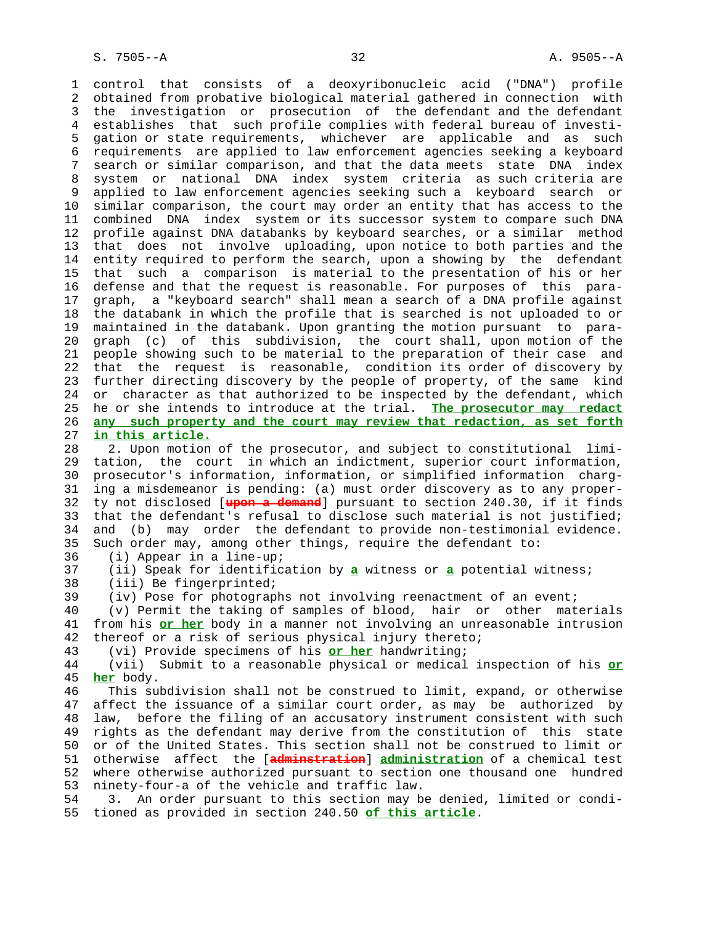1 control that consists of a deoxyribonucleic acid ("DNA") profile 2 obtained from probative biological material gathered in connection with 3 the investigation or prosecution of the defendant and the defendant 4 establishes that such profile complies with federal bureau of investi- 5 gation or state requirements, whichever are applicable and as such 6 requirements are applied to law enforcement agencies seeking a keyboard 7 search or similar comparison, and that the data meets state DNA index 8 system or national DNA index system criteria as such criteria are applied to law enforcement agencies seeking such a keyboard search or 10 similar comparison, the court may order an entity that has access to the 11 combined DNA index system or its successor system to compare such DNA 12 profile against DNA databanks by keyboard searches, or a similar method 13 that does not involve uploading, upon notice to both parties and the 14 entity required to perform the search, upon a showing by the defendant 15 that such a comparison is material to the presentation of his or her 16 defense and that the request is reasonable. For purposes of this para- 17 graph, a "keyboard search" shall mean a search of a DNA profile against 18 the databank in which the profile that is searched is not uploaded to or 19 maintained in the databank. Upon granting the motion pursuant to para- 20 graph (c) of this subdivision, the court shall, upon motion of the 21 people showing such to be material to the preparation of their case and 22 that the request is reasonable, condition its order of discovery by 23 further directing discovery by the people of property, of the same kind 24 or character as that authorized to be inspected by the defendant, which 25 he or she intends to introduce at the trial. **The prosecutor may redact** 26 **any such property and the court may review that redaction, as set forth** 27 **in this article.** 28 2. Upon motion of the prosecutor, and subject to constitutional limi-

 29 tation, the court in which an indictment, superior court information, 30 prosecutor's information, information, or simplified information charg- 31 ing a misdemeanor is pending: (a) must order discovery as to any proper- 32 ty not disclosed [**upon a demand**] pursuant to section 240.30, if it finds 33 that the defendant's refusal to disclose such material is not justified; 34 and (b) may order the defendant to provide non-testimonial evidence. 35 Such order may, among other things, require the defendant to:

36 (i) Appear in a line-up;

 37 (ii) Speak for identification by **a** witness or **a** potential witness; 38 (iii) Be fingerprinted;

39 (iv) Pose for photographs not involving reenactment of an event;

 40 (v) Permit the taking of samples of blood, hair or other materials 41 from his **or her** body in a manner not involving an unreasonable intrusion 42 thereof or a risk of serious physical injury thereto;

43 (vi) Provide specimens of his **or her** handwriting;

 44 (vii) Submit to a reasonable physical or medical inspection of his **or** 45 **her** body.

 46 This subdivision shall not be construed to limit, expand, or otherwise 47 affect the issuance of a similar court order, as may be authorized by 48 law, before the filing of an accusatory instrument consistent with such 49 rights as the defendant may derive from the constitution of this state 50 or of the United States. This section shall not be construed to limit or 51 otherwise affect the [**adminstration**] **administration** of a chemical test 52 where otherwise authorized pursuant to section one thousand one hundred 53 ninety-four-a of the vehicle and traffic law.

 54 3. An order pursuant to this section may be denied, limited or condi- 55 tioned as provided in section 240.50 **of this article**.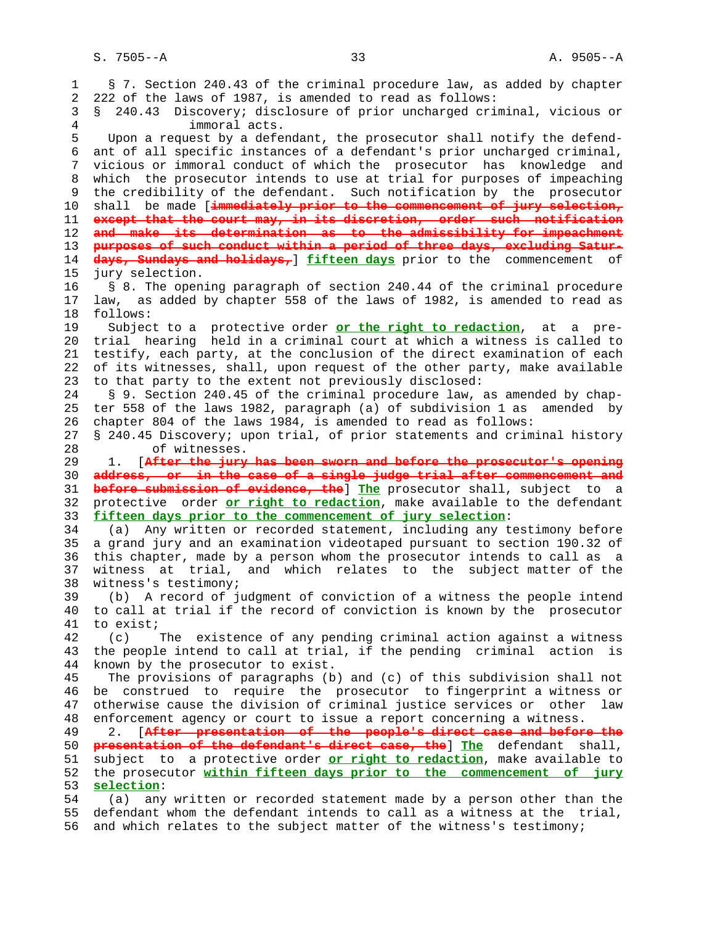1 § 7. Section 240.43 of the criminal procedure law, as added by chapter 2 222 of the laws of 1987, is amended to read as follows: 3 § 240.43 Discovery; disclosure of prior uncharged criminal, vicious or 4 immoral acts. 5 Upon a request by a defendant, the prosecutor shall notify the defend- 6 ant of all specific instances of a defendant's prior uncharged criminal, 7 vicious or immoral conduct of which the prosecutor has knowledge and 8 which the prosecutor intends to use at trial for purposes of impeaching 9 the credibility of the defendant. Such notification by the prosecutor 10 shall be made [**immediately prior to the commencement of jury selection,** 11 **except that the court may, in its discretion, order such notification** 12 **and make its determination as to the admissibility for impeachment** 13 **purposes of such conduct within a period of three days, excluding Satur-** 14 **days, Sundays and holidays,**] **fifteen days** prior to the commencement of 15 jury selection. 16 § 8. The opening paragraph of section 240.44 of the criminal procedure 17 law, as added by chapter 558 of the laws of 1982, is amended to read as 18 follows: 19 Subject to a protective order **or the right to redaction**, at a pre- 20 trial hearing held in a criminal court at which a witness is called to 21 testify, each party, at the conclusion of the direct examination of each 22 of its witnesses, shall, upon request of the other party, make available 23 to that party to the extent not previously disclosed: 24 § 9. Section 240.45 of the criminal procedure law, as amended by chap- 25 ter 558 of the laws 1982, paragraph (a) of subdivision 1 as amended by 26 chapter 804 of the laws 1984, is amended to read as follows: 27 § 240.45 Discovery; upon trial, of prior statements and criminal history 28 of witnesses. 29 1. [**After the jury has been sworn and before the prosecutor's opening** 30 **address, or in the case of a single judge trial after commencement and** 31 **before submission of evidence, the**] **The** prosecutor shall, subject to a 32 protective order **or right to redaction**, make available to the defendant 33 **fifteen days prior to the commencement of jury selection**: 34 (a) Any written or recorded statement, including any testimony before 35 a grand jury and an examination videotaped pursuant to section 190.32 of 36 this chapter, made by a person whom the prosecutor intends to call as a 37 witness at trial, and which relates to the subject matter of the 38 witness's testimony; 39 (b) A record of judgment of conviction of a witness the people intend 40 to call at trial if the record of conviction is known by the prosecutor 41 to exist; 42 (c) The existence of any pending criminal action against a witness 43 the people intend to call at trial, if the pending criminal action is 44 known by the prosecutor to exist. 45 The provisions of paragraphs (b) and (c) of this subdivision shall not 46 be construed to require the prosecutor to fingerprint a witness or 47 otherwise cause the division of criminal justice services or other law 48 enforcement agency or court to issue a report concerning a witness. 49 2. [**After presentation of the people's direct case and before the** 50 **presentation of the defendant's direct case, the**] **The** defendant shall, 51 subject to a protective order **or right to redaction**, make available to 52 the prosecutor **within fifteen days prior to the commencement of jury** 53 **selection**: 54 (a) any written or recorded statement made by a person other than the 55 defendant whom the defendant intends to call as a witness at the trial, 56 and which relates to the subject matter of the witness's testimony;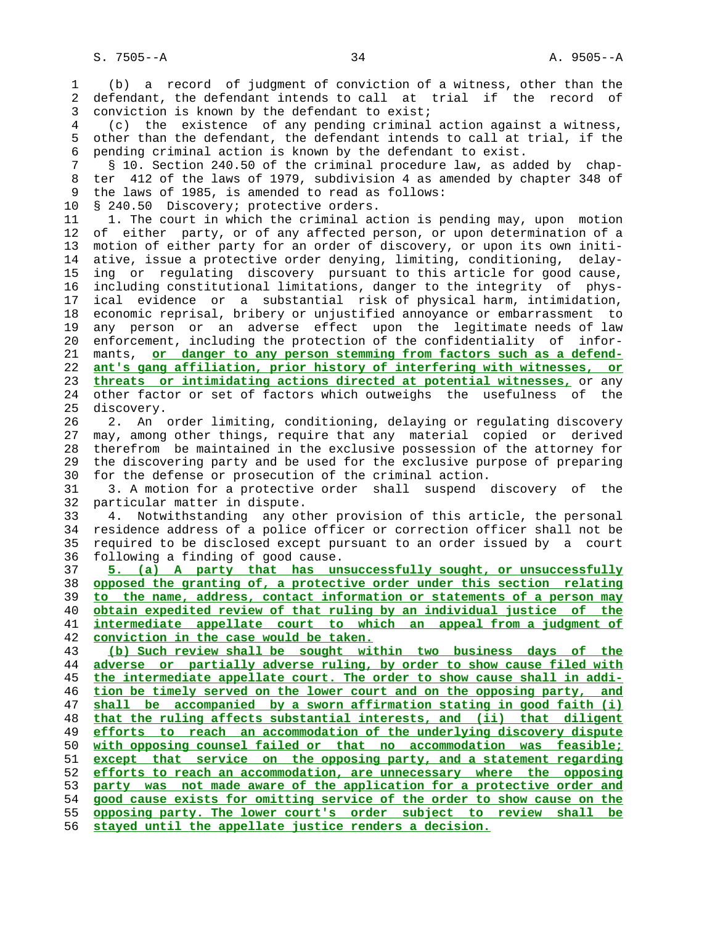1 (b) a record of judgment of conviction of a witness, other than the 2 defendant, the defendant intends to call at trial if the record of 3 conviction is known by the defendant to exist; 4 (c) the existence of any pending criminal action against a witness, 5 other than the defendant, the defendant intends to call at trial, if the 6 pending criminal action is known by the defendant to exist. 7 § 10. Section 240.50 of the criminal procedure law, as added by chap- 8 ter 412 of the laws of 1979, subdivision 4 as amended by chapter 348 of<br>9 the laws of 1985, is amended to read as follows: the laws of 1985, is amended to read as follows: 10 § 240.50 Discovery; protective orders. 11 1. The court in which the criminal action is pending may, upon motion 12 of either party, or of any affected person, or upon determination of a 13 motion of either party for an order of discovery, or upon its own initi- 14 ative, issue a protective order denying, limiting, conditioning, delay- 15 ing or regulating discovery pursuant to this article for good cause, 16 including constitutional limitations, danger to the integrity of phys- 17 ical evidence or a substantial risk of physical harm, intimidation, 18 economic reprisal, bribery or unjustified annoyance or embarrassment to 19 any person or an adverse effect upon the legitimate needs of law 20 enforcement, including the protection of the confidentiality of infor- 21 mants, **or danger to any person stemming from factors such as a defend-** 22 **ant's gang affiliation, prior history of interfering with witnesses, or** 23 **threats or intimidating actions directed at potential witnesses,** or any 24 other factor or set of factors which outweighs the usefulness of the 25 discovery. 26 2. An order limiting, conditioning, delaying or regulating discovery 27 may, among other things, require that any material copied or derived 28 therefrom be maintained in the exclusive possession of the attorney for 29 the discovering party and be used for the exclusive purpose of preparing 30 for the defense or prosecution of the criminal action. 31 3. A motion for a protective order shall suspend discovery of the 32 particular matter in dispute. 33 4. Notwithstanding any other provision of this article, the personal 34 residence address of a police officer or correction officer shall not be 35 required to be disclosed except pursuant to an order issued by a court 36 following a finding of good cause. 37 **5. (a) A party that has unsuccessfully sought, or unsuccessfully** 38 **opposed the granting of, a protective order under this section relating** 39 **to the name, address, contact information or statements of a person may** 40 **obtain expedited review of that ruling by an individual justice of the** 41 **intermediate appellate court to which an appeal from a judgment of** 42 **conviction in the case would be taken.** 43 **(b) Such review shall be sought within two business days of the** 44 **adverse or partially adverse ruling, by order to show cause filed with** 45 **the intermediate appellate court. The order to show cause shall in addi-** 46 **tion be timely served on the lower court and on the opposing party, and** 47 **shall be accompanied by a sworn affirmation stating in good faith (i)** 48 **that the ruling affects substantial interests, and (ii) that diligent** 49 **efforts to reach an accommodation of the underlying discovery dispute** 50 **with opposing counsel failed or that no accommodation was feasible;** 51 **except that service on the opposing party, and a statement regarding** 52 **efforts to reach an accommodation, are unnecessary where the opposing** 53 **party was not made aware of the application for a protective order and** 54 **good cause exists for omitting service of the order to show cause on the** 55 **opposing party. The lower court's order subject to review shall be** 56 **stayed until the appellate justice renders a decision.**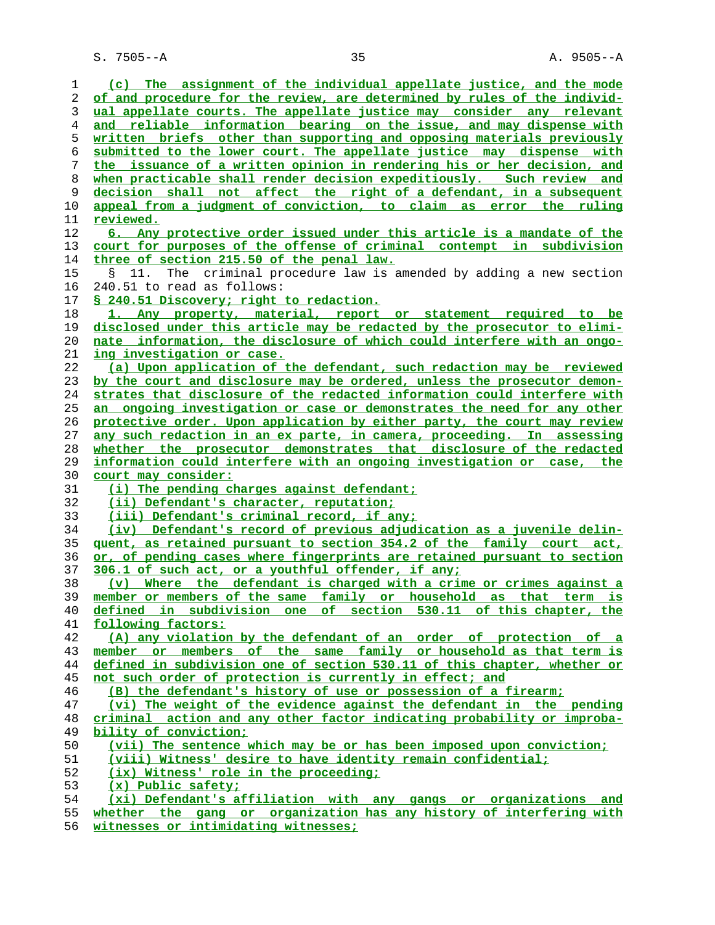| 1           | (c) The assignment of the individual appellate justice, and the mode      |
|-------------|---------------------------------------------------------------------------|
| 2           | of and procedure for the review, are determined by rules of the individ-  |
| 3           | ual appellate courts. The appellate justice may consider any relevant     |
| 4           | and reliable information bearing on the issue, and may dispense with      |
| 5           | written briefs other than supporting and opposing materials previously    |
| 6           | submitted to the lower court. The appellate justice may dispense with     |
| 7           | the issuance of a written opinion in rendering his or her decision, and   |
| 8           | when practicable shall render decision expeditiously.  Such review and    |
| 9           | decision shall not affect the right of a defendant, in a subsequent       |
| 10          | appeal from a judgment of conviction, to claim as error the ruling        |
| 11          | reviewed.                                                                 |
|             |                                                                           |
| 12          | 6. Any protective order issued under this article is a mandate of the     |
| 13          | court for purposes of the offense of criminal contempt in subdivision     |
| 14          | three of section 215.50 of the penal law.                                 |
| 15          | The criminal procedure law is amended by adding a new section<br>S<br>11. |
| 16          | 240.51 to read as follows:                                                |
| 17          | § 240.51 Discovery; right to redaction.                                   |
| 18          | 1. Any property, material, report or statement required to be             |
| 19          | disclosed under this article may be redacted by the prosecutor to elimi-  |
| 20          | nate information, the disclosure of which could interfere with an ongo-   |
| 21          | ing investigation or case.                                                |
| 22          | (a) Upon application of the defendant, such redaction may be reviewed     |
| 23          | by the court and disclosure may be ordered, unless the prosecutor demon-  |
| 24          | strates that disclosure of the redacted information could interfere with  |
| 25          | an ongoing investigation or case or demonstrates the need for any other   |
| 26          | protective order. Upon application by either party, the court may review  |
| 27          | any such redaction in an ex parte, in camera, proceeding. In assessing    |
| 28          | whether the prosecutor demonstrates that disclosure of the redacted       |
| 29          | information could interfere with an ongoing investigation or case, the    |
| 30          | court may consider:                                                       |
| 31          | (i) The pending charges against defendant;                                |
| 32          | (ii) Defendant's character, reputation;                                   |
| 33          | (iii) Defendant's criminal record, if any;                                |
|             |                                                                           |
| 34          | (iv) Defendant's record of previous adjudication as a juvenile delin-     |
| 35          | quent, as retained pursuant to section 354.2 of the family court act,     |
| 36          | or, of pending cases where fingerprints are retained pursuant to section  |
| 37          | 306.1 of such act, or a youthful offender, if any;                        |
| 38          | (v) Where the defendant is charged with a crime or crimes against a       |
| 39          | member or members of the same family or household as that term is         |
| 40          | defined in subdivision one of section 530.11 of this chapter, the         |
| 41          | following factors:                                                        |
| 42          | (A) any violation by the defendant of an order of protection of a         |
| 43          | member or members of the same family or household as that term is         |
| 44          | defined in subdivision one of section 530.11 of this chapter, whether or  |
| 45          | not such order of protection is currently in effect; and                  |
| 46          | (B) the defendant's history of use or possession of a firearm;            |
| 47          | (vi) The weight of the evidence against the defendant in the pending      |
| 48          | criminal action and any other factor indicating probability or improba-   |
| 49          | bility of conviction;                                                     |
| 50          | (vii) The sentence which may be or has been imposed upon conviction;      |
| 51          | (viii) Witness' desire to have identity remain confidential;              |
| 52          | (ix) Witness' role in the proceeding;                                     |
| 53          | $(x)$ Public safety;                                                      |
| 54          | (xi) Defendant's affiliation with any gangs or organizations and          |
| 55          | whether the gang or organization has any history of interfering with      |
| $E \subset$ | withoggog on intimidation withoggoge                                      |

**witnesses or intimidating witnesses;**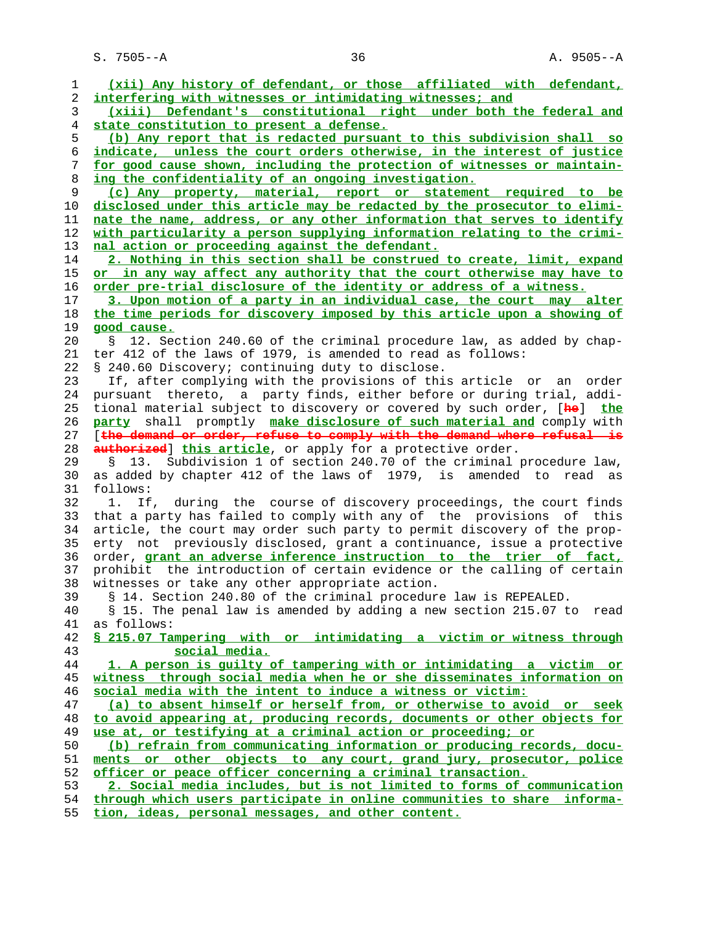| ı  | (xii) Any history of defendant, or those affiliated with defendant,                |
|----|------------------------------------------------------------------------------------|
| 2  | interfering with witnesses or intimidating witnesses; and                          |
| 3  | (xiii) Defendant's constitutional right under both the federal and                 |
| 4  | state constitution to present a defense.                                           |
| 5  | (b) Any report that is redacted pursuant to this subdivision shall so              |
| 6  | indicate, unless the court orders otherwise, in the interest of justice            |
| 7  | for good cause shown, including the protection of witnesses or maintain-           |
| 8  | ing the confidentiality of an ongoing investigation.                               |
| 9  | (c) Any property, material, report or statement required to be                     |
| 10 | disclosed under this article may be redacted by the prosecutor to elimi-           |
| 11 | nate the name, address, or any other information that serves to identify           |
|    |                                                                                    |
| 12 | with particularity a person supplying information relating to the crimi-           |
| 13 | nal action or proceeding against the defendant.                                    |
| 14 | 2. Nothing in this section shall be construed to create, limit, expand             |
| 15 | or in any way affect any authority that the court otherwise may have to            |
| 16 | order pre-trial disclosure of the identity or address of a witness.                |
| 17 | 3. Upon motion of a party in an individual case, the court may alter               |
| 18 | the time periods for discovery imposed by this article upon a showing of           |
| 19 | good cause.                                                                        |
| 20 | 12. Section 240.60 of the criminal procedure law, as added by chap-<br>S           |
| 21 | ter 412 of the laws of 1979, is amended to read as follows:                        |
| 22 | § 240.60 Discovery; continuing duty to disclose.                                   |
| 23 | If, after complying with the provisions of this article or an<br>order             |
| 24 | pursuant thereto, a party finds, either before or during trial, addi-              |
| 25 | tional material subject to discovery or covered by such order, [he] the            |
| 26 | shall promptly make disclosure of such material and comply with<br>party           |
|    |                                                                                    |
| 27 | [the demand or order, refuse to comply with the demand where refusal is            |
| 28 | authorized] this article, or apply for a protective order.                         |
| 29 | 13. Subdivision 1 of section 240.70 of the criminal procedure law,<br>$\mathbb{S}$ |
| 30 | as added by chapter 412 of the laws of 1979, is amended to read as                 |
| 31 | follows:                                                                           |
| 32 | If,<br>during the course of discovery proceedings, the court finds<br>1. .         |
| 33 | that a party has failed to comply with any of the provisions of this               |
| 34 | article, the court may order such party to permit discovery of the prop-           |
| 35 | erty not previously disclosed, grant a continuance, issue a protective             |
| 36 | order, grant an adverse inference instruction to the trier of fact,                |
| 37 | prohibit the introduction of certain evidence or the calling of certain            |
| 38 | witnesses or take any other appropriate action.                                    |
| 39 | § 14. Section 240.80 of the criminal procedure law is REPEALED.                    |
| 40 | § 15. The penal law is amended by adding a new section 215.07 to read              |
| 41 | as follows:                                                                        |
| 42 | \$ 215.07 Tampering with or intimidating a victim or witness through               |
| 43 | social media.                                                                      |
| 44 | 1. A person is quilty of tampering with or intimidating a victim or                |
| 45 | witness through social media when he or she disseminates information on            |
|    |                                                                                    |
| 46 | social media with the intent to induce a witness or victim:                        |
| 47 | (a) to absent himself or herself from, or otherwise to avoid or seek               |
| 48 | to avoid appearing at, producing records, documents or other objects for           |
| 49 | use at, or testifying at a criminal action or proceeding; or                       |
| 50 | (b) refrain from communicating information or producing records, docu-             |
| 51 | ments or other objects to any court, grand jury, prosecutor, police                |
| 52 | officer or peace officer concerning a criminal transaction.                        |
| 53 | 2. Social media includes, but is not limited to forms of communication             |
| 54 | through which users participate in online communities to share informa-            |
|    |                                                                                    |

**tion, ideas, personal messages, and other content.**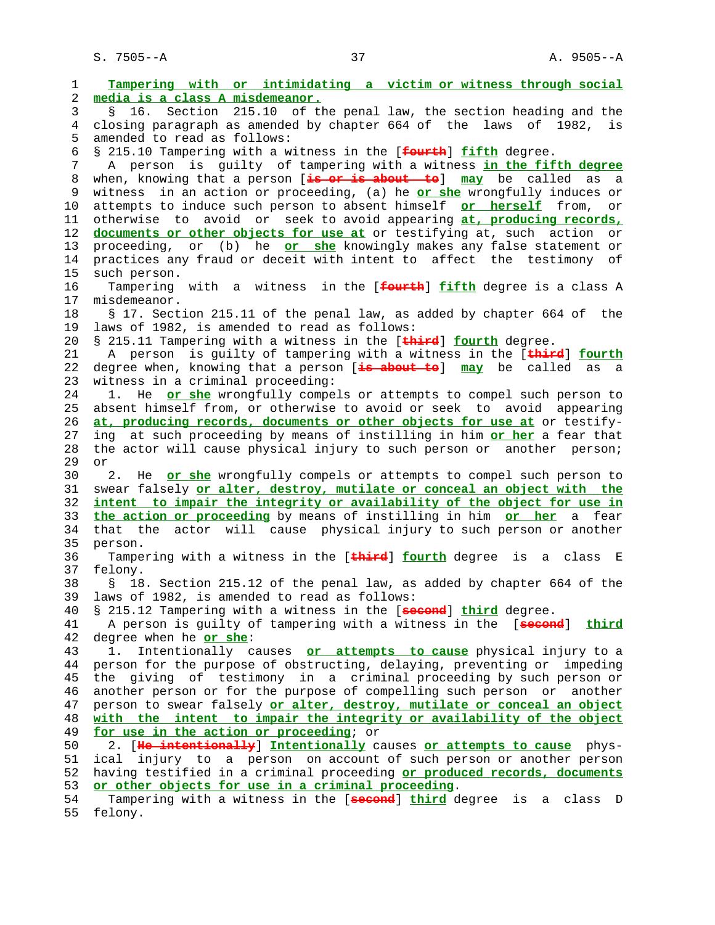1 **Tampering with or intimidating a victim or witness through social** 2 **media is a class A misdemeanor.** 3 § 16. Section 215.10 of the penal law, the section heading and the 4 closing paragraph as amended by chapter 664 of the laws of 1982, is 5 amended to read as follows: 6 § 215.10 Tampering with a witness in the [**fourth**] **fifth** degree. 7 A person is guilty of tampering with a witness **in the fifth degree** 8 when, knowing that a person [**is or is about to**] **may** be called as a 9 witness in an action or proceeding, (a) he **or she** wrongfully induces or 10 attempts to induce such person to absent himself **or herself** from, or 11 otherwise to avoid or seek to avoid appearing **at, producing records,** 12 **documents or other objects for use at** or testifying at, such action or 13 proceeding, or (b) he **or she** knowingly makes any false statement or 14 practices any fraud or deceit with intent to affect the testimony of 15 such person. 16 Tampering with a witness in the [**fourth**] **fifth** degree is a class A 17 misdemeanor. 18 § 17. Section 215.11 of the penal law, as added by chapter 664 of the 19 laws of 1982, is amended to read as follows: 20 § 215.11 Tampering with a witness in the [**third**] **fourth** degree. 21 A person is guilty of tampering with a witness in the [**third**] **fourth** 22 degree when, knowing that a person [**is about to**] **may** be called as a 23 witness in a criminal proceeding: 24 1. He **or she** wrongfully compels or attempts to compel such person to 25 absent himself from, or otherwise to avoid or seek to avoid appearing 26 **at, producing records, documents or other objects for use at** or testify- 27 ing at such proceeding by means of instilling in him **or her** a fear that 28 the actor will cause physical injury to such person or another person; 29 or 30 2. He **or she** wrongfully compels or attempts to compel such person to 31 swear falsely **or alter, destroy, mutilate or conceal an object with the** 32 **intent to impair the integrity or availability of the object for use in** 33 **the action or proceeding** by means of instilling in him **or her** a fear 34 that the actor will cause physical injury to such person or another 35 person. 36 Tampering with a witness in the [**third**] **fourth** degree is a class E 37 felony. 38 § 18. Section 215.12 of the penal law, as added by chapter 664 of the 39 laws of 1982, is amended to read as follows: 40 § 215.12 Tampering with a witness in the [**second**] **third** degree. 41 A person is guilty of tampering with a witness in the [**second**] **third** 42 degree when he **or she**: 43 1. Intentionally causes **or attempts to cause** physical injury to a 44 person for the purpose of obstructing, delaying, preventing or impeding 45 the giving of testimony in a criminal proceeding by such person or 46 another person or for the purpose of compelling such person or another 47 person to swear falsely **or alter, destroy, mutilate or conceal an object** 48 **with the intent to impair the integrity or availability of the object** 49 **for use in the action or proceeding**; or 50 2. [**He intentionally**] **Intentionally** causes **or attempts to cause** phys- 51 ical injury to a person on account of such person or another person 52 having testified in a criminal proceeding **or produced records, documents** 53 **or other objects for use in a criminal proceeding**. 54 Tampering with a witness in the [**second**] **third** degree is a class D 55 felony.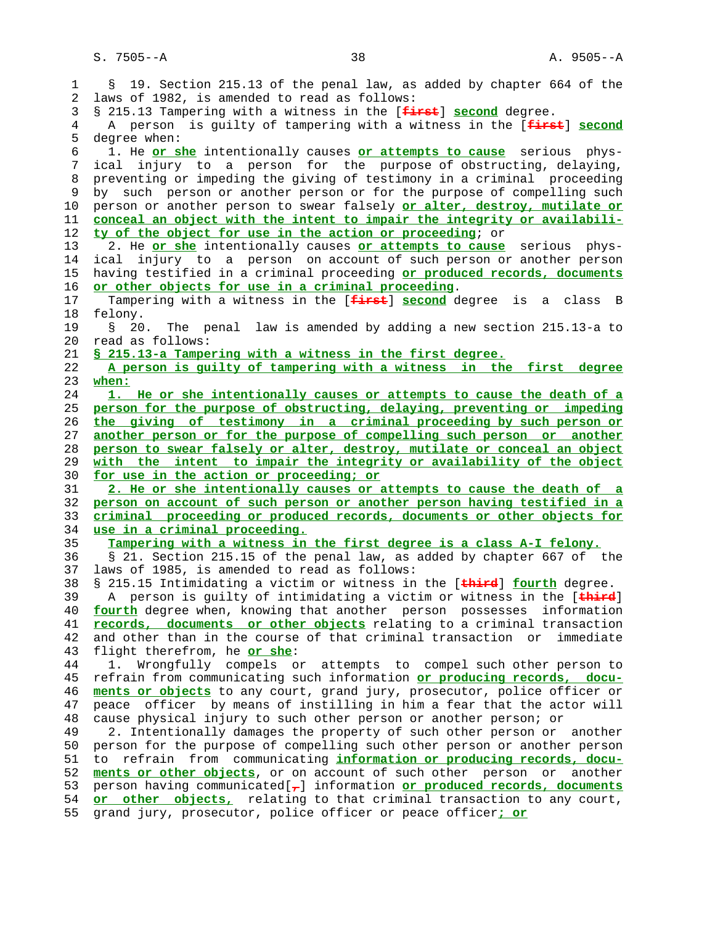1 § 19. Section 215.13 of the penal law, as added by chapter 664 of the 2 laws of 1982, is amended to read as follows: 3 § 215.13 Tampering with a witness in the [**first**] **second** degree. 4 A person is guilty of tampering with a witness in the [**first**] **second** 5 degree when: 6 1. He **or she** intentionally causes **or attempts to cause** serious phys- 7 ical injury to a person for the purpose of obstructing, delaying, 8 preventing or impeding the giving of testimony in a criminal proceeding 9 by such person or another person or for the purpose of compelling such 10 person or another person to swear falsely **or alter, destroy, mutilate or** 11 **conceal an object with the intent to impair the integrity or availabili-** 12 **ty of the object for use in the action or proceeding**; or 13 2. He **or she** intentionally causes **or attempts to cause** serious phys- 14 ical injury to a person on account of such person or another person 15 having testified in a criminal proceeding **or produced records, documents** 16 **or other objects for use in a criminal proceeding**. 17 Tampering with a witness in the [**first**] **second** degree is a class B 18 felony. 19 § 20. The penal law is amended by adding a new section 215.13-a to 20 read as follows: 21 **§ 215.13-a Tampering with a witness in the first degree.** 22 **A person is guilty of tampering with a witness in the first degree** 23 **when:** 24 **1. He or she intentionally causes or attempts to cause the death of a** 25 **person for the purpose of obstructing, delaying, preventing or impeding** 26 **the giving of testimony in a criminal proceeding by such person or** 27 **another person or for the purpose of compelling such person or another** 28 **person to swear falsely or alter, destroy, mutilate or conceal an object** 29 **with the intent to impair the integrity or availability of the object** 30 **for use in the action or proceeding; or** 31 **2. He or she intentionally causes or attempts to cause the death of a** 32 **person on account of such person or another person having testified in a** 33 **criminal proceeding or produced records, documents or other objects for** 34 **use in a criminal proceeding.** 35 **Tampering with a witness in the first degree is a class A-I felony.** 36 § 21. Section 215.15 of the penal law, as added by chapter 667 of the 37 laws of 1985, is amended to read as follows: 38 § 215.15 Intimidating a victim or witness in the [**third**] **fourth** degree. 39 A person is guilty of intimidating a victim or witness in the [**third**] 40 **fourth** degree when, knowing that another person possesses information 41 **records, documents or other objects** relating to a criminal transaction 42 and other than in the course of that criminal transaction or immediate 43 flight therefrom, he **or she**: 44 1. Wrongfully compels or attempts to compel such other person to 45 refrain from communicating such information **or producing records, docu-** 46 **ments or objects** to any court, grand jury, prosecutor, police officer or 47 peace officer by means of instilling in him a fear that the actor will 48 cause physical injury to such other person or another person; or 49 2. Intentionally damages the property of such other person or another 50 person for the purpose of compelling such other person or another person 51 to refrain from communicating **information or producing records, docu-** 52 **ments or other objects**, or on account of such other person or another 53 person having communicated[**,**] information **or produced records, documents** 54 **or other objects,** relating to that criminal transaction to any court, 55 grand jury, prosecutor, police officer or peace officer**; or**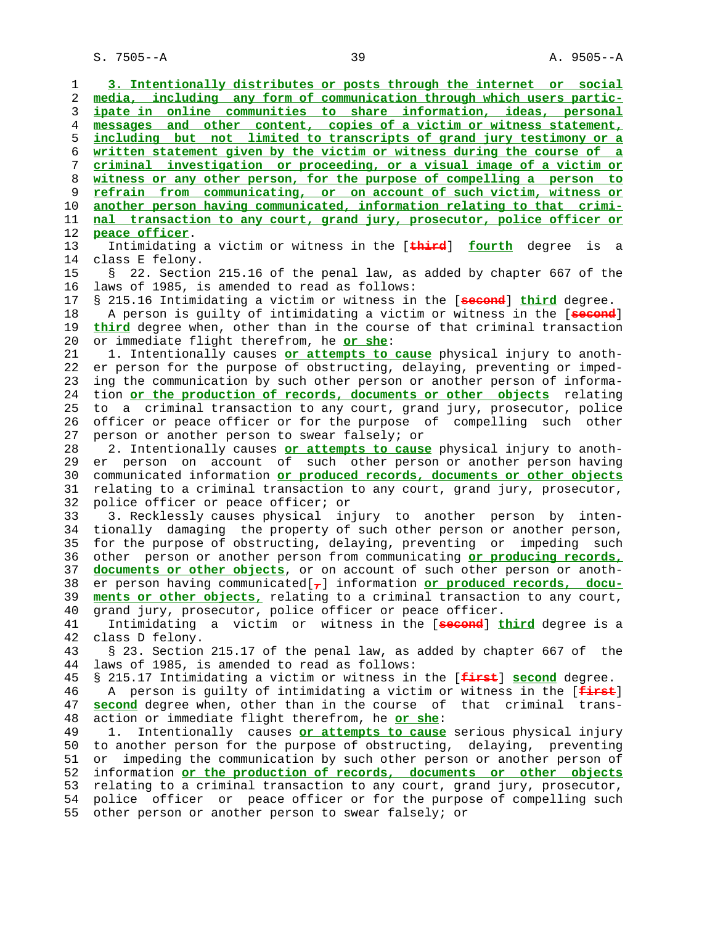S. 7505--A 39 A. 9505--A

 1 **3. Intentionally distributes or posts through the internet or social** 2 **media, including any form of communication through which users partic-** 3 **ipate in online communities to share information, ideas, personal** 4 **messages and other content, copies of a victim or witness statement,** 5 **including but not limited to transcripts of grand jury testimony or a** 6 **written statement given by the victim or witness during the course of a** 7 **criminal investigation or proceeding, or a visual image of a victim or** 8 **witness or any other person, for the purpose of compelling a person to** 9 **refrain from communicating, or on account of such victim, witness or** 10 **another person having communicated, information relating to that crimi-** 11 **nal transaction to any court, grand jury, prosecutor, police officer or** 12 **peace officer**. 13 Intimidating a victim or witness in the [**third**] **fourth** degree is a 14 class E felony. 15 § 22. Section 215.16 of the penal law, as added by chapter 667 of the 16 laws of 1985, is amended to read as follows: 17 § 215.16 Intimidating a victim or witness in the [**second**] **third** degree. 18 A person is guilty of intimidating a victim or witness in the [**second**] 19 **third** degree when, other than in the course of that criminal transaction 20 or immediate flight therefrom, he **or she**: 21 1. Intentionally causes **or attempts to cause** physical injury to anoth- 22 er person for the purpose of obstructing, delaying, preventing or imped- 23 ing the communication by such other person or another person of informa- 24 tion **or the production of records, documents or other objects** relating 25 to a criminal transaction to any court, grand jury, prosecutor, police 26 officer or peace officer or for the purpose of compelling such other 27 person or another person to swear falsely; or 28 2. Intentionally causes **or attempts to cause** physical injury to anoth- 29 er person on account of such other person or another person having 30 communicated information **or produced records, documents or other objects** 31 relating to a criminal transaction to any court, grand jury, prosecutor, 32 police officer or peace officer; or 33 3. Recklessly causes physical injury to another person by inten- 34 tionally damaging the property of such other person or another person, 35 for the purpose of obstructing, delaying, preventing or impeding such 36 other person or another person from communicating **or producing records,** 37 **documents or other objects**, or on account of such other person or anoth- 38 er person having communicated[**,**] information **or produced records, docu-** 39 **ments or other objects,** relating to a criminal transaction to any court, 40 grand jury, prosecutor, police officer or peace officer. 41 Intimidating a victim or witness in the [**second**] **third** degree is a 42 class D felony. 43 § 23. Section 215.17 of the penal law, as added by chapter 667 of the 44 laws of 1985, is amended to read as follows: 45 § 215.17 Intimidating a victim or witness in the [**first**] **second** degree. 46 A person is guilty of intimidating a victim or witness in the [**first**] 47 **second** degree when, other than in the course of that criminal trans- 48 action or immediate flight therefrom, he **or she**: 49 1. Intentionally causes **or attempts to cause** serious physical injury 50 to another person for the purpose of obstructing, delaying, preventing 51 or impeding the communication by such other person or another person of 52 information **or the production of records, documents or other objects** 53 relating to a criminal transaction to any court, grand jury, prosecutor, 54 police officer or peace officer or for the purpose of compelling such 55 other person or another person to swear falsely; or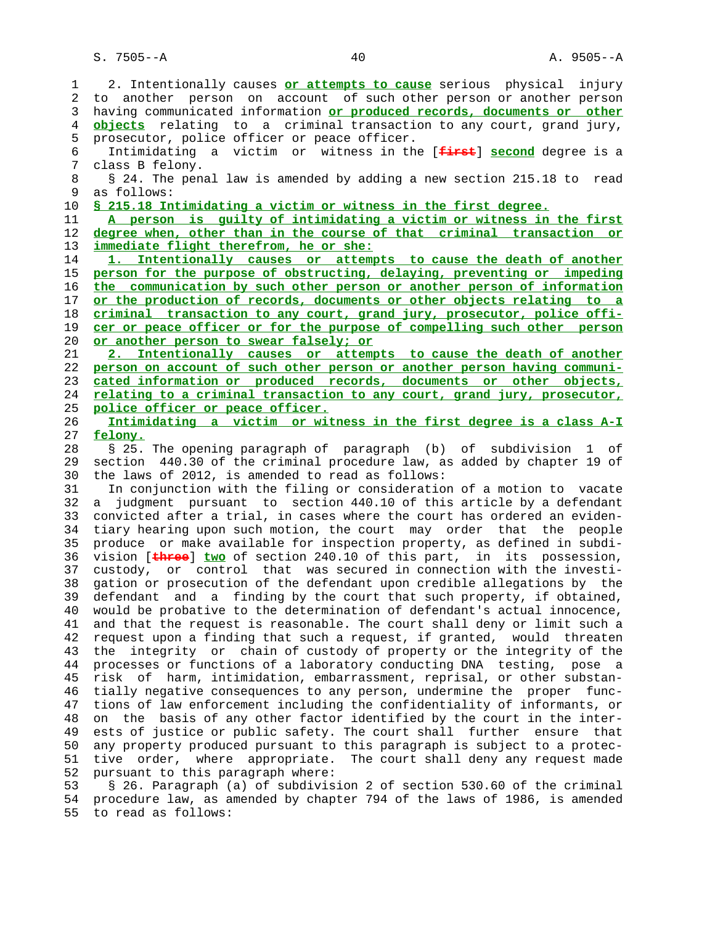1 2. Intentionally causes **or attempts to cause** serious physical injury 2 to another person on account of such other person or another person 3 having communicated information **or produced records, documents or other** 4 **objects** relating to a criminal transaction to any court, grand jury, 5 prosecutor, police officer or peace officer. 6 Intimidating a victim or witness in the [**first**] **second** degree is a 7 class B felony. 8 § 24. The penal law is amended by adding a new section 215.18 to read<br>9 as follows: as follows: 10 **§ 215.18 Intimidating a victim or witness in the first degree.** 11 **A person is guilty of intimidating a victim or witness in the first** 12 **degree when, other than in the course of that criminal transaction or** 13 **immediate flight therefrom, he or she:** 14 **1. Intentionally causes or attempts to cause the death of another** 15 **person for the purpose of obstructing, delaying, preventing or impeding** 16 **the communication by such other person or another person of information** 17 **or the production of records, documents or other objects relating to a** 18 **criminal transaction to any court, grand jury, prosecutor, police offi-** 19 **cer or peace officer or for the purpose of compelling such other person** 20 **or another person to swear falsely; or** 21 **2. Intentionally causes or attempts to cause the death of another** 22 **person on account of such other person or another person having communi-** 23 **cated information or produced records, documents or other objects,** 24 **relating to a criminal transaction to any court, grand jury, prosecutor,** 25 **police officer or peace officer.** 26 **Intimidating a victim or witness in the first degree is a class A-I** 27 **felony.** 28 § 25. The opening paragraph of paragraph (b) of subdivision 1 of 29 section 440.30 of the criminal procedure law, as added by chapter 19 of 30 the laws of 2012, is amended to read as follows: 31 In conjunction with the filing or consideration of a motion to vacate 32 a judgment pursuant to section 440.10 of this article by a defendant 33 convicted after a trial, in cases where the court has ordered an eviden- 34 tiary hearing upon such motion, the court may order that the people 35 produce or make available for inspection property, as defined in subdi- 36 vision [**three**] **two** of section 240.10 of this part, in its possession, 37 custody, or control that was secured in connection with the investi- 38 gation or prosecution of the defendant upon credible allegations by the 39 defendant and a finding by the court that such property, if obtained, 40 would be probative to the determination of defendant's actual innocence, 41 and that the request is reasonable. The court shall deny or limit such a 42 request upon a finding that such a request, if granted, would threaten 43 the integrity or chain of custody of property or the integrity of the 44 processes or functions of a laboratory conducting DNA testing, pose a 45 risk of harm, intimidation, embarrassment, reprisal, or other substan- 46 tially negative consequences to any person, undermine the proper func- 47 tions of law enforcement including the confidentiality of informants, or 48 on the basis of any other factor identified by the court in the inter- 49 ests of justice or public safety. The court shall further ensure that 50 any property produced pursuant to this paragraph is subject to a protec- 51 tive order, where appropriate. The court shall deny any request made 52 pursuant to this paragraph where: 53 § 26. Paragraph (a) of subdivision 2 of section 530.60 of the criminal 54 procedure law, as amended by chapter 794 of the laws of 1986, is amended

55 to read as follows: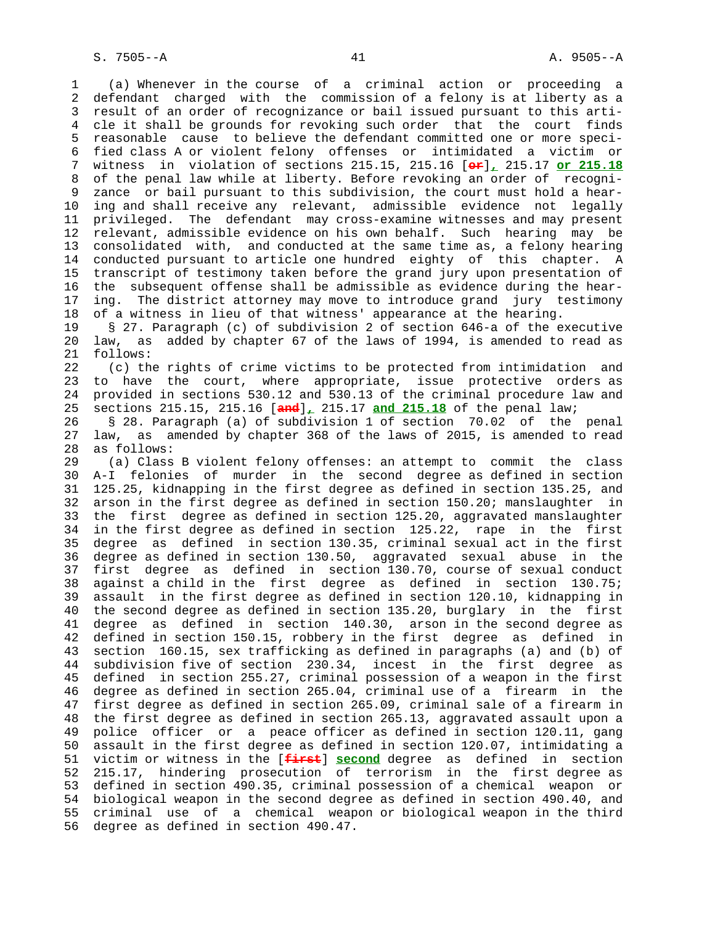1 (a) Whenever in the course of a criminal action or proceeding a 2 defendant charged with the commission of a felony is at liberty as a 3 result of an order of recognizance or bail issued pursuant to this arti- 4 cle it shall be grounds for revoking such order that the court finds 5 reasonable cause to believe the defendant committed one or more speci- 6 fied class A or violent felony offenses or intimidated a victim or 7 witness in violation of sections 215.15, 215.16 [**or**]**,** 215.17 **or 215.18** 8 of the penal law while at liberty. Before revoking an order of recogni- 9 zance or bail pursuant to this subdivision, the court must hold a hear- 10 ing and shall receive any relevant, admissible evidence not legally 11 privileged. The defendant may cross-examine witnesses and may present 12 relevant, admissible evidence on his own behalf. Such hearing may be 13 consolidated with, and conducted at the same time as, a felony hearing 14 conducted pursuant to article one hundred eighty of this chapter. A 15 transcript of testimony taken before the grand jury upon presentation of 16 the subsequent offense shall be admissible as evidence during the hear- 17 ing. The district attorney may move to introduce grand jury testimony 18 of a witness in lieu of that witness' appearance at the hearing.

 19 § 27. Paragraph (c) of subdivision 2 of section 646-a of the executive 20 law, as added by chapter 67 of the laws of 1994, is amended to read as 21 follows:

 22 (c) the rights of crime victims to be protected from intimidation and 23 to have the court, where appropriate, issue protective orders as 24 provided in sections 530.12 and 530.13 of the criminal procedure law and 25 sections 215.15, 215.16 [**and**]**,** 215.17 **and 215.18** of the penal law;

 26 § 28. Paragraph (a) of subdivision 1 of section 70.02 of the penal 27 law, as amended by chapter 368 of the laws of 2015, is amended to read 28 as follows:

 29 (a) Class B violent felony offenses: an attempt to commit the class 30 A-I felonies of murder in the second degree as defined in section 31 125.25, kidnapping in the first degree as defined in section 135.25, and 32 arson in the first degree as defined in section 150.20; manslaughter in 33 the first degree as defined in section 125.20, aggravated manslaughter 34 in the first degree as defined in section 125.22, rape in the first 35 degree as defined in section 130.35, criminal sexual act in the first 36 degree as defined in section 130.50, aggravated sexual abuse in the 37 first degree as defined in section 130.70, course of sexual conduct 38 against a child in the first degree as defined in section 130.75; 39 assault in the first degree as defined in section 120.10, kidnapping in 40 the second degree as defined in section 135.20, burglary in the first 41 degree as defined in section 140.30, arson in the second degree as 42 defined in section 150.15, robbery in the first degree as defined in 43 section 160.15, sex trafficking as defined in paragraphs (a) and (b) of 44 subdivision five of section 230.34, incest in the first degree as 45 defined in section 255.27, criminal possession of a weapon in the first 46 degree as defined in section 265.04, criminal use of a firearm in the 47 first degree as defined in section 265.09, criminal sale of a firearm in 48 the first degree as defined in section 265.13, aggravated assault upon a 49 police officer or a peace officer as defined in section 120.11, gang 50 assault in the first degree as defined in section 120.07, intimidating a 51 victim or witness in the [**first**] **second** degree as defined in section 52 215.17, hindering prosecution of terrorism in the first degree as 53 defined in section 490.35, criminal possession of a chemical weapon or 54 biological weapon in the second degree as defined in section 490.40, and 55 criminal use of a chemical weapon or biological weapon in the third 56 degree as defined in section 490.47.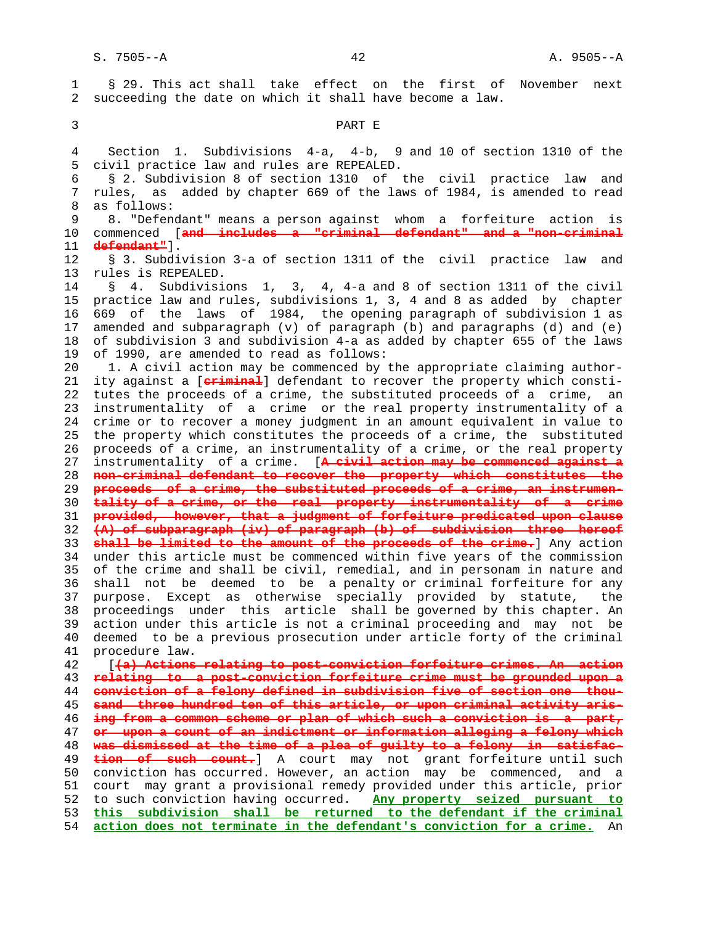1 § 29. This act shall take effect on the first of November next 2 succeeding the date on which it shall have become a law. 3 PART E 4 Section 1. Subdivisions 4-a, 4-b, 9 and 10 of section 1310 of the 5 civil practice law and rules are REPEALED. 6 § 2. Subdivision 8 of section 1310 of the civil practice law and<br>7 rules, as added by chapter 669 of the laws of 1984, is amended to read rules, as added by chapter 669 of the laws of 1984, is amended to read 8 as follows: 9 8. "Defendant" means a person against whom a forfeiture action is 10 commenced [**and includes a "criminal defendant" and a "non-criminal** 11 **defendant"**]. 12 § 3. Subdivision 3-a of section 1311 of the civil practice law and 13 rules is REPEALED. 14 § 4. Subdivisions 1, 3, 4, 4-a and 8 of section 1311 of the civil 15 practice law and rules, subdivisions 1, 3, 4 and 8 as added by chapter 16 669 of the laws of 1984, the opening paragraph of subdivision 1 as 17 amended and subparagraph (v) of paragraph (b) and paragraphs (d) and (e) 18 of subdivision 3 and subdivision 4-a as added by chapter 655 of the laws 19 of 1990, are amended to read as follows: 20 1. A civil action may be commenced by the appropriate claiming author- 21 ity against a [**criminal**] defendant to recover the property which consti- 22 tutes the proceeds of a crime, the substituted proceeds of a crime, an 23 instrumentality of a crime or the real property instrumentality of a 24 crime or to recover a money judgment in an amount equivalent in value to 25 the property which constitutes the proceeds of a crime, the substituted 26 proceeds of a crime, an instrumentality of a crime, or the real property 27 instrumentality of a crime. [**A civil action may be commenced against a** 28 **non-criminal defendant to recover the property which constitutes the** 29 **proceeds of a crime, the substituted proceeds of a crime, an instrumen-** 30 **tality of a crime, or the real property instrumentality of a crime** 31 **provided, however, that a judgment of forfeiture predicated upon clause** 32 **(A) of subparagraph (iv) of paragraph (b) of subdivision three hereof** 33 **shall be limited to the amount of the proceeds of the crime.**] Any action 34 under this article must be commenced within five years of the commission 35 of the crime and shall be civil, remedial, and in personam in nature and 36 shall not be deemed to be a penalty or criminal forfeiture for any 37 purpose. Except as otherwise specially provided by statute, the 38 proceedings under this article shall be governed by this chapter. An 39 action under this article is not a criminal proceeding and may not be 40 deemed to be a previous prosecution under article forty of the criminal 41 procedure law. 42 [**(a) Actions relating to post-conviction forfeiture crimes. An action** 43 **relating to a post-conviction forfeiture crime must be grounded upon a** 44 **conviction of a felony defined in subdivision five of section one thou-** 45 **sand three hundred ten of this article, or upon criminal activity aris-** 46 **ing from a common scheme or plan of which such a conviction is a part,** 47 **or upon a count of an indictment or information alleging a felony which** 48 **was dismissed at the time of a plea of guilty to a felony in satisfac-** 49 **tion of such count.**] A court may not grant forfeiture until such 50 conviction has occurred. However, an action may be commenced, and a 51 court may grant a provisional remedy provided under this article, prior 52 to such conviction having occurred. **Any property seized pursuant to** 53 **this subdivision shall be returned to the defendant if the criminal** 54 **action does not terminate in the defendant's conviction for a crime.** An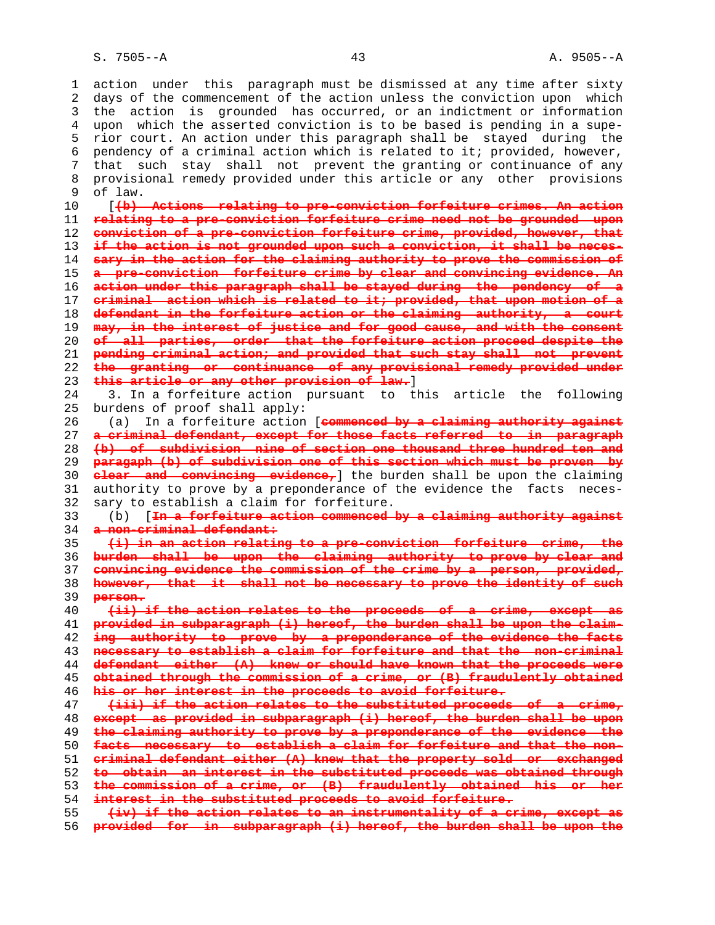1 action under this paragraph must be dismissed at any time after sixty 2 days of the commencement of the action unless the conviction upon which 3 the action is grounded has occurred, or an indictment or information 4 upon which the asserted conviction is to be based is pending in a supe- 5 rior court. An action under this paragraph shall be stayed during the 6 pendency of a criminal action which is related to it; provided, however, 7 that such stay shall not prevent the granting or continuance of any 8 provisional remedy provided under this article or any other provisions<br>9 of law. of law. 10 [**(b) Actions relating to pre-conviction forfeiture crimes. An action relating to a pre-conviction forfeiture crime need not be grounded upon conviction of a pre-conviction forfeiture crime, provided, however, that if the action is not grounded upon such a conviction, it shall be neces- sary in the action for the claiming authority to prove the commission of a pre-conviction forfeiture crime by clear and convincing evidence. An action under this paragraph shall be stayed during the pendency of a criminal action which is related to it; provided, that upon motion of a defendant in the forfeiture action or the claiming authority, a court may, in the interest of justice and for good cause, and with the consent of all parties, order that the forfeiture action proceed despite the pending criminal action; and provided that such stay shall not prevent the granting or continuance of any provisional remedy provided under this article or any other provision of law.**] 24 3. In a forfeiture action pursuant to this article the following 25 burdens of proof shall apply: 26 (a) In a forfeiture action [**commenced by a claiming authority against a criminal defendant, except for those facts referred to in paragraph (b) of subdivision nine of section one thousand three hundred ten and paragaph (b) of subdivision one of this section which must be proven by clear and convincing evidence,**] the burden shall be upon the claiming 31 authority to prove by a preponderance of the evidence the facts neces- 32 sary to establish a claim for forfeiture. 33 (b) [**In a forfeiture action commenced by a claiming authority against a non-criminal defendant: (i) in an action relating to a pre-conviction forfeiture crime, the burden shall be upon the claiming authority to prove by clear and convincing evidence the commission of the crime by a person, provided, however, that it shall not be necessary to prove the identity of such person. (ii) if the action relates to the proceeds of a crime, except as provided in subparagraph (i) hereof, the burden shall be upon the claim- ing authority to prove by a preponderance of the evidence the facts necessary to establish a claim for forfeiture and that the non-criminal defendant either (A) knew or should have known that the proceeds were obtained through the commission of a crime, or (B) fraudulently obtained his or her interest in the proceeds to avoid forfeiture. (iii) if the action relates to the substituted proceeds of a crime, except as provided in subparagraph (i) hereof, the burden shall be upon the claiming authority to prove by a preponderance of the evidence the facts necessary to establish a claim for forfeiture and that the non- criminal defendant either (A) knew that the property sold or exchanged to obtain an interest in the substituted proceeds was obtained through the commission of a crime, or (B) fraudulently obtained his or her interest in the substituted proceeds to avoid forfeiture. (iv) if the action relates to an instrumentality of a crime, except as**

**provided for in subparagraph (i) hereof, the burden shall be upon the**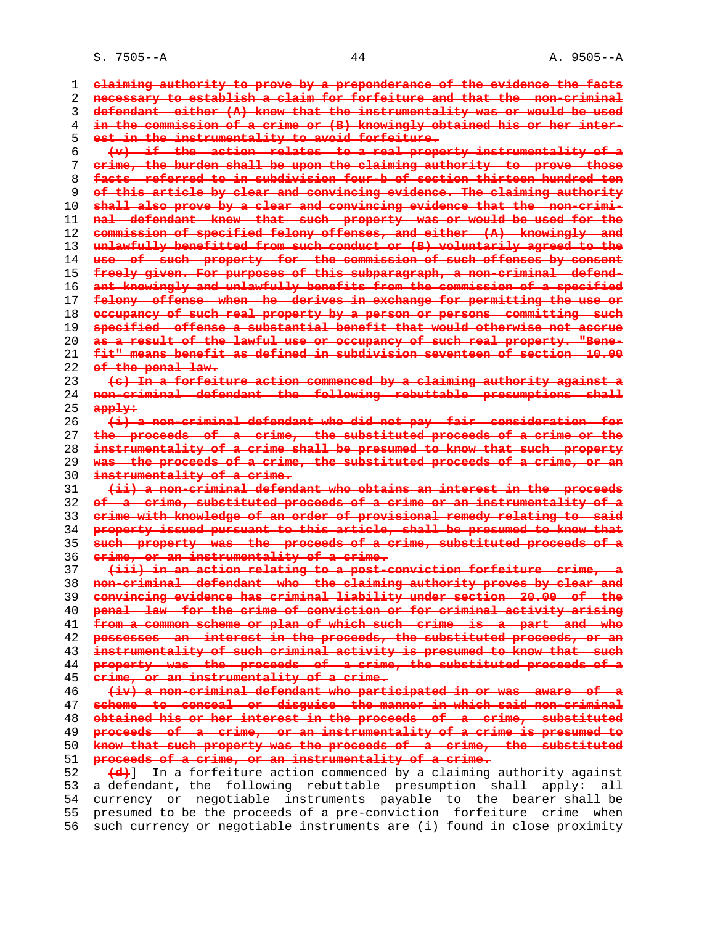S. 7505--A 44 A. 9505--A

**claiming authority to prove by a preponderance of the evidence the facts necessary to establish a claim for forfeiture and that the non-criminal defendant either (A) knew that the instrumentality was or would be used in the commission of a crime or (B) knowingly obtained his or her inter- est in the instrumentality to avoid forfeiture. (v) if the action relates to a real property instrumentality of a crime, the burden shall be upon the claiming authority to prove those facts referred to in subdivision four-b of section thirteen hundred ten of this article by clear and convincing evidence. The claiming authority shall also prove by a clear and convincing evidence that the non-crimi- nal defendant knew that such property was or would be used for the commission of specified felony offenses, and either (A) knowingly and unlawfully benefitted from such conduct or (B) voluntarily agreed to the use of such property for the commission of such offenses by consent freely given. For purposes of this subparagraph, a non-criminal defend- ant knowingly and unlawfully benefits from the commission of a specified felony offense when he derives in exchange for permitting the use or occupancy of such real property by a person or persons committing such specified offense a substantial benefit that would otherwise not accrue as a result of the lawful use or occupancy of such real property. "Bene- fit" means benefit as defined in subdivision seventeen of section 10.00 of the penal law. (c) In a forfeiture action commenced by a claiming authority against a non-criminal defendant the following rebuttable presumptions shall apply: (i) a non-criminal defendant who did not pay fair consideration for the proceeds of a crime, the substituted proceeds of a crime or the instrumentality of a crime shall be presumed to know that such property was the proceeds of a crime, the substituted proceeds of a crime, or an instrumentality of a crime. (ii) a non-criminal defendant who obtains an interest in the proceeds of a crime, substituted proceeds of a crime or an instrumentality of a crime with knowledge of an order of provisional remedy relating to said property issued pursuant to this article, shall be presumed to know that such property was the proceeds of a crime, substituted proceeds of a crime, or an instrumentality of a crime. (iii) in an action relating to a post-conviction forfeiture crime, a non-criminal defendant who the claiming authority proves by clear and convincing evidence has criminal liability under section 20.00 of the penal law for the crime of conviction or for criminal activity arising from a common scheme or plan of which such crime is a part and who possesses an interest in the proceeds, the substituted proceeds, or an instrumentality of such criminal activity is presumed to know that such property was the proceeds of a crime, the substituted proceeds of a crime, or an instrumentality of a crime. (iv) a non-criminal defendant who participated in or was aware of a scheme to conceal or disguise the manner in which said non-criminal obtained his or her interest in the proceeds of a crime, substituted proceeds of a crime, or an instrumentality of a crime is presumed to know that such property was the proceeds of a crime, the substituted proceeds of a crime, or an instrumentality of a crime. (d)**] In a forfeiture action commenced by a claiming authority against 53 a defendant, the following rebuttable presumption shall apply: all 54 currency or negotiable instruments payable to the bearer shall be 55 presumed to be the proceeds of a pre-conviction forfeiture crime when

56 such currency or negotiable instruments are (i) found in close proximity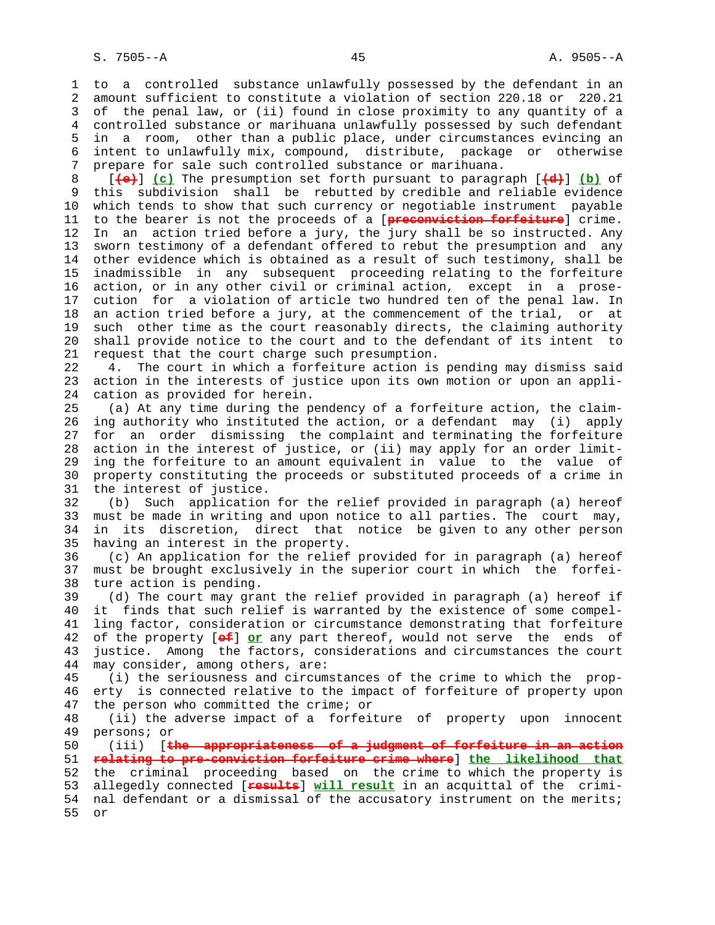1 to a controlled substance unlawfully possessed by the defendant in an 2 amount sufficient to constitute a violation of section 220.18 or 220.21 3 of the penal law, or (ii) found in close proximity to any quantity of a 4 controlled substance or marihuana unlawfully possessed by such defendant 5 in a room, other than a public place, under circumstances evincing an 6 intent to unlawfully mix, compound, distribute, package or otherwise 7 prepare for sale such controlled substance or marihuana.

 8 [**(e)**] **(c)** The presumption set forth pursuant to paragraph [**(d)**] **(b)** of this subdivision shall be rebutted by credible and reliable evidence 10 which tends to show that such currency or negotiable instrument payable 11 to the bearer is not the proceeds of a [**preconviction forfeiture**] crime. 12 In an action tried before a jury, the jury shall be so instructed. Any 13 sworn testimony of a defendant offered to rebut the presumption and any 14 other evidence which is obtained as a result of such testimony, shall be 15 inadmissible in any subsequent proceeding relating to the forfeiture 16 action, or in any other civil or criminal action, except in a prose- 17 cution for a violation of article two hundred ten of the penal law. In 18 an action tried before a jury, at the commencement of the trial, or at 19 such other time as the court reasonably directs, the claiming authority 20 shall provide notice to the court and to the defendant of its intent to 21 request that the court charge such presumption.

 22 4. The court in which a forfeiture action is pending may dismiss said 23 action in the interests of justice upon its own motion or upon an appli- 24 cation as provided for herein.

 25 (a) At any time during the pendency of a forfeiture action, the claim- 26 ing authority who instituted the action, or a defendant may (i) apply 27 for an order dismissing the complaint and terminating the forfeiture 28 action in the interest of justice, or (ii) may apply for an order limit- 29 ing the forfeiture to an amount equivalent in value to the value of 30 property constituting the proceeds or substituted proceeds of a crime in 31 the interest of justice.

 32 (b) Such application for the relief provided in paragraph (a) hereof 33 must be made in writing and upon notice to all parties. The court may, 34 in its discretion, direct that notice be given to any other person 35 having an interest in the property.

 36 (c) An application for the relief provided for in paragraph (a) hereof 37 must be brought exclusively in the superior court in which the forfei- 38 ture action is pending.

 39 (d) The court may grant the relief provided in paragraph (a) hereof if 40 it finds that such relief is warranted by the existence of some compel- 41 ling factor, consideration or circumstance demonstrating that forfeiture 42 of the property [**of**] **or** any part thereof, would not serve the ends of 43 justice. Among the factors, considerations and circumstances the court 44 may consider, among others, are:

 45 (i) the seriousness and circumstances of the crime to which the prop- 46 erty is connected relative to the impact of forfeiture of property upon 47 the person who committed the crime; or

 48 (ii) the adverse impact of a forfeiture of property upon innocent 49 persons; or

 50 (iii) [**the appropriateness of a judgment of forfeiture in an action** 51 **relating to pre-conviction forfeiture crime where**] **the likelihood that** 52 the criminal proceeding based on the crime to which the property is 53 allegedly connected [**results**] **will result** in an acquittal of the crimi- 54 nal defendant or a dismissal of the accusatory instrument on the merits; 55 or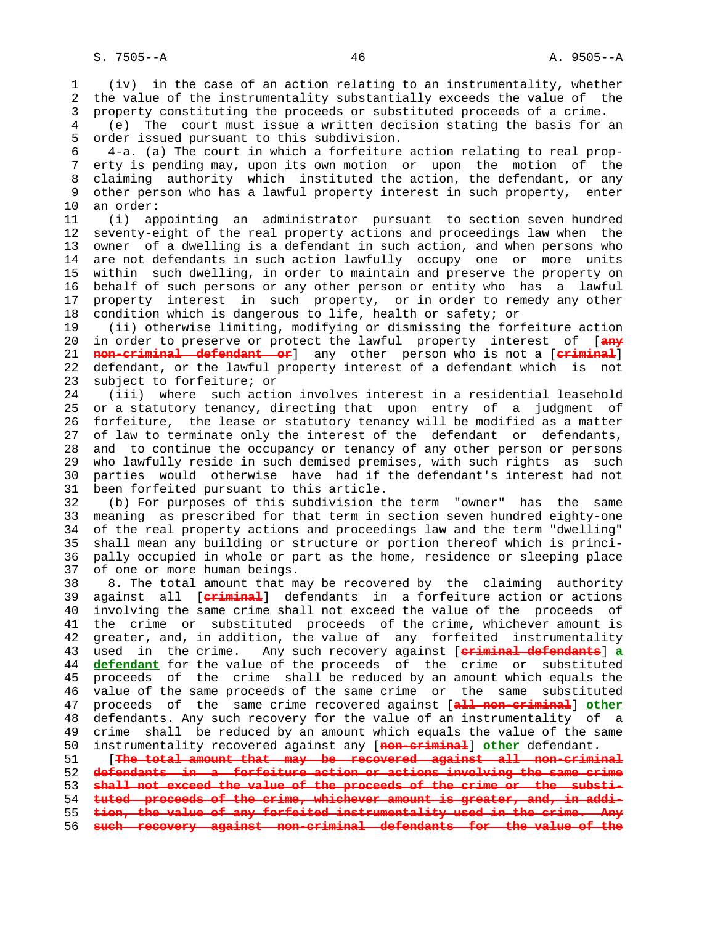1 (iv) in the case of an action relating to an instrumentality, whether 2 the value of the instrumentality substantially exceeds the value of the 3 property constituting the proceeds or substituted proceeds of a crime.

 4 (e) The court must issue a written decision stating the basis for an 5 order issued pursuant to this subdivision.

 6 4-a. (a) The court in which a forfeiture action relating to real prop- 7 erty is pending may, upon its own motion or upon the motion of the 8 claiming authority which instituted the action, the defendant, or any<br>9 other person who has a lawful property interest in such property, enter other person who has a lawful property interest in such property, enter 10 an order:

 11 (i) appointing an administrator pursuant to section seven hundred 12 seventy-eight of the real property actions and proceedings law when the 13 owner of a dwelling is a defendant in such action, and when persons who 14 are not defendants in such action lawfully occupy one or more units 15 within such dwelling, in order to maintain and preserve the property on 16 behalf of such persons or any other person or entity who has a lawful 17 property interest in such property, or in order to remedy any other 18 condition which is dangerous to life, health or safety; or

 19 (ii) otherwise limiting, modifying or dismissing the forfeiture action 20 in order to preserve or protect the lawful property interest of [**any** 21 **non-criminal defendant or**] any other person who is not a [**criminal**] 22 defendant, or the lawful property interest of a defendant which is not 23 subject to forfeiture; or

 24 (iii) where such action involves interest in a residential leasehold 25 or a statutory tenancy, directing that upon entry of a judgment of 26 forfeiture, the lease or statutory tenancy will be modified as a matter 27 of law to terminate only the interest of the defendant or defendants, 28 and to continue the occupancy or tenancy of any other person or persons 29 who lawfully reside in such demised premises, with such rights as such 30 parties would otherwise have had if the defendant's interest had not 31 been forfeited pursuant to this article.

 32 (b) For purposes of this subdivision the term "owner" has the same 33 meaning as prescribed for that term in section seven hundred eighty-one 34 of the real property actions and proceedings law and the term "dwelling" 35 shall mean any building or structure or portion thereof which is princi- 36 pally occupied in whole or part as the home, residence or sleeping place 37 of one or more human beings.

 38 8. The total amount that may be recovered by the claiming authority 39 against all [**criminal**] defendants in a forfeiture action or actions 40 involving the same crime shall not exceed the value of the proceeds of 41 the crime or substituted proceeds of the crime, whichever amount is 42 greater, and, in addition, the value of any forfeited instrumentality 43 used in the crime. Any such recovery against [**criminal defendants**] **a** 44 **defendant** for the value of the proceeds of the crime or substituted 45 proceeds of the crime shall be reduced by an amount which equals the 46 value of the same proceeds of the same crime or the same substituted 47 proceeds of the same crime recovered against [**all non-criminal**] **other** 48 defendants. Any such recovery for the value of an instrumentality of a 49 crime shall be reduced by an amount which equals the value of the same 50 instrumentality recovered against any [**non-criminal**] **other** defendant.

 51 [**The total amount that may be recovered against all non-criminal defendants in a forfeiture action or actions involving the same crime shall not exceed the value of the proceeds of the crime or the substi- tuted proceeds of the crime, whichever amount is greater, and, in addi- tion, the value of any forfeited instrumentality used in the crime. Any such recovery against non-criminal defendants for the value of the**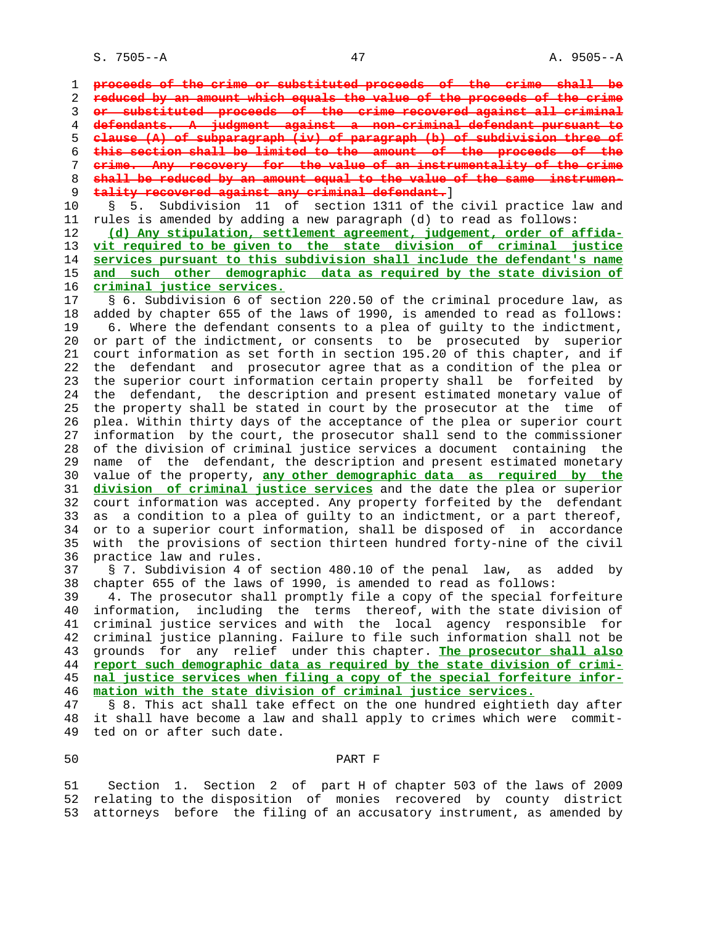1 **proceeds of the crime or substituted proceeds of the crime shall be** 2 **reduced by an amount which equals the value of the proceeds of the crime** 3 **or substituted proceeds of the crime recovered against all criminal** 4 **defendants. A judgment against a non-criminal defendant pursuant to** 5 **clause (A) of subparagraph (iv) of paragraph (b) of subdivision three of** 6 **this section shall be limited to the amount of the proceeds of the** 7 **crime. Any recovery for the value of an instrumentality of the crime** 8 **shall be reduced by an amount equal to the value of the same instrumen-** 9 **tality recovered against any criminal defendant.**] 10 § 5. Subdivision 11 of section 1311 of the civil practice law and 11 rules is amended by adding a new paragraph (d) to read as follows: 12 **(d) Any stipulation, settlement agreement, judgement, order of affida-** 13 **vit required to be given to the state division of criminal justice** 14 **services pursuant to this subdivision shall include the defendant's name** 15 **and such other demographic data as required by the state division of** 16 **criminal justice services.** 17 § 6. Subdivision 6 of section 220.50 of the criminal procedure law, as 18 added by chapter 655 of the laws of 1990, is amended to read as follows: 19 6. Where the defendant consents to a plea of guilty to the indictment, 20 or part of the indictment, or consents to be prosecuted by superior 21 court information as set forth in section 195.20 of this chapter, and if 22 the defendant and prosecutor agree that as a condition of the plea or 23 the superior court information certain property shall be forfeited by 24 the defendant, the description and present estimated monetary value of 25 the property shall be stated in court by the prosecutor at the time of 26 plea. Within thirty days of the acceptance of the plea or superior court 27 information by the court, the prosecutor shall send to the commissioner 28 of the division of criminal justice services a document containing the 29 name of the defendant, the description and present estimated monetary 30 value of the property, **any other demographic data as required by the** 31 **division of criminal justice services** and the date the plea or superior 32 court information was accepted. Any property forfeited by the defendant 33 as a condition to a plea of guilty to an indictment, or a part thereof, 34 or to a superior court information, shall be disposed of in accordance 35 with the provisions of section thirteen hundred forty-nine of the civil 36 practice law and rules. 37 § 7. Subdivision 4 of section 480.10 of the penal law, as added by 38 chapter 655 of the laws of 1990, is amended to read as follows: 39 4. The prosecutor shall promptly file a copy of the special forfeiture 40 information, including the terms thereof, with the state division of 41 criminal justice services and with the local agency responsible for 42 criminal justice planning. Failure to file such information shall not be 43 grounds for any relief under this chapter. **The prosecutor shall also** 44 **report such demographic data as required by the state division of crimi-** 45 **nal justice services when filing a copy of the special forfeiture infor-** 46 **mation with the state division of criminal justice services.** 47 § 8. This act shall take effect on the one hundred eightieth day after 48 it shall have become a law and shall apply to crimes which were commit- 49 ted on or after such date.

## 50 PART F

 51 Section 1. Section 2 of part H of chapter 503 of the laws of 2009 52 relating to the disposition of monies recovered by county district 53 attorneys before the filing of an accusatory instrument, as amended by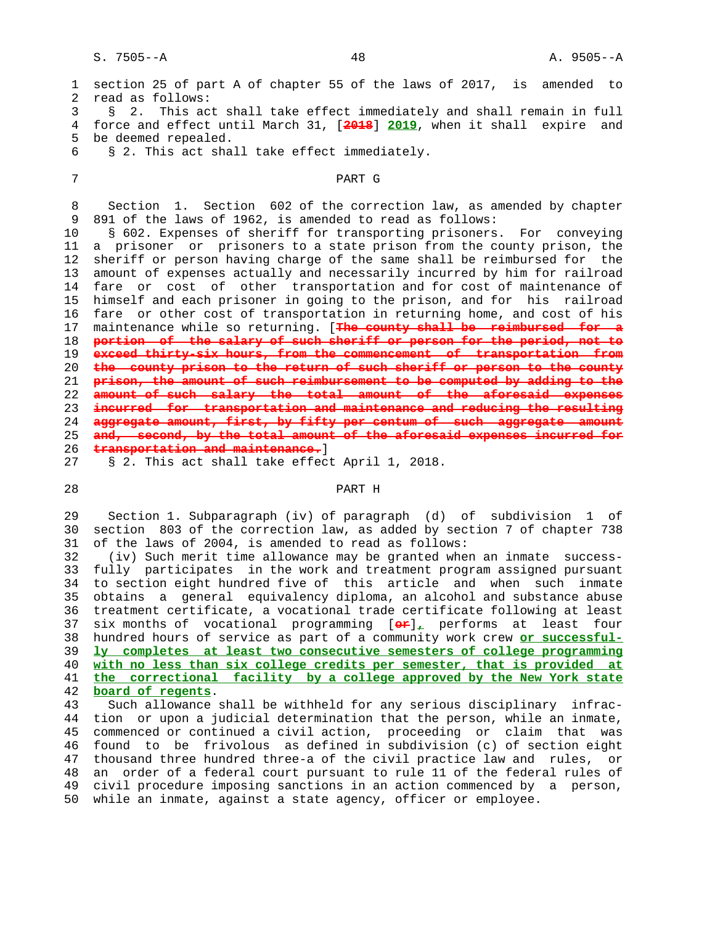1 section 25 of part A of chapter 55 of the laws of 2017, is amended to 2 read as follows: 3 § 2. This act shall take effect immediately and shall remain in full 4 force and effect until March 31, [**2018**] **2019**, when it shall expire and 5 be deemed repealed. 6 § 2. This act shall take effect immediately. 7 PART G 8 Section 1. Section 602 of the correction law, as amended by chapter 9 891 of the laws of 1962, is amended to read as follows: 10 § 602. Expenses of sheriff for transporting prisoners. For conveying 11 a prisoner or prisoners to a state prison from the county prison, the 12 sheriff or person having charge of the same shall be reimbursed for the 13 amount of expenses actually and necessarily incurred by him for railroad 14 fare or cost of other transportation and for cost of maintenance of 15 himself and each prisoner in going to the prison, and for his railroad 16 fare or other cost of transportation in returning home, and cost of his 17 maintenance while so returning. [**The county shall be reimbursed for a** 18 **portion of the salary of such sheriff or person for the period, not to** 19 **exceed thirty-six hours, from the commencement of transportation from** 20 **the county prison to the return of such sheriff or person to the county** 21 **prison, the amount of such reimbursement to be computed by adding to the** 22 **amount of such salary the total amount of the aforesaid expenses** 23 **incurred for transportation and maintenance and reducing the resulting** 24 **aggregate amount, first, by fifty per centum of such aggregate amount** 25 **and, second, by the total amount of the aforesaid expenses incurred for**

26 **transportation and maintenance.**]

27 § 2. This act shall take effect April 1, 2018.

## 28 PART H

 29 Section 1. Subparagraph (iv) of paragraph (d) of subdivision 1 of 30 section 803 of the correction law, as added by section 7 of chapter 738 31 of the laws of 2004, is amended to read as follows:

 32 (iv) Such merit time allowance may be granted when an inmate success- 33 fully participates in the work and treatment program assigned pursuant 34 to section eight hundred five of this article and when such inmate 35 obtains a general equivalency diploma, an alcohol and substance abuse 36 treatment certificate, a vocational trade certificate following at least 37 six months of vocational programming [**or**]**,** performs at least four 38 hundred hours of service as part of a community work crew **or successful-** 39 **ly completes at least two consecutive semesters of college programming** 40 **with no less than six college credits per semester, that is provided at** 41 **the correctional facility by a college approved by the New York state** 42 **board of regents**.

 43 Such allowance shall be withheld for any serious disciplinary infrac- 44 tion or upon a judicial determination that the person, while an inmate, 45 commenced or continued a civil action, proceeding or claim that was 46 found to be frivolous as defined in subdivision (c) of section eight 47 thousand three hundred three-a of the civil practice law and rules, or 48 an order of a federal court pursuant to rule 11 of the federal rules of 49 civil procedure imposing sanctions in an action commenced by a person, 50 while an inmate, against a state agency, officer or employee.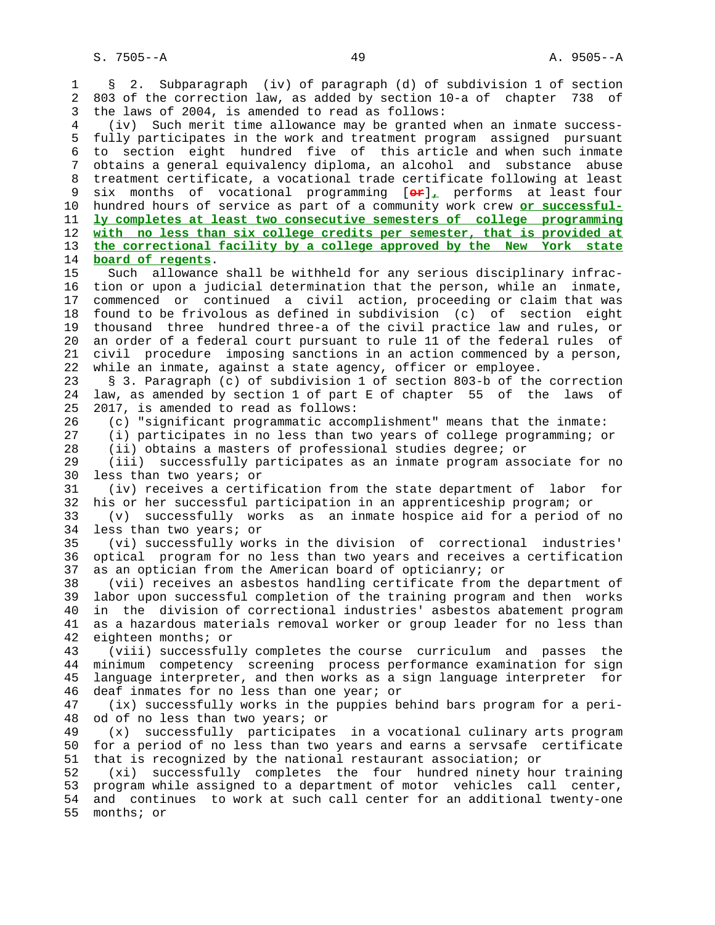1 § 2. Subparagraph (iv) of paragraph (d) of subdivision 1 of section 2 803 of the correction law, as added by section 10-a of chapter 738 of 3 the laws of 2004, is amended to read as follows: 4 (iv) Such merit time allowance may be granted when an inmate success- 5 fully participates in the work and treatment program assigned pursuant 6 to section eight hundred five of this article and when such inmate 7 obtains a general equivalency diploma, an alcohol and substance abuse 8 treatment certificate, a vocational trade certificate following at least 9 six months of vocational programming [**or**]**,** performs at least four 10 hundred hours of service as part of a community work crew **or successful-** 11 **ly completes at least two consecutive semesters of college programming** 12 **with no less than six college credits per semester, that is provided at** 13 **the correctional facility by a college approved by the New York state** 14 **board of regents**. 15 Such allowance shall be withheld for any serious disciplinary infrac- 16 tion or upon a judicial determination that the person, while an inmate, 17 commenced or continued a civil action, proceeding or claim that was 18 found to be frivolous as defined in subdivision (c) of section eight 19 thousand three hundred three-a of the civil practice law and rules, or 20 an order of a federal court pursuant to rule 11 of the federal rules of 21 civil procedure imposing sanctions in an action commenced by a person, 22 while an inmate, against a state agency, officer or employee. 23 § 3. Paragraph (c) of subdivision 1 of section 803-b of the correction 24 law, as amended by section 1 of part E of chapter 55 of the laws of 25 2017, is amended to read as follows: 26 (c) "significant programmatic accomplishment" means that the inmate: 27 (i) participates in no less than two years of college programming; or 28 (ii) obtains a masters of professional studies degree; or 29 (iii) successfully participates as an inmate program associate for no 30 less than two years; or 31 (iv) receives a certification from the state department of labor for 32 his or her successful participation in an apprenticeship program; or 33 (v) successfully works as an inmate hospice aid for a period of no 34 less than two years; or 35 (vi) successfully works in the division of correctional industries' 36 optical program for no less than two years and receives a certification 37 as an optician from the American board of opticianry; or 38 (vii) receives an asbestos handling certificate from the department of 39 labor upon successful completion of the training program and then works 40 in the division of correctional industries' asbestos abatement program 41 as a hazardous materials removal worker or group leader for no less than 42 eighteen months; or 43 (viii) successfully completes the course curriculum and passes the 44 minimum competency screening process performance examination for sign 45 language interpreter, and then works as a sign language interpreter for 46 deaf inmates for no less than one year; or 47 (ix) successfully works in the puppies behind bars program for a peri- 48 od of no less than two years; or 49 (x) successfully participates in a vocational culinary arts program 50 for a period of no less than two years and earns a servsafe certificate 51 that is recognized by the national restaurant association; or 52 (xi) successfully completes the four hundred ninety hour training 53 program while assigned to a department of motor vehicles call center, 54 and continues to work at such call center for an additional twenty-one 55 months; or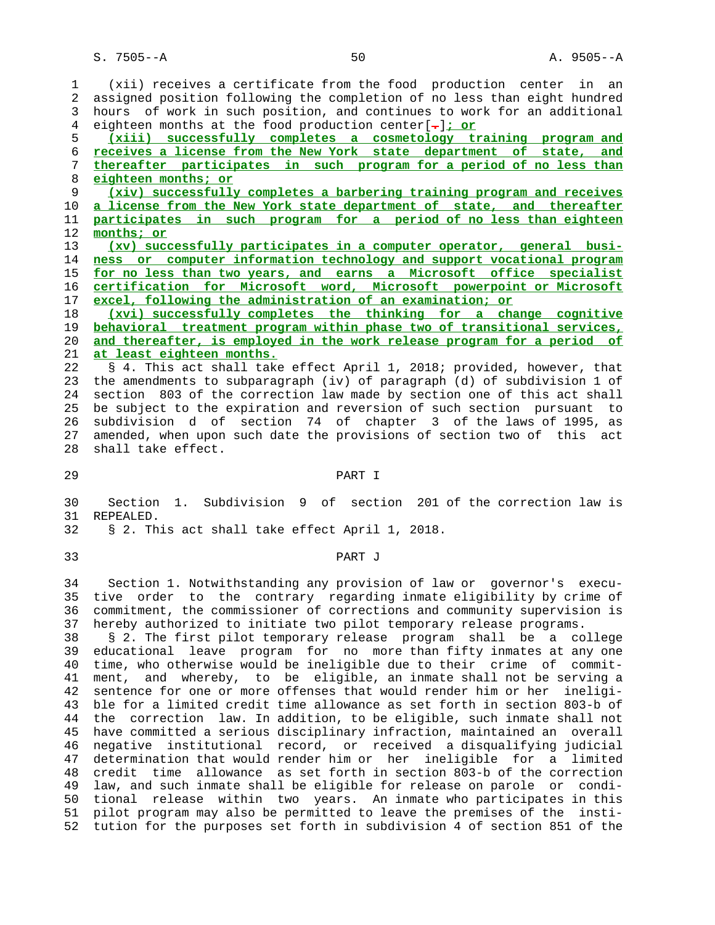S. 7505--A 50 A. 9505--A

 1 (xii) receives a certificate from the food production center in an 2 assigned position following the completion of no less than eight hundred 3 hours of work in such position, and continues to work for an additional 4 eighteen months at the food production center[**.**]**; or** 5 **(xiii) successfully completes a cosmetology training program and** 6 **receives a license from the New York state department of state, and** 7 **thereafter participates in such program for a period of no less than** 8 **eighteen months; or** 9 **(xiv) successfully completes a barbering training program and receives** 10 **a license from the New York state department of state, and thereafter** 11 **participates in such program for a period of no less than eighteen** 12 **months; or** 13 **(xv) successfully participates in a computer operator, general busi-** 14 **ness or computer information technology and support vocational program** 15 **for no less than two years, and earns a Microsoft office specialist** 16 **certification for Microsoft word, Microsoft powerpoint or Microsoft** 17 **excel, following the administration of an examination; or** 18 **(xvi) successfully completes the thinking for a change cognitive** 19 **behavioral treatment program within phase two of transitional services,** 20 **and thereafter, is employed in the work release program for a period of** 21 **at least eighteen months.** 22 § 4. This act shall take effect April 1, 2018; provided, however, that 23 the amendments to subparagraph (iv) of paragraph (d) of subdivision 1 of 24 section 803 of the correction law made by section one of this act shall 25 be subject to the expiration and reversion of such section pursuant to 26 subdivision d of section 74 of chapter 3 of the laws of 1995, as 27 amended, when upon such date the provisions of section two of this act 28 shall take effect. 29 PART I 30 Section 1. Subdivision 9 of section 201 of the correction law is 31 REPEALED. 32 § 2. This act shall take effect April 1, 2018.

33 PART J

 34 Section 1. Notwithstanding any provision of law or governor's execu- 35 tive order to the contrary regarding inmate eligibility by crime of 36 commitment, the commissioner of corrections and community supervision is 37 hereby authorized to initiate two pilot temporary release programs.

 38 § 2. The first pilot temporary release program shall be a college 39 educational leave program for no more than fifty inmates at any one 40 time, who otherwise would be ineligible due to their crime of commit- 41 ment, and whereby, to be eligible, an inmate shall not be serving a 42 sentence for one or more offenses that would render him or her ineligi- 43 ble for a limited credit time allowance as set forth in section 803-b of 44 the correction law. In addition, to be eligible, such inmate shall not 45 have committed a serious disciplinary infraction, maintained an overall 46 negative institutional record, or received a disqualifying judicial 47 determination that would render him or her ineligible for a limited 48 credit time allowance as set forth in section 803-b of the correction 49 law, and such inmate shall be eligible for release on parole or condi- 50 tional release within two years. An inmate who participates in this 51 pilot program may also be permitted to leave the premises of the insti- 52 tution for the purposes set forth in subdivision 4 of section 851 of the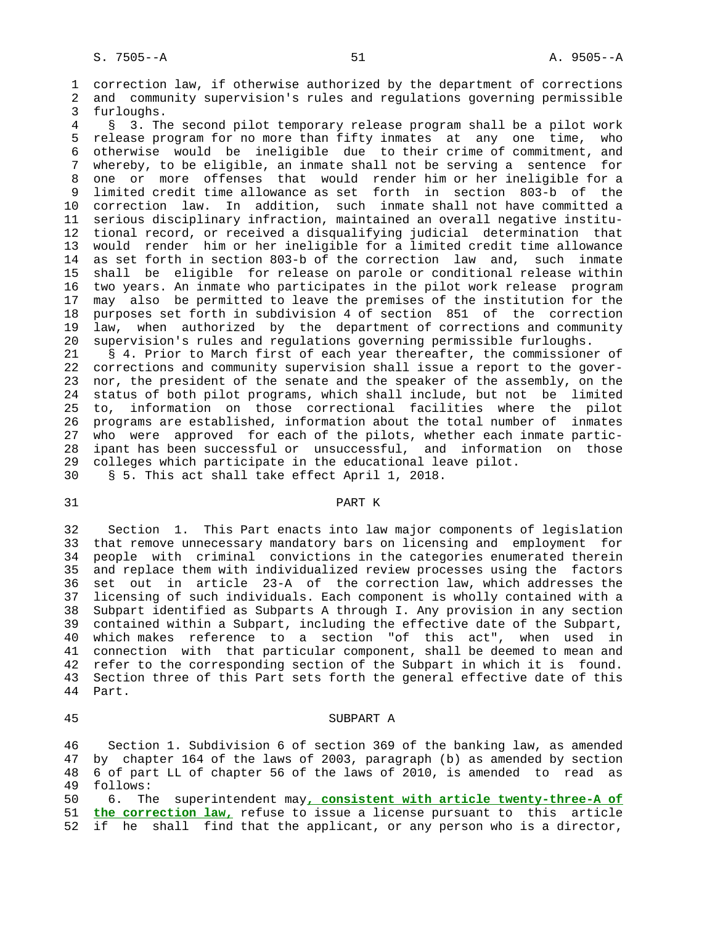1 correction law, if otherwise authorized by the department of corrections 2 and community supervision's rules and regulations governing permissible 3 furloughs.

 4 § 3. The second pilot temporary release program shall be a pilot work 5 release program for no more than fifty inmates at any one time, who 6 otherwise would be ineligible due to their crime of commitment, and 7 whereby, to be eligible, an inmate shall not be serving a sentence for 8 one or more offenses that would render him or her ineligible for a<br>9 limited credit time allowance as set forth in section 803-b of the limited credit time allowance as set forth in section 803-b of the 10 correction law. In addition, such inmate shall not have committed a 11 serious disciplinary infraction, maintained an overall negative institu- 12 tional record, or received a disqualifying judicial determination that 13 would render him or her ineligible for a limited credit time allowance 14 as set forth in section 803-b of the correction law and, such inmate 15 shall be eligible for release on parole or conditional release within 16 two years. An inmate who participates in the pilot work release program 17 may also be permitted to leave the premises of the institution for the 18 purposes set forth in subdivision 4 of section 851 of the correction 19 law, when authorized by the department of corrections and community 20 supervision's rules and regulations governing permissible furloughs.

 21 § 4. Prior to March first of each year thereafter, the commissioner of 22 corrections and community supervision shall issue a report to the gover- 23 nor, the president of the senate and the speaker of the assembly, on the 24 status of both pilot programs, which shall include, but not be limited 25 to, information on those correctional facilities where the pilot 26 programs are established, information about the total number of inmates 27 who were approved for each of the pilots, whether each inmate partic- 28 ipant has been successful or unsuccessful, and information on those 29 colleges which participate in the educational leave pilot. 30 § 5. This act shall take effect April 1, 2018.

# 31 PART K

 32 Section 1. This Part enacts into law major components of legislation 33 that remove unnecessary mandatory bars on licensing and employment for 34 people with criminal convictions in the categories enumerated therein 35 and replace them with individualized review processes using the factors 36 set out in article 23-A of the correction law, which addresses the 37 licensing of such individuals. Each component is wholly contained with a 38 Subpart identified as Subparts A through I. Any provision in any section 39 contained within a Subpart, including the effective date of the Subpart, 40 which makes reference to a section "of this act", when used in 41 connection with that particular component, shall be deemed to mean and 42 refer to the corresponding section of the Subpart in which it is found. 43 Section three of this Part sets forth the general effective date of this 44 Part.

## 45 SUBPART A

 46 Section 1. Subdivision 6 of section 369 of the banking law, as amended 47 by chapter 164 of the laws of 2003, paragraph (b) as amended by section 48 6 of part LL of chapter 56 of the laws of 2010, is amended to read as 49 follows:

 50 6. The superintendent may**, consistent with article twenty-three-A of** 51 **the correction law,** refuse to issue a license pursuant to this article 52 if he shall find that the applicant, or any person who is a director,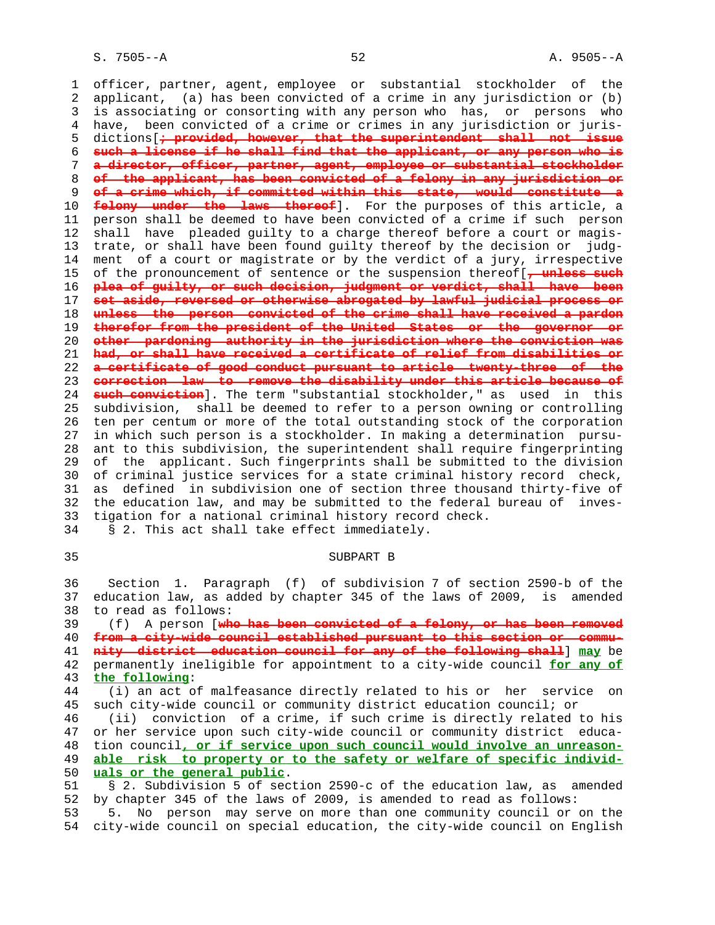1 officer, partner, agent, employee or substantial stockholder of the 2 applicant, (a) has been convicted of a crime in any jurisdiction or (b) 3 is associating or consorting with any person who has, or persons who 4 have, been convicted of a crime or crimes in any jurisdiction or juris- 5 dictions[**; provided, however, that the superintendent shall not issue** 6 **such a license if he shall find that the applicant, or any person who is** 7 **a director, officer, partner, agent, employee or substantial stockholder** 8 **of the applicant, has been convicted of a felony in any jurisdiction or** 9 **of a crime which, if committed within this state, would constitute a** 10 **felony under the laws thereof**]. For the purposes of this article, a 11 person shall be deemed to have been convicted of a crime if such person 12 shall have pleaded guilty to a charge thereof before a court or magis- 13 trate, or shall have been found guilty thereof by the decision or judg- 14 ment of a court or magistrate or by the verdict of a jury, irrespective 15 of the pronouncement of sentence or the suspension thereof[**, unless such** 16 **plea of guilty, or such decision, judgment or verdict, shall have been** 17 **set aside, reversed or otherwise abrogated by lawful judicial process or** 18 **unless the person convicted of the crime shall have received a pardon** 19 **therefor from the president of the United States or the governor or** 20 **other pardoning authority in the jurisdiction where the conviction was** 21 **had, or shall have received a certificate of relief from disabilities or** 22 **a certificate of good conduct pursuant to article twenty-three of the** 23 **correction law to remove the disability under this article because of** 24 **such conviction**]. The term "substantial stockholder," as used in this 25 subdivision, shall be deemed to refer to a person owning or controlling 26 ten per centum or more of the total outstanding stock of the corporation 27 in which such person is a stockholder. In making a determination pursu- 28 ant to this subdivision, the superintendent shall require fingerprinting 29 of the applicant. Such fingerprints shall be submitted to the division 30 of criminal justice services for a state criminal history record check, 31 as defined in subdivision one of section three thousand thirty-five of 32 the education law, and may be submitted to the federal bureau of inves- 33 tigation for a national criminal history record check. 34 § 2. This act shall take effect immediately.

## 35 SUBPART B

 36 Section 1. Paragraph (f) of subdivision 7 of section 2590-b of the 37 education law, as added by chapter 345 of the laws of 2009, is amended 38 to read as follows:

 39 (f) A person [**who has been convicted of a felony, or has been removed** 40 **from a city-wide council established pursuant to this section or commu-** 41 **nity district education council for any of the following shall**] **may** be 42 permanently ineligible for appointment to a city-wide council **for any of** 43 **the following**:

 44 (i) an act of malfeasance directly related to his or her service on 45 such city-wide council or community district education council; or

 46 (ii) conviction of a crime, if such crime is directly related to his 47 or her service upon such city-wide council or community district educa- 48 tion council**, or if service upon such council would involve an unreason-** 49 **able risk to property or to the safety or welfare of specific individ-** 50 **uals or the general public**.

 51 § 2. Subdivision 5 of section 2590-c of the education law, as amended 52 by chapter 345 of the laws of 2009, is amended to read as follows:

 53 5. No person may serve on more than one community council or on the 54 city-wide council on special education, the city-wide council on English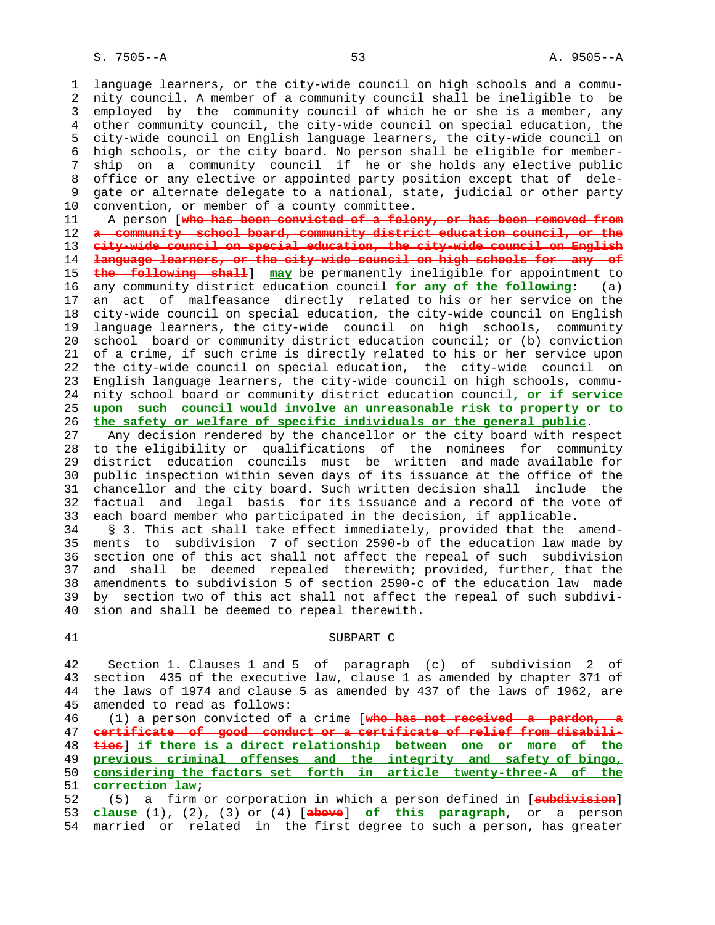1 language learners, or the city-wide council on high schools and a commu- 2 nity council. A member of a community council shall be ineligible to be 3 employed by the community council of which he or she is a member, any 4 other community council, the city-wide council on special education, the 5 city-wide council on English language learners, the city-wide council on 6 high schools, or the city board. No person shall be eligible for member- 7 ship on a community council if he or she holds any elective public 8 office or any elective or appointed party position except that of dele-<br>9 gate or alternate delegate to a national, state, judicial or other party 9 gate or alternate delegate to a national, state, judicial or other party 10 convention, or member of a county committee.

 11 A person [**who has been convicted of a felony, or has been removed from** 12 **a community school board, community district education council, or the** 13 **city-wide council on special education, the city-wide council on English** 14 **language learners, or the city-wide council on high schools for any of** 15 **the following shall**] **may** be permanently ineligible for appointment to 16 any community district education council **for any of the following**: (a) 17 an act of malfeasance directly related to his or her service on the 18 city-wide council on special education, the city-wide council on English 19 language learners, the city-wide council on high schools, community 20 school board or community district education council; or (b) conviction 21 of a crime, if such crime is directly related to his or her service upon 22 the city-wide council on special education, the city-wide council on 23 English language learners, the city-wide council on high schools, commu- 24 nity school board or community district education council**, or if service** 25 **upon such council would involve an unreasonable risk to property or to** 26 **the safety or welfare of specific individuals or the general public**.

 27 Any decision rendered by the chancellor or the city board with respect 28 to the eligibility or qualifications of the nominees for community 29 district education councils must be written and made available for 30 public inspection within seven days of its issuance at the office of the 31 chancellor and the city board. Such written decision shall include the 32 factual and legal basis for its issuance and a record of the vote of 33 each board member who participated in the decision, if applicable.

 34 § 3. This act shall take effect immediately, provided that the amend- 35 ments to subdivision 7 of section 2590-b of the education law made by 36 section one of this act shall not affect the repeal of such subdivision 37 and shall be deemed repealed therewith; provided, further, that the 38 amendments to subdivision 5 of section 2590-c of the education law made 39 by section two of this act shall not affect the repeal of such subdivi- 40 sion and shall be deemed to repeal therewith.

#### 41 SUBPART C

 42 Section 1. Clauses 1 and 5 of paragraph (c) of subdivision 2 of 43 section 435 of the executive law, clause 1 as amended by chapter 371 of 44 the laws of 1974 and clause 5 as amended by 437 of the laws of 1962, are 45 amended to read as follows:

 46 (1) a person convicted of a crime [**who has not received a pardon, a certificate of good conduct or a certificate of relief from disabili- ties**] **if there is a direct relationship between one or more of the previous criminal offenses and the integrity and safety of bingo, considering the factors set forth in article twenty-three-A of the correction law**;

 52 (5) a firm or corporation in which a person defined in [**subdivision**] 53 **clause** (1), (2), (3) or (4) [**above**] **of this paragraph**, or a person 54 married or related in the first degree to such a person, has greater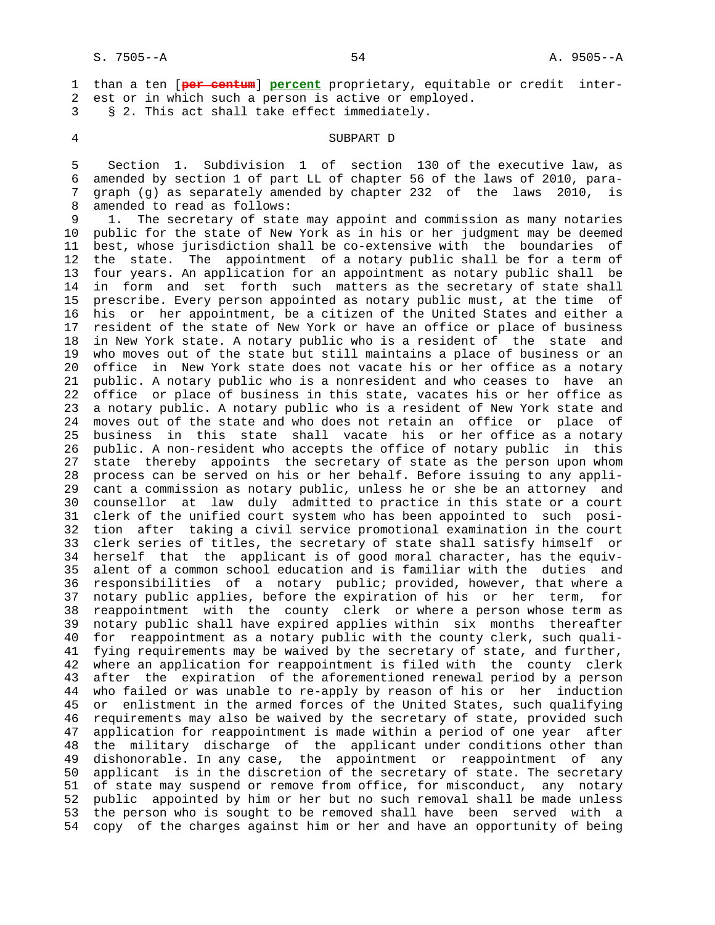1 than a ten [**per centum**] **percent** proprietary, equitable or credit inter- 2 est or in which such a person is active or employed.

3 § 2. This act shall take effect immediately.

## 4 SUBPART D

 5 Section 1. Subdivision 1 of section 130 of the executive law, as 6 amended by section 1 of part LL of chapter 56 of the laws of 2010, para graph (g) as separately amended by chapter 232 of the laws 2010, is 8 amended to read as follows:

 9 1. The secretary of state may appoint and commission as many notaries 10 public for the state of New York as in his or her judgment may be deemed 11 best, whose jurisdiction shall be co-extensive with the boundaries of 12 the state. The appointment of a notary public shall be for a term of 13 four years. An application for an appointment as notary public shall be 14 in form and set forth such matters as the secretary of state shall 15 prescribe. Every person appointed as notary public must, at the time of 16 his or her appointment, be a citizen of the United States and either a 17 resident of the state of New York or have an office or place of business 18 in New York state. A notary public who is a resident of the state and 19 who moves out of the state but still maintains a place of business or an 20 office in New York state does not vacate his or her office as a notary 21 public. A notary public who is a nonresident and who ceases to have an 22 office or place of business in this state, vacates his or her office as 23 a notary public. A notary public who is a resident of New York state and 24 moves out of the state and who does not retain an office or place of 25 business in this state shall vacate his or her office as a notary 26 public. A non-resident who accepts the office of notary public in this 27 state thereby appoints the secretary of state as the person upon whom 28 process can be served on his or her behalf. Before issuing to any appli- 29 cant a commission as notary public, unless he or she be an attorney and 30 counsellor at law duly admitted to practice in this state or a court 31 clerk of the unified court system who has been appointed to such posi- 32 tion after taking a civil service promotional examination in the court 33 clerk series of titles, the secretary of state shall satisfy himself or 34 herself that the applicant is of good moral character, has the equiv- 35 alent of a common school education and is familiar with the duties and 36 responsibilities of a notary public; provided, however, that where a 37 notary public applies, before the expiration of his or her term, for 38 reappointment with the county clerk or where a person whose term as 39 notary public shall have expired applies within six months thereafter 40 for reappointment as a notary public with the county clerk, such quali- 41 fying requirements may be waived by the secretary of state, and further, 42 where an application for reappointment is filed with the county clerk 43 after the expiration of the aforementioned renewal period by a person 44 who failed or was unable to re-apply by reason of his or her induction 45 or enlistment in the armed forces of the United States, such qualifying 46 requirements may also be waived by the secretary of state, provided such 47 application for reappointment is made within a period of one year after 48 the military discharge of the applicant under conditions other than 49 dishonorable. In any case, the appointment or reappointment of any 50 applicant is in the discretion of the secretary of state. The secretary 51 of state may suspend or remove from office, for misconduct, any notary 52 public appointed by him or her but no such removal shall be made unless 53 the person who is sought to be removed shall have been served with a 54 copy of the charges against him or her and have an opportunity of being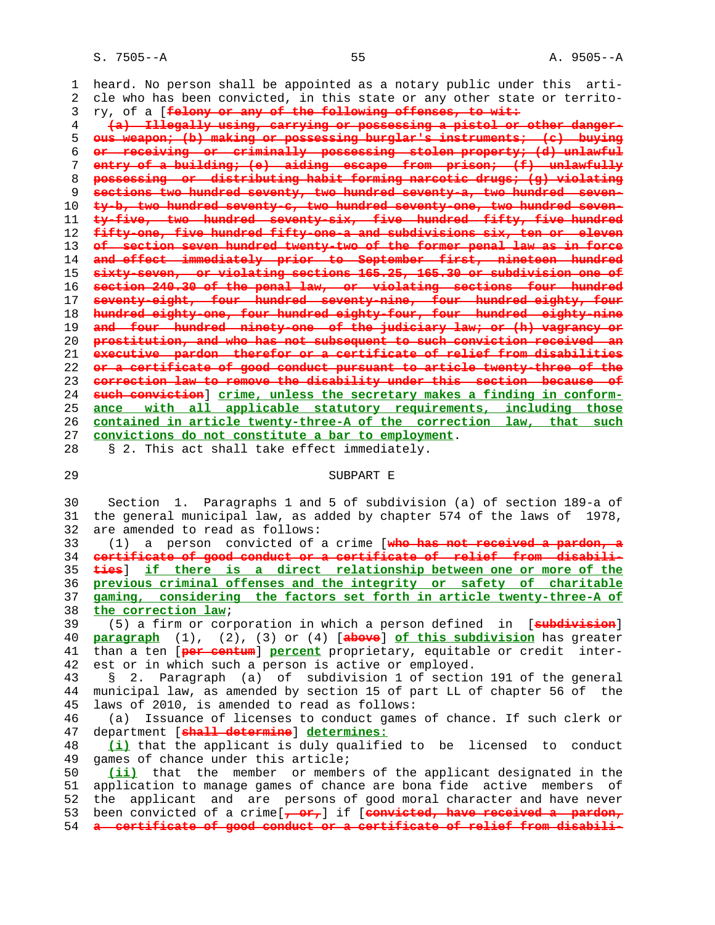S. 7505--A 55 A. 9505--A

 1 heard. No person shall be appointed as a notary public under this arti- 2 cle who has been convicted, in this state or any other state or territo- 3 ry, of a [**felony or any of the following offenses, to wit:**

**(a) Illegally using, carrying or possessing a pistol or other danger- ous weapon; (b) making or possessing burglar's instruments; (c) buying or receiving or criminally possessing stolen property; (d) unlawful entry of a building; (e) aiding escape from prison; (f) unlawfully possessing or distributing habit forming narcotic drugs; (g) violating sections two hundred seventy, two hundred seventy-a, two hundred seven- ty-b, two hundred seventy-c, two hundred seventy-one, two hundred seven- ty-five, two hundred seventy-six, five hundred fifty, five hundred fifty-one, five hundred fifty-one-a and subdivisions six, ten or eleven of section seven hundred twenty-two of the former penal law as in force and effect immediately prior to September first, nineteen hundred sixty-seven, or violating sections 165.25, 165.30 or subdivision one of section 240.30 of the penal law, or violating sections four hundred seventy-eight, four hundred seventy-nine, four hundred eighty, four hundred eighty-one, four hundred eighty-four, four hundred eighty-nine and four hundred ninety-one of the judiciary law; or (h) vagrancy or prostitution, and who has not subsequent to such conviction received an executive pardon therefor or a certificate of relief from disabilities or a certificate of good conduct pursuant to article twenty-three of the correction law to remove the disability under this section because of such conviction**] **crime, unless the secretary makes a finding in conform- ance with all applicable statutory requirements, including those contained in article twenty-three-A of the correction law, that such convictions do not constitute a bar to employment**.

28 § 2. This act shall take effect immediately.

## 29 SUBPART E

 30 Section 1. Paragraphs 1 and 5 of subdivision (a) of section 189-a of 31 the general municipal law, as added by chapter 574 of the laws of 1978, 32 are amended to read as follows:

 33 (1) a person convicted of a crime [**who has not received a pardon, a certificate of good conduct or a certificate of relief from disabili- ties**] **if there is a direct relationship between one or more of the previous criminal offenses and the integrity or safety of charitable gaming, considering the factors set forth in article twenty-three-A of the correction law**;

 39 (5) a firm or corporation in which a person defined in [**subdivision**] 40 **paragraph** (1), (2), (3) or (4) [**above**] **of this subdivision** has greater 41 than a ten [**per centum**] **percent** proprietary, equitable or credit inter- 42 est or in which such a person is active or employed.

 43 § 2. Paragraph (a) of subdivision 1 of section 191 of the general 44 municipal law, as amended by section 15 of part LL of chapter 56 of the 45 laws of 2010, is amended to read as follows:

46 (a) Issuance of licenses to conduct games of chance. If such clerk or<br>47 department [**shall determine**] determines: 47 department [**shall determine**] **determines:**

 48 **(i)** that the applicant is duly qualified to be licensed to conduct 49 games of chance under this article;

 50 **(ii)** that the member or members of the applicant designated in the 51 application to manage games of chance are bona fide active members of 52 the applicant and are persons of good moral character and have never 53 been convicted of a crime[**, or,**] if [**convicted, have received a pardon,** 54 **a certificate of good conduct or a certificate of relief from disabili-**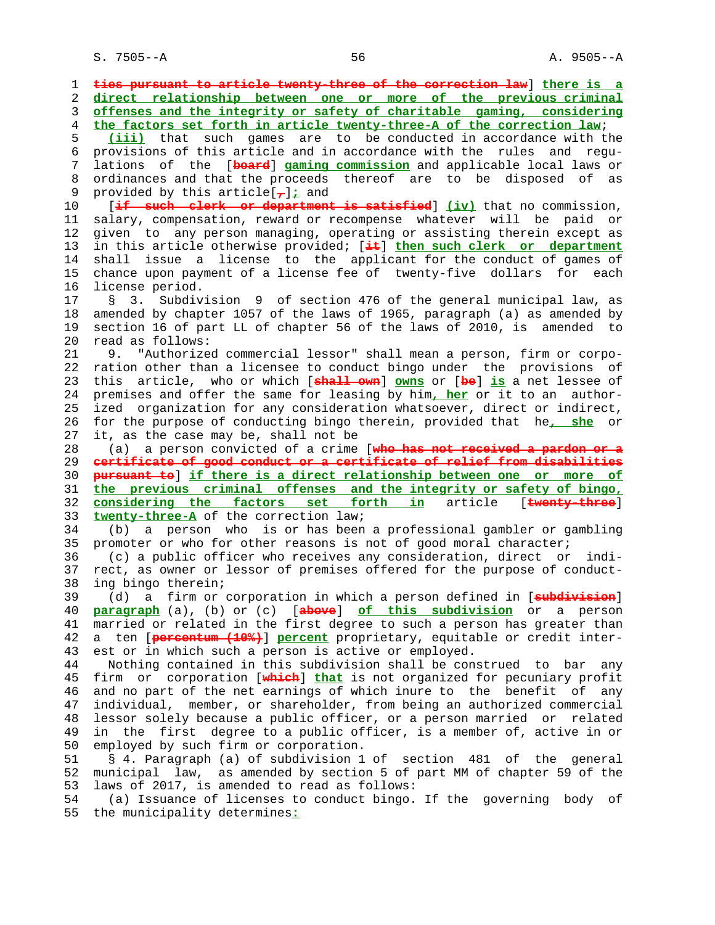S. 7505--A 56 A. 9505--A

 1 **ties pursuant to article twenty-three of the correction law**] **there is a** 2 **direct relationship between one or more of the previous criminal** 3 **offenses and the integrity or safety of charitable gaming, considering** 4 **the factors set forth in article twenty-three-A of the correction law**; 5 **(iii)** that such games are to be conducted in accordance with the 6 provisions of this article and in accordance with the rules and regu- 7 lations of the [**board**] **gaming commission** and applicable local laws or 8 ordinances and that the proceeds thereof are to be disposed of as<br>9 provided by this article [-]; and 9 provided by this article[**,**]**;** and 10 [**if such clerk or department is satisfied**] **(iv)** that no commission, 11 salary, compensation, reward or recompense whatever will be paid or 12 given to any person managing, operating or assisting therein except as 13 in this article otherwise provided; [**it**] **then such clerk or department** 14 shall issue a license to the applicant for the conduct of games of 15 chance upon payment of a license fee of twenty-five dollars for each 16 license period. 17 § 3. Subdivision 9 of section 476 of the general municipal law, as 18 amended by chapter 1057 of the laws of 1965, paragraph (a) as amended by 19 section 16 of part LL of chapter 56 of the laws of 2010, is amended to 20 read as follows: 21 9. "Authorized commercial lessor" shall mean a person, firm or corpo- 22 ration other than a licensee to conduct bingo under the provisions of 23 this article, who or which [**shall own**] **owns** or [**be**] **is** a net lessee of 24 premises and offer the same for leasing by him**, her** or it to an author- 25 ized organization for any consideration whatsoever, direct or indirect, 26 for the purpose of conducting bingo therein, provided that he**, she** or 27 it, as the case may be, shall not be 28 (a) a person convicted of a crime [**who has not received a pardon or a** 29 **certificate of good conduct or a certificate of relief from disabilities** 30 **pursuant to**] **if there is a direct relationship between one or more of** 31 **the previous criminal offenses and the integrity or safety of bingo,** 32 **considering the factors set forth in** article [**twenty-three**] 33 **twenty-three-A** of the correction law; 34 (b) a person who is or has been a professional gambler or gambling 35 promoter or who for other reasons is not of good moral character; 36 (c) a public officer who receives any consideration, direct or indi- 37 rect, as owner or lessor of premises offered for the purpose of conduct- 38 ing bingo therein; 39 (d) a firm or corporation in which a person defined in [**subdivision**] 40 **paragraph** (a), (b) or (c) [**above**] **of this subdivision** or a person 41 married or related in the first degree to such a person has greater than 42 a ten [**percentum (10%)**] **percent** proprietary, equitable or credit inter- 43 est or in which such a person is active or employed. 44 Nothing contained in this subdivision shall be construed to bar any 45 firm or corporation [**which**] **that** is not organized for pecuniary profit 46 and no part of the net earnings of which inure to the benefit of any 47 individual, member, or shareholder, from being an authorized commercial 48 lessor solely because a public officer, or a person married or related 49 in the first degree to a public officer, is a member of, active in or 50 employed by such firm or corporation. 51 § 4. Paragraph (a) of subdivision 1 of section 481 of the general 52 municipal law, as amended by section 5 of part MM of chapter 59 of the 53 laws of 2017, is amended to read as follows: 54 (a) Issuance of licenses to conduct bingo. If the governing body of

55 the municipality determines**:**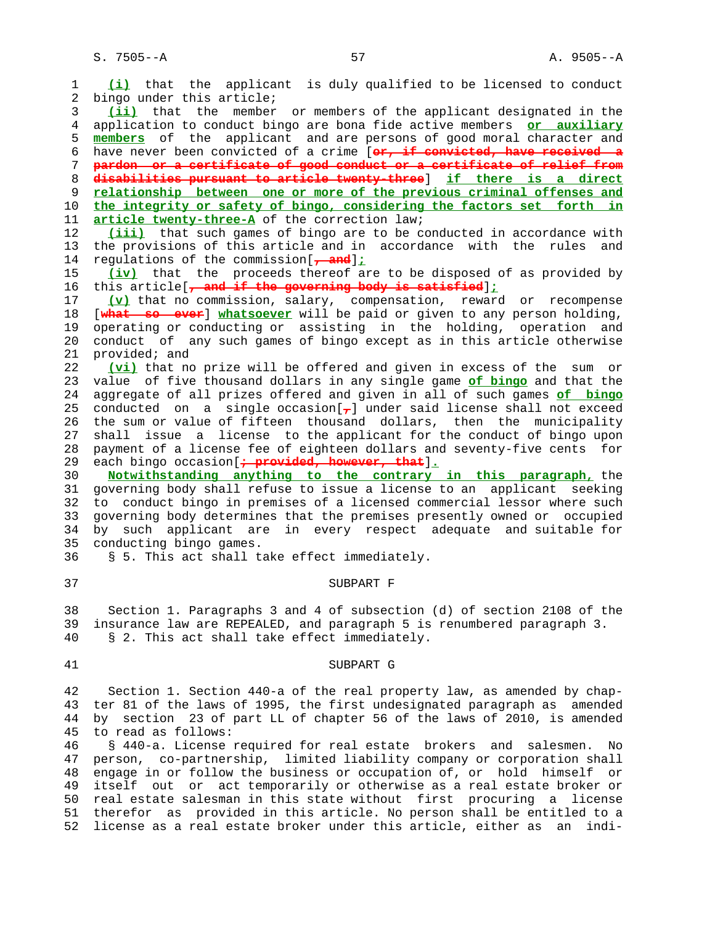1 **(i)** that the applicant is duly qualified to be licensed to conduct 2 bingo under this article; 3 **(ii)** that the member or members of the applicant designated in the 4 application to conduct bingo are bona fide active members **or auxiliary** 5 **members** of the applicant and are persons of good moral character and 6 have never been convicted of a crime [**or, if convicted, have received a** 7 **pardon or a certificate of good conduct or a certificate of relief from** 8 **disabilities pursuant to article twenty-three**] **if there is a direct** 9 **relationship between one or more of the previous criminal offenses and** 10 **the integrity or safety of bingo, considering the factors set forth in** 11 **article twenty-three-A** of the correction law; 12 **(iii)** that such games of bingo are to be conducted in accordance with 13 the provisions of this article and in accordance with the rules and 14 regulations of the commission[**, and**]**;** 15 **(iv)** that the proceeds thereof are to be disposed of as provided by 16 this article[**, and if the governing body is satisfied**]**;** 17 **(v)** that no commission, salary, compensation, reward or recompense 18 [**what so ever**] **whatsoever** will be paid or given to any person holding, 19 operating or conducting or assisting in the holding, operation and 20 conduct of any such games of bingo except as in this article otherwise 21 provided; and 22 **(vi)** that no prize will be offered and given in excess of the sum or 23 value of five thousand dollars in any single game **of bingo** and that the 24 aggregate of all prizes offered and given in all of such games **of bingo** 25 conducted on a single occasion[**,**] under said license shall not exceed 26 the sum or value of fifteen thousand dollars, then the municipality 27 shall issue a license to the applicant for the conduct of bingo upon 28 payment of a license fee of eighteen dollars and seventy-five cents for 29 each bingo occasion[**; provided, however, that**]**.** 30 **Notwithstanding anything to the contrary in this paragraph,** the 31 governing body shall refuse to issue a license to an applicant seeking 32 to conduct bingo in premises of a licensed commercial lessor where such 33 governing body determines that the premises presently owned or occupied 34 by such applicant are in every respect adequate and suitable for 35 conducting bingo games. 36 § 5. This act shall take effect immediately. 37 SUBPART F 38 Section 1. Paragraphs 3 and 4 of subsection (d) of section 2108 of the 39 insurance law are REPEALED, and paragraph 5 is renumbered paragraph 3. 40 § 2. This act shall take effect immediately. 41 SUBPART G 42 Section 1. Section 440-a of the real property law, as amended by chap- 43 ter 81 of the laws of 1995, the first undesignated paragraph as amended 44 by section 23 of part LL of chapter 56 of the laws of 2010, is amended 45 to read as follows: 46 § 440-a. License required for real estate brokers and salesmen. No 47 person, co-partnership, limited liability company or corporation shall 48 engage in or follow the business or occupation of, or hold himself or 49 itself out or act temporarily or otherwise as a real estate broker or 50 real estate salesman in this state without first procuring a license 51 therefor as provided in this article. No person shall be entitled to a 52 license as a real estate broker under this article, either as an indi-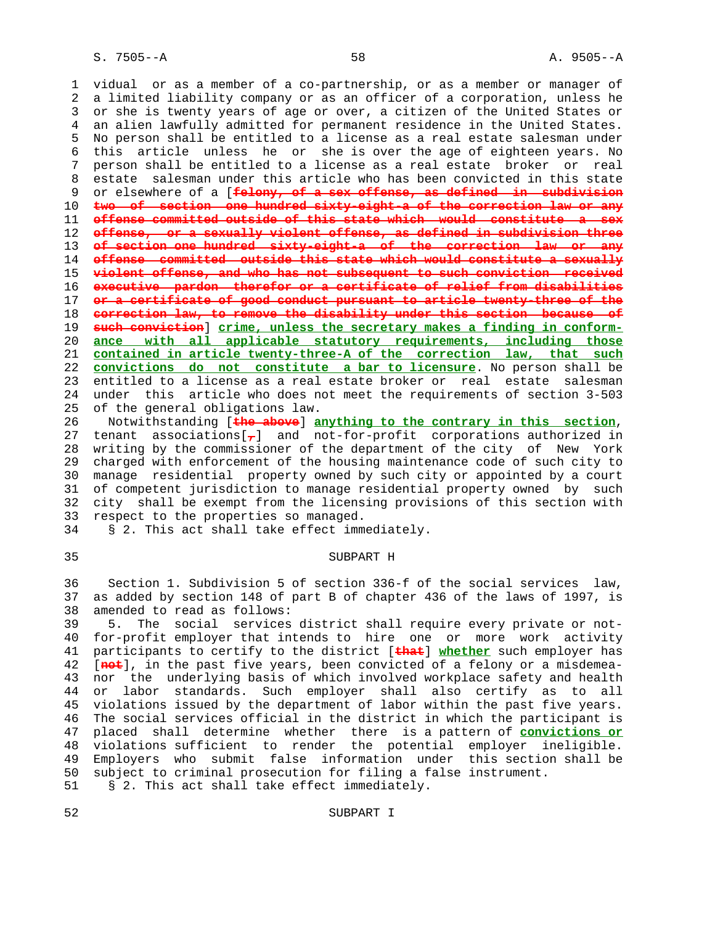1 vidual or as a member of a co-partnership, or as a member or manager of 2 a limited liability company or as an officer of a corporation, unless he 3 or she is twenty years of age or over, a citizen of the United States or 4 an alien lawfully admitted for permanent residence in the United States. 5 No person shall be entitled to a license as a real estate salesman under 6 this article unless he or she is over the age of eighteen years. No 7 person shall be entitled to a license as a real estate broker or real 8 estate salesman under this article who has been convicted in this state<br>8 or elsewhere of a [<del>felony, of a sex offense, as defined in subdivision</del> 9 or elsewhere of a [**felony, of a sex offense, as defined in subdivision** 10 **two of section one hundred sixty-eight-a of the correction law or any** 11 **offense committed outside of this state which would constitute a sex** 12 **offense, or a sexually violent offense, as defined in subdivision three** 13 **of section one hundred sixty-eight-a of the correction law or any** 14 **offense committed outside this state which would constitute a sexually** 15 **violent offense, and who has not subsequent to such conviction received** 16 **executive pardon therefor or a certificate of relief from disabilities** 17 **or a certificate of good conduct pursuant to article twenty-three of the** 18 **correction law, to remove the disability under this section because of** 19 **such conviction**] **crime, unless the secretary makes a finding in conform-** 20 **ance with all applicable statutory requirements, including those** 21 **contained in article twenty-three-A of the correction law, that such** 22 **convictions do not constitute a bar to licensure**. No person shall be 23 entitled to a license as a real estate broker or real estate salesman 24 under this article who does not meet the requirements of section 3-503 25 of the general obligations law.

 26 Notwithstanding [**the above**] **anything to the contrary in this section**, 27 tenant associations[**,**] and not-for-profit corporations authorized in 28 writing by the commissioner of the department of the city of New York 29 charged with enforcement of the housing maintenance code of such city to 30 manage residential property owned by such city or appointed by a court 31 of competent jurisdiction to manage residential property owned by such 32 city shall be exempt from the licensing provisions of this section with 33 respect to the properties so managed.

34 § 2. This act shall take effect immediately.

## 35 SUBPART H

 36 Section 1. Subdivision 5 of section 336-f of the social services law, 37 as added by section 148 of part B of chapter 436 of the laws of 1997, is 38 amended to read as follows:

 39 5. The social services district shall require every private or not- 40 for-profit employer that intends to hire one or more work activity 41 participants to certify to the district [**that**] **whether** such employer has 42 [**not**], in the past five years, been convicted of a felony or a misdemea- 43 nor the underlying basis of which involved workplace safety and health 44 or labor standards. Such employer shall also certify as to all 45 violations issued by the department of labor within the past five years. 46 The social services official in the district in which the participant is 47 placed shall determine whether there is a pattern of **convictions or** 48 violations sufficient to render the potential employer ineligible. 49 Employers who submit false information under this section shall be 50 subject to criminal prosecution for filing a false instrument. 51 § 2. This act shall take effect immediately.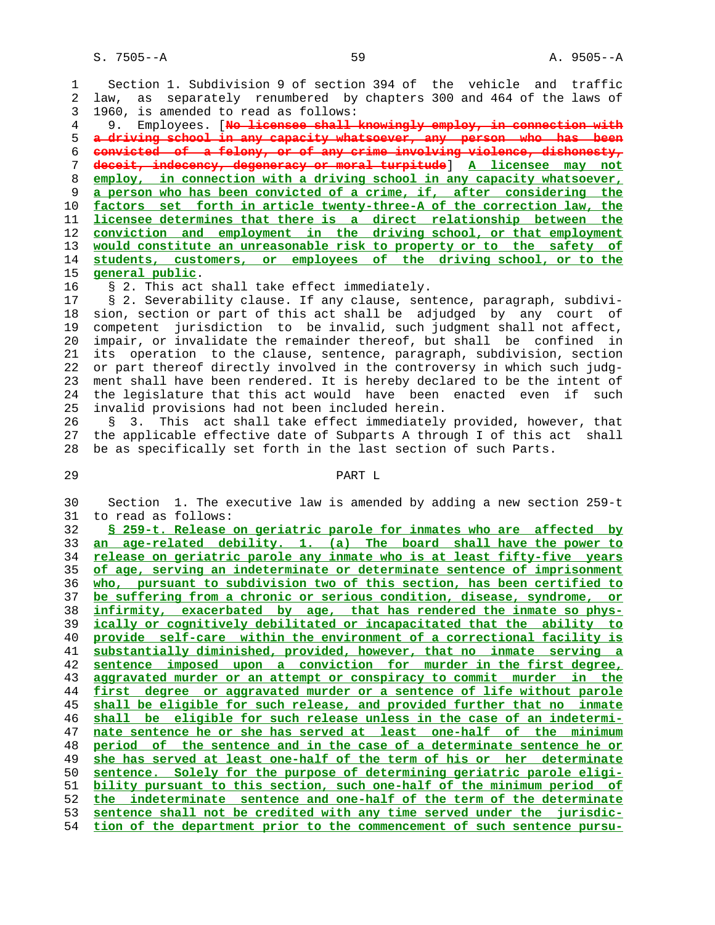1 Section 1. Subdivision 9 of section 394 of the vehicle and traffic 2 law, as separately renumbered by chapters 300 and 464 of the laws of 3 1960, is amended to read as follows:

 4 9. Employees. [**No licensee shall knowingly employ, in connection with a driving school in any capacity whatsoever, any person who has been convicted of a felony, or of any crime involving violence, dishonesty, deceit, indecency, degeneracy or moral turpitude**] **A licensee may not employ, in connection with a driving school in any capacity whatsoever, a person who has been convicted of a crime, if, after considering the factors set forth in article twenty-three-A of the correction law, the licensee determines that there is a direct relationship between the conviction and employment in the driving school, or that employment would constitute an unreasonable risk to property or to the safety of students, customers, or employees of the driving school, or to the general public**.

16 § 2. This act shall take effect immediately.

 17 § 2. Severability clause. If any clause, sentence, paragraph, subdivi- 18 sion, section or part of this act shall be adjudged by any court of 19 competent jurisdiction to be invalid, such judgment shall not affect, 20 impair, or invalidate the remainder thereof, but shall be confined in 21 its operation to the clause, sentence, paragraph, subdivision, section 22 or part thereof directly involved in the controversy in which such judg- 23 ment shall have been rendered. It is hereby declared to be the intent of 24 the legislature that this act would have been enacted even if such 25 invalid provisions had not been included herein.

 26 § 3. This act shall take effect immediately provided, however, that 27 the applicable effective date of Subparts A through I of this act shall 28 be as specifically set forth in the last section of such Parts.

# 29 PART L

 30 Section 1. The executive law is amended by adding a new section 259-t 31 to read as follows:

**§ 259-t. Release on geriatric parole for inmates who are affected by an age-related debility. 1. (a) The board shall have the power to release on geriatric parole any inmate who is at least fifty-five years of age, serving an indeterminate or determinate sentence of imprisonment who, pursuant to subdivision two of this section, has been certified to be suffering from a chronic or serious condition, disease, syndrome, or infirmity, exacerbated by age, that has rendered the inmate so phys- ically or cognitively debilitated or incapacitated that the ability to provide self-care within the environment of a correctional facility is substantially diminished, provided, however, that no inmate serving a sentence imposed upon a conviction for murder in the first degree, aggravated murder or an attempt or conspiracy to commit murder in the first degree or aggravated murder or a sentence of life without parole shall be eligible for such release, and provided further that no inmate shall be eligible for such release unless in the case of an indetermi- nate sentence he or she has served at least one-half of the minimum period of the sentence and in the case of a determinate sentence he or she has served at least one-half of the term of his or her determinate sentence. Solely for the purpose of determining geriatric parole eligi- bility pursuant to this section, such one-half of the minimum period of the indeterminate sentence and one-half of the term of the determinate sentence shall not be credited with any time served under the jurisdic- tion of the department prior to the commencement of such sentence pursu-**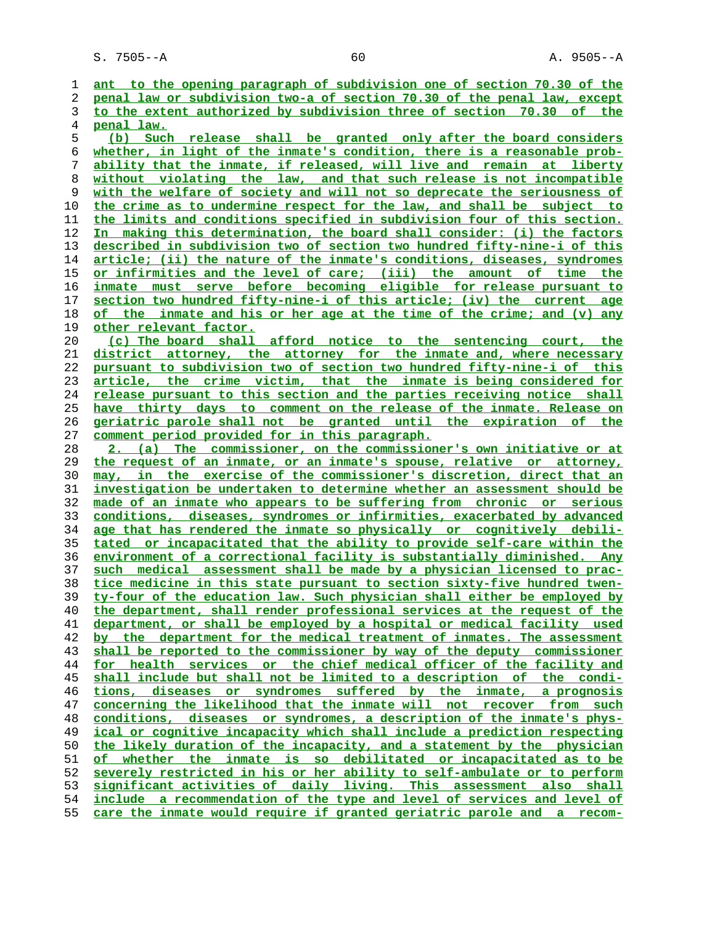S. 7505--A 60 A. 9505--A

**ant to the opening paragraph of subdivision one of section 70.30 of the penal law or subdivision two-a of section 70.30 of the penal law, except to the extent authorized by subdivision three of section 70.30 of the penal law. (b) Such release shall be granted only after the board considers whether, in light of the inmate's condition, there is a reasonable prob- ability that the inmate, if released, will live and remain at liberty without violating the law, and that such release is not incompatible with the welfare of society and will not so deprecate the seriousness of the crime as to undermine respect for the law, and shall be subject to the limits and conditions specified in subdivision four of this section. In making this determination, the board shall consider: (i) the factors described in subdivision two of section two hundred fifty-nine-i of this article; (ii) the nature of the inmate's conditions, diseases, syndromes or infirmities and the level of care; (iii) the amount of time the inmate must serve before becoming eligible for release pursuant to section two hundred fifty-nine-i of this article; (iv) the current age of the inmate and his or her age at the time of the crime; and (v) any other relevant factor. (c) The board shall afford notice to the sentencing court, the district attorney, the attorney for the inmate and, where necessary pursuant to subdivision two of section two hundred fifty-nine-i of this article, the crime victim, that the inmate is being considered for release pursuant to this section and the parties receiving notice shall have thirty days to comment on the release of the inmate. Release on geriatric parole shall not be granted until the expiration of the comment period provided for in this paragraph. 2. (a) The commissioner, on the commissioner's own initiative or at the request of an inmate, or an inmate's spouse, relative or attorney, may, in the exercise of the commissioner's discretion, direct that an investigation be undertaken to determine whether an assessment should be made of an inmate who appears to be suffering from chronic or serious conditions, diseases, syndromes or infirmities, exacerbated by advanced age that has rendered the inmate so physically or cognitively debili- tated or incapacitated that the ability to provide self-care within the environment of a correctional facility is substantially diminished. Any such medical assessment shall be made by a physician licensed to prac- tice medicine in this state pursuant to section sixty-five hundred twen- ty-four of the education law. Such physician shall either be employed by the department, shall render professional services at the request of the department, or shall be employed by a hospital or medical facility used by the department for the medical treatment of inmates. The assessment shall be reported to the commissioner by way of the deputy commissioner for health services or the chief medical officer of the facility and shall include but shall not be limited to a description of the condi- tions, diseases or syndromes suffered by the inmate, a prognosis concerning the likelihood that the inmate will not recover from such conditions, diseases or syndromes, a description of the inmate's phys- ical or cognitive incapacity which shall include a prediction respecting the likely duration of the incapacity, and a statement by the physician of whether the inmate is so debilitated or incapacitated as to be severely restricted in his or her ability to self-ambulate or to perform significant activities of daily living. This assessment also shall include a recommendation of the type and level of services and level of**

**care the inmate would require if granted geriatric parole and a recom-**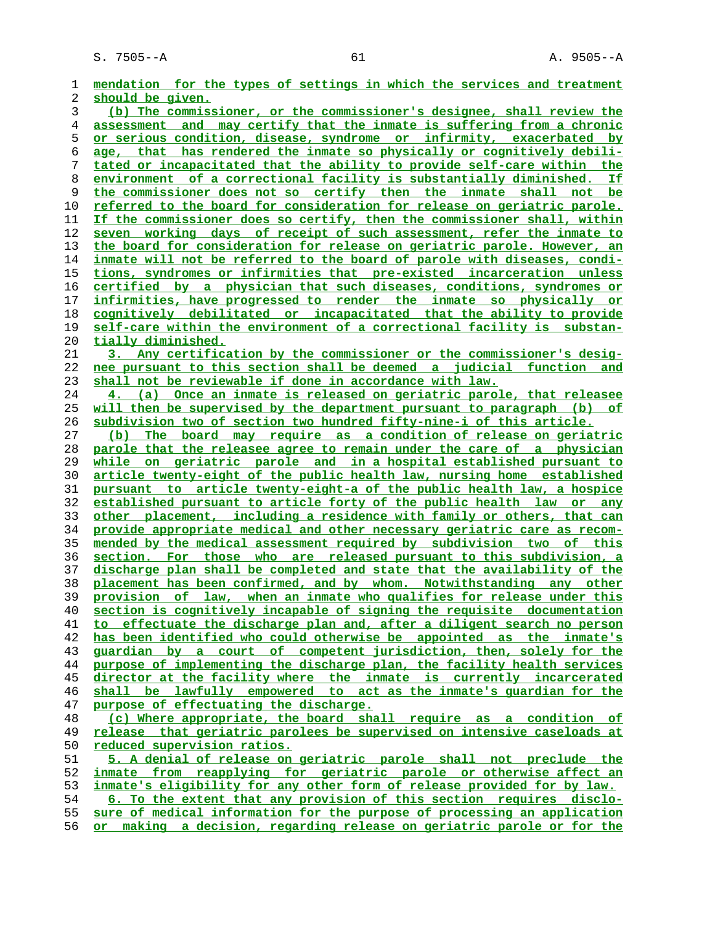**mendation for the types of settings in which the services and treatment should be given. (b) The commissioner, or the commissioner's designee, shall review the assessment and may certify that the inmate is suffering from a chronic or serious condition, disease, syndrome or infirmity, exacerbated by age, that has rendered the inmate so physically or cognitively debili- tated or incapacitated that the ability to provide self-care within the environment of a correctional facility is substantially diminished. If the commissioner does not so certify then the inmate shall not be referred to the board for consideration for release on geriatric parole. If the commissioner does so certify, then the commissioner shall, within seven working days of receipt of such assessment, refer the inmate to the board for consideration for release on geriatric parole. However, an inmate will not be referred to the board of parole with diseases, condi- tions, syndromes or infirmities that pre-existed incarceration unless certified by a physician that such diseases, conditions, syndromes or infirmities, have progressed to render the inmate so physically or cognitively debilitated or incapacitated that the ability to provide self-care within the environment of a correctional facility is substan- tially diminished. 3. Any certification by the commissioner or the commissioner's desig- nee pursuant to this section shall be deemed a judicial function and shall not be reviewable if done in accordance with law. 4. (a) Once an inmate is released on geriatric parole, that releasee will then be supervised by the department pursuant to paragraph (b) of subdivision two of section two hundred fifty-nine-i of this article. (b) The board may require as a condition of release on geriatric parole that the releasee agree to remain under the care of a physician while on geriatric parole and in a hospital established pursuant to article twenty-eight of the public health law, nursing home established pursuant to article twenty-eight-a of the public health law, a hospice established pursuant to article forty of the public health law or any other placement, including a residence with family or others, that can provide appropriate medical and other necessary geriatric care as recom- mended by the medical assessment required by subdivision two of this section. For those who are released pursuant to this subdivision, a discharge plan shall be completed and state that the availability of the placement has been confirmed, and by whom. Notwithstanding any other provision of law, when an inmate who qualifies for release under this section is cognitively incapable of signing the requisite documentation to effectuate the discharge plan and, after a diligent search no person has been identified who could otherwise be appointed as the inmate's guardian by a court of competent jurisdiction, then, solely for the purpose of implementing the discharge plan, the facility health services director at the facility where the inmate is currently incarcerated shall be lawfully empowered to act as the inmate's guardian for the purpose of effectuating the discharge. (c) Where appropriate, the board shall require as a condition of release that geriatric parolees be supervised on intensive caseloads at reduced supervision ratios. 5. A denial of release on geriatric parole shall not preclude the inmate from reapplying for geriatric parole or otherwise affect an inmate's eligibility for any other form of release provided for by law. 6. To the extent that any provision of this section requires disclo- sure of medical information for the purpose of processing an application or making a decision, regarding release on geriatric parole or for the**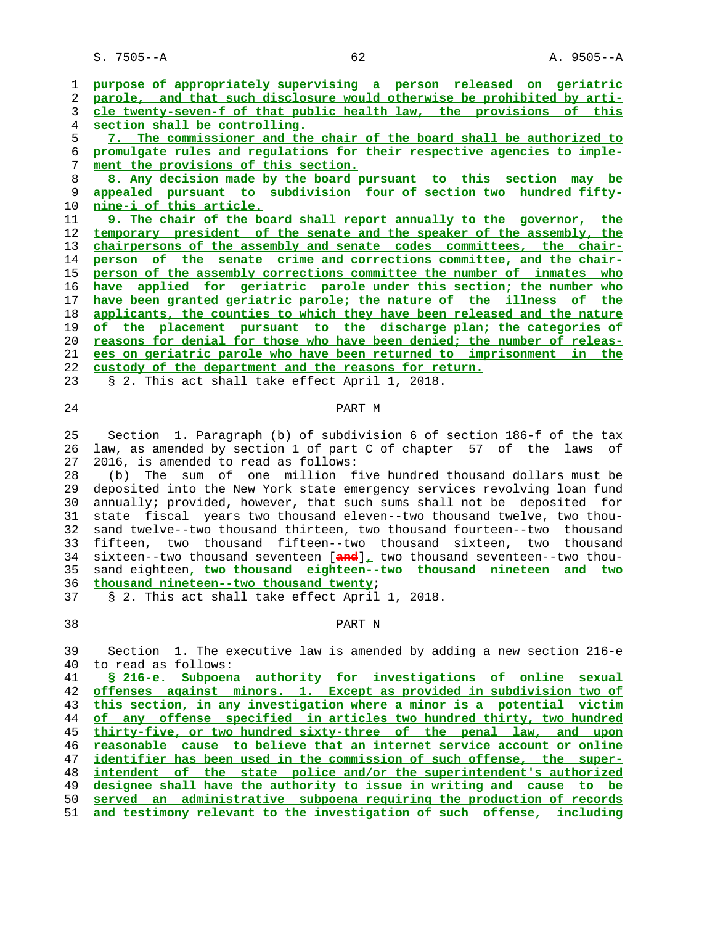S. 7505--A 62 A. 9505--A

**purpose of appropriately supervising a person released on geriatric parole, and that such disclosure would otherwise be prohibited by arti- cle twenty-seven-f of that public health law, the provisions of this section shall be controlling. 7. The commissioner and the chair of the board shall be authorized to promulgate rules and regulations for their respective agencies to imple- ment the provisions of this section. 8. Any decision made by the board pursuant to this section may be appealed pursuant to subdivision four of section two hundred fifty- nine-i of this article. 9. The chair of the board shall report annually to the governor, the**

**temporary president of the senate and the speaker of the assembly, the chairpersons of the assembly and senate codes committees, the chair- person of the senate crime and corrections committee, and the chair- person of the assembly corrections committee the number of inmates who have applied for geriatric parole under this section; the number who have been granted geriatric parole; the nature of the illness of the applicants, the counties to which they have been released and the nature of the placement pursuant to the discharge plan; the categories of reasons for denial for those who have been denied; the number of releas- ees on geriatric parole who have been returned to imprisonment in the custody of the department and the reasons for return.**

23 § 2. This act shall take effect April 1, 2018.

## **PART** M

 25 Section 1. Paragraph (b) of subdivision 6 of section 186-f of the tax 26 law, as amended by section 1 of part C of chapter 57 of the laws of 27 2016, is amended to read as follows:

 28 (b) The sum of one million five hundred thousand dollars must be 29 deposited into the New York state emergency services revolving loan fund 30 annually; provided, however, that such sums shall not be deposited for 31 state fiscal years two thousand eleven--two thousand twelve, two thou- 32 sand twelve--two thousand thirteen, two thousand fourteen--two thousand<br>33 fifteen, two thousand fifteen--two thousand sixteen, two thousand fifteen, two thousand fifteen--two thousand sixteen, two thousand 34 sixteen--two thousand seventeen [**and**]**,** two thousand seventeen--two thou- 35 sand eighteen**, two thousand eighteen--two thousand nineteen and two thousand nineteen--two thousand twenty**;

37 § 2. This act shall take effect April 1, 2018.

## 38 PART N

 39 Section 1. The executive law is amended by adding a new section 216-e 40 to read as follows:

**§ 216-e. Subpoena authority for investigations of online sexual offenses against minors. 1. Except as provided in subdivision two of this section, in any investigation where a minor is a potential victim of any offense specified in articles two hundred thirty, two hundred thirty-five, or two hundred sixty-three of the penal law, and upon reasonable cause to believe that an internet service account or online identifier has been used in the commission of such offense, the super- intendent of the state police and/or the superintendent's authorized designee shall have the authority to issue in writing and cause to be served an administrative subpoena requiring the production of records and testimony relevant to the investigation of such offense, including**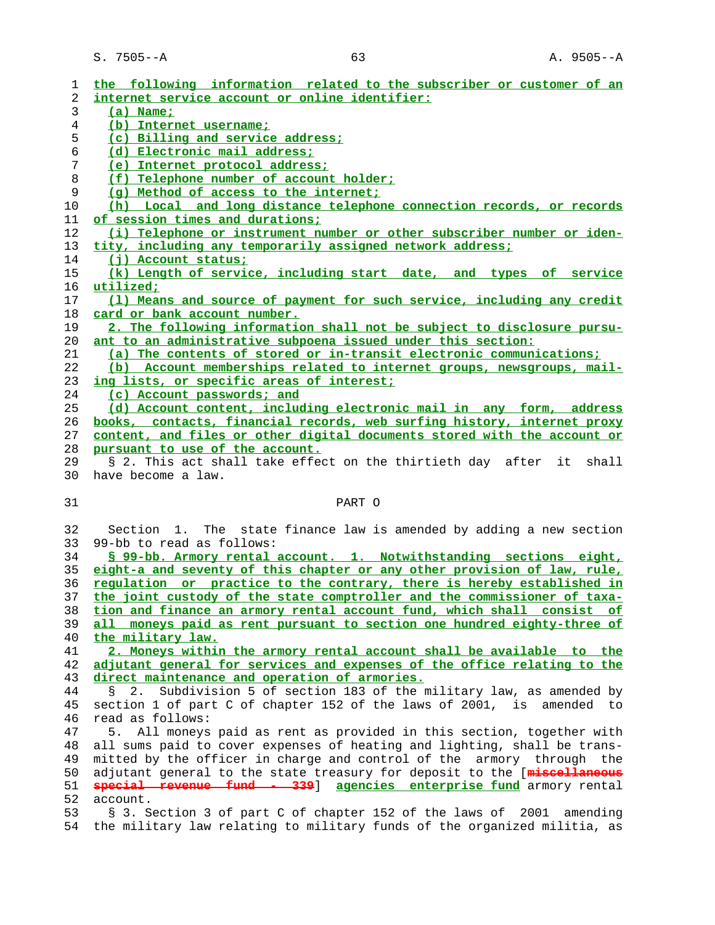S. 7505--A 63 A. 9505--A

| 1  | the following information related to the subscriber or customer of an                                  |
|----|--------------------------------------------------------------------------------------------------------|
| 2  | internet service account or online identifier:                                                         |
| 3  | $(a)$ Name;                                                                                            |
| 4  | (b) Internet username;                                                                                 |
| 5  | (c) Billing and service address;                                                                       |
| 6  | (d) Electronic mail address;                                                                           |
| 7  | (e) Internet protocol address;                                                                         |
| 8  | (f) Telephone number of account holder;                                                                |
| 9  | (q) Method of access to the internet;                                                                  |
| 10 | (h) Local and long distance telephone connection records, or records                                   |
| 11 | of session times and durations;                                                                        |
| 12 | (i) Telephone or instrument number or other subscriber number or iden-                                 |
| 13 | tity, including any temporarily assigned network address;                                              |
| 14 | (j) Account status;                                                                                    |
| 15 | (k) Length of service, including start date, and types of service                                      |
| 16 | utilized;                                                                                              |
| 17 | (1) Means and source of payment for such service, including any credit                                 |
| 18 | card or bank account number.                                                                           |
| 19 | 2. The following information shall not be subject to disclosure pursu-                                 |
| 20 | ant to an administrative subpoena issued under this section:                                           |
| 21 | (a) The contents of stored or in-transit electronic communications;                                    |
| 22 | (b) Account memberships related to internet groups, newsgroups, mail-                                  |
| 23 | ing lists, or specific areas of interest;                                                              |
| 24 | (c) Account passwords; and                                                                             |
| 25 | (d) Account content, including electronic mail in any form, address                                    |
| 26 | books, contacts, financial records, web surfing history, internet proxy                                |
| 27 | content, and files or other digital documents stored with the account or                               |
| 28 | pursuant to use of the account.                                                                        |
| 29 | § 2. This act shall take effect on the thirtieth day after it<br>shall                                 |
| 30 | have become a law.                                                                                     |
|    |                                                                                                        |
| 31 | PART O                                                                                                 |
|    |                                                                                                        |
| 32 | Section 1. The state finance law is amended by adding a new section                                    |
| 33 | 99-bb to read as follows:                                                                              |
| 34 | § 99-bb. Armory rental account. 1. Notwithstanding sections eight,                                     |
| 35 | eight-a and seventy of this chapter or any other provision of law, rule,                               |
| 36 | regulation or practice to the contrary, there is hereby established in                                 |
| 37 | the joint custody of the state comptroller and the commissioner of taxa-                               |
| 38 | tion and finance an armory rental account fund, which shall consist of                                 |
| 39 | all moneys paid as rent pursuant to section one hundred eighty-three of                                |
| 40 | the military law.                                                                                      |
| 41 | 2. Moneys within the armory rental account shall be available to the                                   |
| 42 | adjutant general for services and expenses of the office relating to the                               |
| 43 | direct maintenance and operation of armories.                                                          |
| 44 | Subdivision 5 of section 183 of the military law, as amended by<br>$\begin{matrix}8 & 2. \end{matrix}$ |
| 45 | section 1 of part C of chapter 152 of the laws of 2001, is amended to                                  |
| 46 | read as follows:                                                                                       |
| 47 | All moneys paid as rent as provided in this section, together with<br>5.                               |
| 48 | all sums paid to cover expenses of heating and lighting, shall be trans-                               |
| 49 | mitted by the officer in charge and control of the armory through the                                  |
| 50 | adjutant general to the state treasury for deposit to the [miscellaneous                               |
| 51 | special revenue fund - 339] agencies enterprise fund armory rental                                     |
| 52 | account.                                                                                               |
| 53 | § 3. Section 3 of part C of chapter 152 of the laws of 2001 amending                                   |
| 54 | the military law relating to military funds of the organized militia, as                               |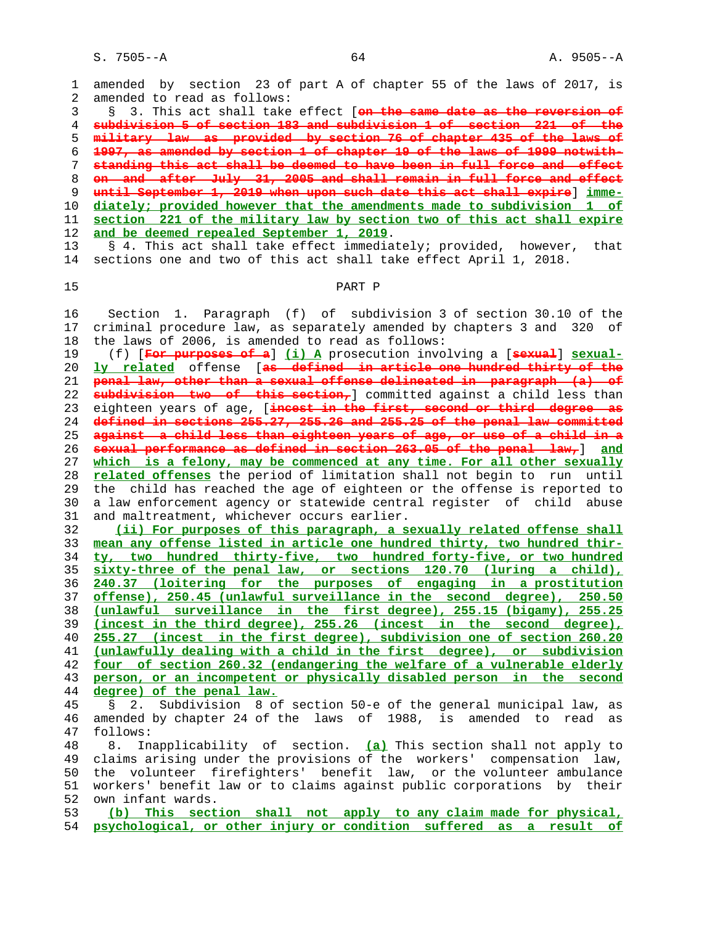S. 7505--A 64 A. 9505--A

 1 amended by section 23 of part A of chapter 55 of the laws of 2017, is 2 amended to read as follows: 3 § 3. This act shall take effect [**on the same date as the reversion of** 4 **subdivision 5 of section 183 and subdivision 1 of section 221 of the** 5 **military law as provided by section 76 of chapter 435 of the laws of** 6 **1997, as amended by section 1 of chapter 19 of the laws of 1999 notwith-** 7 **standing this act shall be deemed to have been in full force and effect** 8 **on and after July 31, 2005 and shall remain in full force and effect** 9 **until September 1, 2019 when upon such date this act shall expire**] **imme-** 10 **diately; provided however that the amendments made to subdivision 1 of** 11 **section 221 of the military law by section two of this act shall expire** 12 **and be deemed repealed September 1, 2019**. 13 § 4. This act shall take effect immediately; provided, however, that 14 sections one and two of this act shall take effect April 1, 2018. 15 PART P 16 Section 1. Paragraph (f) of subdivision 3 of section 30.10 of the 17 criminal procedure law, as separately amended by chapters 3 and 320 of 18 the laws of 2006, is amended to read as follows: 19 (f) [**For purposes of a**] **(i) A** prosecution involving a [**sexual**] **sexual-** 20 **ly related** offense [**as defined in article one hundred thirty of the** 21 **penal law, other than a sexual offense delineated in paragraph (a) of** 22 **subdivision two of this section,**] committed against a child less than 23 eighteen years of age, [**incest in the first, second or third degree as** 24 **defined in sections 255.27, 255.26 and 255.25 of the penal law committed** 25 **against a child less than eighteen years of age, or use of a child in a** 26 **sexual performance as defined in section 263.05 of the penal law,**] **and** 27 **which is a felony, may be commenced at any time. For all other sexually** 28 **related offenses** the period of limitation shall not begin to run until 29 the child has reached the age of eighteen or the offense is reported to 30 a law enforcement agency or statewide central register of child abuse 31 and maltreatment, whichever occurs earlier. 32 **(ii) For purposes of this paragraph, a sexually related offense shall** 33 **mean any offense listed in article one hundred thirty, two hundred thir-** 34 **ty, two hundred thirty-five, two hundred forty-five, or two hundred** 35 **sixty-three of the penal law, or sections 120.70 (luring a child),** 36 **240.37 (loitering for the purposes of engaging in a prostitution** 37 **offense), 250.45 (unlawful surveillance in the second degree), 250.50** 38 **(unlawful surveillance in the first degree), 255.15 (bigamy), 255.25** 39 **(incest in the third degree), 255.26 (incest in the second degree),** 40 **255.27 (incest in the first degree), subdivision one of section 260.20** 41 **(unlawfully dealing with a child in the first degree), or subdivision** 42 **four of section 260.32 (endangering the welfare of a vulnerable elderly** 43 **person, or an incompetent or physically disabled person in the second** 44 **degree) of the penal law.** 45 § 2. Subdivision 8 of section 50-e of the general municipal law, as 46 amended by chapter 24 of the laws of 1988, is amended to read as follows: 48 8. Inapplicability of section. **(a)** This section shall not apply to 49 claims arising under the provisions of the workers' compensation law, 50 the volunteer firefighters' benefit law, or the volunteer ambulance 51 workers' benefit law or to claims against public corporations by their 52 own infant wards. 53 **(b) This section shall not apply to any claim made for physical,** 54 **psychological, or other injury or condition suffered as a result of**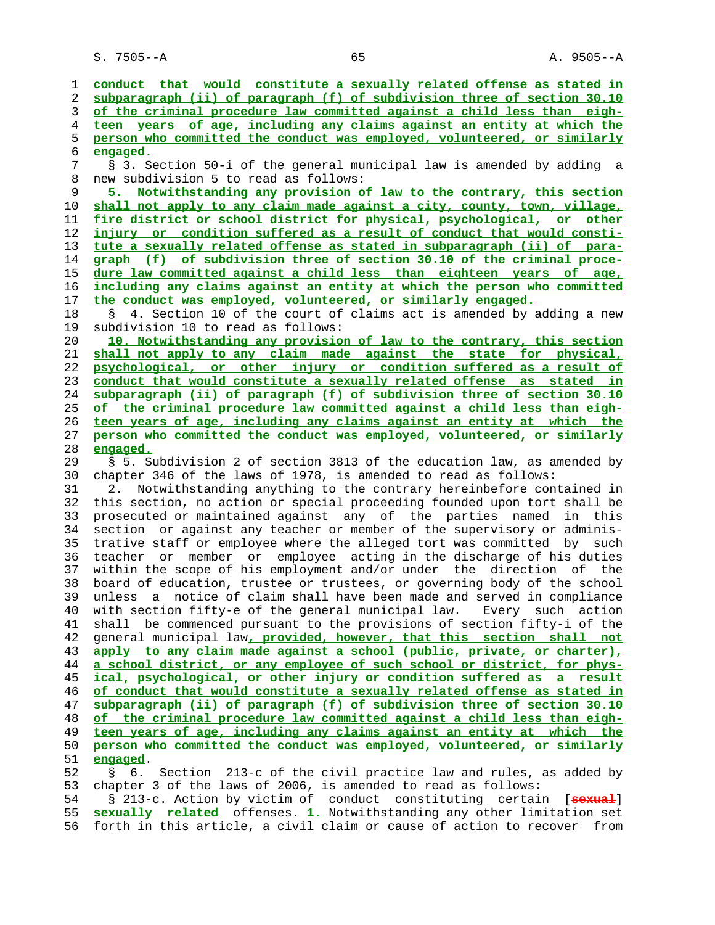S. 7505--A 65 A. 9505--A

**conduct that would constitute a sexually related offense as stated in subparagraph (ii) of paragraph (f) of subdivision three of section 30.10 of the criminal procedure law committed against a child less than eigh- teen years of age, including any claims against an entity at which the person who committed the conduct was employed, volunteered, or similarly engaged.** § 3. Section 50-i of the general municipal law is amended by adding a 8 new subdivision 5 to read as follows:<br>9 5. Notwithstanding any provision o **5. Notwithstanding any provision of law to the contrary, this section shall not apply to any claim made against a city, county, town, village, fire district or school district for physical, psychological, or other injury or condition suffered as a result of conduct that would consti- tute a sexually related offense as stated in subparagraph (ii) of para- graph (f) of subdivision three of section 30.10 of the criminal proce- dure law committed against a child less than eighteen years of age, including any claims against an entity at which the person who committed the conduct was employed, volunteered, or similarly engaged.** 18 § 4. Section 10 of the court of claims act is amended by adding a new 19 subdivision 10 to read as follows: **10. Notwithstanding any provision of law to the contrary, this section shall not apply to any claim made against the state for physical, psychological, or other injury or condition suffered as a result of conduct that would constitute a sexually related offense as stated in subparagraph (ii) of paragraph (f) of subdivision three of section 30.10 of the criminal procedure law committed against a child less than eigh- teen years of age, including any claims against an entity at which the person who committed the conduct was employed, volunteered, or similarly engaged.** 29 § 5. Subdivision 2 of section 3813 of the education law, as amended by 30 chapter 346 of the laws of 1978, is amended to read as follows: 31 2. Notwithstanding anything to the contrary hereinbefore contained in 32 this section, no action or special proceeding founded upon tort shall be 33 prosecuted or maintained against any of the parties named in this 34 section or against any teacher or member of the supervisory or adminis- 35 trative staff or employee where the alleged tort was committed by such 36 teacher or member or employee acting in the discharge of his duties 37 within the scope of his employment and/or under the direction of the 38 board of education, trustee or trustees, or governing body of the school 39 unless a notice of claim shall have been made and served in compliance 40 with section fifty-e of the general municipal law. Every such action 41 shall be commenced pursuant to the provisions of section fifty-i of the 42 general municipal law**, provided, however, that this section shall not apply to any claim made against a school (public, private, or charter), a school district, or any employee of such school or district, for phys- ical, psychological, or other injury or condition suffered as a result of conduct that would constitute a sexually related offense as stated in subparagraph (ii) of paragraph (f) of subdivision three of section 30.10 of the criminal procedure law committed against a child less than eigh- teen years of age, including any claims against an entity at which the person who committed the conduct was employed, volunteered, or similarly engaged**. 52 § 6. Section 213-c of the civil practice law and rules, as added by 53 chapter 3 of the laws of 2006, is amended to read as follows: 54 § 213-c. Action by victim of conduct constituting certain [**sexual**] **sexually related** offenses. **1.** Notwithstanding any other limitation set 56 forth in this article, a civil claim or cause of action to recover from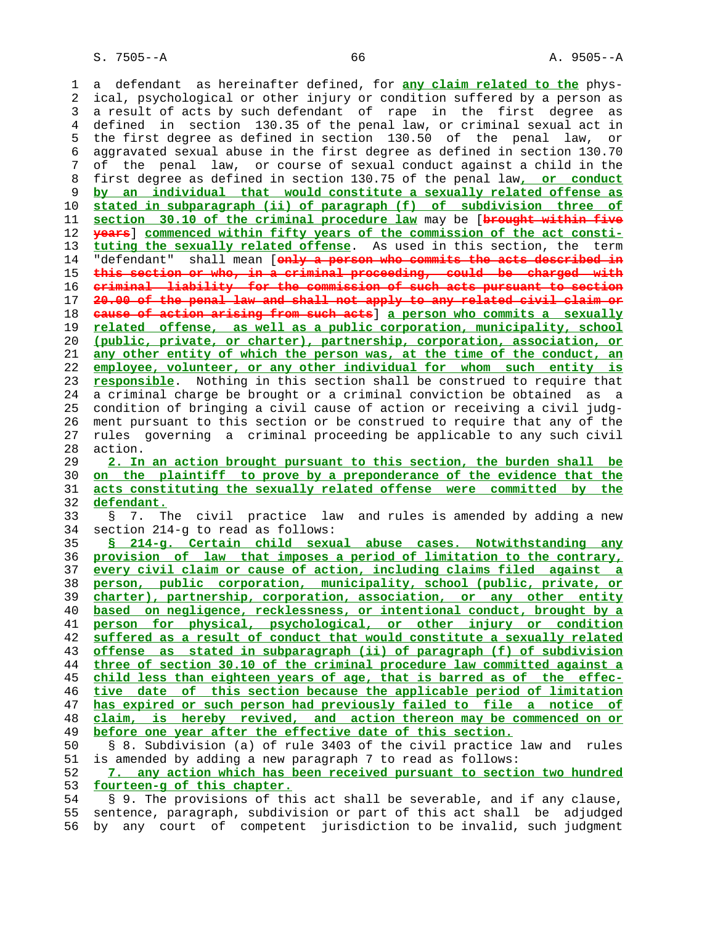1 a defendant as hereinafter defined, for **any claim related to the** phys- 2 ical, psychological or other injury or condition suffered by a person as 3 a result of acts by such defendant of rape in the first degree as 4 defined in section 130.35 of the penal law, or criminal sexual act in 5 the first degree as defined in section 130.50 of the penal law, or 6 aggravated sexual abuse in the first degree as defined in section 130.70 7 of the penal law, or course of sexual conduct against a child in the 8 first degree as defined in section 130.75 of the penal law**, or conduct by an individual that would constitute a sexually related offense as stated in subparagraph (ii) of paragraph (f) of subdivision three of section 30.10 of the criminal procedure law** may be [**brought within five years**] **commenced within fifty years of the commission of the act consti- tuting the sexually related offense**. As used in this section, the term 14 "defendant" shall mean [**only a person who commits the acts described in this section or who, in a criminal proceeding, could be charged with criminal liability for the commission of such acts pursuant to section 20.00 of the penal law and shall not apply to any related civil claim or cause of action arising from such acts**] **a person who commits a sexually related offense, as well as a public corporation, municipality, school (public, private, or charter), partnership, corporation, association, or any other entity of which the person was, at the time of the conduct, an employee, volunteer, or any other individual for whom such entity is responsible**. Nothing in this section shall be construed to require that 24 a criminal charge be brought or a criminal conviction be obtained as a 25 condition of bringing a civil cause of action or receiving a civil judg- 26 ment pursuant to this section or be construed to require that any of the 27 rules governing a criminal proceeding be applicable to any such civil 28 action. **2. In an action brought pursuant to this section, the burden shall be on the plaintiff to prove by a preponderance of the evidence that the acts constituting the sexually related offense were committed by the defendant.** 33 § 7. The civil practice law and rules is amended by adding a new 34 section 214-g to read as follows: **§ 214-g. Certain child sexual abuse cases. Notwithstanding any provision of law that imposes a period of limitation to the contrary, every civil claim or cause of action, including claims filed against a person, public corporation, municipality, school (public, private, or charter), partnership, corporation, association, or any other entity based on negligence, recklessness, or intentional conduct, brought by a person for physical, psychological, or other injury or condition suffered as a result of conduct that would constitute a sexually related offense as stated in subparagraph (ii) of paragraph (f) of subdivision three of section 30.10 of the criminal procedure law committed against a child less than eighteen years of age, that is barred as of the effec- tive date of this section because the applicable period of limitation has expired or such person had previously failed to file a notice of claim, is hereby revived, and action thereon may be commenced on or** before one year after the effective date of this section. 50 § 8. Subdivision (a) of rule 3403 of the civil practice law and rules 51 is amended by adding a new paragraph 7 to read as follows: **7. any action which has been received pursuant to section two hundred fourteen-g of this chapter.** 54 § 9. The provisions of this act shall be severable, and if any clause, 55 sentence, paragraph, subdivision or part of this act shall be adjudged 56 by any court of competent jurisdiction to be invalid, such judgment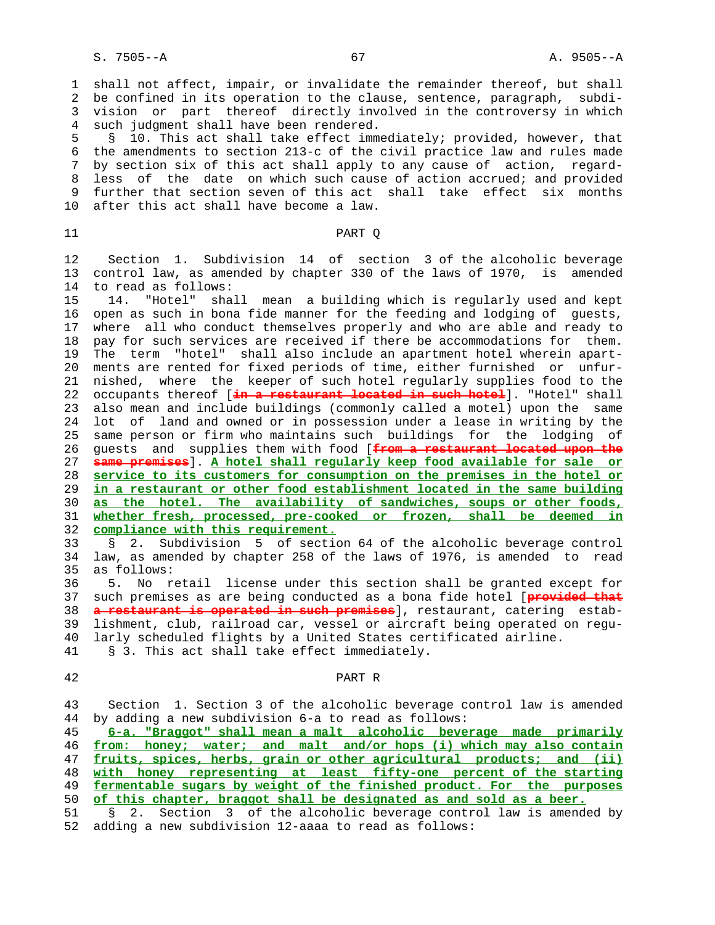1 shall not affect, impair, or invalidate the remainder thereof, but shall 2 be confined in its operation to the clause, sentence, paragraph, subdi- 3 vision or part thereof directly involved in the controversy in which 4 such judgment shall have been rendered.

 5 § 10. This act shall take effect immediately; provided, however, that 6 the amendments to section 213-c of the civil practice law and rules made 7 by section six of this act shall apply to any cause of action, regard- 8 less of the date on which such cause of action accrued; and provided 9 further that section seven of this act shall take effect six months 10 after this act shall have become a law.

# 11 PART Q

 12 Section 1. Subdivision 14 of section 3 of the alcoholic beverage 13 control law, as amended by chapter 330 of the laws of 1970, is amended 14 to read as follows:

 15 14. "Hotel" shall mean a building which is regularly used and kept 16 open as such in bona fide manner for the feeding and lodging of guests, 17 where all who conduct themselves properly and who are able and ready to 18 pay for such services are received if there be accommodations for them. 19 The term "hotel" shall also include an apartment hotel wherein apart- 20 ments are rented for fixed periods of time, either furnished or unfur- 21 nished, where the keeper of such hotel regularly supplies food to the 22 occupants thereof [**in a restaurant located in such hotel**]. "Hotel" shall 23 also mean and include buildings (commonly called a motel) upon the same 24 lot of land and owned or in possession under a lease in writing by the 25 same person or firm who maintains such buildings for the lodging of 26 guests and supplies them with food [**from a restaurant located upon the** 27 **same premises**]. **A hotel shall regularly keep food available for sale or** 28 **service to its customers for consumption on the premises in the hotel or** 29 **in a restaurant or other food establishment located in the same building** 30 **as the hotel. The availability of sandwiches, soups or other foods,** 31 **whether fresh, processed, pre-cooked or frozen, shall be deemed in** 32 **compliance with this requirement.**

 33 § 2. Subdivision 5 of section 64 of the alcoholic beverage control 34 law, as amended by chapter 258 of the laws of 1976, is amended to read 35 as follows:

 36 5. No retail license under this section shall be granted except for 37 such premises as are being conducted as a bona fide hotel [**provided that** 38 **a restaurant is operated in such premises**], restaurant, catering estab- 39 lishment, club, railroad car, vessel or aircraft being operated on regu- 40 larly scheduled flights by a United States certificated airline. 41 § 3. This act shall take effect immediately.

## 42 PART R

 43 Section 1. Section 3 of the alcoholic beverage control law is amended 44 by adding a new subdivision 6-a to read as follows:

**6-a. "Braggot" shall mean a malt alcoholic beverage made primarily from: honey; water; and malt and/or hops (i) which may also contain fruits, spices, herbs, grain or other agricultural products; and (ii) with honey representing at least fifty-one percent of the starting fermentable sugars by weight of the finished product. For the purposes of this chapter, braggot shall be designated as and sold as a beer.**

 51 § 2. Section 3 of the alcoholic beverage control law is amended by 52 adding a new subdivision 12-aaaa to read as follows: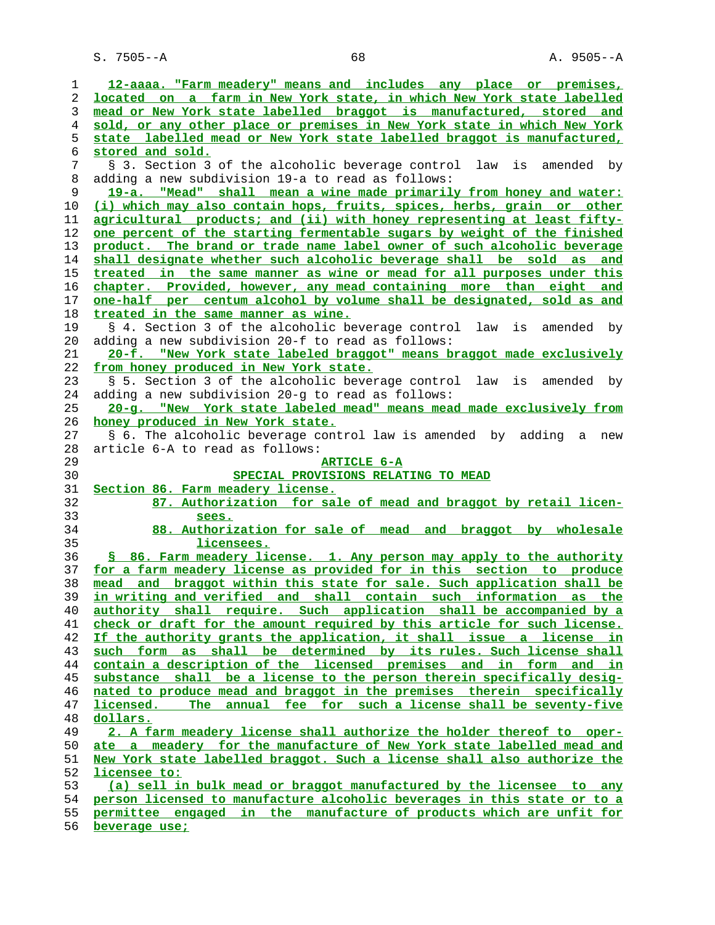S. 7505--A 68 69 A. 9505--A

| 1        | 12-aaaa. "Farm meadery" means and includes any place or premises,                    |
|----------|--------------------------------------------------------------------------------------|
| 2        | located on a farm in New York state, in which New York state labelled                |
| 3        | mead or New York state labelled braggot is manufactured, stored and                  |
| 4        | sold, or any other place or premises in New York state in which New York             |
| 5        | state labelled mead or New York state labelled braggot is manufactured,              |
| 6        | stored and sold.                                                                     |
| 7        | § 3. Section 3 of the alcoholic beverage control<br>law is<br>amended by             |
| 8        | adding a new subdivision 19-a to read as follows:                                    |
| 9        | 19-a. "Mead" shall mean a wine made primarily from honey and water:                  |
| 10       | (i) which may also contain hops, fruits, spices, herbs, grain or other               |
| 11       | agricultural products; and (ii) with honey representing at least fifty-              |
| 12       | one percent of the starting fermentable sugars by weight of the finished             |
| 13       | product. The brand or trade name label owner of such alcoholic beverage              |
| 14       | shall designate whether such alcoholic beverage shall be sold as and                 |
| 15       | treated in the same manner as wine or mead for all purposes under this               |
| 16       | chapter. Provided, however, any mead containing more than eight and                  |
| 17       | one-half per centum alcohol by volume shall be designated, sold as and               |
| 18       | treated in the same manner as wine.                                                  |
| 19       | § 4. Section 3 of the alcoholic beverage control<br>is<br>law<br>amended by          |
| 20       | adding a new subdivision 20-f to read as follows:                                    |
| 21       | 20-f. "New York state labeled braggot" means braggot made exclusively                |
| 22       | from honey produced in New York state.                                               |
| 23       | § 5. Section 3 of the alcoholic beverage control<br>law is amended by                |
| 24       | adding a new subdivision 20-g to read as follows:                                    |
| 25       | 20-g. "New York state labeled mead" means mead made exclusively from                 |
| 26       | honey produced in New York state.                                                    |
| 27       | § 6. The alcoholic beverage control law is amended by adding a new                   |
| 28       | article 6-A to read as follows:                                                      |
|          |                                                                                      |
|          |                                                                                      |
| 29       | <b>ARTICLE 6-A</b>                                                                   |
| 30       | SPECIAL PROVISIONS RELATING TO MEAD                                                  |
| 31       | Section 86. Farm meadery license.                                                    |
| 32       | 87. Authorization for sale of mead and braggot by retail licen-                      |
| 33       | sees.                                                                                |
| 34       | 88. Authorization for sale of mead and braggot by wholesale                          |
| 35       | licensees.                                                                           |
| 36       | \$ 86. Farm meadery license. 1. Any person may apply to the authority                |
| 37       | for a farm meadery license as provided for in this section to produce                |
| 38       | mead and braggot within this state for sale. Such application shall be               |
| 39       | in writing and verified and shall contain such information as the                    |
| 40       | authority shall require. Such application shall be accompanied by a                  |
| 41       | check or draft for the amount required by this article for such license.             |
| 42       | If the authority grants the application, it shall issue a license in                 |
| 43       | such form as shall be determined by its rules. Such license shall                    |
| 44       | contain a description of the licensed premises and in form and in                    |
| 45       | substance shall be a license to the person therein specifically desig-               |
| 46       | nated to produce mead and braggot in the premises therein specifically               |
| 47       | The annual fee for such a license shall be seventy-five<br>licensed.                 |
| 48       | dollars.                                                                             |
| 49       | 2. A farm meadery license shall authorize the holder thereof to oper-                |
| 50       | ate a meadery for the manufacture of New York state labelled mead and                |
| 51<br>52 | New York state labelled braggot. Such a license shall also authorize the             |
| 53       | licensee to:<br>(a) sell in bulk mead or braggot manufactured by the licensee to any |
| 54       | person licensed to manufacture alcoholic beverages in this state or to a             |
| 55       | permittee engaged in the manufacture of products which are unfit for                 |

**beverage use;**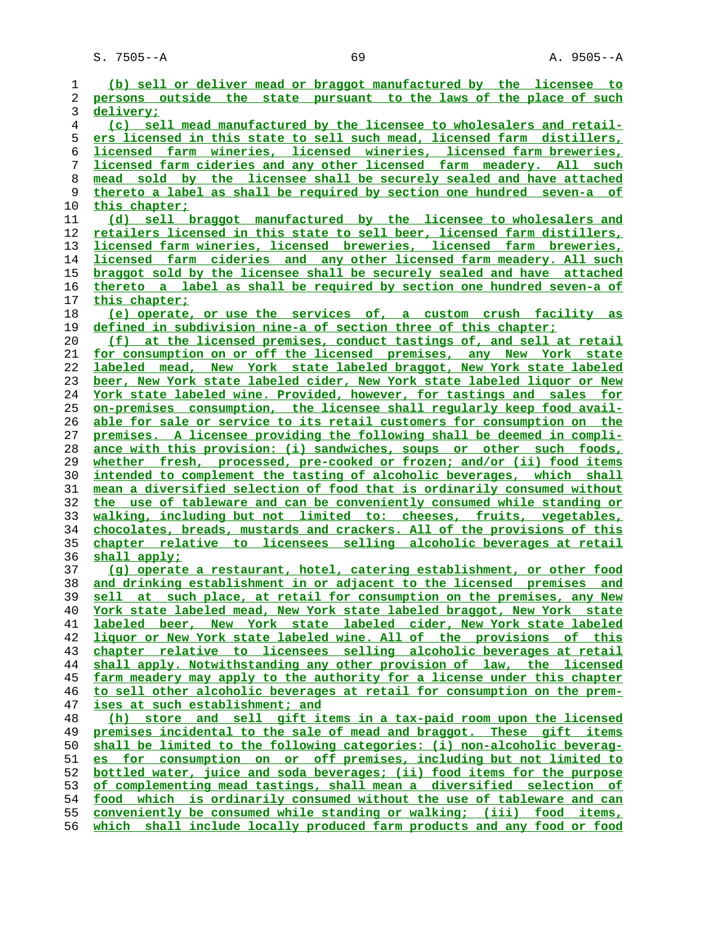**(b) sell or deliver mead or braggot manufactured by the licensee to persons outside the state pursuant to the laws of the place of such delivery; (c) sell mead manufactured by the licensee to wholesalers and retail- ers licensed in this state to sell such mead, licensed farm distillers, licensed farm wineries, licensed wineries, licensed farm breweries, licensed farm cideries and any other licensed farm meadery. All such mead sold by the licensee shall be securely sealed and have attached thereto a label as shall be required by section one hundred seven-a of this chapter; (d) sell braggot manufactured by the licensee to wholesalers and retailers licensed in this state to sell beer, licensed farm distillers, licensed farm wineries, licensed breweries, licensed farm breweries, licensed farm cideries and any other licensed farm meadery. All such braggot sold by the licensee shall be securely sealed and have attached thereto a label as shall be required by section one hundred seven-a of this chapter; (e) operate, or use the services of, a custom crush facility as defined in subdivision nine-a of section three of this chapter; (f) at the licensed premises, conduct tastings of, and sell at retail for consumption on or off the licensed premises, any New York state labeled mead, New York state labeled braggot, New York state labeled beer, New York state labeled cider, New York state labeled liquor or New York state labeled wine. Provided, however, for tastings and sales for on-premises consumption, the licensee shall regularly keep food avail- able for sale or service to its retail customers for consumption on the premises. A licensee providing the following shall be deemed in compli- ance with this provision: (i) sandwiches, soups or other such foods, whether fresh, processed, pre-cooked or frozen; and/or (ii) food items intended to complement the tasting of alcoholic beverages, which shall mean a diversified selection of food that is ordinarily consumed without the use of tableware and can be conveniently consumed while standing or walking, including but not limited to: cheeses, fruits, vegetables, chocolates, breads, mustards and crackers. All of the provisions of this chapter relative to licensees selling alcoholic beverages at retail shall apply; (g) operate a restaurant, hotel, catering establishment, or other food and drinking establishment in or adjacent to the licensed premises and sell at such place, at retail for consumption on the premises, any New York state labeled mead, New York state labeled braggot, New York state labeled beer, New York state labeled cider, New York state labeled liquor or New York state labeled wine. All of the provisions of this chapter relative to licensees selling alcoholic beverages at retail shall apply. Notwithstanding any other provision of law, the licensed farm meadery may apply to the authority for a license under this chapter to sell other alcoholic beverages at retail for consumption on the prem- ises at such establishment; and (h) store and sell gift items in a tax-paid room upon the licensed premises incidental to the sale of mead and braggot. These gift items shall be limited to the following categories: (i) non-alcoholic beverag- es for consumption on or off premises, including but not limited to bottled water, juice and soda beverages; (ii) food items for the purpose of complementing mead tastings, shall mean a diversified selection of food which is ordinarily consumed without the use of tableware and can conveniently be consumed while standing or walking; (iii) food items, which shall include locally produced farm products and any food or food**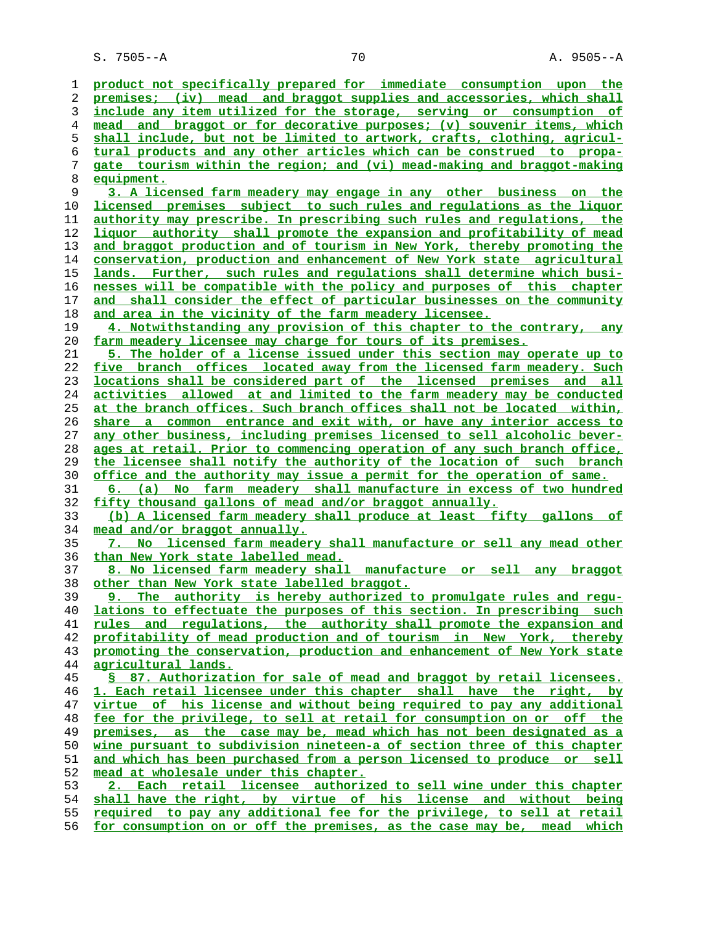| 1              | product not specifically prepared for immediate consumption upon the     |
|----------------|--------------------------------------------------------------------------|
| 2              | premises; (iv) mead and braggot supplies and accessories, which shall    |
| 3              | include any item utilized for the storage, serving or consumption of     |
| $\overline{4}$ | mead and braggot or for decorative purposes; (v) souvenir items, which   |
| 5              | shall include, but not be limited to artwork, crafts, clothing, agricul- |
| 6              | tural products and any other articles which can be construed to propa-   |
| 7              | gate tourism within the region; and (vi) mead-making and braggot-making  |
| 8              | equipment.                                                               |
| 9              | 3. A licensed farm meadery may engage in any other business on the       |
| 10             | licensed premises subject to such rules and regulations as the liquor    |
| 11             | authority may prescribe. In prescribing such rules and regulations, the  |
| 12             | liquor authority shall promote the expansion and profitability of mead   |
| 13             | and braggot production and of tourism in New York, thereby promoting the |
| 14             | conservation, production and enhancement of New York state agricultural  |
| 15             | lands. Further, such rules and regulations shall determine which busi-   |
| 16             | nesses will be compatible with the policy and purposes of this chapter   |
| 17             | and shall consider the effect of particular businesses on the community  |
| 18             | and area in the vicinity of the farm meadery licensee.                   |
| 19             | 4. Notwithstanding any provision of this chapter to the contrary,<br>any |
| 20             | farm meadery licensee may charge for tours of its premises.              |
| 21             | 5. The holder of a license issued under this section may operate up to   |
| 22             | five branch offices located away from the licensed farm meadery. Such    |
| 23             | locations shall be considered part of the licensed premises and<br>all   |
| 24             | activities allowed at and limited to the farm meadery may be conducted   |
| 25             | at the branch offices. Such branch offices shall not be located within,  |
| 26             | share a common entrance and exit with, or have any interior access to    |
| 27             | any other business, including premises licensed to sell alcoholic bever- |
| 28             | ages at retail. Prior to commencing operation of any such branch office, |
| 29             | the licensee shall notify the authority of the location of such branch   |
| 30             | office and the authority may issue a permit for the operation of same.   |
| 31             | 6. (a) No farm meadery shall manufacture in excess of two hundred        |
| 32             | fifty thousand gallons of mead and/or braggot annually.                  |
| 33             | (b) A licensed farm meadery shall produce at least fifty gallons of      |
| 34             | mead and/or braggot annually.                                            |
| 35             | 7. No licensed farm meadery shall manufacture or sell any mead other     |
| 36             | than New York state labelled mead.                                       |
| 37             | 8. No licensed farm meadery shall manufacture or sell any braggot        |
| 38             | other than New York state labelled braggot.                              |
| 39             | 9. The authority is hereby authorized to promulgate rules and requ-      |
| 40             | lations to effectuate the purposes of this section. In prescribing such  |
| 41             | rules and requlations, the authority shall promote the expansion and     |
| 42             | profitability of mead production and of tourism in New York, thereby     |
| 43             | promoting the conservation, production and enhancement of New York state |
| 44             | <u>agricultural lands.</u>                                               |
| 45             | § 87. Authorization for sale of mead and braggot by retail licensees.    |
| 46             | 1. Each retail licensee under this chapter shall have the right, by      |
| 47             | virtue of his license and without being required to pay any additional   |
| 48             | fee for the privilege, to sell at retail for consumption on or off the   |
| 49             | premises, as the case may be, mead which has not been designated as a    |
|                | wine pursuant to subdivision nineteen-a of section three of this chapter |
| 50<br>51       | and which has been purchased from a person licensed to produce or sell   |
| 52             | mead at wholesale under this chapter.                                    |
| 53             | 2. Each retail licensee authorized to sell wine under this chapter       |
|                |                                                                          |
| 54             | shall have the right, by virtue of his license and without being         |
| 55             | required to pay any additional fee for the privilege, to sell at retail  |

**for consumption on or off the premises, as the case may be, mead which**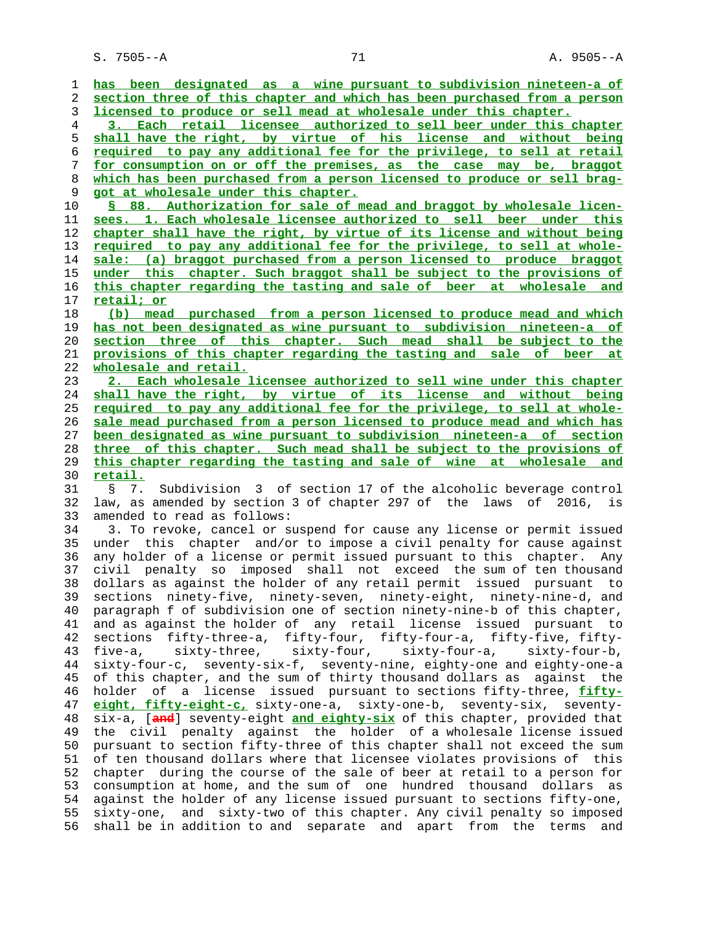1 **has been designated as a wine pursuant to subdivision nineteen-a of** 2 **section three of this chapter and which has been purchased from a person** 3 **licensed to produce or sell mead at wholesale under this chapter.** 4 **3. Each retail licensee authorized to sell beer under this chapter** 5 **shall have the right, by virtue of his license and without being** 6 **required to pay any additional fee for the privilege, to sell at retail** 7 **for consumption on or off the premises, as the case may be, braggot** 8 **which has been purchased from a person licensed to produce or sell brag-** 9 **got at wholesale under this chapter.** 10 **§ 88. Authorization for sale of mead and braggot by wholesale licen-** 11 **sees. 1. Each wholesale licensee authorized to sell beer under this** 12 **chapter shall have the right, by virtue of its license and without being** 13 **required to pay any additional fee for the privilege, to sell at whole-** 14 **sale: (a) braggot purchased from a person licensed to produce braggot** 15 **under this chapter. Such braggot shall be subject to the provisions of** 16 **this chapter regarding the tasting and sale of beer at wholesale and** 17 **retail; or** 18 **(b) mead purchased from a person licensed to produce mead and which** 19 **has not been designated as wine pursuant to subdivision nineteen-a of** 20 **section three of this chapter. Such mead shall be subject to the** 21 **provisions of this chapter regarding the tasting and sale of beer at** 22 **wholesale and retail.** 23 **2. Each wholesale licensee authorized to sell wine under this chapter** 24 **shall have the right, by virtue of its license and without being** 25 **required to pay any additional fee for the privilege, to sell at whole-** 26 **sale mead purchased from a person licensed to produce mead and which has** 27 **been designated as wine pursuant to subdivision nineteen-a of section** 28 **three of this chapter. Such mead shall be subject to the provisions of** 29 **this chapter regarding the tasting and sale of wine at wholesale and** 30 **retail.** 31 § 7. Subdivision 3 of section 17 of the alcoholic beverage control 32 law, as amended by section 3 of chapter 297 of the laws of 2016, is 33 amended to read as follows: 34 3. To revoke, cancel or suspend for cause any license or permit issued 35 under this chapter and/or to impose a civil penalty for cause against 36 any holder of a license or permit issued pursuant to this chapter. Any 37 civil penalty so imposed shall not exceed the sum of ten thousand 38 dollars as against the holder of any retail permit issued pursuant to 39 sections ninety-five, ninety-seven, ninety-eight, ninety-nine-d, and 40 paragraph f of subdivision one of section ninety-nine-b of this chapter, 41 and as against the holder of any retail license issued pursuant to 42 sections fifty-three-a, fifty-four, fifty-four-a, fifty-five, fifty- 43 five-a, sixty-three, sixty-four, sixty-four-a, sixty-four-b, 44 sixty-four-c, seventy-six-f, seventy-nine, eighty-one and eighty-one-a 45 of this chapter, and the sum of thirty thousand dollars as against the 46 holder of a license issued pursuant to sections fifty-three, **fifty-** 47 **eight, fifty-eight-c,** sixty-one-a, sixty-one-b, seventy-six, seventy- 48 six-a, [**and**] seventy-eight **and eighty-six** of this chapter, provided that 49 the civil penalty against the holder of a wholesale license issued 50 pursuant to section fifty-three of this chapter shall not exceed the sum 51 of ten thousand dollars where that licensee violates provisions of this 52 chapter during the course of the sale of beer at retail to a person for 53 consumption at home, and the sum of one hundred thousand dollars as 54 against the holder of any license issued pursuant to sections fifty-one, 55 sixty-one, and sixty-two of this chapter. Any civil penalty so imposed 56 shall be in addition to and separate and apart from the terms and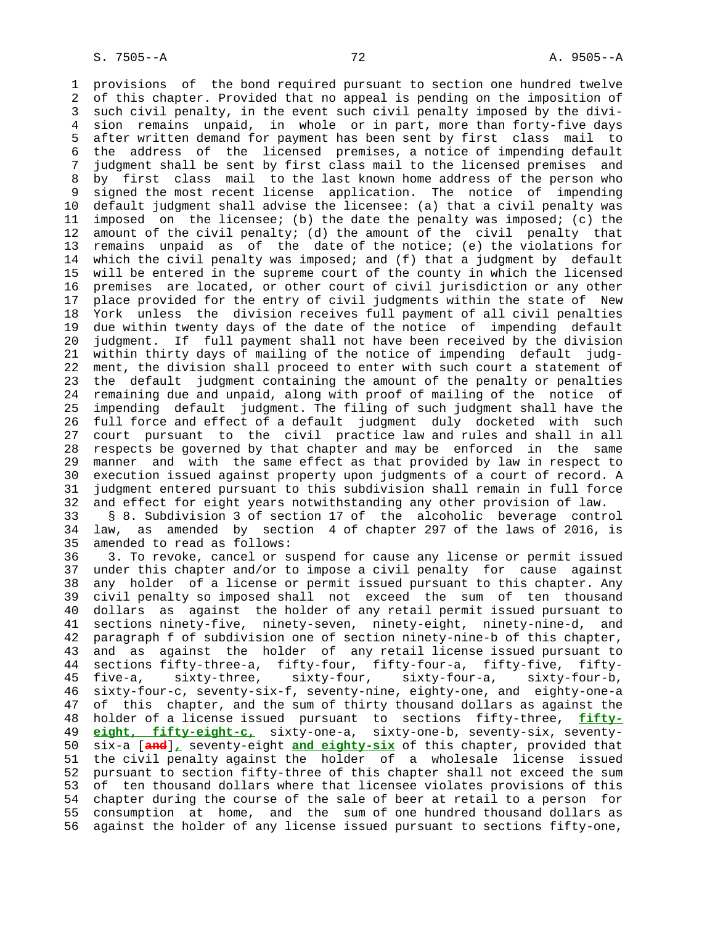1 provisions of the bond required pursuant to section one hundred twelve 2 of this chapter. Provided that no appeal is pending on the imposition of 3 such civil penalty, in the event such civil penalty imposed by the divi- 4 sion remains unpaid, in whole or in part, more than forty-five days 5 after written demand for payment has been sent by first class mail to 6 the address of the licensed premises, a notice of impending default 7 judgment shall be sent by first class mail to the licensed premises and 8 by first class mail to the last known home address of the person who<br>9 signed the most recent license application. The notice of impending signed the most recent license application. The notice of impending 10 default judgment shall advise the licensee: (a) that a civil penalty was 11 imposed on the licensee; (b) the date the penalty was imposed; (c) the 12 amount of the civil penalty; (d) the amount of the civil penalty that 13 remains unpaid as of the date of the notice; (e) the violations for 14 which the civil penalty was imposed; and (f) that a judgment by default 15 will be entered in the supreme court of the county in which the licensed 16 premises are located, or other court of civil jurisdiction or any other 17 place provided for the entry of civil judgments within the state of New 18 York unless the division receives full payment of all civil penalties 19 due within twenty days of the date of the notice of impending default 20 judgment. If full payment shall not have been received by the division 21 within thirty days of mailing of the notice of impending default judg- 22 ment, the division shall proceed to enter with such court a statement of 23 the default judgment containing the amount of the penalty or penalties 24 remaining due and unpaid, along with proof of mailing of the notice of 25 impending default judgment. The filing of such judgment shall have the 26 full force and effect of a default judgment duly docketed with such 27 court pursuant to the civil practice law and rules and shall in all 28 respects be governed by that chapter and may be enforced in the same 29 manner and with the same effect as that provided by law in respect to 30 execution issued against property upon judgments of a court of record. A 31 judgment entered pursuant to this subdivision shall remain in full force 32 and effect for eight years notwithstanding any other provision of law. 33 § 8. Subdivision 3 of section 17 of the alcoholic beverage control 34 law, as amended by section 4 of chapter 297 of the laws of 2016, is 35 amended to read as follows:

 36 3. To revoke, cancel or suspend for cause any license or permit issued 37 under this chapter and/or to impose a civil penalty for cause against 38 any holder of a license or permit issued pursuant to this chapter. Any 39 civil penalty so imposed shall not exceed the sum of ten thousand 40 dollars as against the holder of any retail permit issued pursuant to 41 sections ninety-five, ninety-seven, ninety-eight, ninety-nine-d, and 42 paragraph f of subdivision one of section ninety-nine-b of this chapter, 43 and as against the holder of any retail license issued pursuant to 44 sections fifty-three-a, fifty-four, fifty-four-a, fifty-five, fifty- 45 five-a, sixty-three, sixty-four, sixty-four-a, sixty-four-b, 46 sixty-four-c, seventy-six-f, seventy-nine, eighty-one, and eighty-one-a 47 of this chapter, and the sum of thirty thousand dollars as against the 48 holder of a license issued pursuant to sections fifty-three, **fifty-** 49 **eight, fifty-eight-c,** sixty-one-a, sixty-one-b, seventy-six, seventy- 50 six-a [**and**]**,** seventy-eight **and eighty-six** of this chapter, provided that 51 the civil penalty against the holder of a wholesale license issued 52 pursuant to section fifty-three of this chapter shall not exceed the sum 53 of ten thousand dollars where that licensee violates provisions of this 54 chapter during the course of the sale of beer at retail to a person for 55 consumption at home, and the sum of one hundred thousand dollars as 56 against the holder of any license issued pursuant to sections fifty-one,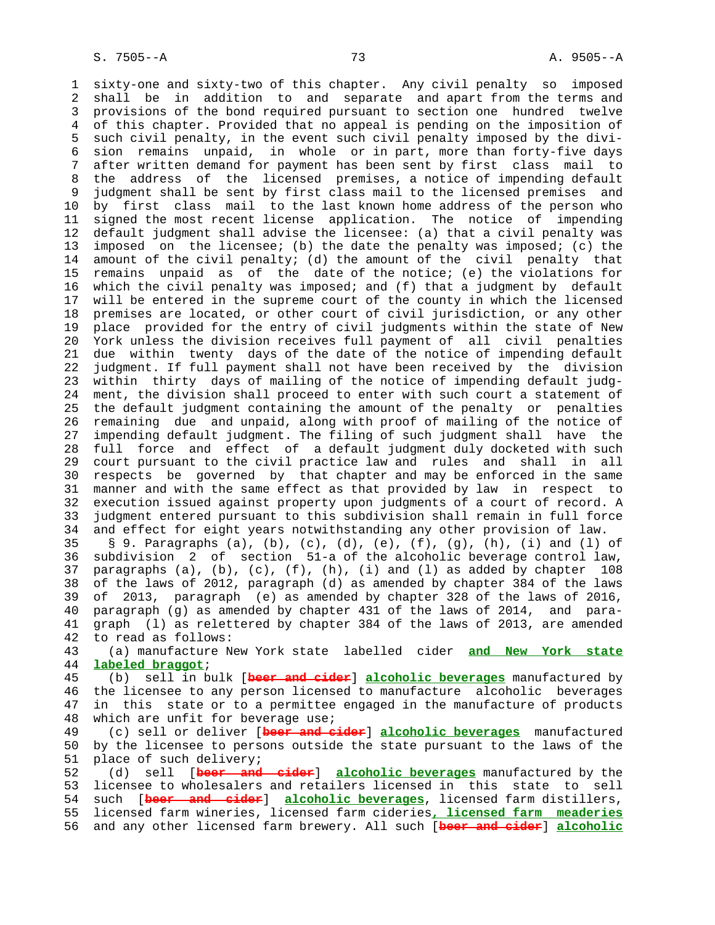1 sixty-one and sixty-two of this chapter. Any civil penalty so imposed 2 shall be in addition to and separate and apart from the terms and 3 provisions of the bond required pursuant to section one hundred twelve 4 of this chapter. Provided that no appeal is pending on the imposition of 5 such civil penalty, in the event such civil penalty imposed by the divi- 6 sion remains unpaid, in whole or in part, more than forty-five days 7 after written demand for payment has been sent by first class mail to 8 the address of the licensed premises, a notice of impending default 9 judgment shall be sent by first class mail to the licensed premises and 10 by first class mail to the last known home address of the person who 11 signed the most recent license application. The notice of impending 12 default judgment shall advise the licensee: (a) that a civil penalty was 13 imposed on the licensee; (b) the date the penalty was imposed; (c) the 14 amount of the civil penalty; (d) the amount of the civil penalty that 15 remains unpaid as of the date of the notice; (e) the violations for 16 which the civil penalty was imposed; and (f) that a judgment by default 17 will be entered in the supreme court of the county in which the licensed 18 premises are located, or other court of civil jurisdiction, or any other 19 place provided for the entry of civil judgments within the state of New 20 York unless the division receives full payment of all civil penalties 21 due within twenty days of the date of the notice of impending default 22 judgment. If full payment shall not have been received by the division 23 within thirty days of mailing of the notice of impending default judg- 24 ment, the division shall proceed to enter with such court a statement of 25 the default judgment containing the amount of the penalty or penalties 26 remaining due and unpaid, along with proof of mailing of the notice of 27 impending default judgment. The filing of such judgment shall have the 28 full force and effect of a default judgment duly docketed with such 29 court pursuant to the civil practice law and rules and shall in all 30 respects be governed by that chapter and may be enforced in the same 31 manner and with the same effect as that provided by law in respect to 32 execution issued against property upon judgments of a court of record. A 33 judgment entered pursuant to this subdivision shall remain in full force 34 and effect for eight years notwithstanding any other provision of law.

 35 § 9. Paragraphs (a), (b), (c), (d), (e), (f), (g), (h), (i) and (l) of 36 subdivision 2 of section 51-a of the alcoholic beverage control law, 37 paragraphs (a), (b), (c), (f), (h), (i) and (l) as added by chapter  $108$  38 of the laws of 2012, paragraph (d) as amended by chapter 384 of the laws 39 of 2013, paragraph (e) as amended by chapter 328 of the laws of 2016, 40 paragraph (g) as amended by chapter 431 of the laws of 2014, and para- 41 graph (l) as relettered by chapter 384 of the laws of 2013, are amended 42 to read as follows:

 43 (a) manufacture New York state labelled cider **and New York state** 44 **labeled braggot**;

 45 (b) sell in bulk [**beer and cider**] **alcoholic beverages** manufactured by 46 the licensee to any person licensed to manufacture alcoholic beverages 47 in this state or to a permittee engaged in the manufacture of products 48 which are unfit for beverage use;

 49 (c) sell or deliver [**beer and cider**] **alcoholic beverages** manufactured 50 by the licensee to persons outside the state pursuant to the laws of the 51 place of such delivery;

 52 (d) sell [**beer and cider**] **alcoholic beverages** manufactured by the 53 licensee to wholesalers and retailers licensed in this state to sell 54 such [**beer and cider**] **alcoholic beverages**, licensed farm distillers, 55 licensed farm wineries, licensed farm cideries**, licensed farm meaderies** 56 and any other licensed farm brewery. All such [**beer and cider**] **alcoholic**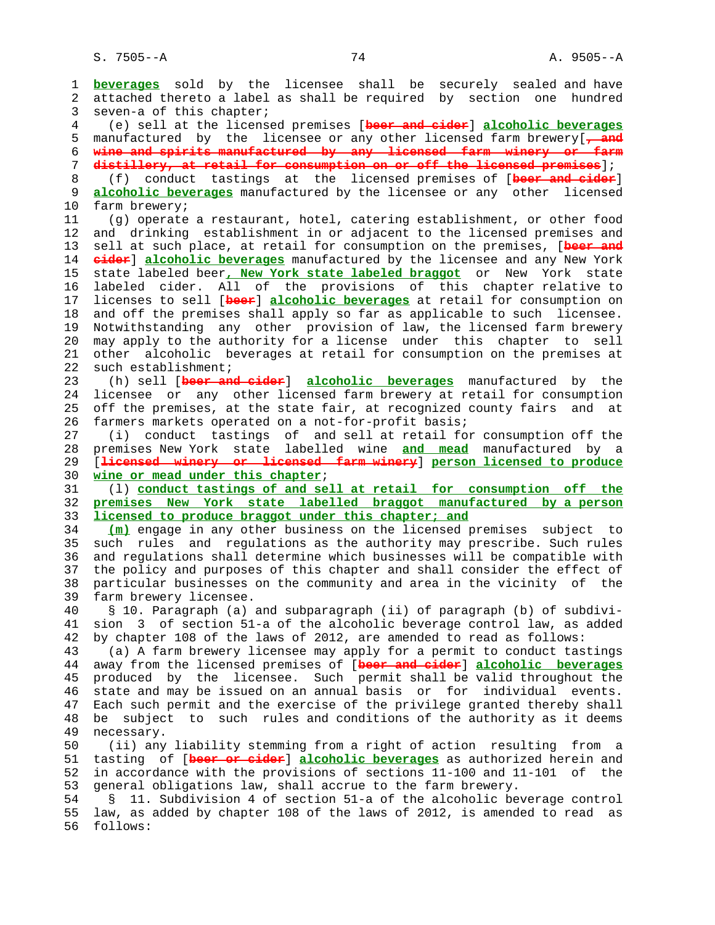1 **beverages** sold by the licensee shall be securely sealed and have 2 attached thereto a label as shall be required by section one hundred 3 seven-a of this chapter; 4 (e) sell at the licensed premises [**beer and cider**] **alcoholic beverages** 5 manufactured by the licensee or any other licensed farm brewery[**, and** 6 **wine and spirits manufactured by any licensed farm winery or farm** 7 **distillery, at retail for consumption on or off the licensed premises**]; 8 (f) conduct tastings at the licensed premises of [**beer and cider**] 9 **alcoholic beverages** manufactured by the licensee or any other licensed 10 farm brewery; 11 (g) operate a restaurant, hotel, catering establishment, or other food 12 and drinking establishment in or adjacent to the licensed premises and 13 sell at such place, at retail for consumption on the premises, [**beer and** 14 **cider**] **alcoholic beverages** manufactured by the licensee and any New York 15 state labeled beer**, New York state labeled braggot** or New York state 16 labeled cider. All of the provisions of this chapter relative to 17 licenses to sell [**beer**] **alcoholic beverages** at retail for consumption on 18 and off the premises shall apply so far as applicable to such licensee. 19 Notwithstanding any other provision of law, the licensed farm brewery 20 may apply to the authority for a license under this chapter to sell 21 other alcoholic beverages at retail for consumption on the premises at 22 such establishment; 23 (h) sell [**beer and cider**] **alcoholic beverages** manufactured by the 24 licensee or any other licensed farm brewery at retail for consumption 25 off the premises, at the state fair, at recognized county fairs and at 26 farmers markets operated on a not-for-profit basis; 27 (i) conduct tastings of and sell at retail for consumption off the 28 premises New York state labelled wine **and mead** manufactured by a 29 [**licensed winery or licensed farm winery**] **person licensed to produce** 30 **wine or mead under this chapter**; 31 (l) **conduct tastings of and sell at retail for consumption off the** 32 **premises New York state labelled braggot manufactured by a person** 33 **licensed to produce braggot under this chapter; and** 34 **(m)** engage in any other business on the licensed premises subject to 35 such rules and regulations as the authority may prescribe. Such rules 36 and regulations shall determine which businesses will be compatible with 37 the policy and purposes of this chapter and shall consider the effect of 38 particular businesses on the community and area in the vicinity of the 39 farm brewery licensee. 40 § 10. Paragraph (a) and subparagraph (ii) of paragraph (b) of subdivi- 41 sion 3 of section 51-a of the alcoholic beverage control law, as added 42 by chapter 108 of the laws of 2012, are amended to read as follows: 43 (a) A farm brewery licensee may apply for a permit to conduct tastings 44 away from the licensed premises of [**beer and cider**] **alcoholic beverages** 45 produced by the licensee. Such permit shall be valid throughout the 46 state and may be issued on an annual basis or for individual events. 47 Each such permit and the exercise of the privilege granted thereby shall 48 be subject to such rules and conditions of the authority as it deems 49 necessary. 50 (ii) any liability stemming from a right of action resulting from a 51 tasting of [**beer or cider**] **alcoholic beverages** as authorized herein and 52 in accordance with the provisions of sections 11-100 and 11-101 of the 53 general obligations law, shall accrue to the farm brewery. 54 § 11. Subdivision 4 of section 51-a of the alcoholic beverage control 55 law, as added by chapter 108 of the laws of 2012, is amended to read as 56 follows: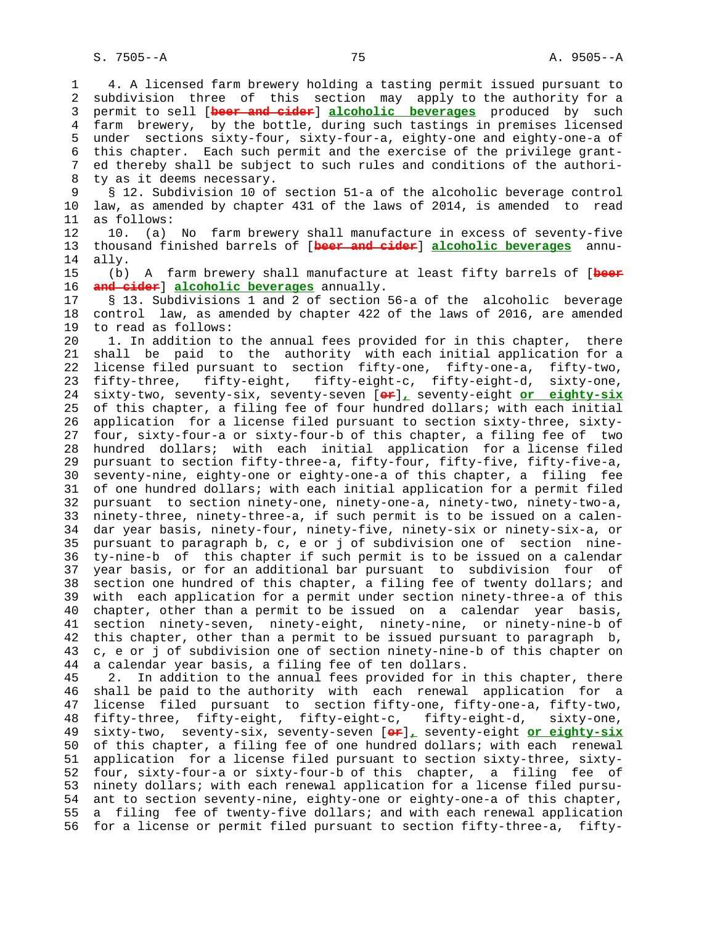1 4. A licensed farm brewery holding a tasting permit issued pursuant to 2 subdivision three of this section may apply to the authority for a 3 permit to sell [**beer and cider**] **alcoholic beverages** produced by such 4 farm brewery, by the bottle, during such tastings in premises licensed 5 under sections sixty-four, sixty-four-a, eighty-one and eighty-one-a of 6 this chapter. Each such permit and the exercise of the privilege grant- 7 ed thereby shall be subject to such rules and conditions of the authori- 8 ty as it deems necessary.<br>9 8 12. Subdivision 10 of 9 § 12. Subdivision 10 of section 51-a of the alcoholic beverage control 10 law, as amended by chapter 431 of the laws of 2014, is amended to read 11 as follows: 12 10. (a) No farm brewery shall manufacture in excess of seventy-five 13 thousand finished barrels of [**beer and cider**] **alcoholic beverages** annu- 14 ally. 15 (b) A farm brewery shall manufacture at least fifty barrels of [**beer** 16 **and cider**] **alcoholic beverages** annually. 17 § 13. Subdivisions 1 and 2 of section 56-a of the alcoholic beverage 18 control law, as amended by chapter 422 of the laws of 2016, are amended 19 to read as follows: 20 1. In addition to the annual fees provided for in this chapter, there 21 shall be paid to the authority with each initial application for a 22 license filed pursuant to section fifty-one, fifty-one-a, fifty-two, 23 fifty-three, fifty-eight, fifty-eight-c, fifty-eight-d, sixty-one, 24 sixty-two, seventy-six, seventy-seven [**or**]**,** seventy-eight **or eighty-six** 25 of this chapter, a filing fee of four hundred dollars; with each initial 26 application for a license filed pursuant to section sixty-three, sixty- 27 four, sixty-four-a or sixty-four-b of this chapter, a filing fee of two 28 hundred dollars; with each initial application for a license filed 29 pursuant to section fifty-three-a, fifty-four, fifty-five, fifty-five-a, 30 seventy-nine, eighty-one or eighty-one-a of this chapter, a filing fee 31 of one hundred dollars; with each initial application for a permit filed 32 pursuant to section ninety-one, ninety-one-a, ninety-two, ninety-two-a, 33 ninety-three, ninety-three-a, if such permit is to be issued on a calen- 34 dar year basis, ninety-four, ninety-five, ninety-six or ninety-six-a, or 35 pursuant to paragraph b, c, e or j of subdivision one of section nine- 36 ty-nine-b of this chapter if such permit is to be issued on a calendar 37 year basis, or for an additional bar pursuant to subdivision four of 38 section one hundred of this chapter, a filing fee of twenty dollars; and 39 with each application for a permit under section ninety-three-a of this 40 chapter, other than a permit to be issued on a calendar year basis, 41 section ninety-seven, ninety-eight, ninety-nine, or ninety-nine-b of 42 this chapter, other than a permit to be issued pursuant to paragraph b, 43 c, e or j of subdivision one of section ninety-nine-b of this chapter on 44 a calendar year basis, a filing fee of ten dollars. 45 2. In addition to the annual fees provided for in this chapter, there 46 shall be paid to the authority with each renewal application for a 47 license filed pursuant to section fifty-one, fifty-one-a, fifty-two, 48 fifty-three, fifty-eight, fifty-eight-c, fifty-eight-d, sixty-one, 49 sixty-two, seventy-six, seventy-seven [**or**]**,** seventy-eight **or eighty-six** 50 of this chapter, a filing fee of one hundred dollars; with each renewal 51 application for a license filed pursuant to section sixty-three, sixty- 52 four, sixty-four-a or sixty-four-b of this chapter, a filing fee of 53 ninety dollars; with each renewal application for a license filed pursu- 54 ant to section seventy-nine, eighty-one or eighty-one-a of this chapter, 55 a filing fee of twenty-five dollars; and with each renewal application 56 for a license or permit filed pursuant to section fifty-three-a, fifty-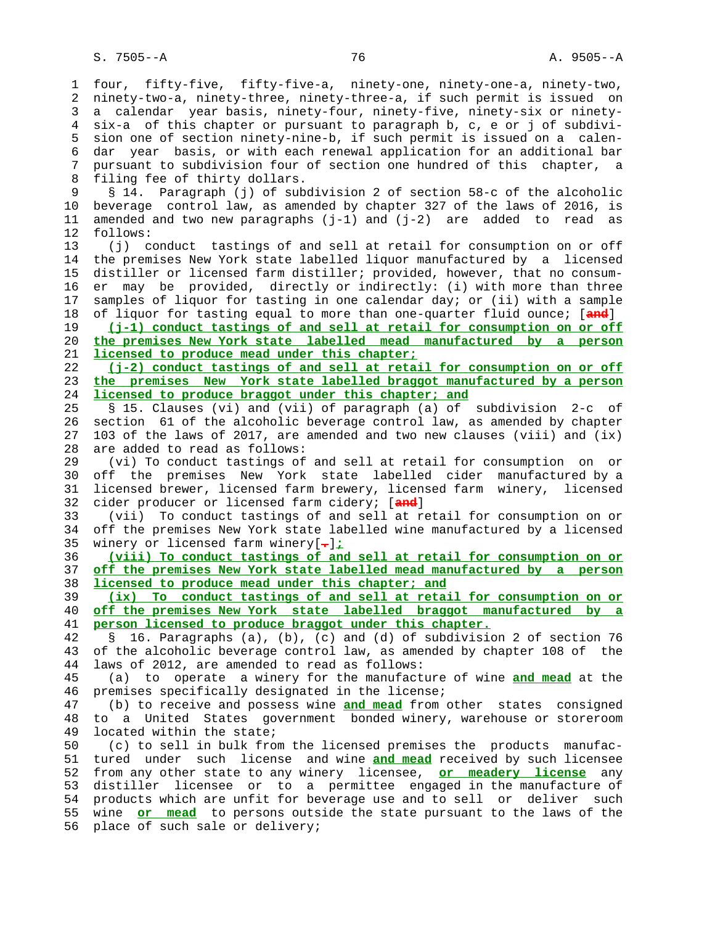1 four, fifty-five, fifty-five-a, ninety-one, ninety-one-a, ninety-two, 2 ninety-two-a, ninety-three, ninety-three-a, if such permit is issued on 3 a calendar year basis, ninety-four, ninety-five, ninety-six or ninety- 4 six-a of this chapter or pursuant to paragraph b, c, e or j of subdivi- 5 sion one of section ninety-nine-b, if such permit is issued on a calen- 6 dar year basis, or with each renewal application for an additional bar 7 pursuant to subdivision four of section one hundred of this chapter, a 8 filing fee of thirty dollars.<br>9 § 14. Paragraph (i) of sub 9 § 14. Paragraph (j) of subdivision 2 of section 58-c of the alcoholic 10 beverage control law, as amended by chapter 327 of the laws of 2016, is 11 amended and two new paragraphs (j-1) and (j-2) are added to read as 12 follows: 13 (j) conduct tastings of and sell at retail for consumption on or off 14 the premises New York state labelled liquor manufactured by a licensed 15 distiller or licensed farm distiller; provided, however, that no consum- 16 er may be provided, directly or indirectly: (i) with more than three 17 samples of liquor for tasting in one calendar day; or (ii) with a sample 18 of liquor for tasting equal to more than one-quarter fluid ounce; [**and**] 19 **(j-1) conduct tastings of and sell at retail for consumption on or off** 20 **the premises New York state labelled mead manufactured by a person** 21 **licensed to produce mead under this chapter;** 22 **(j-2) conduct tastings of and sell at retail for consumption on or off** 23 **the premises New York state labelled braggot manufactured by a person** 24 **licensed to produce braggot under this chapter; and** 25 § 15. Clauses (vi) and (vii) of paragraph (a) of subdivision 2-c of 26 section 61 of the alcoholic beverage control law, as amended by chapter 27 103 of the laws of 2017, are amended and two new clauses (viii) and  $(ix)$  28 are added to read as follows: 29 (vi) To conduct tastings of and sell at retail for consumption on or 30 off the premises New York state labelled cider manufactured by a 31 licensed brewer, licensed farm brewery, licensed farm winery, licensed 32 cider producer or licensed farm cidery; [**and**] 33 (vii) To conduct tastings of and sell at retail for consumption on or 34 off the premises New York state labelled wine manufactured by a licensed 35 winery or licensed farm winery[**.**]**;** 36 **(viii) To conduct tastings of and sell at retail for consumption on or** 37 **off the premises New York state labelled mead manufactured by a person** 38 **licensed to produce mead under this chapter; and** 39 **(ix) To conduct tastings of and sell at retail for consumption on or** 40 **off the premises New York state labelled braggot manufactured by a** 41 **person licensed to produce braggot under this chapter.** 42 § 16. Paragraphs (a), (b), (c) and (d) of subdivision 2 of section 76 43 of the alcoholic beverage control law, as amended by chapter 108 of the 44 laws of 2012, are amended to read as follows: 45 (a) to operate a winery for the manufacture of wine **and mead** at the 46 premises specifically designated in the license; 47 (b) to receive and possess wine **and mead** from other states consigned 48 to a United States government bonded winery, warehouse or storeroom 49 located within the state; 50 (c) to sell in bulk from the licensed premises the products manufac- 51 tured under such license and wine **and mead** received by such licensee 52 from any other state to any winery licensee, **or meadery license** any 53 distiller licensee or to a permittee engaged in the manufacture of 54 products which are unfit for beverage use and to sell or deliver such 55 wine **or mead** to persons outside the state pursuant to the laws of the 56 place of such sale or delivery;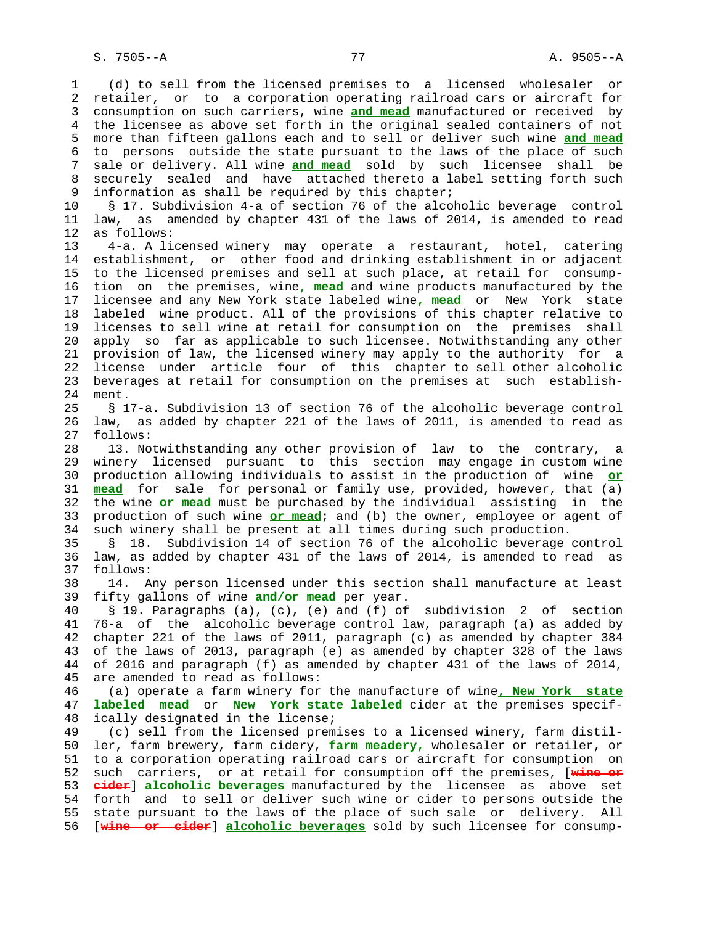1 (d) to sell from the licensed premises to a licensed wholesaler or 2 retailer, or to a corporation operating railroad cars or aircraft for 3 consumption on such carriers, wine **and mead** manufactured or received by 4 the licensee as above set forth in the original sealed containers of not 5 more than fifteen gallons each and to sell or deliver such wine **and mead** 6 to persons outside the state pursuant to the laws of the place of such 7 sale or delivery. All wine **and mead** sold by such licensee shall be 8 securely sealed and have attached thereto a label setting forth such<br>9 information as shall be required by this chapter; information as shall be required by this chapter; 10 § 17. Subdivision 4-a of section 76 of the alcoholic beverage control 11 law, as amended by chapter 431 of the laws of 2014, is amended to read 12 as follows: 13 4-a. A licensed winery may operate a restaurant, hotel, catering 14 establishment, or other food and drinking establishment in or adjacent 15 to the licensed premises and sell at such place, at retail for consump- 16 tion on the premises, wine**, mead** and wine products manufactured by the 17 licensee and any New York state labeled wine**, mead** or New York state 18 labeled wine product. All of the provisions of this chapter relative to 19 licenses to sell wine at retail for consumption on the premises shall 20 apply so far as applicable to such licensee. Notwithstanding any other 21 provision of law, the licensed winery may apply to the authority for a 22 license under article four of this chapter to sell other alcoholic 23 beverages at retail for consumption on the premises at such establish- 24 ment. 25 § 17-a. Subdivision 13 of section 76 of the alcoholic beverage control 26 law, as added by chapter 221 of the laws of 2011, is amended to read as 27 follows: 28 13. Notwithstanding any other provision of law to the contrary, a 29 winery licensed pursuant to this section may engage in custom wine 30 production allowing individuals to assist in the production of wine **or** 31 **mead** for sale for personal or family use, provided, however, that (a) 32 the wine **or mead** must be purchased by the individual assisting in the 33 production of such wine **or mead**; and (b) the owner, employee or agent of 34 such winery shall be present at all times during such production. 35 § 18. Subdivision 14 of section 76 of the alcoholic beverage control 36 law, as added by chapter 431 of the laws of 2014, is amended to read as 37 follows: 38 14. Any person licensed under this section shall manufacture at least 39 fifty gallons of wine **and/or mead** per year. 40 § 19. Paragraphs (a), (c), (e) and (f) of subdivision 2 of section 41 76-a of the alcoholic beverage control law, paragraph (a) as added by 42 chapter 221 of the laws of 2011, paragraph (c) as amended by chapter 384 43 of the laws of 2013, paragraph (e) as amended by chapter 328 of the laws 44 of 2016 and paragraph (f) as amended by chapter 431 of the laws of 2014, 45 are amended to read as follows: 46 (a) operate a farm winery for the manufacture of wine**, New York state** 47 **labeled mead** or **New York state labeled** cider at the premises specif- 48 ically designated in the license; 49 (c) sell from the licensed premises to a licensed winery, farm distil- 50 ler, farm brewery, farm cidery, **farm meadery,** wholesaler or retailer, or 51 to a corporation operating railroad cars or aircraft for consumption on 52 such carriers, or at retail for consumption off the premises, [**wine or** 53 **cider**] **alcoholic beverages** manufactured by the licensee as above set 54 forth and to sell or deliver such wine or cider to persons outside the 55 state pursuant to the laws of the place of such sale or delivery. All 56 [**wine or cider**] **alcoholic beverages** sold by such licensee for consump-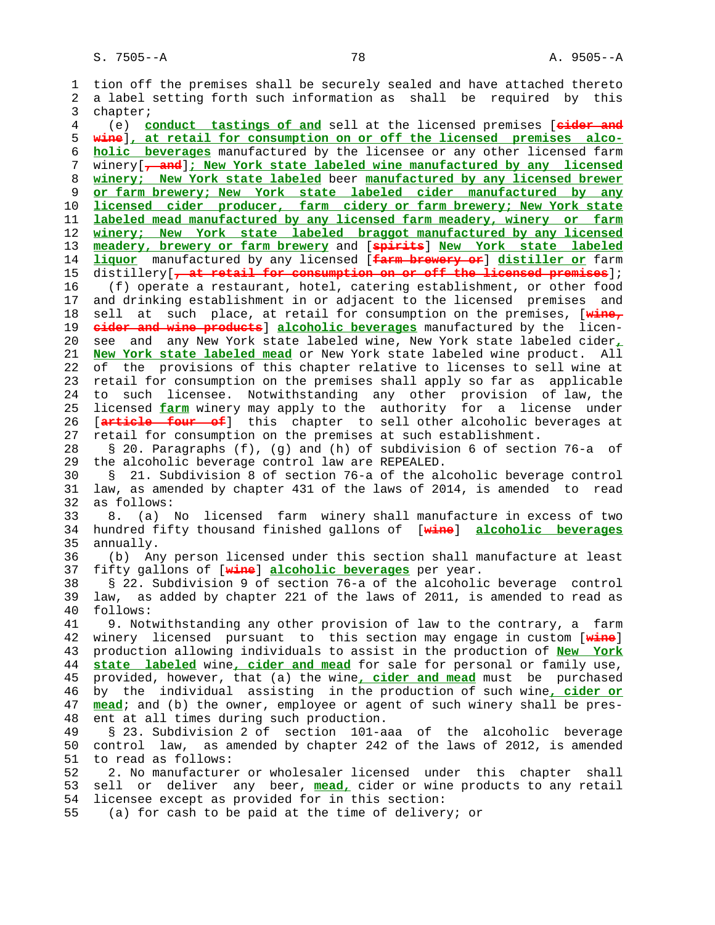1 tion off the premises shall be securely sealed and have attached thereto 2 a label setting forth such information as shall be required by this 3 chapter;

 4 (e) **conduct tastings of and** sell at the licensed premises [**cider and** 5 **wine**]**, at retail for consumption on or off the licensed premises alco-** 6 **holic beverages** manufactured by the licensee or any other licensed farm 7 winery[**, and**]**; New York state labeled wine manufactured by any licensed** 8 **winery; New York state labeled** beer **manufactured by any licensed brewer** 9 **or farm brewery; New York state labeled cider manufactured by any** 10 **licensed cider producer, farm cidery or farm brewery; New York state** 11 **labeled mead manufactured by any licensed farm meadery, winery or farm** 12 **winery; New York state labeled braggot manufactured by any licensed** 13 **meadery, brewery or farm brewery** and [**spirits**] **New York state labeled** 14 **liquor** manufactured by any licensed [**farm brewery or**] **distiller or** farm 15 distillery[**, at retail for consumption on or off the licensed premises**]; 16 (f) operate a restaurant, hotel, catering establishment, or other food 17 and drinking establishment in or adjacent to the licensed premises and 18 sell at such place, at retail for consumption on the premises, [**wine,** 19 **cider and wine products**] **alcoholic beverages** manufactured by the licen- 20 see and any New York state labeled wine, New York state labeled cider**,** 21 **New York state labeled mead** or New York state labeled wine product. All 22 of the provisions of this chapter relative to licenses to sell wine at 23 retail for consumption on the premises shall apply so far as applicable 24 to such licensee. Notwithstanding any other provision of law, the 25 licensed **farm** winery may apply to the authority for a license under 26 [**article four of**] this chapter to sell other alcoholic beverages at 27 retail for consumption on the premises at such establishment. 28 § 20. Paragraphs (f), (g) and (h) of subdivision 6 of section 76-a of 29 the alcoholic beverage control law are REPEALED. 30 § 21. Subdivision 8 of section 76-a of the alcoholic beverage control 31 law, as amended by chapter 431 of the laws of 2014, is amended to read 32 as follows: 33 8. (a) No licensed farm winery shall manufacture in excess of two 34 hundred fifty thousand finished gallons of [**wine**] **alcoholic beverages** 35 annually. 36 (b) Any person licensed under this section shall manufacture at least 37 fifty gallons of [**wine**] **alcoholic beverages** per year. 38 § 22. Subdivision 9 of section 76-a of the alcoholic beverage control 39 law, as added by chapter 221 of the laws of 2011, is amended to read as 40 follows: 41 9. Notwithstanding any other provision of law to the contrary, a farm 42 winery licensed pursuant to this section may engage in custom [**wine**] 43 production allowing individuals to assist in the production of **New York** 44 **state labeled** wine**, cider and mead** for sale for personal or family use, 45 provided, however, that (a) the wine**, cider and mead** must be purchased 46 by the individual assisting in the production of such wine**, cider or** 47 **mead**; and (b) the owner, employee or agent of such winery shall be pres- 48 ent at all times during such production. 49 § 23. Subdivision 2 of section 101-aaa of the alcoholic beverage 50 control law, as amended by chapter 242 of the laws of 2012, is amended 51 to read as follows: 52 2. No manufacturer or wholesaler licensed under this chapter shall 53 sell or deliver any beer, **mead,** cider or wine products to any retail 54 licensee except as provided for in this section: 55 (a) for cash to be paid at the time of delivery; or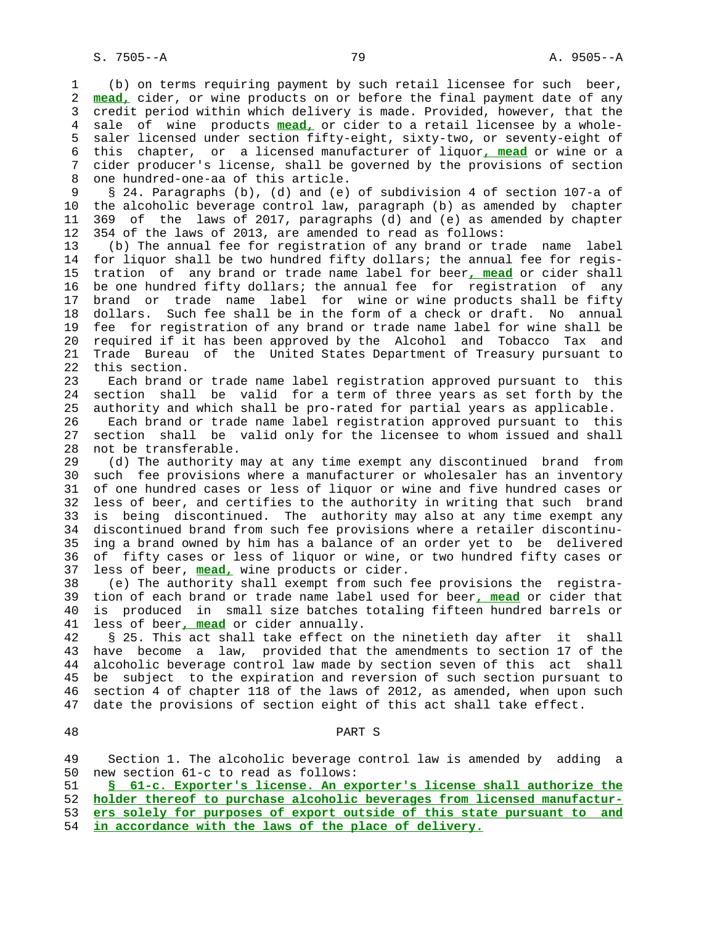1 (b) on terms requiring payment by such retail licensee for such beer, 2 **mead,** cider, or wine products on or before the final payment date of any 3 credit period within which delivery is made. Provided, however, that the 4 sale of wine products **mead,** or cider to a retail licensee by a whole- 5 saler licensed under section fifty-eight, sixty-two, or seventy-eight of 6 this chapter, or a licensed manufacturer of liquor**, mead** or wine or a 7 cider producer's license, shall be governed by the provisions of section 8 one hundred-one-aa of this article.<br>9 § 24. Paragraphs (b), (d) and (e)

 9 § 24. Paragraphs (b), (d) and (e) of subdivision 4 of section 107-a of 10 the alcoholic beverage control law, paragraph (b) as amended by chapter 11 369 of the laws of 2017, paragraphs (d) and (e) as amended by chapter 12 354 of the laws of 2013, are amended to read as follows:

 13 (b) The annual fee for registration of any brand or trade name label 14 for liquor shall be two hundred fifty dollars; the annual fee for regis- 15 tration of any brand or trade name label for beer**, mead** or cider shall 16 be one hundred fifty dollars; the annual fee for registration of any 17 brand or trade name label for wine or wine products shall be fifty 18 dollars. Such fee shall be in the form of a check or draft. No annual 19 fee for registration of any brand or trade name label for wine shall be 20 required if it has been approved by the Alcohol and Tobacco Tax and 21 Trade Bureau of the United States Department of Treasury pursuant to 22 this section.

 23 Each brand or trade name label registration approved pursuant to this 24 section shall be valid for a term of three years as set forth by the 25 authority and which shall be pro-rated for partial years as applicable.

 26 Each brand or trade name label registration approved pursuant to this 27 section shall be valid only for the licensee to whom issued and shall 28 not be transferable.

 29 (d) The authority may at any time exempt any discontinued brand from 30 such fee provisions where a manufacturer or wholesaler has an inventory 31 of one hundred cases or less of liquor or wine and five hundred cases or 32 less of beer, and certifies to the authority in writing that such brand 33 is being discontinued. The authority may also at any time exempt any 34 discontinued brand from such fee provisions where a retailer discontinu- 35 ing a brand owned by him has a balance of an order yet to be delivered 36 of fifty cases or less of liquor or wine, or two hundred fifty cases or 37 less of beer, **mead,** wine products or cider.

 38 (e) The authority shall exempt from such fee provisions the registra- 39 tion of each brand or trade name label used for beer**, mead** or cider that 40 is produced in small size batches totaling fifteen hundred barrels or 41 less of beer**, mead** or cider annually.

 42 § 25. This act shall take effect on the ninetieth day after it shall 43 have become a law, provided that the amendments to section 17 of the 44 alcoholic beverage control law made by section seven of this act shall 45 be subject to the expiration and reversion of such section pursuant to 46 section 4 of chapter 118 of the laws of 2012, as amended, when upon such 47 date the provisions of section eight of this act shall take effect.

## 48 PART S

 49 Section 1. The alcoholic beverage control law is amended by adding a 50 new section 61-c to read as follows:

51 **§ 61-c. Exporter's license. An exporter's license shall authorize the**

 52 **holder thereof to purchase alcoholic beverages from licensed manufactur-** 53 **ers solely for purposes of export outside of this state pursuant to and**

54 **in accordance with the laws of the place of delivery.**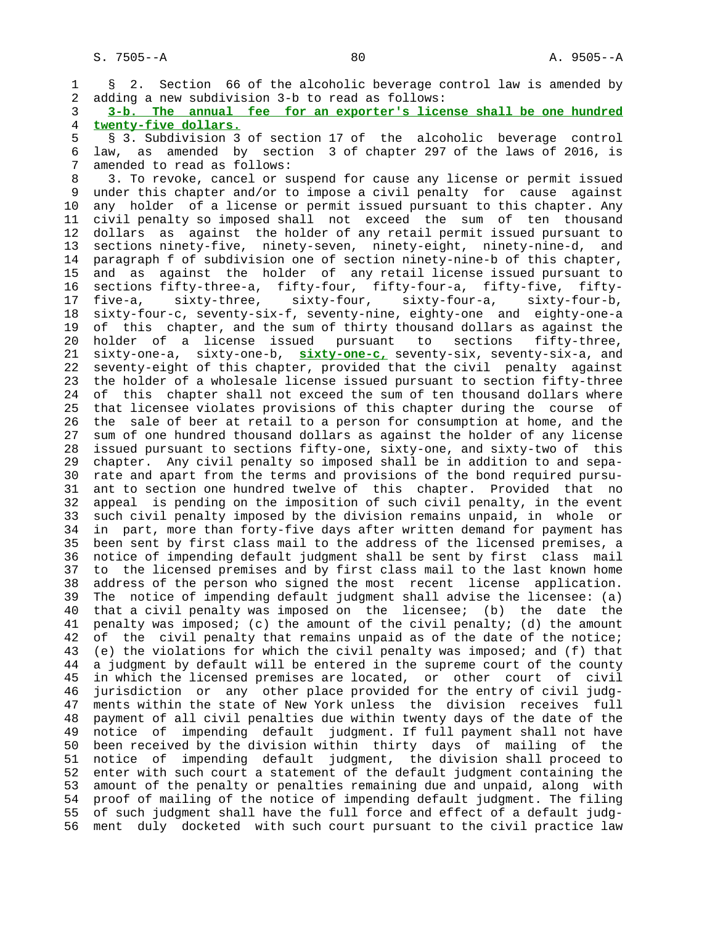1 § 2. Section 66 of the alcoholic beverage control law is amended by 2 adding a new subdivision 3-b to read as follows:

 3 **3-b. The annual fee for an exporter's license shall be one hundred** 4 **twenty-five dollars.**

 5 § 3. Subdivision 3 of section 17 of the alcoholic beverage control 6 law, as amended by section 3 of chapter 297 of the laws of 2016, is 7 amended to read as follows:

8 3. To revoke, cancel or suspend for cause any license or permit issued<br>9 under this chapter and/or to impose a civil penalty for cause against under this chapter and/or to impose a civil penalty for cause against 10 any holder of a license or permit issued pursuant to this chapter. Any 11 civil penalty so imposed shall not exceed the sum of ten thousand 12 dollars as against the holder of any retail permit issued pursuant to 13 sections ninety-five, ninety-seven, ninety-eight, ninety-nine-d, and 14 paragraph f of subdivision one of section ninety-nine-b of this chapter, 15 and as against the holder of any retail license issued pursuant to 16 sections fifty-three-a, fifty-four, fifty-four-a, fifty-five, fifty- 17 five-a, sixty-three, sixty-four, sixty-four-a, sixty-four-b, 18 sixty-four-c, seventy-six-f, seventy-nine, eighty-one and eighty-one-a 19 of this chapter, and the sum of thirty thousand dollars as against the 20 holder of a license issued pursuant to sections fifty-three, 21 sixty-one-a, sixty-one-b, **sixty-one-c,** seventy-six, seventy-six-a, and 22 seventy-eight of this chapter, provided that the civil penalty against 23 the holder of a wholesale license issued pursuant to section fifty-three 24 of this chapter shall not exceed the sum of ten thousand dollars where 25 that licensee violates provisions of this chapter during the course of 26 the sale of beer at retail to a person for consumption at home, and the 27 sum of one hundred thousand dollars as against the holder of any license 28 issued pursuant to sections fifty-one, sixty-one, and sixty-two of this 29 chapter. Any civil penalty so imposed shall be in addition to and sepa- 30 rate and apart from the terms and provisions of the bond required pursu- 31 ant to section one hundred twelve of this chapter. Provided that no 32 appeal is pending on the imposition of such civil penalty, in the event 33 such civil penalty imposed by the division remains unpaid, in whole or 34 in part, more than forty-five days after written demand for payment has 35 been sent by first class mail to the address of the licensed premises, a 36 notice of impending default judgment shall be sent by first class mail 37 to the licensed premises and by first class mail to the last known home 38 address of the person who signed the most recent license application. 39 The notice of impending default judgment shall advise the licensee: (a) 40 that a civil penalty was imposed on the licensee; (b) the date the 41 penalty was imposed; (c) the amount of the civil penalty; (d) the amount 42 of the civil penalty that remains unpaid as of the date of the notice; 43 (e) the violations for which the civil penalty was imposed; and (f) that 44 a judgment by default will be entered in the supreme court of the county 45 in which the licensed premises are located, or other court of civil 46 jurisdiction or any other place provided for the entry of civil judg- 47 ments within the state of New York unless the division receives full 48 payment of all civil penalties due within twenty days of the date of the 49 notice of impending default judgment. If full payment shall not have 50 been received by the division within thirty days of mailing of the 51 notice of impending default judgment, the division shall proceed to 52 enter with such court a statement of the default judgment containing the 53 amount of the penalty or penalties remaining due and unpaid, along with 54 proof of mailing of the notice of impending default judgment. The filing 55 of such judgment shall have the full force and effect of a default judg- 56 ment duly docketed with such court pursuant to the civil practice law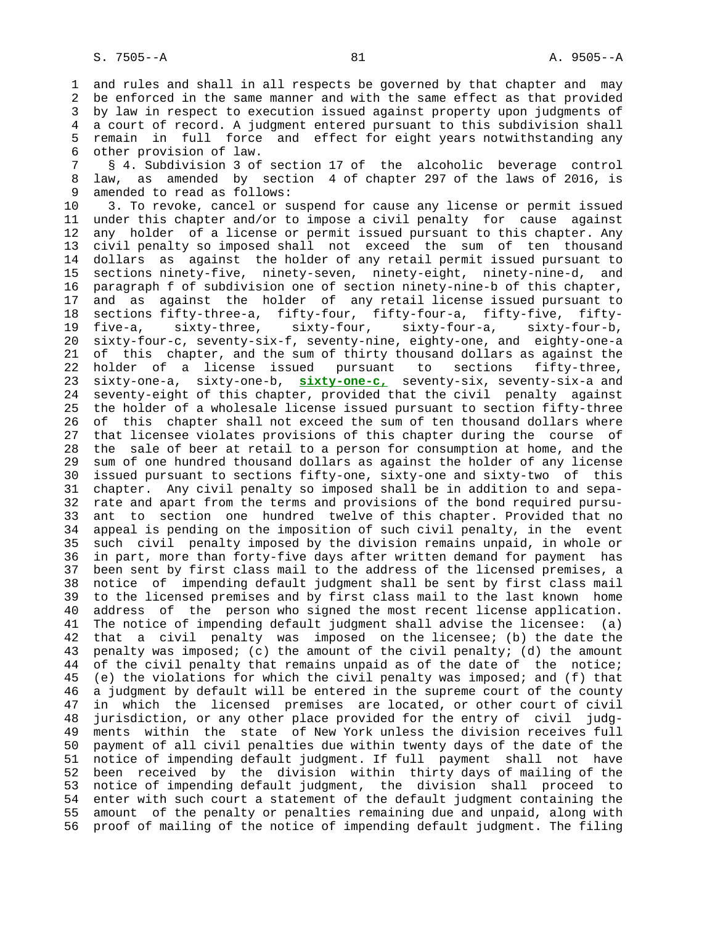1 and rules and shall in all respects be governed by that chapter and may 2 be enforced in the same manner and with the same effect as that provided 3 by law in respect to execution issued against property upon judgments of 4 a court of record. A judgment entered pursuant to this subdivision shall 5 remain in full force and effect for eight years notwithstanding any 6 other provision of law.

 7 § 4. Subdivision 3 of section 17 of the alcoholic beverage control 8 law, as amended by section 4 of chapter 297 of the laws of 2016, is 3 amended to read as follows: amended to read as follows:

 10 3. To revoke, cancel or suspend for cause any license or permit issued 11 under this chapter and/or to impose a civil penalty for cause against 12 any holder of a license or permit issued pursuant to this chapter. Any 13 civil penalty so imposed shall not exceed the sum of ten thousand 14 dollars as against the holder of any retail permit issued pursuant to 15 sections ninety-five, ninety-seven, ninety-eight, ninety-nine-d, and 16 paragraph f of subdivision one of section ninety-nine-b of this chapter, 17 and as against the holder of any retail license issued pursuant to 18 sections fifty-three-a, fifty-four, fifty-four-a, fifty-five, fifty-<br>19 five-a, sixty-three, sixty-four, sixty-four-a, sixty-four-b, 19 five-a, sixty-three, sixty-four, sixty-four-a, sixty-four-b, 20 sixty-four-c, seventy-six-f, seventy-nine, eighty-one, and eighty-one-a 21 of this chapter, and the sum of thirty thousand dollars as against the 22 holder of a license issued pursuant to sections fifty-three, 23 sixty-one-a, sixty-one-b, **sixty-one-c,** seventy-six, seventy-six-a and 24 seventy-eight of this chapter, provided that the civil penalty against 25 the holder of a wholesale license issued pursuant to section fifty-three 26 of this chapter shall not exceed the sum of ten thousand dollars where 27 that licensee violates provisions of this chapter during the course of 28 the sale of beer at retail to a person for consumption at home, and the 29 sum of one hundred thousand dollars as against the holder of any license 30 issued pursuant to sections fifty-one, sixty-one and sixty-two of this 31 chapter. Any civil penalty so imposed shall be in addition to and sepa- 32 rate and apart from the terms and provisions of the bond required pursu- 33 ant to section one hundred twelve of this chapter. Provided that no 34 appeal is pending on the imposition of such civil penalty, in the event 35 such civil penalty imposed by the division remains unpaid, in whole or 36 in part, more than forty-five days after written demand for payment has 37 been sent by first class mail to the address of the licensed premises, a 38 notice of impending default judgment shall be sent by first class mail 39 to the licensed premises and by first class mail to the last known home 40 address of the person who signed the most recent license application. 41 The notice of impending default judgment shall advise the licensee: (a) 42 that a civil penalty was imposed on the licensee; (b) the date the 43 penalty was imposed; (c) the amount of the civil penalty; (d) the amount 44 of the civil penalty that remains unpaid as of the date of the notice; 45 (e) the violations for which the civil penalty was imposed; and (f) that 46 a judgment by default will be entered in the supreme court of the county 47 in which the licensed premises are located, or other court of civil 48 jurisdiction, or any other place provided for the entry of civil judg- 49 ments within the state of New York unless the division receives full 50 payment of all civil penalties due within twenty days of the date of the 51 notice of impending default judgment. If full payment shall not have 52 been received by the division within thirty days of mailing of the 53 notice of impending default judgment, the division shall proceed to 54 enter with such court a statement of the default judgment containing the 55 amount of the penalty or penalties remaining due and unpaid, along with 56 proof of mailing of the notice of impending default judgment. The filing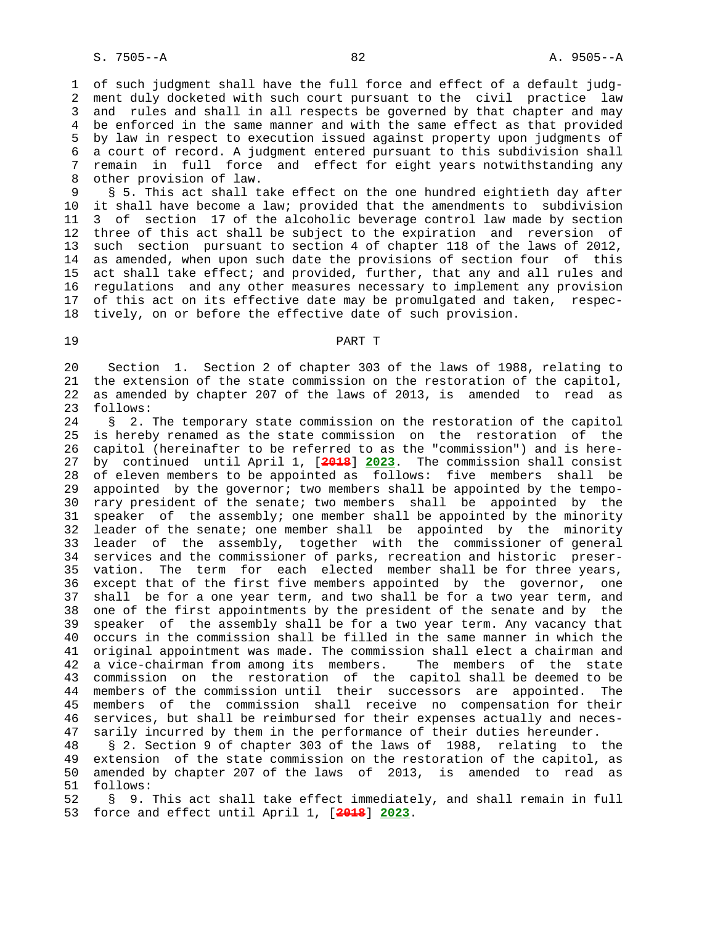1 of such judgment shall have the full force and effect of a default judg- 2 ment duly docketed with such court pursuant to the civil practice law 3 and rules and shall in all respects be governed by that chapter and may 4 be enforced in the same manner and with the same effect as that provided 5 by law in respect to execution issued against property upon judgments of 6 a court of record. A judgment entered pursuant to this subdivision shall 7 remain in full force and effect for eight years notwithstanding any 8 other provision of law.<br>9 \$ 5. This act shall t

§ 5. This act shall take effect on the one hundred eightieth day after 10 it shall have become a law; provided that the amendments to subdivision 11 3 of section 17 of the alcoholic beverage control law made by section 12 three of this act shall be subject to the expiration and reversion of 13 such section pursuant to section 4 of chapter 118 of the laws of 2012, 14 as amended, when upon such date the provisions of section four of this 15 act shall take effect; and provided, further, that any and all rules and 16 regulations and any other measures necessary to implement any provision 17 of this act on its effective date may be promulgated and taken, respec- 18 tively, on or before the effective date of such provision.

# 19 PART T

 20 Section 1. Section 2 of chapter 303 of the laws of 1988, relating to 21 the extension of the state commission on the restoration of the capitol, 22 as amended by chapter 207 of the laws of 2013, is amended to read as 23 follows:

 24 § 2. The temporary state commission on the restoration of the capitol 25 is hereby renamed as the state commission on the restoration of the 26 capitol (hereinafter to be referred to as the "commission") and is here- 27 by continued until April 1, [**2018**] **2023**. The commission shall consist 28 of eleven members to be appointed as follows: five members shall be 29 appointed by the governor; two members shall be appointed by the tempo- 30 rary president of the senate; two members shall be appointed by the 31 speaker of the assembly; one member shall be appointed by the minority 32 leader of the senate; one member shall be appointed by the minority 33 leader of the assembly, together with the commissioner of general 34 services and the commissioner of parks, recreation and historic preser- 35 vation. The term for each elected member shall be for three years, 36 except that of the first five members appointed by the governor, one 37 shall be for a one year term, and two shall be for a two year term, and 38 one of the first appointments by the president of the senate and by the 39 speaker of the assembly shall be for a two year term. Any vacancy that 40 occurs in the commission shall be filled in the same manner in which the 41 original appointment was made. The commission shall elect a chairman and 42 a vice-chairman from among its members. The members of the state 43 commission on the restoration of the capitol shall be deemed to be 44 members of the commission until their successors are appointed. The 45 members of the commission shall receive no compensation for their 46 services, but shall be reimbursed for their expenses actually and neces- 47 sarily incurred by them in the performance of their duties hereunder. 48 § 2. Section 9 of chapter 303 of the laws of 1988, relating to the 49 extension of the state commission on the restoration of the capitol, as 50 amended by chapter 207 of the laws of 2013, is amended to read as 51 follows:

 52 § 9. This act shall take effect immediately, and shall remain in full 53 force and effect until April 1, [**2018**] **2023**.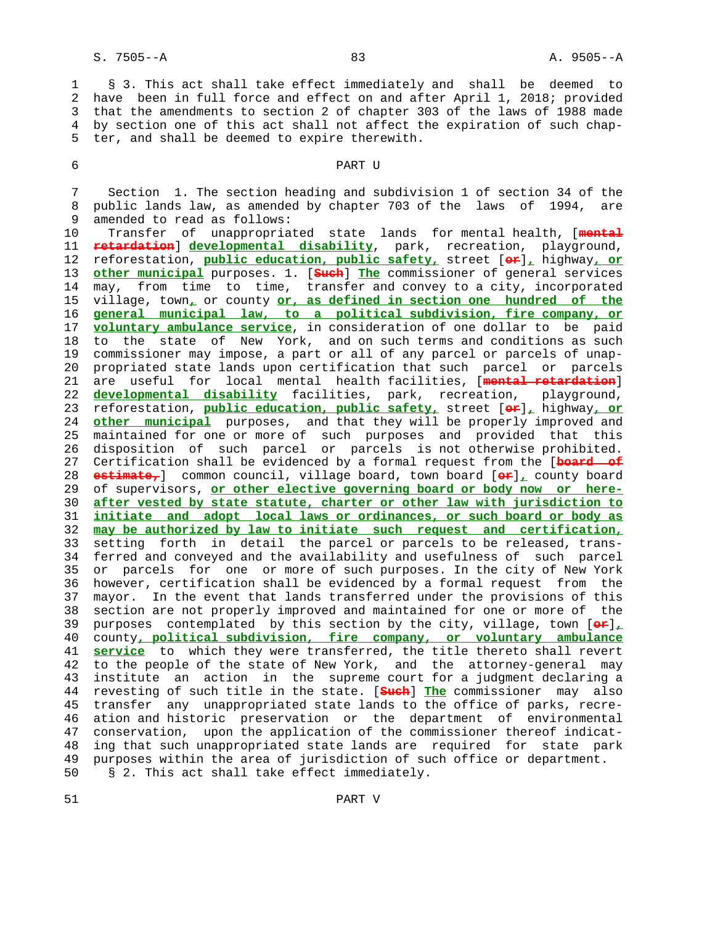1 § 3. This act shall take effect immediately and shall be deemed to 2 have been in full force and effect on and after April 1, 2018; provided 3 that the amendments to section 2 of chapter 303 of the laws of 1988 made 4 by section one of this act shall not affect the expiration of such chap- 5 ter, and shall be deemed to expire therewith.

## 6 PART U

 7 Section 1. The section heading and subdivision 1 of section 34 of the 8 public lands law, as amended by chapter 703 of the laws of 1994, are 9 amended to read as follows:

 10 Transfer of unappropriated state lands for mental health, [**mental** 11 **retardation**] **developmental disability**, park, recreation, playground, 12 reforestation, **public education, public safety,** street [**or**]**,** highway**, or** 13 **other municipal** purposes. 1. [**Such**] **The** commissioner of general services 14 may, from time to time, transfer and convey to a city, incorporated 15 village, town**,** or county **or, as defined in section one hundred of the** 16 **general municipal law, to a political subdivision, fire company, or** 17 **voluntary ambulance service**, in consideration of one dollar to be paid 18 to the state of New York, and on such terms and conditions as such 19 commissioner may impose, a part or all of any parcel or parcels of unap- 20 propriated state lands upon certification that such parcel or parcels 21 are useful for local mental health facilities, [**mental retardation**] 22 **developmental disability** facilities, park, recreation, playground, 23 reforestation, **public education, public safety,** street [**or**]**,** highway**, or** 24 **other municipal** purposes, and that they will be properly improved and 25 maintained for one or more of such purposes and provided that this 26 disposition of such parcel or parcels is not otherwise prohibited. 27 Certification shall be evidenced by a formal request from the [**board of** 28 **estimate,**] common council, village board, town board [**or**]**,** county board 29 of supervisors, **or other elective governing board or body now or here-** 30 **after vested by state statute, charter or other law with jurisdiction to** 31 **initiate and adopt local laws or ordinances, or such board or body as** 32 **may be authorized by law to initiate such request and certification,** 33 setting forth in detail the parcel or parcels to be released, trans- 34 ferred and conveyed and the availability and usefulness of such parcel 35 or parcels for one or more of such purposes. In the city of New York 36 however, certification shall be evidenced by a formal request from the 37 mayor. In the event that lands transferred under the provisions of this 38 section are not properly improved and maintained for one or more of the 39 purposes contemplated by this section by the city, village, town [**or**]**,** 40 county**, political subdivision, fire company, or voluntary ambulance** 41 **service** to which they were transferred, the title thereto shall revert 42 to the people of the state of New York, and the attorney-general may 43 institute an action in the supreme court for a judgment declaring a 44 revesting of such title in the state. [**Such**] **The** commissioner may also 45 transfer any unappropriated state lands to the office of parks, recre- 46 ation and historic preservation or the department of environmental 47 conservation, upon the application of the commissioner thereof indicat- 48 ing that such unappropriated state lands are required for state park 49 purposes within the area of jurisdiction of such office or department. 50 § 2. This act shall take effect immediately.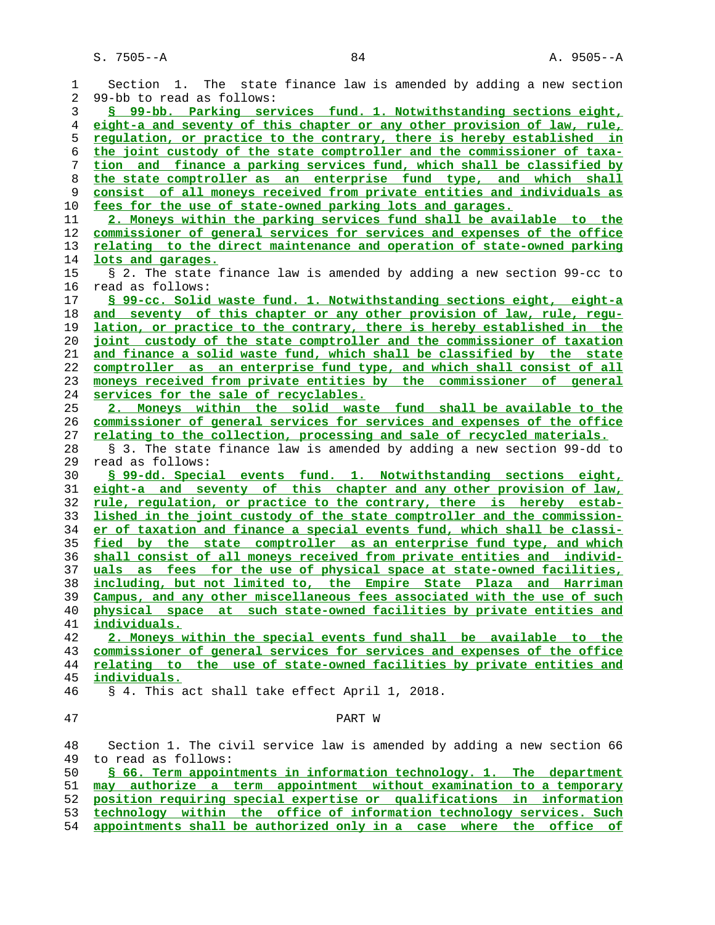| 1  | Section 1. The state finance law is amended by adding a new section            |
|----|--------------------------------------------------------------------------------|
| 2  | 99-bb to read as follows:                                                      |
| 3  | § 99-bb. Parking services fund. 1. Notwithstanding sections eight,             |
| 4  | eight-a and seventy of this chapter or any other provision of law, rule,       |
| 5  | <u>requlation, or practice to the contrary, there is hereby established in</u> |
| 6  | the joint custody of the state comptroller and the commissioner of taxa-       |
| 7  | tion and finance a parking services fund, which shall be classified by         |
| 8  |                                                                                |
|    | the state comptroller as an enterprise fund type, and which shall              |
| 9  | consist of all moneys received from private entities and individuals as        |
| 10 | fees for the use of state-owned parking lots and garages.                      |
| 11 | 2. Moneys within the parking services fund shall be available to the           |
| 12 | commissioner of general services for services and expenses of the office       |
| 13 | relating to the direct maintenance and operation of state-owned parking        |
| 14 | <u>lots and garages.</u>                                                       |
| 15 | § 2. The state finance law is amended by adding a new section 99-cc to         |
| 16 | read as follows:                                                               |
| 17 | § 99-cc. Solid waste fund. 1. Notwithstanding sections eight, eight-a          |
| 18 | and seventy of this chapter or any other provision of law, rule, regu-         |
| 19 | lation, or practice to the contrary, there is hereby established in the        |
| 20 | joint custody of the state comptroller and the commissioner of taxation        |
| 21 | and finance a solid waste fund, which shall be classified by the state         |
| 22 | comptroller as an enterprise fund type, and which shall consist of all         |
| 23 |                                                                                |
|    | moneys received from private entities by the commissioner of general           |
| 24 | services for the sale of recyclables.                                          |
| 25 | 2. Moneys within the solid waste fund shall be available to the                |
| 26 | commissioner of general services for services and expenses of the office       |
| 27 | relating to the collection, processing and sale of recycled materials.         |
| 28 | § 3. The state finance law is amended by adding a new section 99-dd to         |
| 29 | read as follows:                                                               |
| 30 | S 99-dd. Special events fund. 1. Notwithstanding sections eight,               |
| 31 | eight-a and seventy of this chapter and any other provision of law,            |
| 32 | rule, requlation, or practice to the contrary, there is hereby estab-          |
| 33 | lished in the joint custody of the state comptroller and the commission-       |
| 34 | er of taxation and finance a special events fund, which shall be classi-       |
| 35 | fied by the state comptroller as an enterprise fund type, and which            |
| 36 | shall consist of all moneys received from private entities and individ-        |
| 37 | uals as fees for the use of physical space at state-owned facilities,          |
|    |                                                                                |
| 38 | including, but not limited to, the Empire State Plaza and Harriman             |
| 39 | Campus, and any other miscellaneous fees associated with the use of such       |
| 40 | physical space at such state-owned facilities by private entities and          |
| 41 | individuals.                                                                   |
| 42 | 2. Moneys within the special events fund shall be available to the             |
| 43 | commissioner of general services for services and expenses of the office       |
| 44 | relating to the use of state-owned facilities by private entities and          |
| 45 | individuals.                                                                   |
| 46 | § 4. This act shall take effect April 1, 2018.                                 |
|    |                                                                                |
| 47 | PART W                                                                         |
|    |                                                                                |
| 48 | Section 1. The civil service law is amended by adding a new section 66         |
| 49 | to read as follows:                                                            |
| 50 | § 66. Term appointments in information technology. 1. The department           |
|    |                                                                                |
| 51 | may authorize a term appointment without examination to a temporary            |
| 52 | position requiring special expertise or qualifications in information          |
| 53 | technology within the office of information technology services. Such          |
| 54 | appointments shall be authorized only in a case where the office of            |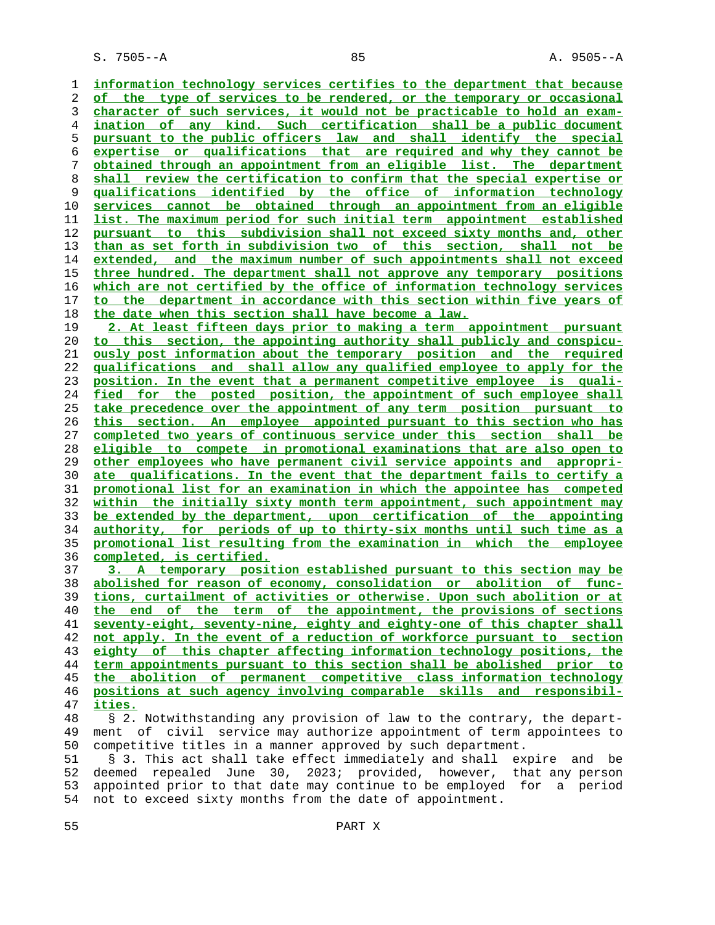**information technology services certifies to the department that because of the type of services to be rendered, or the temporary or occasional character of such services, it would not be practicable to hold an exam- ination of any kind. Such certification shall be a public document pursuant to the public officers law and shall identify the special expertise or qualifications that are required and why they cannot be obtained through an appointment from an eligible list. The department shall review the certification to confirm that the special expertise or qualifications identified by the office of information technology services cannot be obtained through an appointment from an eligible list. The maximum period for such initial term appointment established pursuant to this subdivision shall not exceed sixty months and, other than as set forth in subdivision two of this section, shall not be extended, and the maximum number of such appointments shall not exceed three hundred. The department shall not approve any temporary positions which are not certified by the office of information technology services to the department in accordance with this section within five years of the date when this section shall have become a law.**

**2. At least fifteen days prior to making a term appointment pursuant to this section, the appointing authority shall publicly and conspicu- ously post information about the temporary position and the required qualifications and shall allow any qualified employee to apply for the position. In the event that a permanent competitive employee is quali- fied for the posted position, the appointment of such employee shall take precedence over the appointment of any term position pursuant to this section. An employee appointed pursuant to this section who has completed two years of continuous service under this section shall be eligible to compete in promotional examinations that are also open to other employees who have permanent civil service appoints and appropri- ate qualifications. In the event that the department fails to certify a promotional list for an examination in which the appointee has competed within the initially sixty month term appointment, such appointment may be extended by the department, upon certification of the appointing authority, for periods of up to thirty-six months until such time as a promotional list resulting from the examination in which the employee completed, is certified.**

**3. A temporary position established pursuant to this section may be abolished for reason of economy, consolidation or abolition of func- tions, curtailment of activities or otherwise. Upon such abolition or at the end of the term of the appointment, the provisions of sections seventy-eight, seventy-nine, eighty and eighty-one of this chapter shall not apply. In the event of a reduction of workforce pursuant to section eighty of this chapter affecting information technology positions, the term appointments pursuant to this section shall be abolished prior to the abolition of permanent competitive class information technology positions at such agency involving comparable skills and responsibil- ities.**

 48 § 2. Notwithstanding any provision of law to the contrary, the depart ment of civil service may authorize appointment of term appointees to 50 competitive titles in a manner approved by such department.

 51 § 3. This act shall take effect immediately and shall expire and be 52 deemed repealed June 30, 2023; provided, however, that any person 53 appointed prior to that date may continue to be employed for a period 54 not to exceed sixty months from the date of appointment.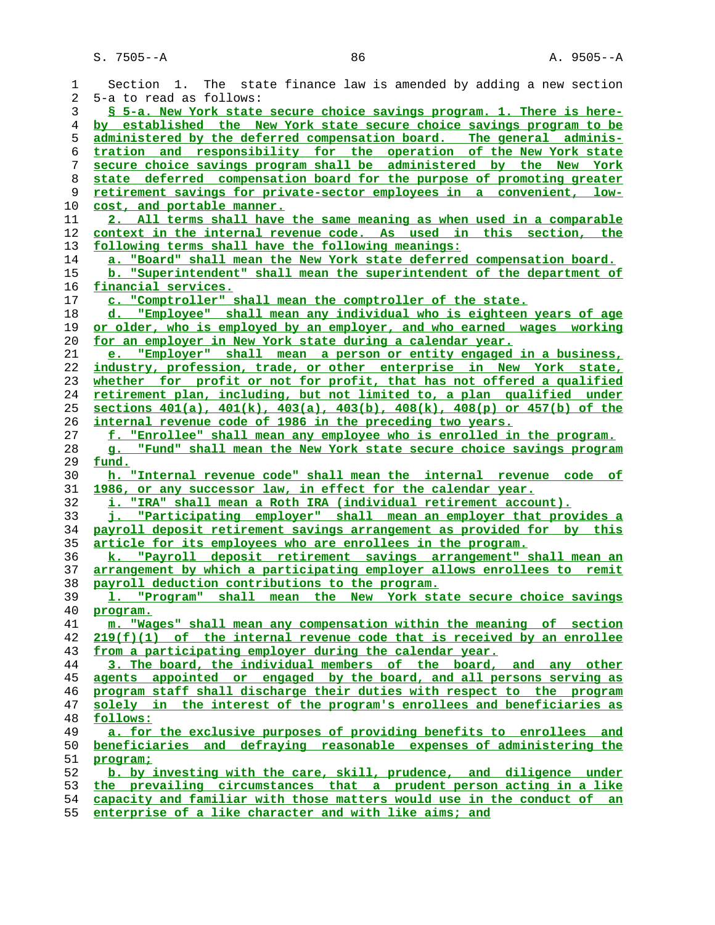S. 7505--A 86 86 A. 9505--A

| 1  | Section 1. The state finance law is amended by adding a new section                         |
|----|---------------------------------------------------------------------------------------------|
| 2  | 5-a to read as follows:                                                                     |
| 3  | § 5-a. New York state secure choice savings program. 1. There is here-                      |
| 4  | by established the New York state secure choice savings program to be                       |
| 5  | administered by the deferred compensation board. The general adminis-                       |
| 6  | tration and responsibility for the operation of the New York state                          |
| 7  | secure choice savings program shall be administered by the New York                         |
| 8  | state deferred compensation board for the purpose of promoting greater                      |
| 9  | retirement savings for private-sector employees in a convenient, low-                       |
| 10 | cost, and portable manner.                                                                  |
| 11 | 2. All terms shall have the same meaning as when used in a comparable                       |
| 12 | context in the internal revenue code. As used in this section, the                          |
| 13 | following terms shall have the following meanings:                                          |
| 14 | a. "Board" shall mean the New York state deferred compensation board.                       |
| 15 | b. "Superintendent" shall mean the superintendent of the department of                      |
| 16 | financial services.                                                                         |
| 17 | c. "Comptroller" shall mean the comptroller of the state.                                   |
| 18 | d. "Employee" shall mean any individual who is eighteen years of age                        |
| 19 | or older, who is employed by an employer, and who earned wages working                      |
| 20 | for an employer in New York state during a calendar year.                                   |
| 21 | "Employer" shall mean a person or entity engaged in a business,<br>$e_{\bullet}$            |
| 22 | industry, profession, trade, or other enterprise in New York state,                         |
| 23 | whether for profit or not for profit, that has not offered a qualified                      |
| 24 | retirement plan, including, but not limited to, a plan qualified under                      |
| 25 | sections $401(a)$ , $401(k)$ , $403(a)$ , $403(b)$ , $408(k)$ , $408(p)$ or $457(b)$ of the |
| 26 | internal revenue code of 1986 in the preceding two years.                                   |
|    |                                                                                             |
| 27 | f. "Enrollee" shall mean any employee who is enrolled in the program.                       |
| 28 | g. "Fund" shall mean the New York state secure choice savings program                       |
| 29 | fund.                                                                                       |
| 30 | h. "Internal revenue code" shall mean the internal revenue code of                          |
| 31 | 1986, or any successor law, in effect for the calendar year.                                |
| 32 | i. "IRA" shall mean a Roth IRA (individual retirement account).                             |
| 33 | j. "Participating employer" shall mean an employer that provides a                          |
| 34 | payroll deposit retirement savings arrangement as provided for by this                      |
| 35 | article for its employees who are enrollees in the program.                                 |
| 36 | k. "Payroll deposit retirement savings arrangement" shall mean an                           |
| 37 | arrangement by which a participating employer allows enrollees to remit                     |
| 38 | payroll deduction contributions to the program.                                             |
| 39 | "Program" shall mean the New York state secure choice savings<br>ı                          |
| 40 | program.                                                                                    |
| 41 | m. "Wages" shall mean any compensation within the meaning of section                        |
| 42 | $219(f)(1)$ of the internal revenue code that is received by an enrollee                    |
| 43 | from a participating employer during the calendar year.                                     |
| 44 | 3. The board, the individual members of the board, and any other                            |
| 45 | agents appointed or engaged by the board, and all persons serving as                        |
| 46 | program staff shall discharge their duties with respect to the program                      |
| 47 | solely in the interest of the program's enrollees and beneficiaries as                      |
| 48 | follows:                                                                                    |
| 49 | a. for the exclusive purposes of providing benefits to enrollees and                        |
| 50 | beneficiaries and defraying reasonable expenses of administering the                        |
| 51 | program;                                                                                    |
| 52 | b. by investing with the care, skill, prudence, and diligence under                         |
| 53 | the prevailing circumstances that a prudent person acting in a like                         |
| 54 | capacity and familiar with those matters would use in the conduct of an                     |

**enterprise of a like character and with like aims; and**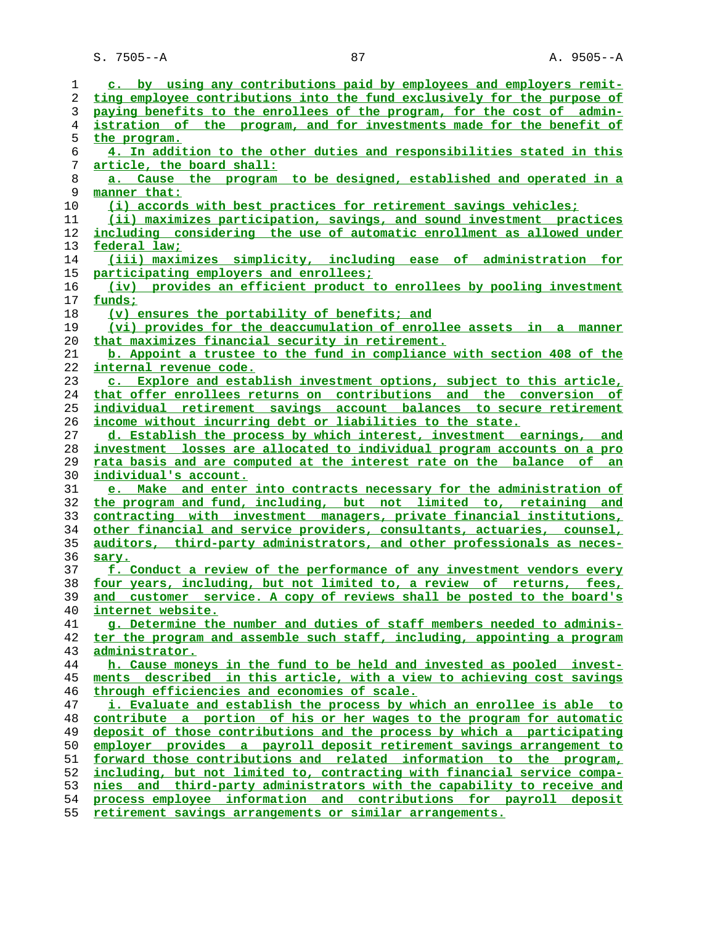| 1  | c. by using any contributions paid by employees and employers remit-         |
|----|------------------------------------------------------------------------------|
| 2  | ting employee contributions into the fund exclusively for the purpose of     |
| 3  | paying benefits to the enrollees of the program, for the cost of admin-      |
| 4  | istration of the program, and for investments made for the benefit of        |
| 5  | the program.                                                                 |
| 6  | 4. In addition to the other duties and responsibilities stated in this       |
| 7  | article, the board shall:                                                    |
| 8  | a. Cause the program to be designed, established and operated in a           |
| 9  | manner that:                                                                 |
| 10 | (i) accords with best practices for retirement savings vehicles;             |
| 11 | (ii) maximizes participation, savings, and sound investment practices        |
| 12 | including considering the use of automatic enrollment as allowed under       |
| 13 | federal law;                                                                 |
| 14 | (iii) maximizes simplicity, including ease of administration for             |
| 15 | participating employers and enrollees;                                       |
| 16 | (iv) provides an efficient product to enrollees by pooling investment        |
| 17 | funds;                                                                       |
| 18 | (v) ensures the portability of benefits; and                                 |
| 19 | (vi) provides for the deaccumulation of enrollee assets in a manner          |
| 20 | that maximizes financial security in retirement.                             |
| 21 | b. Appoint a trustee to the fund in compliance with section 408 of the       |
| 22 | internal revenue code.                                                       |
| 23 | c. Explore and establish investment options, subject to this article,        |
| 24 | that offer enrollees returns on contributions and the conversion of          |
| 25 | individual retirement savings account balances to secure retirement          |
| 26 | income without incurring debt or liabilities to the state.                   |
| 27 | d. Establish the process by which interest, investment earnings, and         |
| 28 | investment losses are allocated to individual program accounts on a pro      |
| 29 | <u>rata basis and are computed at the interest rate on the balance of an</u> |
| 30 | individual's account.                                                        |
| 31 | e. Make and enter into contracts necessary for the administration of         |
| 32 | the program and fund, including, but not limited to, retaining and           |
| 33 | contracting with investment managers, private financial institutions,        |
| 34 | other financial and service providers, consultants, actuaries, counsel,      |
| 35 | auditors, third-party administrators, and other professionals as neces-      |
| 36 | sary.                                                                        |
| 37 | f. Conduct a review of the performance of any investment vendors every       |
| 38 | four years, including, but not limited to, a review of returns, fees,        |
| 39 | and customer service. A copy of reviews shall be posted to the board's       |
| 40 | internet website.                                                            |
| 41 | g. Determine the number and duties of staff members needed to adminis-       |
| 42 | ter the program and assemble such staff, including, appointing a program     |
| 43 | administrator.                                                               |
| 44 | h. Cause moneys in the fund to be held and invested as pooled invest-        |
| 45 | ments described in this article, with a view to achieving cost savings       |
| 46 | through efficiencies and economies of scale.                                 |
| 47 | i. Evaluate and establish the process by which an enrollee is able to        |
| 48 | contribute a portion of his or her wages to the program for automatic        |
| 49 | deposit of those contributions and the process by which a participating      |
| 50 | employer provides a payroll deposit retirement savings arrangement to        |
| 51 | forward those contributions and related information to the program,          |
| 52 | including, but not limited to, contracting with financial service compa-     |
| 53 | nies and third-party administrators with the capability to receive and       |
| 54 | process employee information and contributions for payroll deposit           |
| 55 | retirement savings arrangements or similar arrangements.                     |
|    |                                                                              |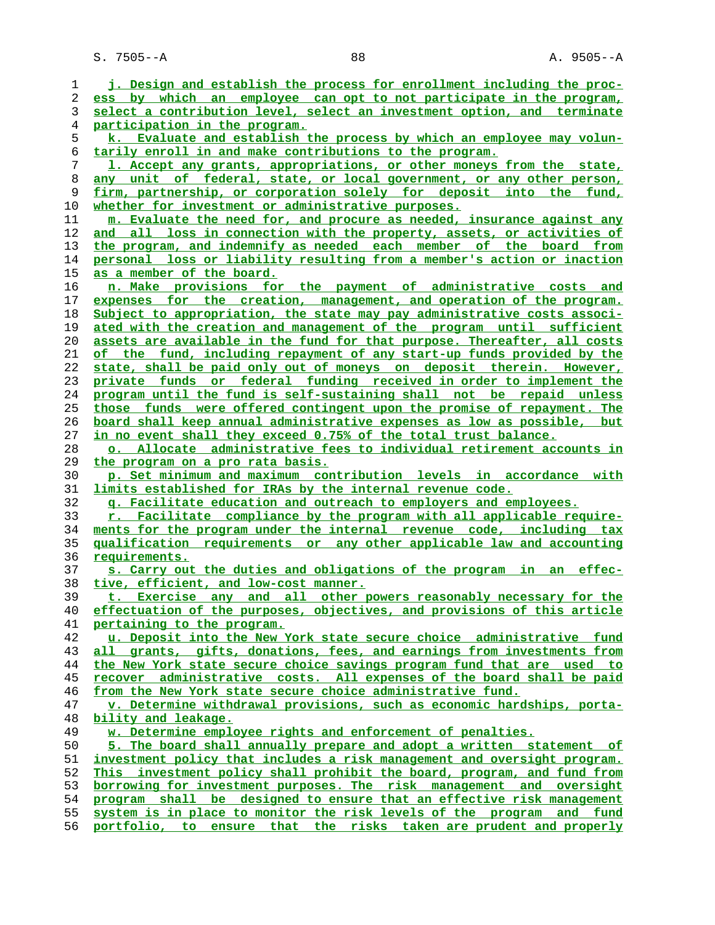| 1  | <u>j. Design and establish the process for enrollment including the proc-</u> |
|----|-------------------------------------------------------------------------------|
| 2  | ess by which an employee can opt to not participate in the program,           |
| 3  | select a contribution level, select an investment option, and terminate       |
| 4  | <u>participation in the program.</u>                                          |
| 5  | k. Evaluate and establish the process by which an employee may volun-         |
| 6  | tarily enroll in and make contributions to the program.                       |
| 7  | 1. Accept any grants, appropriations, or other moneys from the state,         |
| 8  | any unit of federal, state, or local government, or any other person,         |
| 9  | firm, partnership, or corporation solely for deposit into the fund,           |
| 10 | whether for investment or administrative purposes.                            |
| 11 | m. Evaluate the need for, and procure as needed, insurance against any        |
| 12 | and all loss in connection with the property, assets, or activities of        |
| 13 | the program, and indemnify as needed each member of the board from            |
| 14 | personal loss or liability resulting from a member's action or inaction       |
| 15 | as a member of the board.                                                     |
| 16 | n. Make provisions for the payment of administrative costs and                |
| 17 | expenses for the creation, management, and operation of the program.          |
| 18 | Subject to appropriation, the state may pay administrative costs associ-      |
| 19 | ated with the creation and management of the program until sufficient         |
| 20 | assets are available in the fund for that purpose. Thereafter, all costs      |
| 21 | of the fund, including repayment of any start-up funds provided by the        |
| 22 | state, shall be paid only out of moneys on deposit therein. However,          |
| 23 | private funds or federal funding received in order to implement the           |
| 24 | program until the fund is self-sustaining shall not be repaid unless          |
| 25 | those funds were offered contingent upon the promise of repayment. The        |
| 26 | board shall keep annual administrative expenses as low as possible, but       |
| 27 | in no event shall they exceed 0.75% of the total trust balance.               |
| 28 | o. Allocate administrative fees to individual retirement accounts in          |
| 29 | <u>the program on a pro rata basis.</u>                                       |
| 30 | p. Set minimum and maximum contribution levels in accordance with             |
| 31 | <u>limits established for IRAs by the internal revenue code.</u>              |
| 32 | g. Facilitate education and outreach to employers and employees.              |
| 33 | r. Facilitate compliance by the program with all applicable require-          |
| 34 | ments for the program under the internal revenue code, including tax          |
| 35 | qualification requirements or any other applicable law and accounting         |
| 36 | requirements.                                                                 |
| 37 | s. Carry out the duties and obligations of the program in an effec-           |
| 38 | tive, efficient, and low-cost manner.                                         |
| 39 | t. Exercise any and all other powers reasonably necessary for the             |
| 40 | effectuation of the purposes, objectives, and provisions of this article      |
| 41 | pertaining to the program.                                                    |
| 42 | u. Deposit into the New York state secure choice administrative fund          |
| 43 | all grants, gifts, donations, fees, and earnings from investments from        |
| 44 | the New York state secure choice savings program fund that are used to        |
| 45 | recover administrative costs. All expenses of the board shall be paid         |
| 46 | from the New York state secure choice administrative fund.                    |
| 47 | v. Determine withdrawal provisions, such as economic hardships, porta-        |
| 48 | bility and leakage.                                                           |
| 49 | w. Determine employee rights and enforcement of penalties.                    |
| 50 | 5. The board shall annually prepare and adopt a written statement of          |
| 51 | investment policy that includes a risk management and oversight program.      |
| 52 | This investment policy shall prohibit the board, program, and fund from       |
| 53 | borrowing for investment purposes. The risk management and oversight          |
| 54 | program shall be designed to ensure that an effective risk management         |
| 55 | system is in place to monitor the risk levels of the program and fund         |
| 56 | portfolio, to ensure that the risks taken are prudent and properly            |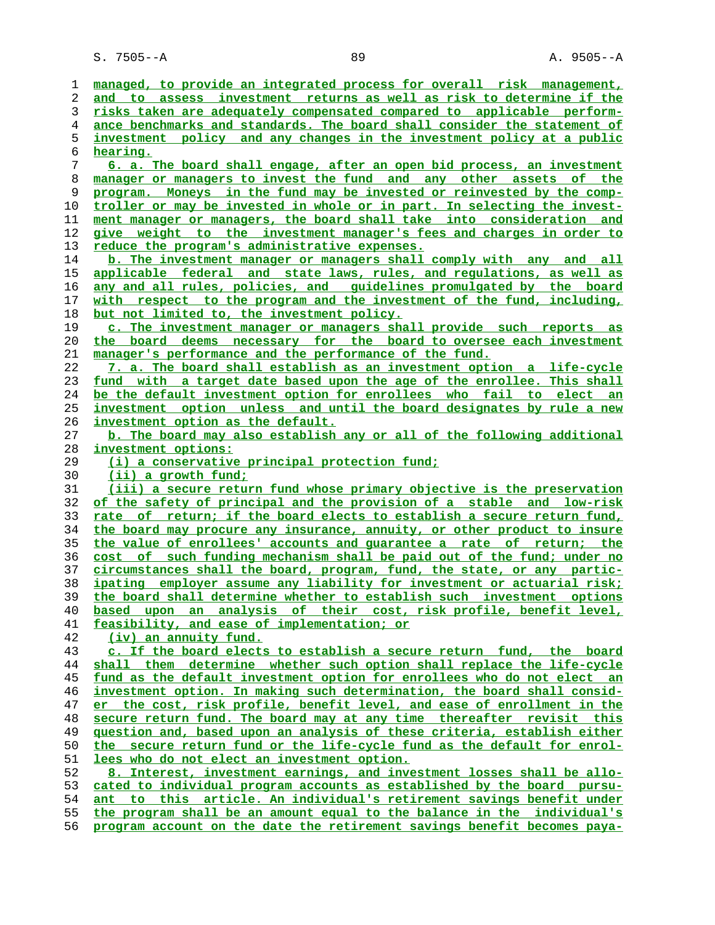| 1        | managed, to provide an integrated process for overall risk management,                                                                              |
|----------|-----------------------------------------------------------------------------------------------------------------------------------------------------|
| 2        | and to assess investment returns as well as risk to determine if the                                                                                |
| 3        | risks taken are adequately compensated compared to applicable perform-                                                                              |
| 4        | ance benchmarks and standards. The board shall consider the statement of                                                                            |
| 5        | investment policy and any changes in the investment policy at a public                                                                              |
|          | hearing.                                                                                                                                            |
| 6        |                                                                                                                                                     |
| 7        | 6. a. The board shall engage, after an open bid process, an investment                                                                              |
| 8        | manager or managers to invest the fund and any other assets of the                                                                                  |
| 9        | program. Moneys in the fund may be invested or reinvested by the comp-                                                                              |
| 10       | troller or may be invested in whole or in part. In selecting the invest-                                                                            |
| 11       | ment manager or managers, the board shall take into consideration and                                                                               |
| 12       | give weight to the investment manager's fees and charges in order to                                                                                |
| 13       | <u>reduce the program's administrative expenses.</u>                                                                                                |
| 14       | b. The investment manager or managers shall comply with any and all                                                                                 |
| 15       | applicable federal and state laws, rules, and regulations, as well as                                                                               |
| 16       | any and all rules, policies, and guidelines promulgated by the board                                                                                |
|          |                                                                                                                                                     |
| 17       | with respect to the program and the investment of the fund, including,                                                                              |
| 18       | but not limited to, the investment policy.                                                                                                          |
| 19       | c. The investment manager or managers shall provide such reports as                                                                                 |
| 20       | the board deems necessary for the board to oversee each investment                                                                                  |
| 21       | manager's performance and the performance of the fund.                                                                                              |
| 22       | 7. a. The board shall establish as an investment option a life-cycle                                                                                |
| 23       | fund with a target date based upon the age of the enrollee. This shall                                                                              |
| 24       | <u>be the default investment option for enrollees who fail to elect an</u>                                                                          |
| 25       | investment option unless and until the board designates by rule a new                                                                               |
| 26       | <u>investment option as the default.</u>                                                                                                            |
| 27       | b. The board may also establish any or all of the following additional                                                                              |
|          |                                                                                                                                                     |
|          |                                                                                                                                                     |
| 28       | investment options:                                                                                                                                 |
| 29       | (i) a conservative principal protection fund;                                                                                                       |
| 30       | $(ii)$ a growth fund;                                                                                                                               |
| 31       | (iii) a secure return fund whose primary objective is the preservation                                                                              |
| 32       | of the safety of principal and the provision of a stable and low-risk                                                                               |
| 33       | <u>rate of return; if the board elects to establish a secure return fund,</u>                                                                       |
| 34       | the board may procure any insurance, annuity, or other product to insure                                                                            |
| 35       | the value of enrollees' accounts and quarantee a rate of return; the                                                                                |
| 36       | cost of such funding mechanism shall be paid out of the fund; under no                                                                              |
| 37       | circumstances shall the board, program, fund, the state, or any partic-                                                                             |
| 38       | ipating employer assume any liability for investment or actuarial risk;                                                                             |
| 39       |                                                                                                                                                     |
|          | the board shall determine whether to establish such investment options                                                                              |
| 40       | based upon an analysis of their cost, risk profile, benefit level,                                                                                  |
| 41       | feasibility, and ease of implementation; or                                                                                                         |
| 42       | (iv) an annuity fund.                                                                                                                               |
| 43       | c. If the board elects to establish a secure return fund, the board                                                                                 |
| 44       | shall them determine whether such option shall replace the life-cycle                                                                               |
| 45       | fund as the default investment option for enrollees who do not elect an                                                                             |
| 46       | investment option. In making such determination, the board shall consid-                                                                            |
| 47       | er the cost, risk profile, benefit level, and ease of enrollment in the                                                                             |
| 48       | secure return fund. The board may at any time thereafter revisit this                                                                               |
| 49       | guestion and, based upon an analysis of these criteria, establish either                                                                            |
| 50       | the secure return fund or the life-cycle fund as the default for enrol-                                                                             |
| 51       | lees who do not elect an investment option.                                                                                                         |
| 52       | 8. Interest, investment earnings, and investment losses shall be allo-                                                                              |
|          |                                                                                                                                                     |
| 53       | cated to individual program accounts as established by the board pursu-                                                                             |
| 54       | ant to this article. An individual's retirement savings benefit under                                                                               |
| 55<br>56 | the program shall be an amount equal to the balance in the individual's<br>program account on the date the retirement savings benefit becomes paya- |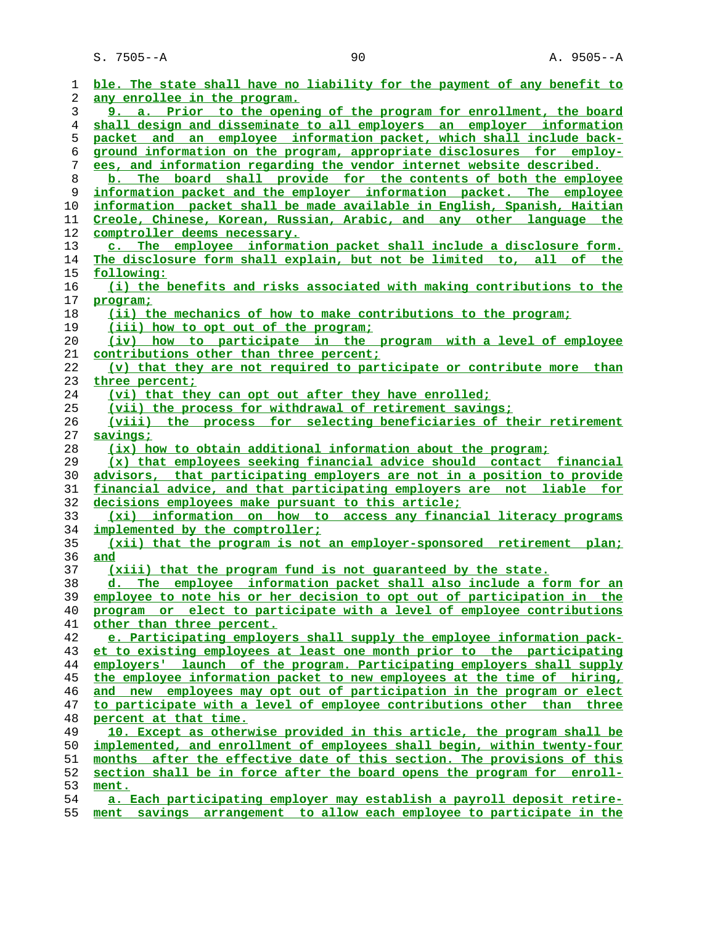| 1  | ble. The state shall have no liability for the payment of any benefit to       |
|----|--------------------------------------------------------------------------------|
| 2  | any enrollee in the program.                                                   |
| 3  | 9. a. Prior to the opening of the program for enrollment, the board            |
| 4  | shall design and disseminate to all employers an employer information          |
| 5  | packet and an employee information packet, which shall include back-           |
| 6  | ground information on the program, appropriate disclosures for employ-         |
| 7  | ees, and information regarding the vendor internet website described.          |
| 8  | b. The board shall provide for the contents of both the employee               |
| 9  | information packet and the employer information packet. The employee           |
| 10 | <u>information packet shall be made available in English, Spanish, Haitian</u> |
| 11 | Creole, Chinese, Korean, Russian, Arabic, and any other language the           |
| 12 | comptroller deems necessary.                                                   |
| 13 | c. The employee information packet shall include a disclosure form.            |
| 14 | The disclosure form shall explain, but not be limited to, all of the           |
| 15 | following:                                                                     |
| 16 | (i) the benefits and risks associated with making contributions to the         |
| 17 | program;                                                                       |
| 18 | (ii) the mechanics of how to make contributions to the program;                |
| 19 | (iii) how to opt out of the program;                                           |
| 20 | (iv) how to participate in the program with a level of employee                |
| 21 | contributions other than three percent;                                        |
| 22 | (v) that they are not required to participate or contribute more than          |
| 23 | three percent;                                                                 |
| 24 | (vi) that they can opt out after they have enrolled;                           |
| 25 | (vii) the process for withdrawal of retirement savings;                        |
| 26 | (viii) the process for selecting beneficiaries of their retirement             |
| 27 | savings;                                                                       |
| 28 | (ix) how to obtain additional information about the program;                   |
| 29 | (x) that employees seeking financial advice should contact financial           |
| 30 | advisors, that participating employers are not in a position to provide        |
| 31 | financial advice, and that participating employers are not liable for          |
| 32 | decisions employees make pursuant to this article;                             |
| 33 | (xi) information on how to access any financial literacy programs              |
| 34 | implemented by the comptroller;                                                |
| 35 | (xii) that the program is not an employer-sponsored retirement plan;           |
| 36 | and                                                                            |
| 37 | (xiii) that the program fund is not quaranteed by the state.                   |
| 38 | d. The employee information packet shall also include a form for an            |
| 39 | employee to note his or her decision to opt out of participation in the        |
| 40 | program or elect to participate with a level of employee contributions         |
| 41 | other than three percent.                                                      |
| 42 | e. Participating employers shall supply the employee information pack-         |
| 43 | et to existing employees at least one month prior to the participating         |
| 44 | employers' launch of the program. Participating employers shall supply         |
| 45 | the employee information packet to new employees at the time of hiring,        |
| 46 | and new employees may opt out of participation in the program or elect         |
| 47 | to participate with a level of employee contributions other than three         |
| 48 | percent at that time.                                                          |
| 49 | 10. Except as otherwise provided in this article, the program shall be         |
| 50 | implemented, and enrollment of employees shall begin, within twenty-four       |
| 51 | months after the effective date of this section. The provisions of this        |
| 52 | section shall be in force after the board opens the program for enroll-        |
| 53 | ment.                                                                          |
| 54 | a. Each participating employer may establish a payroll deposit retire-         |
|    |                                                                                |

**ment savings arrangement to allow each employee to participate in the**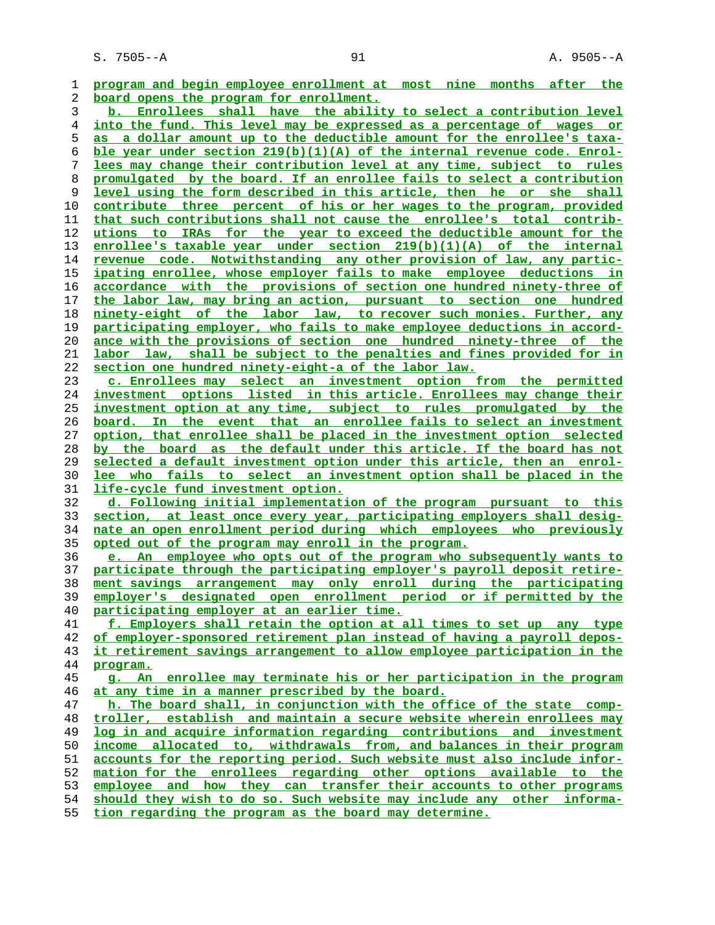S. 7505--A 91 A. 9505--A

**program and begin employee enrollment at most nine months after the board opens the program for enrollment. b. Enrollees shall have the ability to select a contribution level into the fund. This level may be expressed as a percentage of wages or as a dollar amount up to the deductible amount for the enrollee's taxa- ble year under section 219(b)(1)(A) of the internal revenue code. Enrol- lees may change their contribution level at any time, subject to rules promulgated by the board. If an enrollee fails to select a contribution level using the form described in this article, then he or she shall contribute three percent of his or her wages to the program, provided that such contributions shall not cause the enrollee's total contrib- utions to IRAs for the year to exceed the deductible amount for the enrollee's taxable year under section 219(b)(1)(A) of the internal revenue code. Notwithstanding any other provision of law, any partic- ipating enrollee, whose employer fails to make employee deductions in accordance with the provisions of section one hundred ninety-three of the labor law, may bring an action, pursuant to section one hundred ninety-eight of the labor law, to recover such monies. Further, any participating employer, who fails to make employee deductions in accord- ance with the provisions of section one hundred ninety-three of the labor law, shall be subject to the penalties and fines provided for in section one hundred ninety-eight-a of the labor law. c. Enrollees may select an investment option from the permitted investment options listed in this article. Enrollees may change their investment option at any time, subject to rules promulgated by the board. In the event that an enrollee fails to select an investment option, that enrollee shall be placed in the investment option selected by the board as the default under this article. If the board has not selected a default investment option under this article, then an enrol- lee who fails to select an investment option shall be placed in the life-cycle fund investment option. d. Following initial implementation of the program pursuant to this section, at least once every year, participating employers shall desig- nate an open enrollment period during which employees who previously opted out of the program may enroll in the program. e. An employee who opts out of the program who subsequently wants to participate through the participating employer's payroll deposit retire- ment savings arrangement may only enroll during the participating employer's designated open enrollment period or if permitted by the participating employer at an earlier time. f. Employers shall retain the option at all times to set up any type of employer-sponsored retirement plan instead of having a payroll depos- it retirement savings arrangement to allow employee participation in the program. g. An enrollee may terminate his or her participation in the program at any time in a manner prescribed by the board. h. The board shall, in conjunction with the office of the state comp- troller, establish and maintain a secure website wherein enrollees may log in and acquire information regarding contributions and investment income allocated to, withdrawals from, and balances in their program accounts for the reporting period. Such website must also include infor- mation for the enrollees regarding other options available to the employee and how they can transfer their accounts to other programs should they wish to do so. Such website may include any other informa-**

**tion regarding the program as the board may determine.**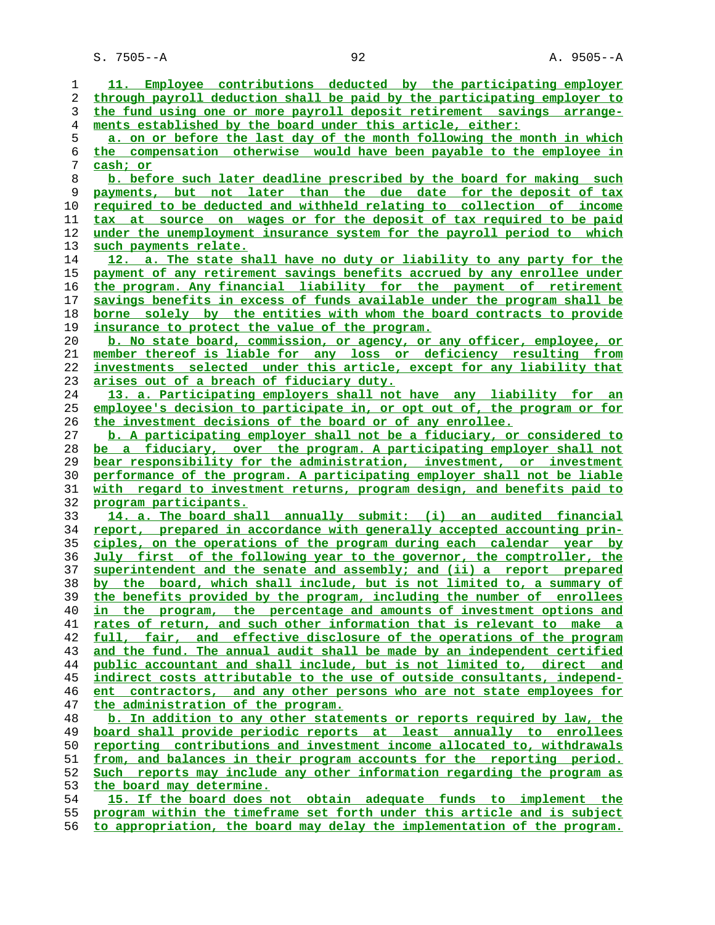S. 7505--A 92 A. 9505--A

**11. Employee contributions deducted by the participating employer through payroll deduction shall be paid by the participating employer to the fund using one or more payroll deposit retirement savings arrange- ments established by the board under this article, either: a. on or before the last day of the month following the month in which the compensation otherwise would have been payable to the employee in cash; or b. before such later deadline prescribed by the board for making such payments, but not later than the due date for the deposit of tax required to be deducted and withheld relating to collection of income tax at source on wages or for the deposit of tax required to be paid under the unemployment insurance system for the payroll period to which such payments relate. 12. a. The state shall have no duty or liability to any party for the payment of any retirement savings benefits accrued by any enrollee under the program. Any financial liability for the payment of retirement savings benefits in excess of funds available under the program shall be borne solely by the entities with whom the board contracts to provide insurance to protect the value of the program. b. No state board, commission, or agency, or any officer, employee, or member thereof is liable for any loss or deficiency resulting from investments selected under this article, except for any liability that arises out of a breach of fiduciary duty. 13. a. Participating employers shall not have any liability for an employee's decision to participate in, or opt out of, the program or for the investment decisions of the board or of any enrollee. b. A participating employer shall not be a fiduciary, or considered to be a fiduciary, over the program. A participating employer shall not bear responsibility for the administration, investment, or investment performance of the program. A participating employer shall not be liable with regard to investment returns, program design, and benefits paid to program participants. 14. a. The board shall annually submit: (i) an audited financial report, prepared in accordance with generally accepted accounting prin- ciples, on the operations of the program during each calendar year by July first of the following year to the governor, the comptroller, the superintendent and the senate and assembly; and (ii) a report prepared by the board, which shall include, but is not limited to, a summary of the benefits provided by the program, including the number of enrollees in the program, the percentage and amounts of investment options and rates of return, and such other information that is relevant to make a full, fair, and effective disclosure of the operations of the program and the fund. The annual audit shall be made by an independent certified public accountant and shall include, but is not limited to, direct and indirect costs attributable to the use of outside consultants, independ- ent contractors, and any other persons who are not state employees for the administration of the program. b. In addition to any other statements or reports required by law, the board shall provide periodic reports at least annually to enrollees reporting contributions and investment income allocated to, withdrawals from, and balances in their program accounts for the reporting period. Such reports may include any other information regarding the program as the board may determine. 15. If the board does not obtain adequate funds to implement the program within the timeframe set forth under this article and is subject**

**to appropriation, the board may delay the implementation of the program.**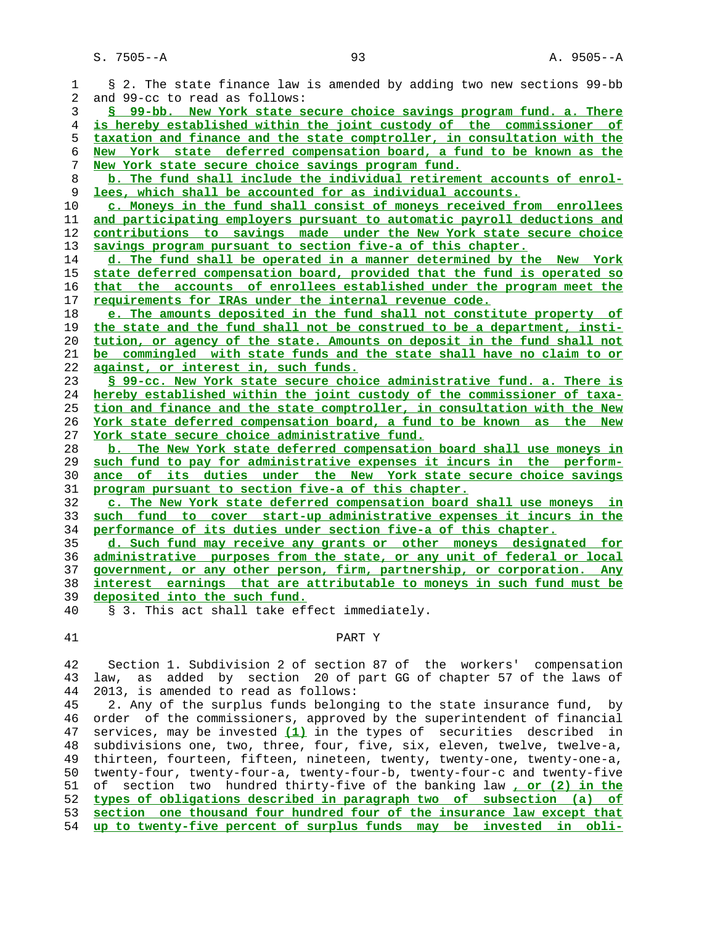| 1  | § 2. The state finance law is amended by adding two new sections 99-bb          |
|----|---------------------------------------------------------------------------------|
| 2  | and 99-cc to read as follows:                                                   |
| 3  | § 99-bb. New York state secure choice savings program fund. a. There            |
| 4  | is hereby established within the joint custody of the commissioner of           |
| 5  | taxation and finance and the state comptroller, in consultation with the        |
| 6  | New York state deferred compensation board, a fund to be known as the           |
| 7  | New York state secure choice savings program fund.                              |
| 8  | b. The fund shall include the individual retirement accounts of enrol-          |
| 9  | lees, which shall be accounted for as individual accounts.                      |
| 10 | c. Moneys in the fund shall consist of moneys received from enrollees           |
| 11 | and participating employers pursuant to automatic payroll deductions and        |
| 12 | contributions to savings made under the New York state secure choice            |
| 13 | savings program pursuant to section five-a of this chapter.                     |
| 14 | d. The fund shall be operated in a manner determined by the New York            |
| 15 | state deferred compensation board, provided that the fund is operated so        |
| 16 | that the accounts of enrollees established under the program meet the           |
| 17 | requirements for IRAs under the internal revenue code.                          |
| 18 | e. The amounts deposited in the fund shall not constitute property of           |
| 19 | the state and the fund shall not be construed to be a department, insti-        |
| 20 | tution, or agency of the state. Amounts on deposit in the fund shall not        |
| 21 | be commingled with state funds and the state shall have no claim to or          |
| 22 | against, or interest in, such funds.                                            |
| 23 | § 99-cc. New York state secure choice administrative fund. a. There is          |
| 24 | hereby established within the joint custody of the commissioner of taxa-        |
| 25 | tion and finance and the state comptroller, in consultation with the New        |
| 26 | York state deferred compensation board, a fund to be known as the New           |
| 27 | York state secure choice administrative fund.                                   |
| 28 | The New York state deferred compensation board shall use moneys in<br>b.        |
| 29 | such fund to pay for administrative expenses it incurs in the perform-          |
| 30 | ance of its duties under the New York state secure choice savings               |
| 31 | program pursuant to section five-a of this chapter.                             |
| 32 | c. The New York state deferred compensation board shall use moneys in           |
| 33 | such<br><u>fund to cover start-up administrative expenses it incurs in the </u> |
| 34 | performance of its duties under section five-a of this chapter.                 |
| 35 | d. Such fund may receive any grants or other moneys designated for              |
| 36 | administrative purposes from the state, or any unit of federal or local         |
| 37 | government, or any other person, firm, partnership, or corporation. Any         |
| 38 | interest earnings that are attributable to moneys in such fund must be          |
| 39 | deposited into the such fund.                                                   |
| 40 | § 3. This act shall take effect immediately.                                    |
|    |                                                                                 |
| 41 | PART Y                                                                          |
| 42 | Section 1. Subdivision 2 of section 87 of the workers' compensation             |
| 43 | law, as added by section 20 of part GG of chapter 57 of the laws of             |
| 44 | 2013, is amended to read as follows:                                            |
| 45 | 2. Any of the surplus funds belonging to the state insurance fund,<br>by        |

 46 order of the commissioners, approved by the superintendent of financial 47 services, may be invested **(1)** in the types of securities described in 48 subdivisions one, two, three, four, five, six, eleven, twelve, twelve-a, 49 thirteen, fourteen, fifteen, nineteen, twenty, twenty-one, twenty-one-a, 50 twenty-four, twenty-four-a, twenty-four-b, twenty-four-c and twenty-five 51 of section two hundred thirty-five of the banking law **, or (2) in the types of obligations described in paragraph two of subsection (a) of section one thousand four hundred four of the insurance law except that up to twenty-five percent of surplus funds may be invested in obli-**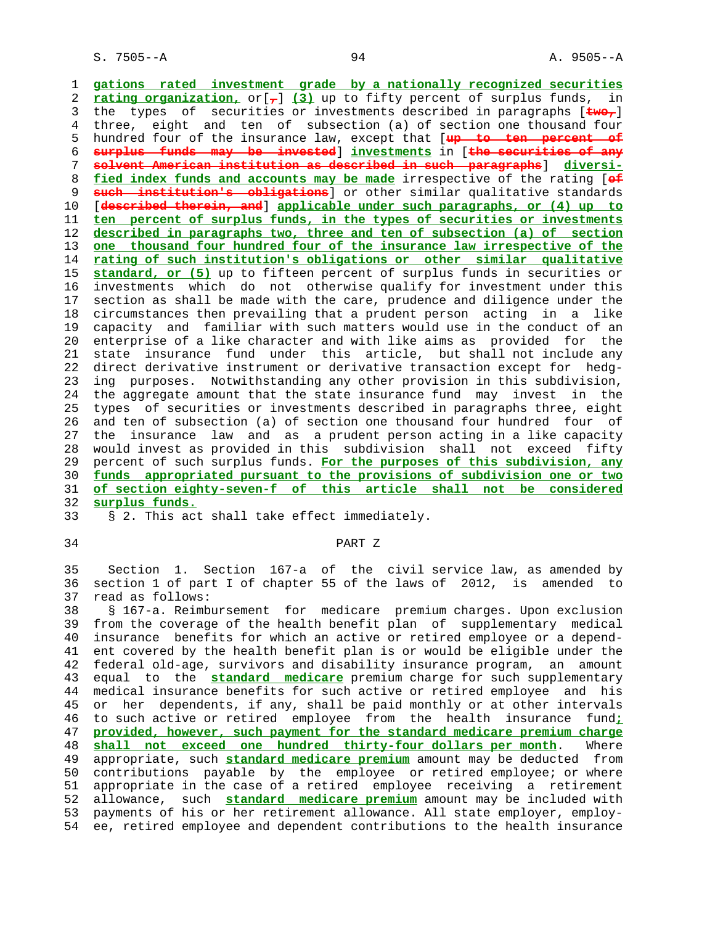1 **gations rated investment grade by a nationally recognized securities** 2 **rating organization,** or[**,**] **(3)** up to fifty percent of surplus funds, in 3 the types of securities or investments described in paragraphs [**two,**] 4 three, eight and ten of subsection (a) of section one thousand four 5 hundred four of the insurance law, except that [**up to ten percent of** 6 **surplus funds may be invested**] **investments** in [**the securities of any** 7 **solvent American institution as described in such paragraphs**] **diversi-** 8 **fied index funds and accounts may be made** irrespective of the rating [**of** 9 **such institution's obligations**] or other similar qualitative standards 10 [**described therein, and**] **applicable under such paragraphs, or (4) up to** 11 **ten percent of surplus funds, in the types of securities or investments** 12 **described in paragraphs two, three and ten of subsection (a) of section** 13 **one thousand four hundred four of the insurance law irrespective of the** 14 **rating of such institution's obligations or other similar qualitative** 15 **standard, or (5)** up to fifteen percent of surplus funds in securities or 16 investments which do not otherwise qualify for investment under this 17 section as shall be made with the care, prudence and diligence under the 18 circumstances then prevailing that a prudent person acting in a like 19 capacity and familiar with such matters would use in the conduct of an 20 enterprise of a like character and with like aims as provided for the 21 state insurance fund under this article, but shall not include any 22 direct derivative instrument or derivative transaction except for hedg- 23 ing purposes. Notwithstanding any other provision in this subdivision, 24 the aggregate amount that the state insurance fund may invest in the 25 types of securities or investments described in paragraphs three, eight 26 and ten of subsection (a) of section one thousand four hundred four of 27 the insurance law and as a prudent person acting in a like capacity 28 would invest as provided in this subdivision shall not exceed fifty 29 percent of such surplus funds. **For the purposes of this subdivision, any** 30 **funds appropriated pursuant to the provisions of subdivision one or two** 31 **of section eighty-seven-f of this article shall not be considered** 32 **surplus funds.**

33 § 2. This act shall take effect immediately.

# 34 PART Z

 35 Section 1. Section 167-a of the civil service law, as amended by 36 section 1 of part I of chapter 55 of the laws of 2012, is amended to 37 read as follows:

 38 § 167-a. Reimbursement for medicare premium charges. Upon exclusion 39 from the coverage of the health benefit plan of supplementary medical 40 insurance benefits for which an active or retired employee or a depend- 41 ent covered by the health benefit plan is or would be eligible under the 42 federal old-age, survivors and disability insurance program, an amount 43 equal to the **standard medicare** premium charge for such supplementary 44 medical insurance benefits for such active or retired employee and his 45 or her dependents, if any, shall be paid monthly or at other intervals 46 to such active or retired employee from the health insurance fund**;** 47 **provided, however, such payment for the standard medicare premium charge** 48 **shall not exceed one hundred thirty-four dollars per month**. Where 49 appropriate, such **standard medicare premium** amount may be deducted from 50 contributions payable by the employee or retired employee; or where 51 appropriate in the case of a retired employee receiving a retirement 52 allowance, such **standard medicare premium** amount may be included with 53 payments of his or her retirement allowance. All state employer, employ-54 ee, retired employee and dependent contributions to the health insurance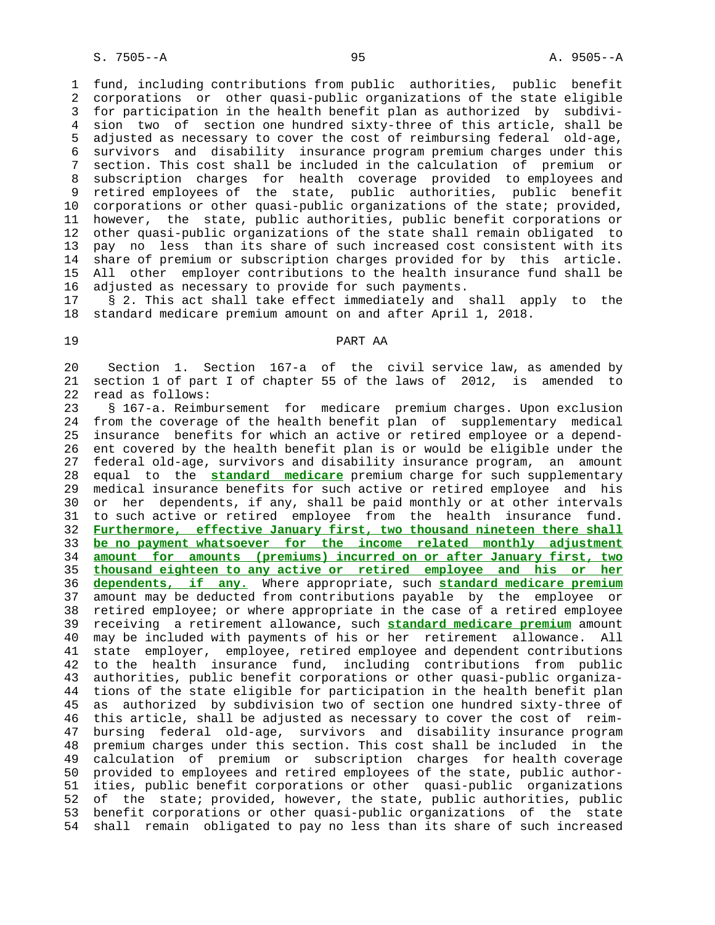S. 7505--A 95 95 A. 9505--A

 1 fund, including contributions from public authorities, public benefit 2 corporations or other quasi-public organizations of the state eligible 3 for participation in the health benefit plan as authorized by subdivi- 4 sion two of section one hundred sixty-three of this article, shall be 5 adjusted as necessary to cover the cost of reimbursing federal old-age, 6 survivors and disability insurance program premium charges under this 7 section. This cost shall be included in the calculation of premium or 8 subscription charges for health coverage provided to employees and 9 retired employees of the state, public authorities, public benefit 10 corporations or other quasi-public organizations of the state; provided, 11 however, the state, public authorities, public benefit corporations or 12 other quasi-public organizations of the state shall remain obligated to 13 pay no less than its share of such increased cost consistent with its 14 share of premium or subscription charges provided for by this article. 15 All other employer contributions to the health insurance fund shall be 16 adjusted as necessary to provide for such payments.

17 § 2. This act shall take effect immediately and shall apply to the 18 standard medicare premium amount on and after April 1, 2018.

# 19 PART AA

 20 Section 1. Section 167-a of the civil service law, as amended by 21 section 1 of part I of chapter 55 of the laws of 2012, is amended to 22 read as follows:

 23 § 167-a. Reimbursement for medicare premium charges. Upon exclusion 24 from the coverage of the health benefit plan of supplementary medical 25 insurance benefits for which an active or retired employee or a depend- 26 ent covered by the health benefit plan is or would be eligible under the 27 federal old-age, survivors and disability insurance program, an amount 28 equal to the **standard medicare** premium charge for such supplementary 29 medical insurance benefits for such active or retired employee and his 30 or her dependents, if any, shall be paid monthly or at other intervals 31 to such active or retired employee from the health insurance fund. 32 **Furthermore, effective January first, two thousand nineteen there shall** 33 **be no payment whatsoever for the income related monthly adjustment** 34 **amount for amounts (premiums) incurred on or after January first, two** 35 **thousand eighteen to any active or retired employee and his or her** 36 **dependents, if any.** Where appropriate, such **standard medicare premium** 37 amount may be deducted from contributions payable by the employee or 38 retired employee; or where appropriate in the case of a retired employee 39 receiving a retirement allowance, such **standard medicare premium** amount 40 may be included with payments of his or her retirement allowance. All 41 state employer, employee, retired employee and dependent contributions 42 to the health insurance fund, including contributions from public 43 authorities, public benefit corporations or other quasi-public organiza- 44 tions of the state eligible for participation in the health benefit plan 45 as authorized by subdivision two of section one hundred sixty-three of 46 this article, shall be adjusted as necessary to cover the cost of reim- 47 bursing federal old-age, survivors and disability insurance program 48 premium charges under this section. This cost shall be included in the 49 calculation of premium or subscription charges for health coverage 50 provided to employees and retired employees of the state, public author- 51 ities, public benefit corporations or other quasi-public organizations 52 of the state; provided, however, the state, public authorities, public 53 benefit corporations or other quasi-public organizations of the state 54 shall remain obligated to pay no less than its share of such increased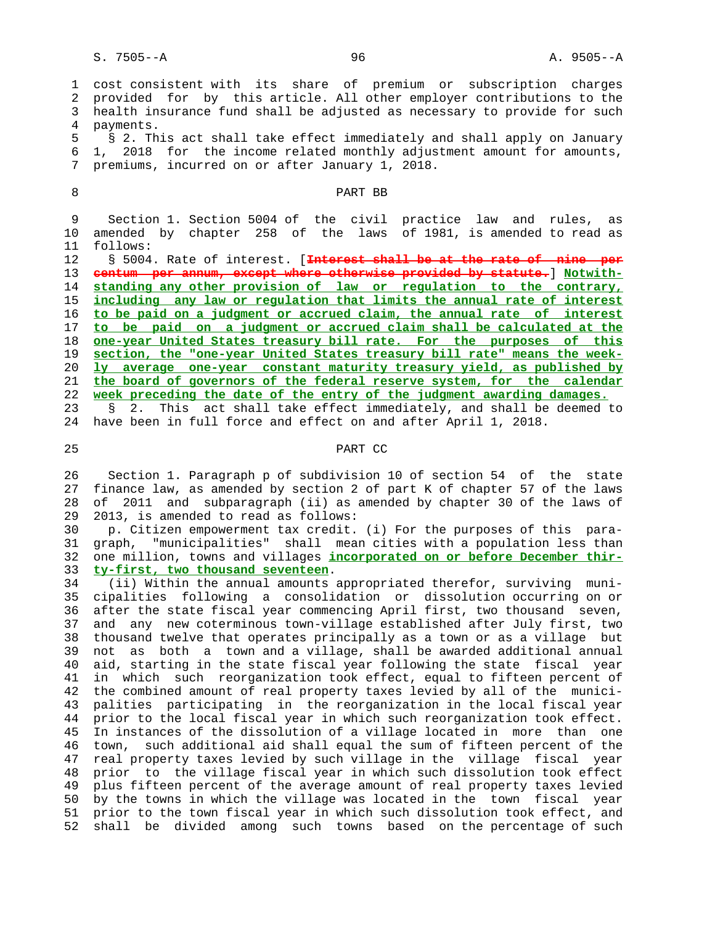1 cost consistent with its share of premium or subscription charges 2 provided for by this article. All other employer contributions to the 3 health insurance fund shall be adjusted as necessary to provide for such 4 payments.

 5 § 2. This act shall take effect immediately and shall apply on January 6 1, 2018 for the income related monthly adjustment amount for amounts, 7 premiums, incurred on or after January 1, 2018.

8 PART BB

 9 Section 1. Section 5004 of the civil practice law and rules, as 10 amended by chapter 258 of the laws of 1981, is amended to read as 11 follows:

12 § 5004. Rate of interest. [<del>Interest shall be at the rate of nine</del> **centum per annum, except where otherwise provided by statute.**] **Notwith- standing any other provision of law or regulation to the contrary, including any law or regulation that limits the annual rate of interest to be paid on a judgment or accrued claim, the annual rate of interest to be paid on a judgment or accrued claim shall be calculated at the one-year United States treasury bill rate. For the purposes of this section, the "one-year United States treasury bill rate" means the week- ly average one-year constant maturity treasury yield, as published by the board of governors of the federal reserve system, for the calendar week preceding the date of the entry of the judgment awarding damages.**

 23 § 2. This act shall take effect immediately, and shall be deemed to 24 have been in full force and effect on and after April 1, 2018.

# 25 PART CC

 26 Section 1. Paragraph p of subdivision 10 of section 54 of the state 27 finance law, as amended by section 2 of part K of chapter 57 of the laws 28 of 2011 and subparagraph (ii) as amended by chapter 30 of the laws of 29 2013, is amended to read as follows:

 30 p. Citizen empowerment tax credit. (i) For the purposes of this para- 31 graph, "municipalities" shall mean cities with a population less than 32 one million, towns and villages **incorporated on or before December thir-** 33 **ty-first, two thousand seventeen**.

 34 (ii) Within the annual amounts appropriated therefor, surviving muni- 35 cipalities following a consolidation or dissolution occurring on or 36 after the state fiscal year commencing April first, two thousand seven, 37 and any new coterminous town-village established after July first, two 38 thousand twelve that operates principally as a town or as a village but 39 not as both a town and a village, shall be awarded additional annual 40 aid, starting in the state fiscal year following the state fiscal year 41 in which such reorganization took effect, equal to fifteen percent of 42 the combined amount of real property taxes levied by all of the munici- 43 palities participating in the reorganization in the local fiscal year 44 prior to the local fiscal year in which such reorganization took effect. 45 In instances of the dissolution of a village located in more than one 46 town, such additional aid shall equal the sum of fifteen percent of the 47 real property taxes levied by such village in the village fiscal year 48 prior to the village fiscal year in which such dissolution took effect 49 plus fifteen percent of the average amount of real property taxes levied 50 by the towns in which the village was located in the town fiscal year 51 prior to the town fiscal year in which such dissolution took effect, and 52 shall be divided among such towns based on the percentage of such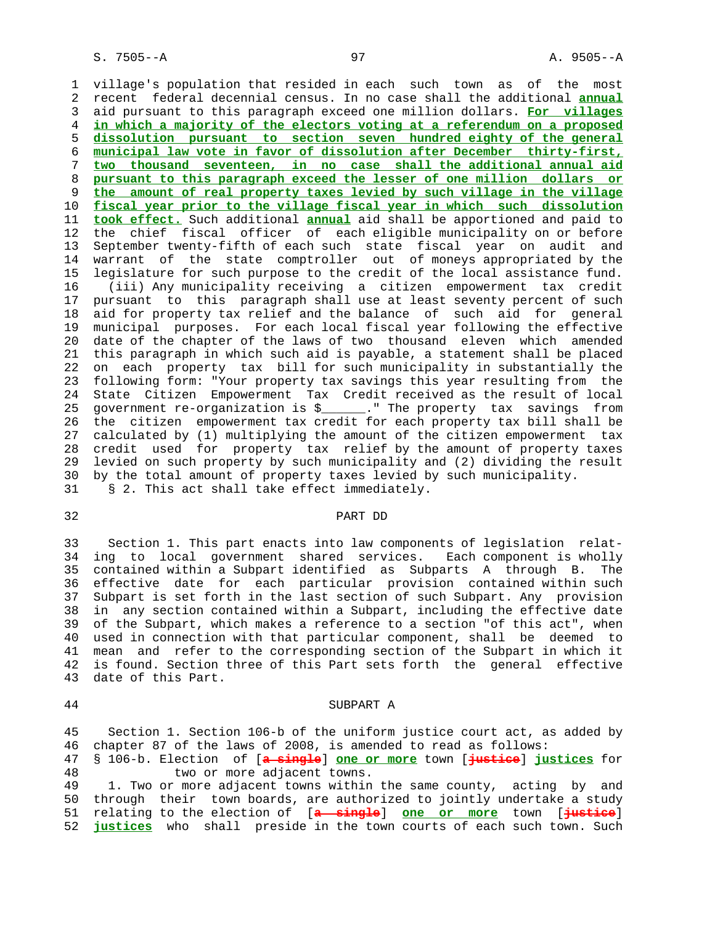1 village's population that resided in each such town as of the most 2 recent federal decennial census. In no case shall the additional **annual** 3 aid pursuant to this paragraph exceed one million dollars. **For villages** 4 **in which a majority of the electors voting at a referendum on a proposed** 5 **dissolution pursuant to section seven hundred eighty of the general** 6 **municipal law vote in favor of dissolution after December thirty-first,** 7 **two thousand seventeen, in no case shall the additional annual aid** 8 **pursuant to this paragraph exceed the lesser of one million dollars or** 9 **the amount of real property taxes levied by such village in the village** 10 **fiscal year prior to the village fiscal year in which such dissolution** 11 **took effect.** Such additional **annual** aid shall be apportioned and paid to 12 the chief fiscal officer of each eligible municipality on or before 13 September twenty-fifth of each such state fiscal year on audit and 14 warrant of the state comptroller out of moneys appropriated by the 15 legislature for such purpose to the credit of the local assistance fund. 16 (iii) Any municipality receiving a citizen empowerment tax credit 17 pursuant to this paragraph shall use at least seventy percent of such 18 aid for property tax relief and the balance of such aid for general 19 municipal purposes. For each local fiscal year following the effective 20 date of the chapter of the laws of two thousand eleven which amended 21 this paragraph in which such aid is payable, a statement shall be placed 22 on each property tax bill for such municipality in substantially the 23 following form: "Your property tax savings this year resulting from the 24 State Citizen Empowerment Tax Credit received as the result of local 25 government re-organization is \$\_\_\_\_\_\_." The property tax savings from 26 the citizen empowerment tax credit for each property tax bill shall be 27 calculated by (1) multiplying the amount of the citizen empowerment tax 28 credit used for property tax relief by the amount of property taxes 29 levied on such property by such municipality and (2) dividing the result 30 by the total amount of property taxes levied by such municipality. 31 § 2. This act shall take effect immediately.

## 32 PART DD

 33 Section 1. This part enacts into law components of legislation relat- 34 ing to local government shared services. Each component is wholly 35 contained within a Subpart identified as Subparts A through B. The 36 effective date for each particular provision contained within such 37 Subpart is set forth in the last section of such Subpart. Any provision 38 in any section contained within a Subpart, including the effective date 39 of the Subpart, which makes a reference to a section "of this act", when 40 used in connection with that particular component, shall be deemed to 41 mean and refer to the corresponding section of the Subpart in which it 42 is found. Section three of this Part sets forth the general effective 43 date of this Part.

### 44 SUBPART A

 45 Section 1. Section 106-b of the uniform justice court act, as added by 46 chapter 87 of the laws of 2008, is amended to read as follows:

 47 § 106-b. Election of [**a single**] **one or more** town [**justice**] **justices** for 48 two or more adjacent towns.

 49 1. Two or more adjacent towns within the same county, acting by and 50 through their town boards, are authorized to jointly undertake a study 51 relating to the election of [**a single**] **one or more** town [**justice**] 52 **justices** who shall preside in the town courts of each such town. Such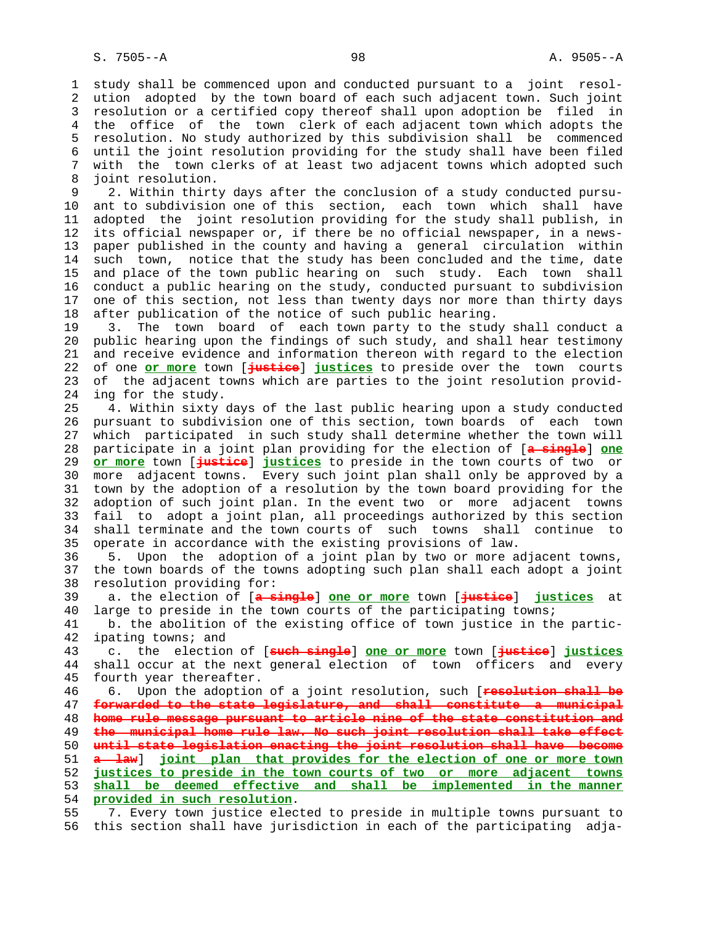1 study shall be commenced upon and conducted pursuant to a joint resol- 2 ution adopted by the town board of each such adjacent town. Such joint 3 resolution or a certified copy thereof shall upon adoption be filed in 4 the office of the town clerk of each adjacent town which adopts the 5 resolution. No study authorized by this subdivision shall be commenced 6 until the joint resolution providing for the study shall have been filed 7 with the town clerks of at least two adjacent towns which adopted such 8 joint resolution.<br>9 2. Within thirt

 9 2. Within thirty days after the conclusion of a study conducted pursu- 10 ant to subdivision one of this section, each town which shall have 11 adopted the joint resolution providing for the study shall publish, in 12 its official newspaper or, if there be no official newspaper, in a news- 13 paper published in the county and having a general circulation within 14 such town, notice that the study has been concluded and the time, date 15 and place of the town public hearing on such study. Each town shall 16 conduct a public hearing on the study, conducted pursuant to subdivision 17 one of this section, not less than twenty days nor more than thirty days 18 after publication of the notice of such public hearing.

 19 3. The town board of each town party to the study shall conduct a 20 public hearing upon the findings of such study, and shall hear testimony 21 and receive evidence and information thereon with regard to the election 22 of one **or more** town [**justice**] **justices** to preside over the town courts 23 of the adjacent towns which are parties to the joint resolution provid- 24 ing for the study.

 25 4. Within sixty days of the last public hearing upon a study conducted 26 pursuant to subdivision one of this section, town boards of each town 27 which participated in such study shall determine whether the town will 28 participate in a joint plan providing for the election of [**a single**] **one** 29 **or more** town [**justice**] **justices** to preside in the town courts of two or 30 more adjacent towns. Every such joint plan shall only be approved by a 31 town by the adoption of a resolution by the town board providing for the 32 adoption of such joint plan. In the event two or more adjacent towns 33 fail to adopt a joint plan, all proceedings authorized by this section 34 shall terminate and the town courts of such towns shall continue to 35 operate in accordance with the existing provisions of law.

 36 5. Upon the adoption of a joint plan by two or more adjacent towns, 37 the town boards of the towns adopting such plan shall each adopt a joint 38 resolution providing for:

 39 a. the election of [**a single**] **one or more** town [**justice**] **justices** at 40 large to preside in the town courts of the participating towns;

 41 b. the abolition of the existing office of town justice in the partic- 42 ipating towns; and

 43 c. the election of [**such single**] **one or more** town [**justice**] **justices** 44 shall occur at the next general election of town officers and every 45 fourth year thereafter.

 46 6. Upon the adoption of a joint resolution, such [**resolution shall be forwarded to the state legislature, and shall constitute a municipal home rule message pursuant to article nine of the state constitution and the municipal home rule law. No such joint resolution shall take effect until state legislation enacting the joint resolution shall have become a law**] **joint plan that provides for the election of one or more town justices to preside in the town courts of two or more adjacent towns shall be deemed effective and shall be implemented in the manner provided in such resolution**.

 55 7. Every town justice elected to preside in multiple towns pursuant to 56 this section shall have jurisdiction in each of the participating adja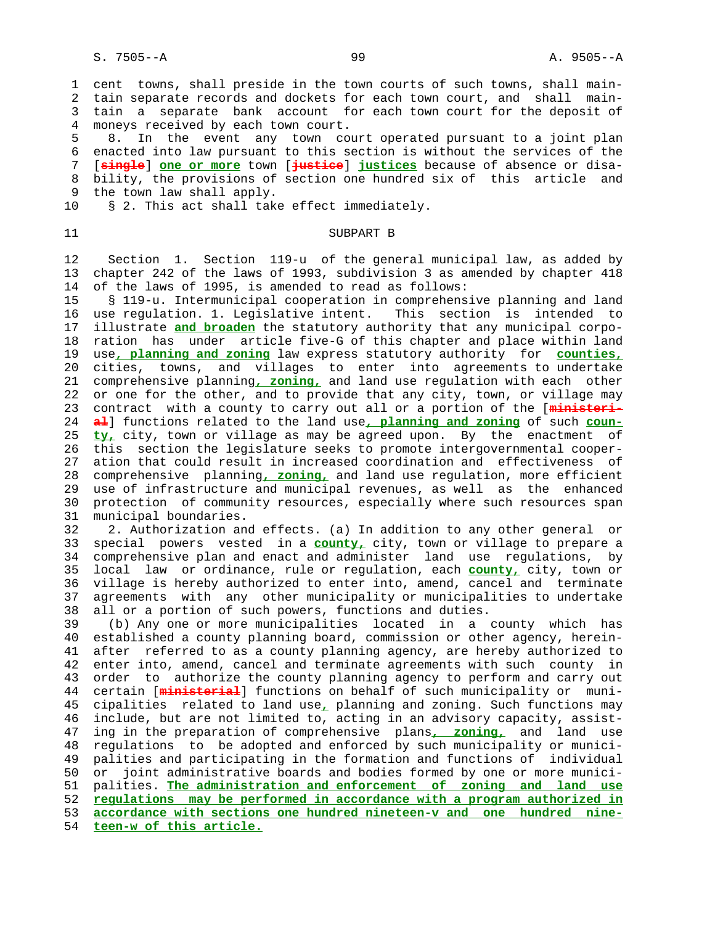1 cent towns, shall preside in the town courts of such towns, shall main- 2 tain separate records and dockets for each town court, and shall main- 3 tain a separate bank account for each town court for the deposit of 4 moneys received by each town court.

 5 8. In the event any town court operated pursuant to a joint plan 6 enacted into law pursuant to this section is without the services of the 7 [**single**] **one or more** town [**justice**] **justices** because of absence or disa- 8 bility, the provisions of section one hundred six of this article and 9 the town law shall apply.

10 § 2. This act shall take effect immediately.

# 11 SUBPART B

 12 Section 1. Section 119-u of the general municipal law, as added by 13 chapter 242 of the laws of 1993, subdivision 3 as amended by chapter 418 14 of the laws of 1995, is amended to read as follows:

 15 § 119-u. Intermunicipal cooperation in comprehensive planning and land 16 use regulation. 1. Legislative intent. This section is intended to 17 illustrate **and broaden** the statutory authority that any municipal corpo- 18 ration has under article five-G of this chapter and place within land 19 use**, planning and zoning** law express statutory authority for **counties,** 20 cities, towns, and villages to enter into agreements to undertake 21 comprehensive planning**, zoning,** and land use regulation with each other 22 or one for the other, and to provide that any city, town, or village may 23 contract with a county to carry out all or a portion of the [**ministeri-** 24 **al**] functions related to the land use**, planning and zoning** of such **coun-** 25 **ty,** city, town or village as may be agreed upon. By the enactment of 26 this section the legislature seeks to promote intergovernmental cooper- 27 ation that could result in increased coordination and effectiveness of 28 comprehensive planning**, zoning,** and land use regulation, more efficient 29 use of infrastructure and municipal revenues, as well as the enhanced 30 protection of community resources, especially where such resources span 31 municipal boundaries.

 32 2. Authorization and effects. (a) In addition to any other general or 33 special powers vested in a **county,** city, town or village to prepare a 34 comprehensive plan and enact and administer land use regulations, by 35 local law or ordinance, rule or regulation, each **county,** city, town or 36 village is hereby authorized to enter into, amend, cancel and terminate 37 agreements with any other municipality or municipalities to undertake 38 all or a portion of such powers, functions and duties.

 39 (b) Any one or more municipalities located in a county which has 40 established a county planning board, commission or other agency, herein- 41 after referred to as a county planning agency, are hereby authorized to 42 enter into, amend, cancel and terminate agreements with such county in 43 order to authorize the county planning agency to perform and carry out 44 certain [**ministerial**] functions on behalf of such municipality or muni- 45 cipalities related to land use**,** planning and zoning. Such functions may 46 include, but are not limited to, acting in an advisory capacity, assist- 47 ing in the preparation of comprehensive plans**, zoning,** and land use 48 regulations to be adopted and enforced by such municipality or munici- 49 palities and participating in the formation and functions of individual 50 or joint administrative boards and bodies formed by one or more munici- 51 palities. **The administration and enforcement of zoning and land use** 52 **regulations may be performed in accordance with a program authorized in** 53 **accordance with sections one hundred nineteen-v and one hundred nine-** 54 **teen-w of this article.**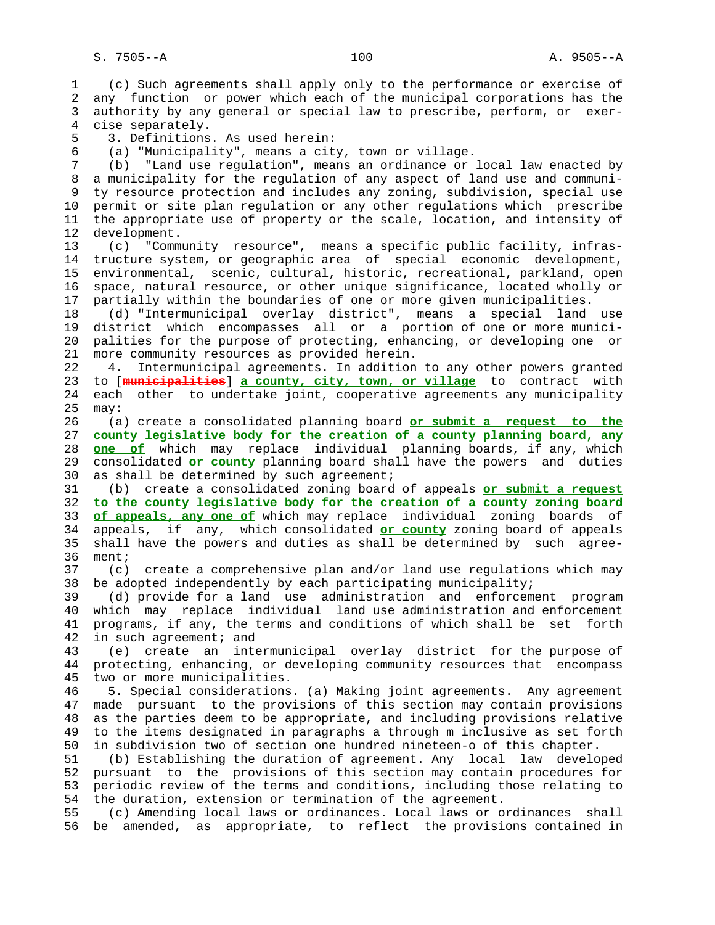1 (c) Such agreements shall apply only to the performance or exercise of 2 any function or power which each of the municipal corporations has the 3 authority by any general or special law to prescribe, perform, or exer- 4 cise separately. 5 3. Definitions. As used herein: 6 (a) "Municipality", means a city, town or village. 7 (b) "Land use regulation", means an ordinance or local law enacted by 8 a municipality for the regulation of any aspect of land use and communi-<br>9 ty resource protection and includes any zoning, subdivision, special use ty resource protection and includes any zoning, subdivision, special use 10 permit or site plan regulation or any other regulations which prescribe 11 the appropriate use of property or the scale, location, and intensity of 12 development. 13 (c) "Community resource", means a specific public facility, infras- 14 tructure system, or geographic area of special economic development, 15 environmental, scenic, cultural, historic, recreational, parkland, open 16 space, natural resource, or other unique significance, located wholly or 17 partially within the boundaries of one or more given municipalities. 18 (d) "Intermunicipal overlay district", means a special land use 19 district which encompasses all or a portion of one or more munici- 20 palities for the purpose of protecting, enhancing, or developing one or 21 more community resources as provided herein. 22 4. Intermunicipal agreements. In addition to any other powers granted 23 to [**municipalities**] **a county, city, town, or village** to contract with 24 each other to undertake joint, cooperative agreements any municipality 25 may: 26 (a) create a consolidated planning board **or submit a request to the** 27 **county legislative body for the creation of a county planning board, any** 28 **one of** which may replace individual planning boards, if any, which 29 consolidated **or county** planning board shall have the powers and duties 30 as shall be determined by such agreement; 31 (b) create a consolidated zoning board of appeals **or submit a request** 32 **to the county legislative body for the creation of a county zoning board** 33 **of appeals, any one of** which may replace individual zoning boards of 34 appeals, if any, which consolidated **or county** zoning board of appeals 35 shall have the powers and duties as shall be determined by such agree- 36 ment; 37 (c) create a comprehensive plan and/or land use regulations which may 38 be adopted independently by each participating municipality; 39 (d) provide for a land use administration and enforcement program 40 which may replace individual land use administration and enforcement 41 programs, if any, the terms and conditions of which shall be set forth 42 in such agreement; and 43 (e) create an intermunicipal overlay district for the purpose of 44 protecting, enhancing, or developing community resources that encompass 45 two or more municipalities. 46 5. Special considerations. (a) Making joint agreements. Any agreement 47 made pursuant to the provisions of this section may contain provisions 48 as the parties deem to be appropriate, and including provisions relative 49 to the items designated in paragraphs a through m inclusive as set forth 50 in subdivision two of section one hundred nineteen-o of this chapter. 51 (b) Establishing the duration of agreement. Any local law developed 52 pursuant to the provisions of this section may contain procedures for 53 periodic review of the terms and conditions, including those relating to 54 the duration, extension or termination of the agreement. 55 (c) Amending local laws or ordinances. Local laws or ordinances shall 56 be amended, as appropriate, to reflect the provisions contained in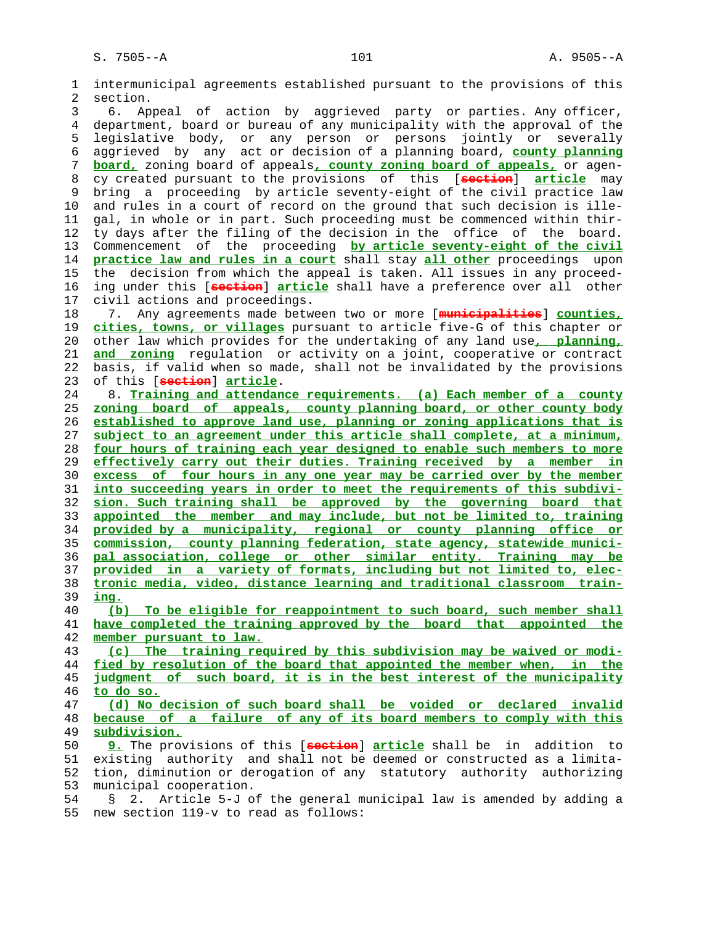1 intermunicipal agreements established pursuant to the provisions of this 2 section. 3 6. Appeal of action by aggrieved party or parties. Any officer, 4 department, board or bureau of any municipality with the approval of the 5 legislative body, or any person or persons jointly or severally 6 aggrieved by any act or decision of a planning board, **county planning** 7 **board,** zoning board of appeals**, county zoning board of appeals,** or agen- 8 cy created pursuant to the provisions of this [**section**] **article** may 9 bring a proceeding by article seventy-eight of the civil practice law 10 and rules in a court of record on the ground that such decision is ille- 11 gal, in whole or in part. Such proceeding must be commenced within thir- 12 ty days after the filing of the decision in the office of the board. 13 Commencement of the proceeding **by article seventy-eight of the civil** 14 **practice law and rules in a court** shall stay **all other** proceedings upon 15 the decision from which the appeal is taken. All issues in any proceed- 16 ing under this [**section**] **article** shall have a preference over all other 17 civil actions and proceedings. 18 7. Any agreements made between two or more [**municipalities**] **counties,** 19 **cities, towns, or villages** pursuant to article five-G of this chapter or 20 other law which provides for the undertaking of any land use**, planning,** 21 **and zoning** regulation or activity on a joint, cooperative or contract 22 basis, if valid when so made, shall not be invalidated by the provisions 23 of this [**section**] **article**. 24 8. **Training and attendance requirements. (a) Each member of a county** 25 **zoning board of appeals, county planning board, or other county body** 26 **established to approve land use, planning or zoning applications that is** 27 **subject to an agreement under this article shall complete, at a minimum,** 28 **four hours of training each year designed to enable such members to more** 29 **effectively carry out their duties. Training received by a member in** 30 **excess of four hours in any one year may be carried over by the member** 31 **into succeeding years in order to meet the requirements of this subdivi-** 32 **sion. Such training shall be approved by the governing board that** 33 **appointed the member and may include, but not be limited to, training** 34 **provided by a municipality, regional or county planning office or** 35 **commission, county planning federation, state agency, statewide munici-** 36 **pal association, college or other similar entity. Training may be** 37 **provided in a variety of formats, including but not limited to, elec-** 38 **tronic media, video, distance learning and traditional classroom train-** 39 **ing.** 40 **(b) To be eligible for reappointment to such board, such member shall** 41 **have completed the training approved by the board that appointed the** 42 **member pursuant to law.** 43 **(c) The training required by this subdivision may be waived or modi-** 44 **fied by resolution of the board that appointed the member when, in the** 45 **judgment of such board, it is in the best interest of the municipality** 46 **to do so.** 47 **(d) No decision of such board shall be voided or declared invalid** 48 **because of a failure of any of its board members to comply with this** 49 **subdivision.** 50 **9.** The provisions of this [**section**] **article** shall be in addition to 51 existing authority and shall not be deemed or constructed as a limita- 52 tion, diminution or derogation of any statutory authority authorizing 53 municipal cooperation. 54 § 2. Article 5-J of the general municipal law is amended by adding a

55 new section 119-v to read as follows: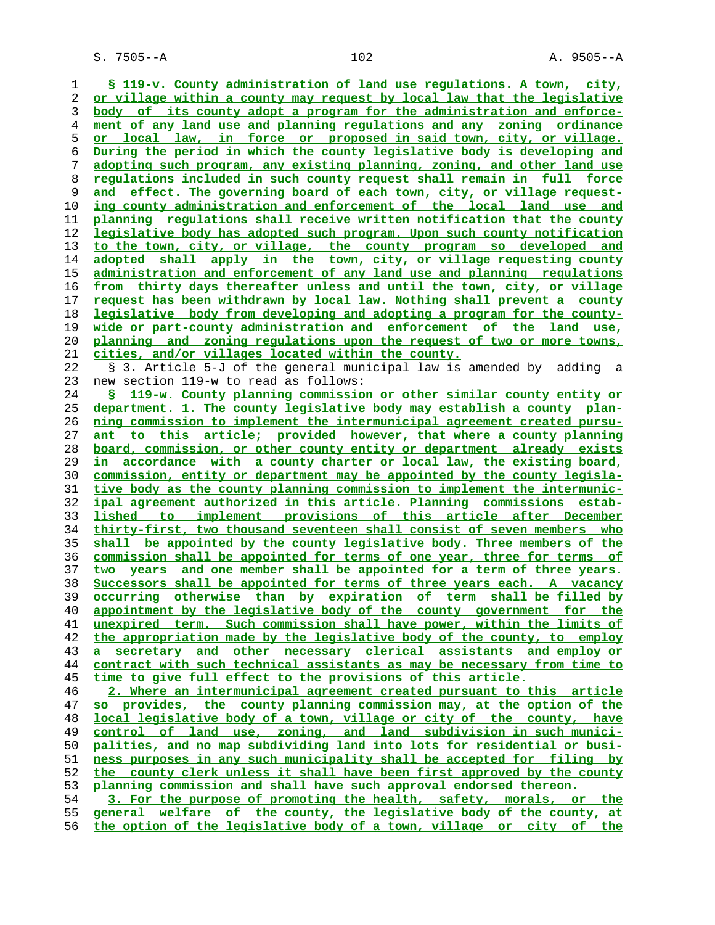**§ 119-v. County administration of land use regulations. A town, city, or village within a county may request by local law that the legislative body of its county adopt a program for the administration and enforce- ment of any land use and planning regulations and any zoning ordinance or local law, in force or proposed in said town, city, or village. During the period in which the county legislative body is developing and adopting such program, any existing planning, zoning, and other land use regulations included in such county request shall remain in full force and effect. The governing board of each town, city, or village request- ing county administration and enforcement of the local land use and planning regulations shall receive written notification that the county legislative body has adopted such program. Upon such county notification to the town, city, or village, the county program so developed and adopted shall apply in the town, city, or village requesting county administration and enforcement of any land use and planning regulations from thirty days thereafter unless and until the town, city, or village request has been withdrawn by local law. Nothing shall prevent a county legislative body from developing and adopting a program for the county- wide or part-county administration and enforcement of the land use, planning and zoning regulations upon the request of two or more towns, cities, and/or villages located within the county.** 22 § 3. Article 5-J of the general municipal law is amended by adding a 23 new section 119-w to read as follows: **§ 119-w. County planning commission or other similar county entity or department. 1. The county legislative body may establish a county plan- ning commission to implement the intermunicipal agreement created pursu- ant to this article; provided however, that where a county planning board, commission, or other county entity or department already exists in accordance with a county charter or local law, the existing board, commission, entity or department may be appointed by the county legisla- tive body as the county planning commission to implement the intermunic- ipal agreement authorized in this article. Planning commissions estab- lished to implement provisions of this article after December thirty-first, two thousand seventeen shall consist of seven members who shall be appointed by the county legislative body. Three members of the commission shall be appointed for terms of one year, three for terms of two years and one member shall be appointed for a term of three years. Successors shall be appointed for terms of three years each. A vacancy occurring otherwise than by expiration of term shall be filled by appointment by the legislative body of the county government for the unexpired term. Such commission shall have power, within the limits of the appropriation made by the legislative body of the county, to employ a secretary and other necessary clerical assistants and employ or contract with such technical assistants as may be necessary from time to time to give full effect to the provisions of this article. 2. Where an intermunicipal agreement created pursuant to this article so provides, the county planning commission may, at the option of the local legislative body of a town, village or city of the county, have control of land use, zoning, and land subdivision in such munici- palities, and no map subdividing land into lots for residential or busi- ness purposes in any such municipality shall be accepted for filing by the county clerk unless it shall have been first approved by the county planning commission and shall have such approval endorsed thereon. 3. For the purpose of promoting the health, safety, morals, or the general welfare of the county, the legislative body of the county, at the option of the legislative body of a town, village or city of the**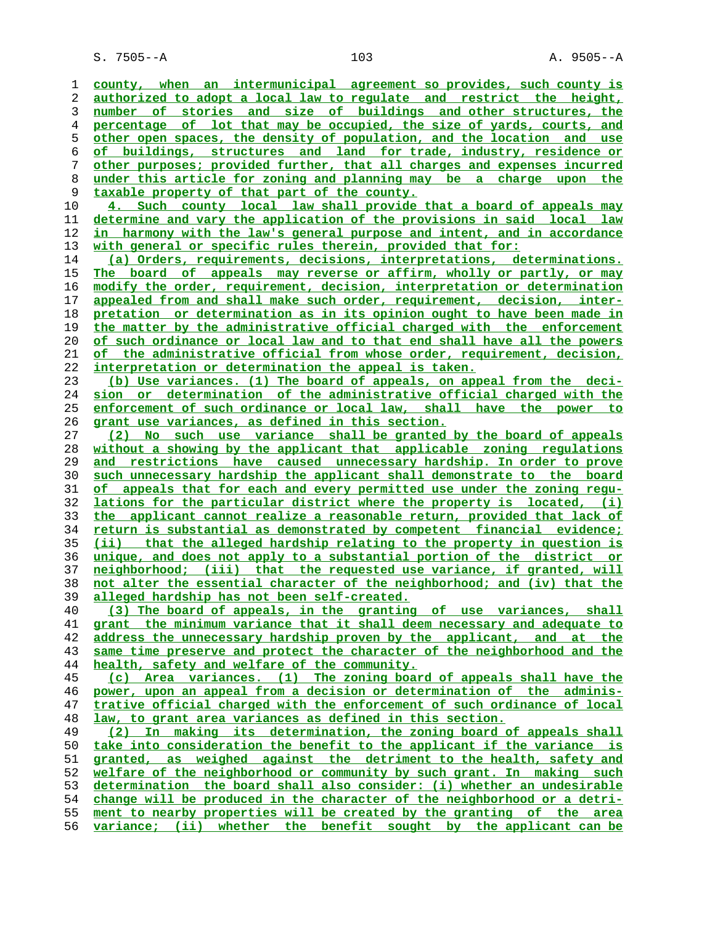**county, when an intermunicipal agreement so provides, such county is authorized to adopt a local law to regulate and restrict the height, number of stories and size of buildings and other structures, the percentage of lot that may be occupied, the size of yards, courts, and other open spaces, the density of population, and the location and use of buildings, structures and land for trade, industry, residence or other purposes; provided further, that all charges and expenses incurred under this article for zoning and planning may be a charge upon the taxable property of that part of the county. 4. Such county local law shall provide that a board of appeals may determine and vary the application of the provisions in said local law in harmony with the law's general purpose and intent, and in accordance with general or specific rules therein, provided that for: (a) Orders, requirements, decisions, interpretations, determinations. The board of appeals may reverse or affirm, wholly or partly, or may modify the order, requirement, decision, interpretation or determination appealed from and shall make such order, requirement, decision, inter- pretation or determination as in its opinion ought to have been made in the matter by the administrative official charged with the enforcement of such ordinance or local law and to that end shall have all the powers of the administrative official from whose order, requirement, decision, interpretation or determination the appeal is taken. (b) Use variances. (1) The board of appeals, on appeal from the deci- sion or determination of the administrative official charged with the enforcement of such ordinance or local law, shall have the power to grant use variances, as defined in this section. (2) No such use variance shall be granted by the board of appeals without a showing by the applicant that applicable zoning regulations and restrictions have caused unnecessary hardship. In order to prove such unnecessary hardship the applicant shall demonstrate to the board of appeals that for each and every permitted use under the zoning regu- lations for the particular district where the property is located, (i) the applicant cannot realize a reasonable return, provided that lack of return is substantial as demonstrated by competent financial evidence; (ii) that the alleged hardship relating to the property in question is unique, and does not apply to a substantial portion of the district or neighborhood; (iii) that the requested use variance, if granted, will not alter the essential character of the neighborhood; and (iv) that the alleged hardship has not been self-created. (3) The board of appeals, in the granting of use variances, shall grant the minimum variance that it shall deem necessary and adequate to address the unnecessary hardship proven by the applicant, and at the same time preserve and protect the character of the neighborhood and the health, safety and welfare of the community. (c) Area variances. (1) The zoning board of appeals shall have the power, upon an appeal from a decision or determination of the adminis- trative official charged with the enforcement of such ordinance of local law, to grant area variances as defined in this section. (2) In making its determination, the zoning board of appeals shall take into consideration the benefit to the applicant if the variance is granted, as weighed against the detriment to the health, safety and welfare of the neighborhood or community by such grant. In making such determination the board shall also consider: (i) whether an undesirable change will be produced in the character of the neighborhood or a detri- ment to nearby properties will be created by the granting of the area variance; (ii) whether the benefit sought by the applicant can be**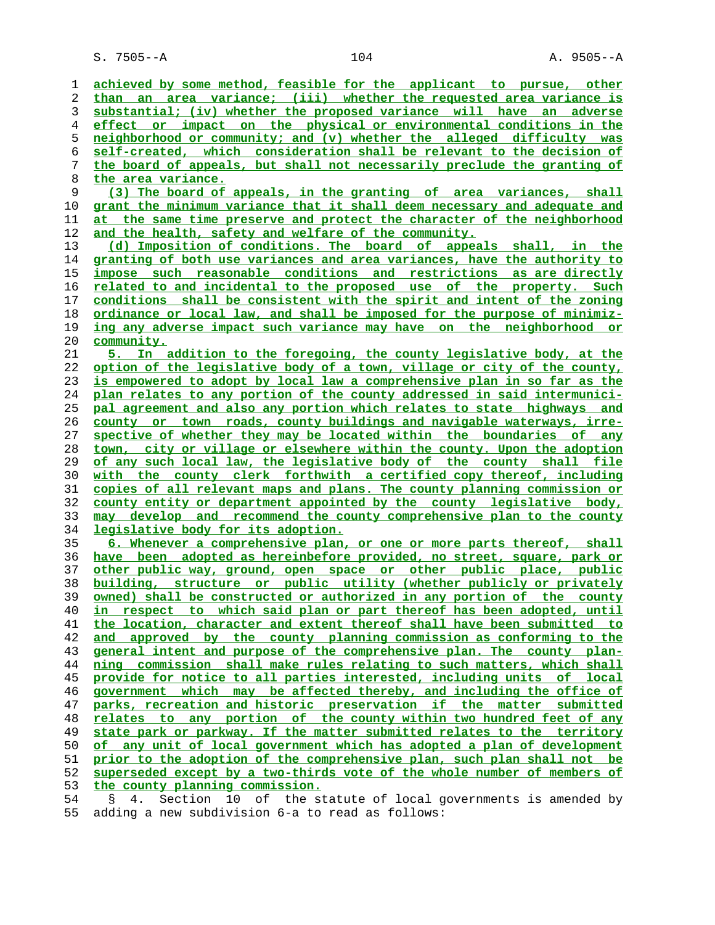**achieved by some method, feasible for the applicant to pursue, other than an area variance; (iii) whether the requested area variance is substantial; (iv) whether the proposed variance will have an adverse effect or impact on the physical or environmental conditions in the neighborhood or community; and (v) whether the alleged difficulty was self-created, which consideration shall be relevant to the decision of the board of appeals, but shall not necessarily preclude the granting of the area variance. (3) The board of appeals, in the granting of area variances, shall grant the minimum variance that it shall deem necessary and adequate and at the same time preserve and protect the character of the neighborhood and the health, safety and welfare of the community. (d) Imposition of conditions. The board of appeals shall, in the granting of both use variances and area variances, have the authority to impose such reasonable conditions and restrictions as are directly related to and incidental to the proposed use of the property. Such conditions shall be consistent with the spirit and intent of the zoning ordinance or local law, and shall be imposed for the purpose of minimiz- ing any adverse impact such variance may have on the neighborhood or community. 5. In addition to the foregoing, the county legislative body, at the option of the legislative body of a town, village or city of the county, is empowered to adopt by local law a comprehensive plan in so far as the plan relates to any portion of the county addressed in said intermunici- pal agreement and also any portion which relates to state highways and county or town roads, county buildings and navigable waterways, irre- spective of whether they may be located within the boundaries of any town, city or village or elsewhere within the county. Upon the adoption of any such local law, the legislative body of the county shall file with the county clerk forthwith a certified copy thereof, including copies of all relevant maps and plans. The county planning commission or county entity or department appointed by the county legislative body, may develop and recommend the county comprehensive plan to the county legislative body for its adoption. 6. Whenever a comprehensive plan, or one or more parts thereof, shall have been adopted as hereinbefore provided, no street, square, park or other public way, ground, open space or other public place, public building, structure or public utility (whether publicly or privately owned) shall be constructed or authorized in any portion of the county in respect to which said plan or part thereof has been adopted, until the location, character and extent thereof shall have been submitted to and approved by the county planning commission as conforming to the general intent and purpose of the comprehensive plan. The county plan- ning commission shall make rules relating to such matters, which shall provide for notice to all parties interested, including units of local government which may be affected thereby, and including the office of parks, recreation and historic preservation if the matter submitted relates to any portion of the county within two hundred feet of any state park or parkway. If the matter submitted relates to the territory of any unit of local government which has adopted a plan of development prior to the adoption of the comprehensive plan, such plan shall not be superseded except by a two-thirds vote of the whole number of members of the county planning commission.** 54 § 4. Section 10 of the statute of local governments is amended by

55 adding a new subdivision 6-a to read as follows: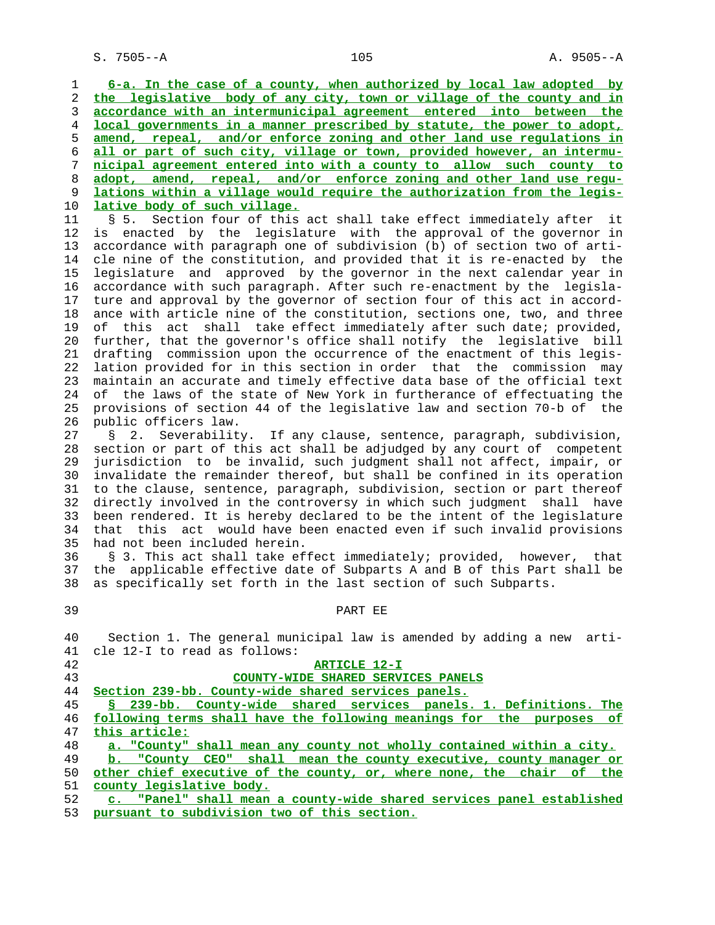**6-a. In the case of a county, when authorized by local law adopted by the legislative body of any city, town or village of the county and in accordance with an intermunicipal agreement entered into between the local governments in a manner prescribed by statute, the power to adopt, amend, repeal, and/or enforce zoning and other land use regulations in all or part of such city, village or town, provided however, an intermu- nicipal agreement entered into with a county to allow such county to adopt, amend, repeal, and/or enforce zoning and other land use regu- lations within a village would require the authorization from the legis- lative body of such village.**

 11 § 5. Section four of this act shall take effect immediately after it 12 is enacted by the legislature with the approval of the governor in 13 accordance with paragraph one of subdivision (b) of section two of arti- 14 cle nine of the constitution, and provided that it is re-enacted by the 15 legislature and approved by the governor in the next calendar year in 16 accordance with such paragraph. After such re-enactment by the legisla- 17 ture and approval by the governor of section four of this act in accord- 18 ance with article nine of the constitution, sections one, two, and three 19 of this act shall take effect immediately after such date; provided, 20 further, that the governor's office shall notify the legislative bill 21 drafting commission upon the occurrence of the enactment of this legis- 22 lation provided for in this section in order that the commission may 23 maintain an accurate and timely effective data base of the official text 24 of the laws of the state of New York in furtherance of effectuating the 25 provisions of section 44 of the legislative law and section 70-b of the 26 public officers law.

 27 § 2. Severability. If any clause, sentence, paragraph, subdivision, 28 section or part of this act shall be adjudged by any court of competent 29 jurisdiction to be invalid, such judgment shall not affect, impair, or 30 invalidate the remainder thereof, but shall be confined in its operation 31 to the clause, sentence, paragraph, subdivision, section or part thereof 32 directly involved in the controversy in which such judgment shall have 33 been rendered. It is hereby declared to be the intent of the legislature 34 that this act would have been enacted even if such invalid provisions 35 had not been included herein.

 36 § 3. This act shall take effect immediately; provided, however, that 37 the applicable effective date of Subparts A and B of this Part shall be 38 as specifically set forth in the last section of such Subparts.

### 39 PART EE

 40 Section 1. The general municipal law is amended by adding a new arti- 41 cle 12-I to read as follows:

42 **ARTICLE 12-I**

43 **COUNTY-WIDE SHARED SERVICES PANELS**

44 **Section 239-bb. County-wide shared services panels.**

 45 **§ 239-bb. County-wide shared services panels. 1. Definitions. The** 46 **following terms shall have the following meanings for the purposes of** 47 **this article:**

48 **a. "County" shall mean any county not wholly contained within a city.**

 49 **b. "County CEO" shall mean the county executive, county manager or** 50 **other chief executive of the county, or, where none, the chair of the**

51 **county legislative body.**

 52 **c. "Panel" shall mean a county-wide shared services panel established** 53 **pursuant to subdivision two of this section.**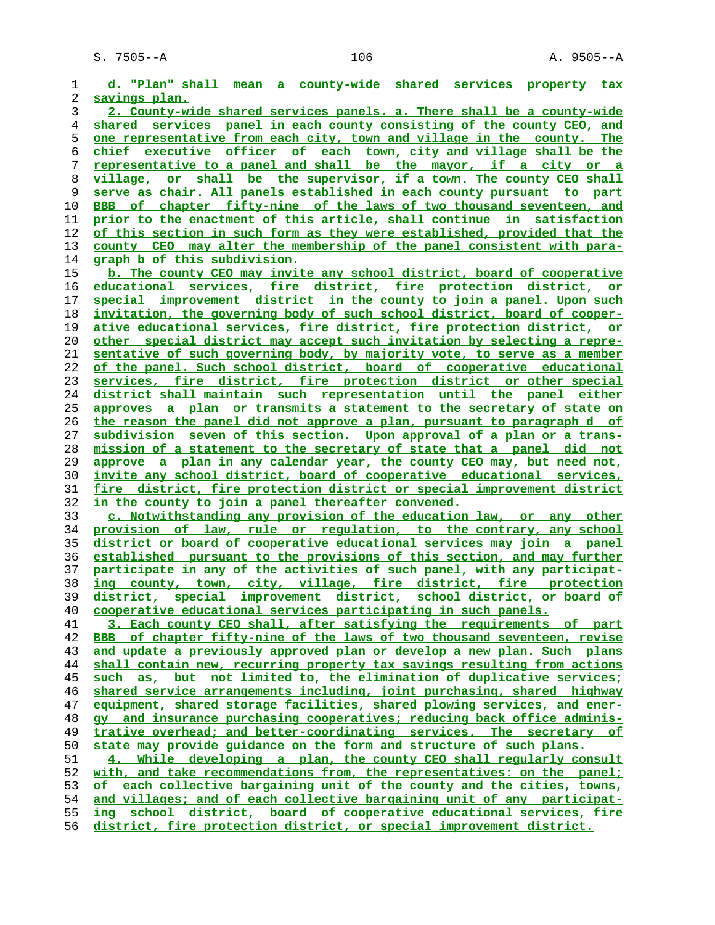**d. "Plan" shall mean a county-wide shared services property tax savings plan. 2. County-wide shared services panels. a. There shall be a county-wide shared services panel in each county consisting of the county CEO, and one representative from each city, town and village in the county. The chief executive officer of each town, city and village shall be the representative to a panel and shall be the mayor, if a city or a village, or shall be the supervisor, if a town. The county CEO shall serve as chair. All panels established in each county pursuant to part BBB of chapter fifty-nine of the laws of two thousand seventeen, and prior to the enactment of this article, shall continue in satisfaction of this section in such form as they were established, provided that the county CEO may alter the membership of the panel consistent with para- graph b of this subdivision. b. The county CEO may invite any school district, board of cooperative educational services, fire district, fire protection district, or special improvement district in the county to join a panel. Upon such invitation, the governing body of such school district, board of cooper- ative educational services, fire district, fire protection district, or other special district may accept such invitation by selecting a repre- sentative of such governing body, by majority vote, to serve as a member of the panel. Such school district, board of cooperative educational services, fire district, fire protection district or other special district shall maintain such representation until the panel either approves a plan or transmits a statement to the secretary of state on the reason the panel did not approve a plan, pursuant to paragraph d of subdivision seven of this section. Upon approval of a plan or a trans- mission of a statement to the secretary of state that a panel did not approve a plan in any calendar year, the county CEO may, but need not, invite any school district, board of cooperative educational services, fire district, fire protection district or special improvement district in the county to join a panel thereafter convened. c. Notwithstanding any provision of the education law, or any other provision of law, rule or regulation, to the contrary, any school district or board of cooperative educational services may join a panel established pursuant to the provisions of this section, and may further participate in any of the activities of such panel, with any participat- ing county, town, city, village, fire district, fire protection district, special improvement district, school district, or board of cooperative educational services participating in such panels. 3. Each county CEO shall, after satisfying the requirements of part BBB of chapter fifty-nine of the laws of two thousand seventeen, revise and update a previously approved plan or develop a new plan. Such plans shall contain new, recurring property tax savings resulting from actions such as, but not limited to, the elimination of duplicative services; shared service arrangements including, joint purchasing, shared highway equipment, shared storage facilities, shared plowing services, and ener- gy and insurance purchasing cooperatives; reducing back office adminis- trative overhead; and better-coordinating services. The secretary of state may provide guidance on the form and structure of such plans. 4. While developing a plan, the county CEO shall regularly consult with, and take recommendations from, the representatives: on the panel; of each collective bargaining unit of the county and the cities, towns, and villages; and of each collective bargaining unit of any participat- ing school district, board of cooperative educational services, fire district, fire protection district, or special improvement district.**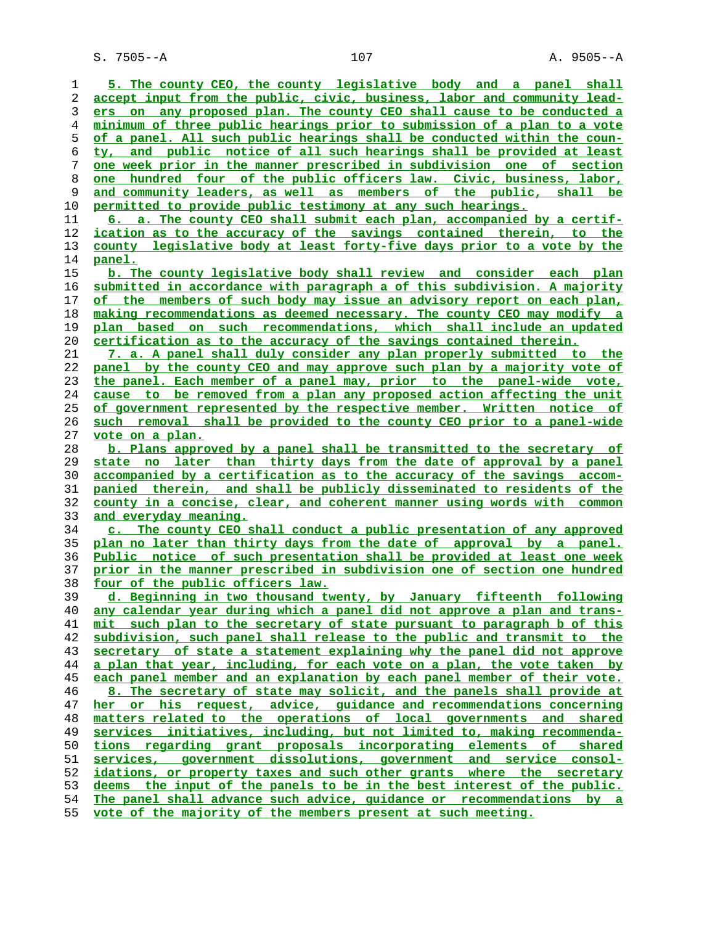S. 7505--A 107 A. 9505--A

**5. The county CEO, the county legislative body and a panel shall accept input from the public, civic, business, labor and community lead- ers on any proposed plan. The county CEO shall cause to be conducted a minimum of three public hearings prior to submission of a plan to a vote of a panel. All such public hearings shall be conducted within the coun- ty, and public notice of all such hearings shall be provided at least one week prior in the manner prescribed in subdivision one of section one hundred four of the public officers law. Civic, business, labor, and community leaders, as well as members of the public, shall be permitted to provide public testimony at any such hearings. 6. a. The county CEO shall submit each plan, accompanied by a certif- ication as to the accuracy of the savings contained therein, to the county legislative body at least forty-five days prior to a vote by the panel. b. The county legislative body shall review and consider each plan submitted in accordance with paragraph a of this subdivision. A majority of the members of such body may issue an advisory report on each plan, making recommendations as deemed necessary. The county CEO may modify a plan based on such recommendations, which shall include an updated certification as to the accuracy of the savings contained therein. 7. a. A panel shall duly consider any plan properly submitted to the panel by the county CEO and may approve such plan by a majority vote of the panel. Each member of a panel may, prior to the panel-wide vote, cause to be removed from a plan any proposed action affecting the unit of government represented by the respective member. Written notice of such removal shall be provided to the county CEO prior to a panel-wide vote on a plan. b. Plans approved by a panel shall be transmitted to the secretary of state no later than thirty days from the date of approval by a panel accompanied by a certification as to the accuracy of the savings accom- panied therein, and shall be publicly disseminated to residents of the county in a concise, clear, and coherent manner using words with common and everyday meaning. c. The county CEO shall conduct a public presentation of any approved plan no later than thirty days from the date of approval by a panel. Public notice of such presentation shall be provided at least one week prior in the manner prescribed in subdivision one of section one hundred four of the public officers law. d. Beginning in two thousand twenty, by January fifteenth following any calendar year during which a panel did not approve a plan and trans- mit such plan to the secretary of state pursuant to paragraph b of this subdivision, such panel shall release to the public and transmit to the secretary of state a statement explaining why the panel did not approve a plan that year, including, for each vote on a plan, the vote taken by each panel member and an explanation by each panel member of their vote. 8. The secretary of state may solicit, and the panels shall provide at her or his request, advice, guidance and recommendations concerning matters related to the operations of local governments and shared services initiatives, including, but not limited to, making recommenda- tions regarding grant proposals incorporating elements of shared services, government dissolutions, government and service consol- idations, or property taxes and such other grants where the secretary deems the input of the panels to be in the best interest of the public. The panel shall advance such advice, guidance or recommendations by a vote of the majority of the members present at such meeting.**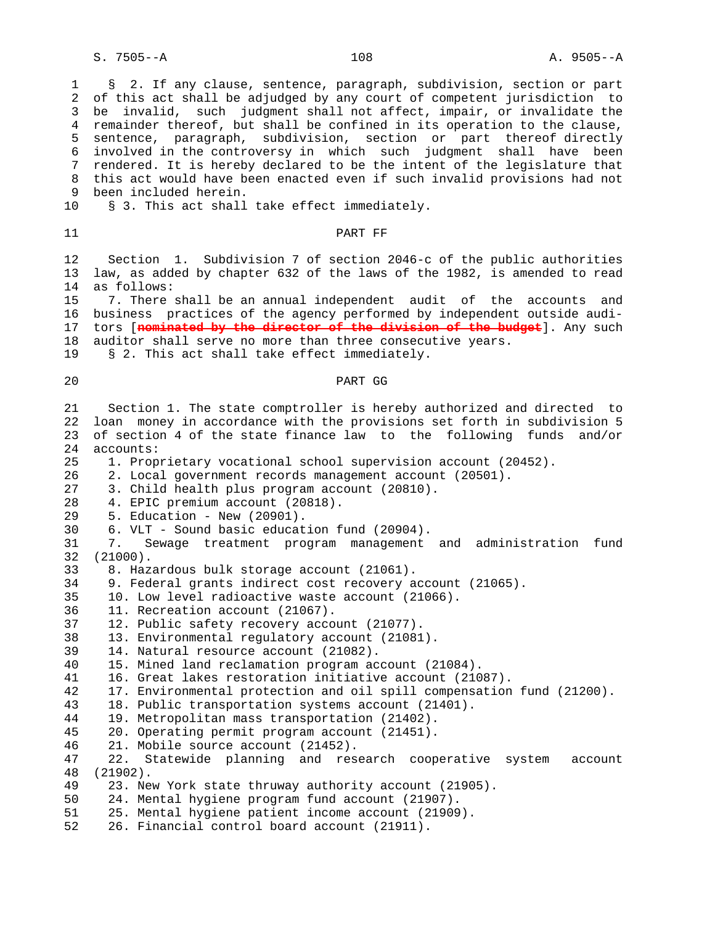1 § 2. If any clause, sentence, paragraph, subdivision, section or part 2 of this act shall be adjudged by any court of competent jurisdiction to 3 be invalid, such judgment shall not affect, impair, or invalidate the 4 remainder thereof, but shall be confined in its operation to the clause, 5 sentence, paragraph, subdivision, section or part thereof directly 6 involved in the controversy in which such judgment shall have been 7 rendered. It is hereby declared to be the intent of the legislature that 8 this act would have been enacted even if such invalid provisions had not 9 been included herein. 10 § 3. This act shall take effect immediately. 11 PART FF 12 Section 1. Subdivision 7 of section 2046-c of the public authorities 13 law, as added by chapter 632 of the laws of the 1982, is amended to read 14 as follows: 15 7. There shall be an annual independent audit of the accounts and 16 business practices of the agency performed by independent outside audi- 17 tors [**nominated by the director of the division of the budget**]. Any such 18 auditor shall serve no more than three consecutive years. 19 § 2. This act shall take effect immediately. 20 PART GG 21 Section 1. The state comptroller is hereby authorized and directed to 22 loan money in accordance with the provisions set forth in subdivision 5 23 of section 4 of the state finance law to the following funds and/or 24 accounts: 25 1. Proprietary vocational school supervision account (20452). 26 2. Local government records management account (20501). 27 3. Child health plus program account (20810). 28 4. EPIC premium account (20818). 29 5. Education - New (20901). 30 6. VLT - Sound basic education fund (20904). 31 7. Sewage treatment program management and administration fund 32 (21000). 33 8. Hazardous bulk storage account (21061). 34 9. Federal grants indirect cost recovery account (21065). 35 10. Low level radioactive waste account (21066). 36 11. Recreation account (21067). 37 12. Public safety recovery account (21077). 38 13. Environmental regulatory account (21081). 39 14. Natural resource account (21082). 40 15. Mined land reclamation program account (21084). 41 16. Great lakes restoration initiative account (21087). 42 17. Environmental protection and oil spill compensation fund (21200). 43 18. Public transportation systems account (21401). 44 19. Metropolitan mass transportation (21402).<br>45 20. Operating permit program account (21451). 20. Operating permit program account (21451). 46 21. Mobile source account (21452). 47 22. Statewide planning and research cooperative system account 48 (21902). 49 23. New York state thruway authority account (21905). 50 24. Mental hygiene program fund account (21907). 51 25. Mental hygiene patient income account (21909). 52 26. Financial control board account (21911).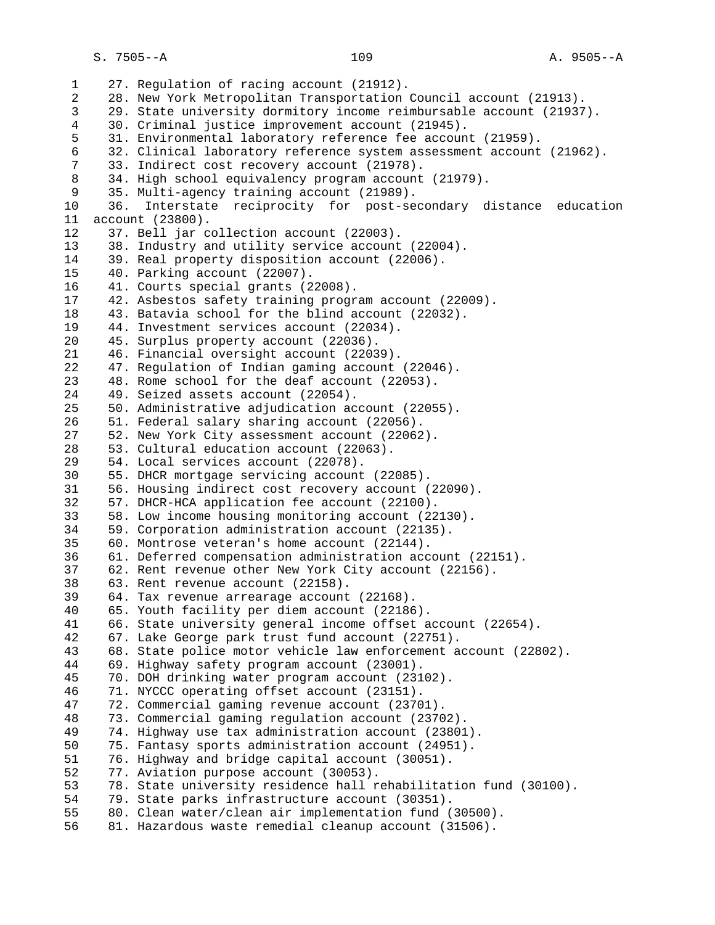1 27. Regulation of racing account (21912). 2 28. New York Metropolitan Transportation Council account (21913). 3 29. State university dormitory income reimbursable account (21937). 4 30. Criminal justice improvement account (21945). 5 31. Environmental laboratory reference fee account (21959). 6 32. Clinical laboratory reference system assessment account (21962).<br>7 33. Indirect cost recovery account (21978). 33. Indirect cost recovery account (21978). 8 34. High school equivalency program account (21979). 9 35. Multi-agency training account (21989). 10 36. Interstate reciprocity for post-secondary distance education 11 account (23800). 12 37. Bell jar collection account (22003). 13 38. Industry and utility service account (22004). 14 39. Real property disposition account (22006). 15 40. Parking account (22007). 16 41. Courts special grants (22008). 17 42. Asbestos safety training program account (22009). 18 43. Batavia school for the blind account (22032).<br>19 44. Investment services account (22034). 19 44. Investment services account (22034). 20 45. Surplus property account (22036). 21 46. Financial oversight account (22039). 22 47. Regulation of Indian gaming account (22046). 23 48. Rome school for the deaf account (22053). 24 49. Seized assets account (22054). 25 50. Administrative adjudication account (22055). 26 51. Federal salary sharing account (22056). 27 52. New York City assessment account (22062). 28 53. Cultural education account (22063). 29 54. Local services account (22078). 30 55. DHCR mortgage servicing account (22085). 31 56. Housing indirect cost recovery account (22090). 32 57. DHCR-HCA application fee account (22100). 33 58. Low income housing monitoring account (22130). 34 59. Corporation administration account (22135). 35 60. Montrose veteran's home account (22144). 36 61. Deferred compensation administration account (22151). 37 62. Rent revenue other New York City account (22156). 38 63. Rent revenue account (22158). 39 64. Tax revenue arrearage account (22168). 40 65. Youth facility per diem account (22186). 41 66. State university general income offset account (22654). 42 67. Lake George park trust fund account (22751). 43 68. State police motor vehicle law enforcement account (22802). 44 69. Highway safety program account (23001). 45 70. DOH drinking water program account (23102). 46 71. NYCCC operating offset account (23151). 47 72. Commercial gaming revenue account (23701). 48 73. Commercial gaming regulation account (23702). 74. Highway use tax administration account (23801). 50 75. Fantasy sports administration account (24951). 51 76. Highway and bridge capital account (30051).<br>52 77. Aviation purpose account (30053). 77. Aviation purpose account (30053). 53 78. State university residence hall rehabilitation fund (30100). 54 79. State parks infrastructure account (30351).<br>55 80. Clean water/clean air implementation fund ( 55 80. Clean water/clean air implementation fund (30500). 56 81. Hazardous waste remedial cleanup account (31506).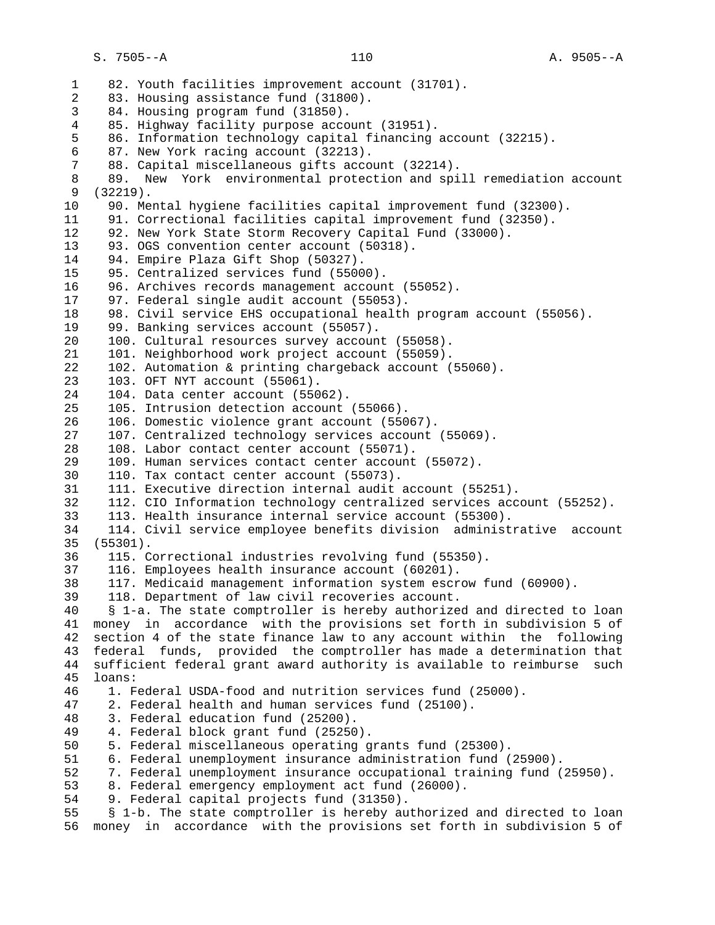1 82. Youth facilities improvement account (31701). 2 83. Housing assistance fund (31800). 3 84. Housing program fund (31850). 4 85. Highway facility purpose account (31951). 5 86. Information technology capital financing account (32215). 6 87. New York racing account (32213). 88. Capital miscellaneous gifts account (32214). 8 89. New York environmental protection and spill remediation account<br>9 (32219).  $(32219)$ . 10 90. Mental hygiene facilities capital improvement fund (32300). 11 91. Correctional facilities capital improvement fund (32350). 12 92. New York State Storm Recovery Capital Fund (33000). 13 93. OGS convention center account (50318). 14 94. Empire Plaza Gift Shop (50327). 15 95. Centralized services fund (55000). 16 96. Archives records management account (55052). 17 97. Federal single audit account (55053). 18 98. Civil service EHS occupational health program account (55056).<br>19 99. Banking services account (55057). 99. Banking services account (55057). 20 100. Cultural resources survey account (55058). 21 101. Neighborhood work project account (55059). 22 102. Automation & printing chargeback account (55060). 23 103. OFT NYT account (55061). 24 104. Data center account (55062). 25 105. Intrusion detection account (55066). 26 106. Domestic violence grant account (55067). 27 107. Centralized technology services account (55069). 28 108. Labor contact center account (55071). 29 109. Human services contact center account (55072). 30 110. Tax contact center account (55073). 31 111. Executive direction internal audit account (55251). 32 112. CIO Information technology centralized services account (55252). 33 113. Health insurance internal service account (55300). 34 114. Civil service employee benefits division administrative account 35 (55301). 36 115. Correctional industries revolving fund (55350). 37 116. Employees health insurance account (60201). 38 117. Medicaid management information system escrow fund (60900). 39 118. Department of law civil recoveries account. 40 § 1-a. The state comptroller is hereby authorized and directed to loan 41 money in accordance with the provisions set forth in subdivision 5 of 42 section 4 of the state finance law to any account within the following 43 federal funds, provided the comptroller has made a determination that 44 sufficient federal grant award authority is available to reimburse such 45 loans: 46 1. Federal USDA-food and nutrition services fund (25000). 47 2. Federal health and human services fund (25100). 48 3. Federal education fund (25200). 4. Federal block grant fund (25250). 50 5. Federal miscellaneous operating grants fund (25300). 51 6. Federal unemployment insurance administration fund (25900). 52 7. Federal unemployment insurance occupational training fund (25950). 53 8. Federal emergency employment act fund (26000). 54 9. Federal capital projects fund (31350). 55 § 1-b. The state comptroller is hereby authorized and directed to loan 56 money in accordance with the provisions set forth in subdivision 5 of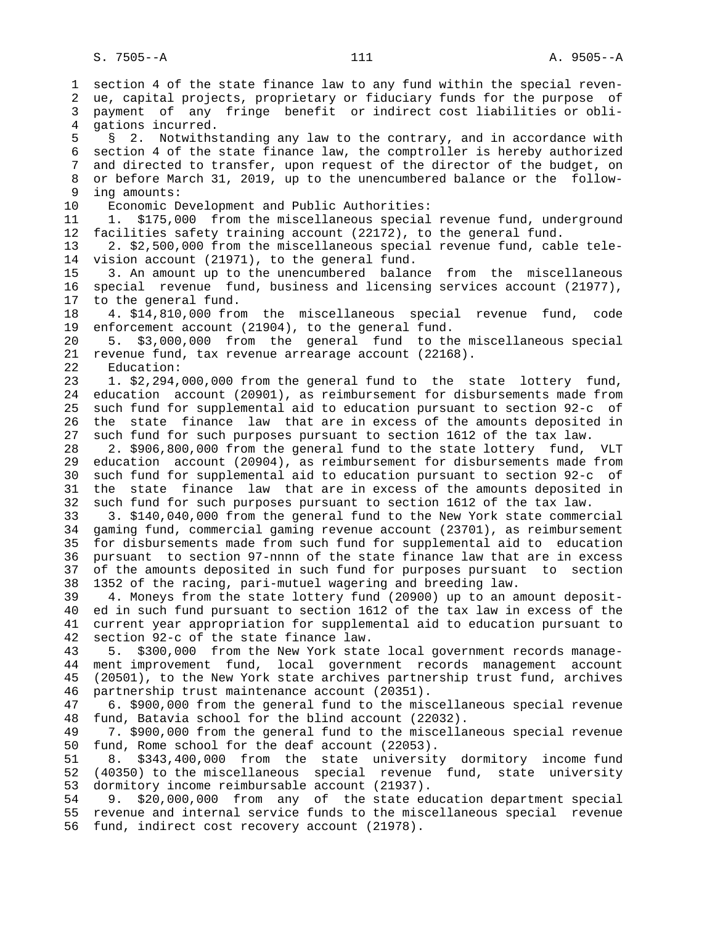1 section 4 of the state finance law to any fund within the special reven- 2 ue, capital projects, proprietary or fiduciary funds for the purpose of 3 payment of any fringe benefit or indirect cost liabilities or obli- 4 gations incurred. 5 § 2. Notwithstanding any law to the contrary, and in accordance with 6 section 4 of the state finance law, the comptroller is hereby authorized 7 and directed to transfer, upon request of the director of the budget, on 8 or before March 31, 2019, up to the unencumbered balance or the follow-<br>9 ing amounts: ing amounts: 10 Economic Development and Public Authorities: 11 1. \$175,000 from the miscellaneous special revenue fund, underground 12 facilities safety training account (22172), to the general fund. 13 2. \$2,500,000 from the miscellaneous special revenue fund, cable tele- 14 vision account (21971), to the general fund. 15 3. An amount up to the unencumbered balance from the miscellaneous 16 special revenue fund, business and licensing services account (21977), 17 to the general fund. 18 4. \$14,810,000 from the miscellaneous special revenue fund, code 19 enforcement account (21904), to the general fund. 20 5. \$3,000,000 from the general fund to the miscellaneous special 21 revenue fund, tax revenue arrearage account (22168). 22 Education: 23 1. \$2,294,000,000 from the general fund to the state lottery fund, 24 education account (20901), as reimbursement for disbursements made from 25 such fund for supplemental aid to education pursuant to section 92-c of 26 the state finance law that are in excess of the amounts deposited in 27 such fund for such purposes pursuant to section 1612 of the tax law. 28 2. \$906,800,000 from the general fund to the state lottery fund, VLT 29 education account (20904), as reimbursement for disbursements made from 30 such fund for supplemental aid to education pursuant to section 92-c of 31 the state finance law that are in excess of the amounts deposited in 32 such fund for such purposes pursuant to section 1612 of the tax law. 33 3. \$140,040,000 from the general fund to the New York state commercial 34 gaming fund, commercial gaming revenue account (23701), as reimbursement 35 for disbursements made from such fund for supplemental aid to education 36 pursuant to section 97-nnnn of the state finance law that are in excess 37 of the amounts deposited in such fund for purposes pursuant to section 38 1352 of the racing, pari-mutuel wagering and breeding law. 39 4. Moneys from the state lottery fund (20900) up to an amount deposit- 40 ed in such fund pursuant to section 1612 of the tax law in excess of the 41 current year appropriation for supplemental aid to education pursuant to 42 section 92-c of the state finance law. 43 5. \$300,000 from the New York state local government records manage- 44 ment improvement fund, local government records management account 45 (20501), to the New York state archives partnership trust fund, archives 46 partnership trust maintenance account (20351). 47 6. \$900,000 from the general fund to the miscellaneous special revenue 48 fund, Batavia school for the blind account (22032). 49 7. \$900,000 from the general fund to the miscellaneous special revenue 50 fund, Rome school for the deaf account (22053). 51 8. \$343,400,000 from the state university dormitory income fund 52 (40350) to the miscellaneous special revenue fund, state university 53 dormitory income reimbursable account (21937). 54 9. \$20,000,000 from any of the state education department special 55 revenue and internal service funds to the miscellaneous special revenue

56 fund, indirect cost recovery account (21978).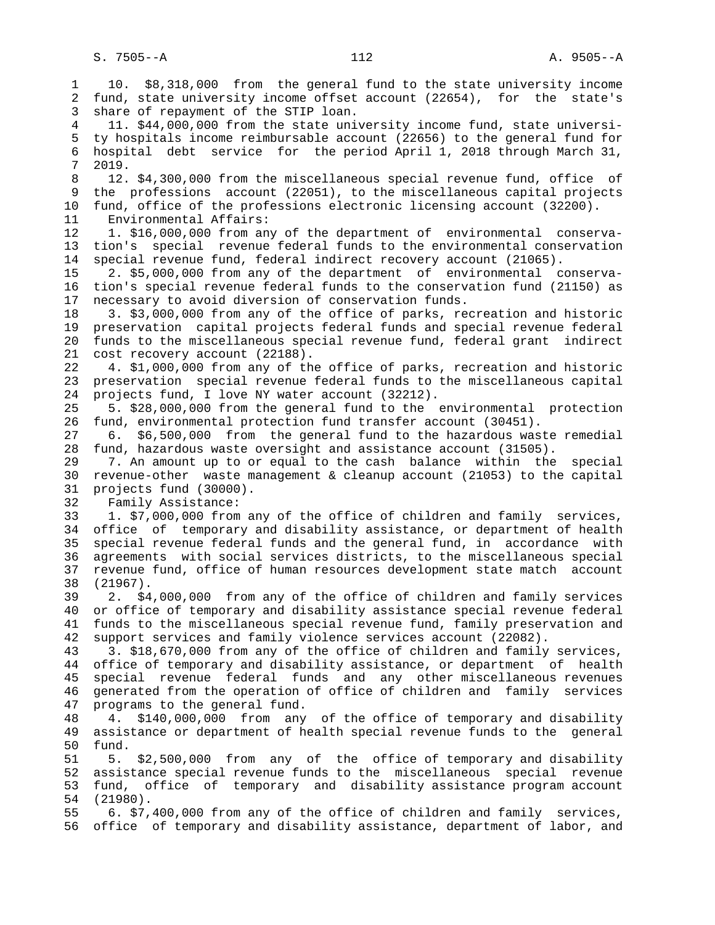1 10. \$8,318,000 from the general fund to the state university income 2 fund, state university income offset account (22654), for the state's 3 share of repayment of the STIP loan. 4 11. \$44,000,000 from the state university income fund, state universi- 5 ty hospitals income reimbursable account (22656) to the general fund for 6 hospital debt service for the period April 1, 2018 through March 31, 7 2019. 8 12. \$4,300,000 from the miscellaneous special revenue fund, office of<br>9 the professions account (22051), to the miscellaneous capital projects 9 the professions account (22051), to the miscellaneous capital projects 10 fund, office of the professions electronic licensing account (32200). 11 Environmental Affairs: 12 1. \$16,000,000 from any of the department of environmental conserva- 13 tion's special revenue federal funds to the environmental conservation 14 special revenue fund, federal indirect recovery account (21065). 15 2. \$5,000,000 from any of the department of environmental conserva- 16 tion's special revenue federal funds to the conservation fund (21150) as 17 necessary to avoid diversion of conservation funds. 18 3. \$3,000,000 from any of the office of parks, recreation and historic 19 preservation capital projects federal funds and special revenue federal 20 funds to the miscellaneous special revenue fund, federal grant indirect 21 cost recovery account (22188). 22 4. \$1,000,000 from any of the office of parks, recreation and historic 23 preservation special revenue federal funds to the miscellaneous capital 24 projects fund, I love NY water account (32212). 25 5. \$28,000,000 from the general fund to the environmental protection 26 fund, environmental protection fund transfer account (30451). 27 6. \$6,500,000 from the general fund to the hazardous waste remedial 28 fund, hazardous waste oversight and assistance account (31505). 29 7. An amount up to or equal to the cash balance within the special 30 revenue-other waste management & cleanup account (21053) to the capital 31 projects fund (30000). 32 Family Assistance: 33 1. \$7,000,000 from any of the office of children and family services, 34 office of temporary and disability assistance, or department of health 35 special revenue federal funds and the general fund, in accordance with 36 agreements with social services districts, to the miscellaneous special 37 revenue fund, office of human resources development state match account 38 (21967). 39 2. \$4,000,000 from any of the office of children and family services 40 or office of temporary and disability assistance special revenue federal 41 funds to the miscellaneous special revenue fund, family preservation and 42 support services and family violence services account (22082). 43 3. \$18,670,000 from any of the office of children and family services, 44 office of temporary and disability assistance, or department of health 45 special revenue federal funds and any other miscellaneous revenues 46 generated from the operation of office of children and family services 47 programs to the general fund. 48 4. \$140,000,000 from any of the office of temporary and disability<br>49 assistance or department of health special revenue funds to the general assistance or department of health special revenue funds to the general 50 fund. 51 5. \$2,500,000 from any of the office of temporary and disability 52 assistance special revenue funds to the miscellaneous special revenue 53 fund, office of temporary and disability assistance program account 54 (21980). 55 6. \$7,400,000 from any of the office of children and family services, 56 office of temporary and disability assistance, department of labor, and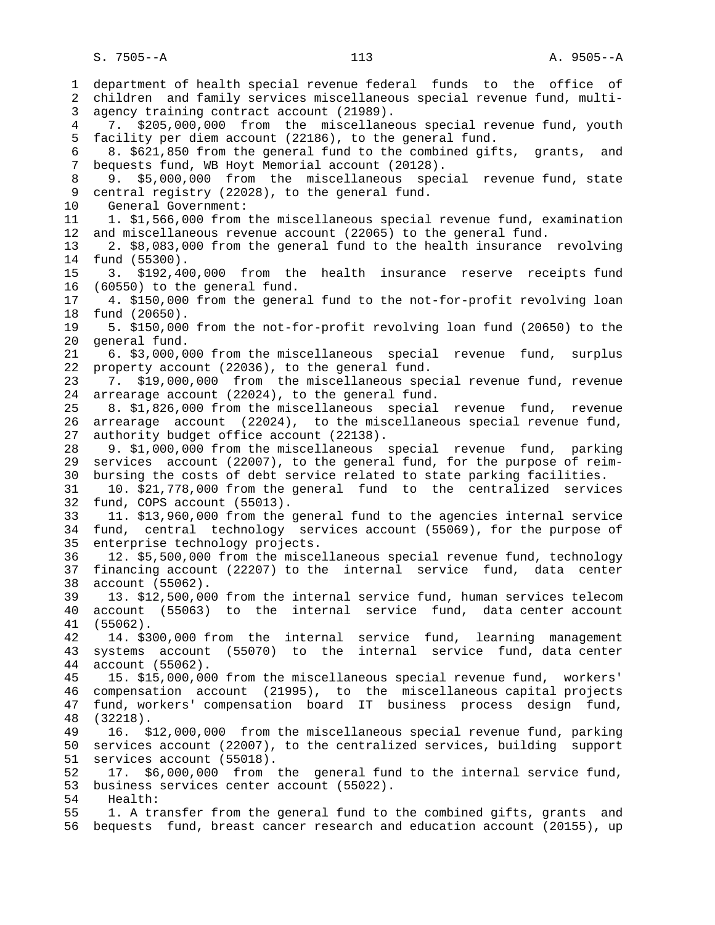1 department of health special revenue federal funds to the office of 2 children and family services miscellaneous special revenue fund, multi- 3 agency training contract account (21989). 4 7. \$205,000,000 from the miscellaneous special revenue fund, youth 5 facility per diem account (22186), to the general fund. 6 8. \$621,850 from the general fund to the combined gifts, grants, and 7 bequests fund, WB Hoyt Memorial account (20128). 8 9. \$5,000,000 from the miscellaneous special revenue fund, state<br>9 central registry (22028), to the general fund. central registry (22028), to the general fund. 10 General Government: 11 1. \$1,566,000 from the miscellaneous special revenue fund, examination 12 and miscellaneous revenue account (22065) to the general fund. 13 2. \$8,083,000 from the general fund to the health insurance revolving 14 fund (55300). 15 3. \$192,400,000 from the health insurance reserve receipts fund 16 (60550) to the general fund. 17 4. \$150,000 from the general fund to the not-for-profit revolving loan 18 fund (20650). 19 5. \$150,000 from the not-for-profit revolving loan fund (20650) to the 20 general fund. 21 6. \$3,000,000 from the miscellaneous special revenue fund, surplus 22 property account (22036), to the general fund. 23 7. \$19,000,000 from the miscellaneous special revenue fund, revenue 24 arrearage account (22024), to the general fund. 25 8. \$1,826,000 from the miscellaneous special revenue fund, revenue 26 arrearage account (22024), to the miscellaneous special revenue fund, 27 authority budget office account (22138). 28 9. \$1,000,000 from the miscellaneous special revenue fund, parking 29 services account (22007), to the general fund, for the purpose of reim- 30 bursing the costs of debt service related to state parking facilities. 31 10. \$21,778,000 from the general fund to the centralized services 32 fund, COPS account (55013). 33 11. \$13,960,000 from the general fund to the agencies internal service 34 fund, central technology services account (55069), for the purpose of 35 enterprise technology projects. 36 12. \$5,500,000 from the miscellaneous special revenue fund, technology 37 financing account (22207) to the internal service fund, data center 38 account (55062). 39 13. \$12,500,000 from the internal service fund, human services telecom 40 account (55063) to the internal service fund, data center account 41 (55062). 42 14. \$300,000 from the internal service fund, learning management 43 systems account (55070) to the internal service fund, data center 44 account (55062). 45 15. \$15,000,000 from the miscellaneous special revenue fund, workers' 46 compensation account (21995), to the miscellaneous capital projects 47 fund, workers' compensation board IT business process design fund, 48 (32218). 49 16. \$12,000,000 from the miscellaneous special revenue fund, parking 50 services account (22007), to the centralized services, building support 51 services account (55018). 52 17. \$6,000,000 from the general fund to the internal service fund, 53 business services center account (55022). 54 Health: 55 1. A transfer from the general fund to the combined gifts, grants and 56 bequests fund, breast cancer research and education account (20155), up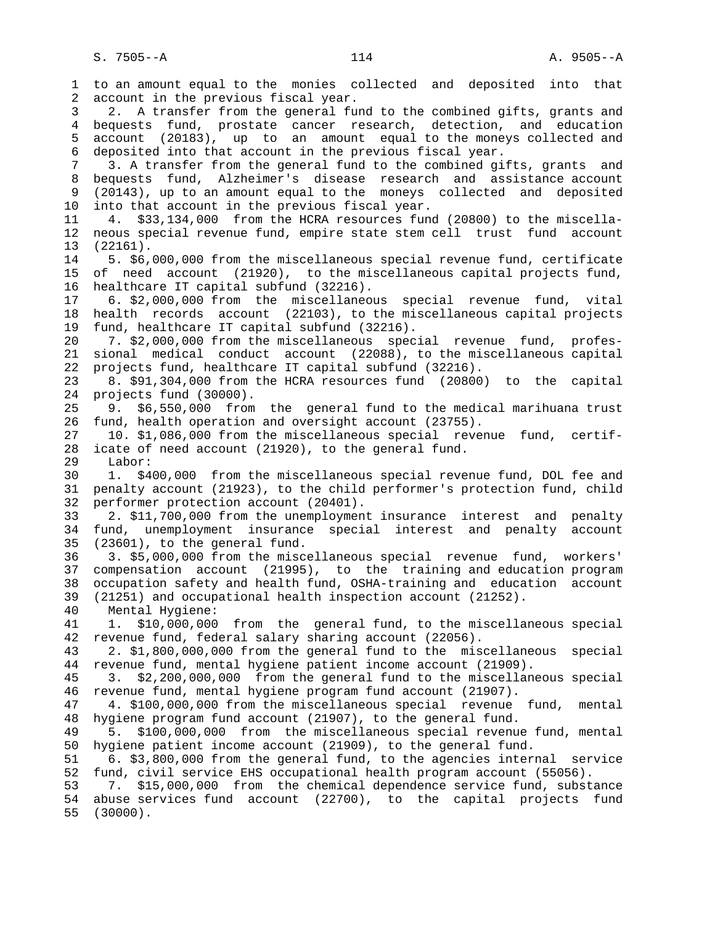1 to an amount equal to the monies collected and deposited into that 2 account in the previous fiscal year. 3 2. A transfer from the general fund to the combined gifts, grants and 4 bequests fund, prostate cancer research, detection, and education 5 account (20183), up to an amount equal to the moneys collected and 6 deposited into that account in the previous fiscal year. 7 3. A transfer from the general fund to the combined gifts, grants and 8 bequests fund, Alzheimer's disease research and assistance account<br>9 (20143), up to an amount equal to the moneys collected and deposited (20143), up to an amount equal to the moneys collected and deposited 10 into that account in the previous fiscal year. 11 4. \$33,134,000 from the HCRA resources fund (20800) to the miscella- 12 neous special revenue fund, empire state stem cell trust fund account 13 (22161). 14 5. \$6,000,000 from the miscellaneous special revenue fund, certificate 15 of need account (21920), to the miscellaneous capital projects fund, 16 healthcare IT capital subfund (32216). 17 6. \$2,000,000 from the miscellaneous special revenue fund, vital 18 health records account (22103), to the miscellaneous capital projects 19 fund, healthcare IT capital subfund (32216). 20 7. \$2,000,000 from the miscellaneous special revenue fund, profes- 21 sional medical conduct account (22088), to the miscellaneous capital 22 projects fund, healthcare IT capital subfund (32216). 23 8. \$91,304,000 from the HCRA resources fund (20800) to the capital 24 projects fund (30000). 25 9. \$6,550,000 from the general fund to the medical marihuana trust 26 fund, health operation and oversight account (23755). 27 10. \$1,086,000 from the miscellaneous special revenue fund, certif- 28 icate of need account (21920), to the general fund. 29 Labor: 30 1. \$400,000 from the miscellaneous special revenue fund, DOL fee and 31 penalty account (21923), to the child performer's protection fund, child 32 performer protection account (20401). 33 2. \$11,700,000 from the unemployment insurance interest and penalty 34 fund, unemployment insurance special interest and penalty account 35 (23601), to the general fund. 36 3. \$5,000,000 from the miscellaneous special revenue fund, workers' 37 compensation account (21995), to the training and education program 38 occupation safety and health fund, OSHA-training and education account 39 (21251) and occupational health inspection account (21252). 40 Mental Hygiene: 41 1. \$10,000,000 from the general fund, to the miscellaneous special 42 revenue fund, federal salary sharing account (22056). 43 2. \$1,800,000,000 from the general fund to the miscellaneous special 44 revenue fund, mental hygiene patient income account (21909). 45 3. \$2,200,000,000 from the general fund to the miscellaneous special 46 revenue fund, mental hygiene program fund account (21907). 47 4. \$100,000,000 from the miscellaneous special revenue fund, mental 48 hygiene program fund account (21907), to the general fund. 49 5. \$100,000,000 from the miscellaneous special revenue fund, mental 50 hygiene patient income account (21909), to the general fund. 51 6. \$3,800,000 from the general fund, to the agencies internal service 52 fund, civil service EHS occupational health program account (55056). 53 7. \$15,000,000 from the chemical dependence service fund, substance 54 abuse services fund account (22700), to the capital projects fund 55 (30000).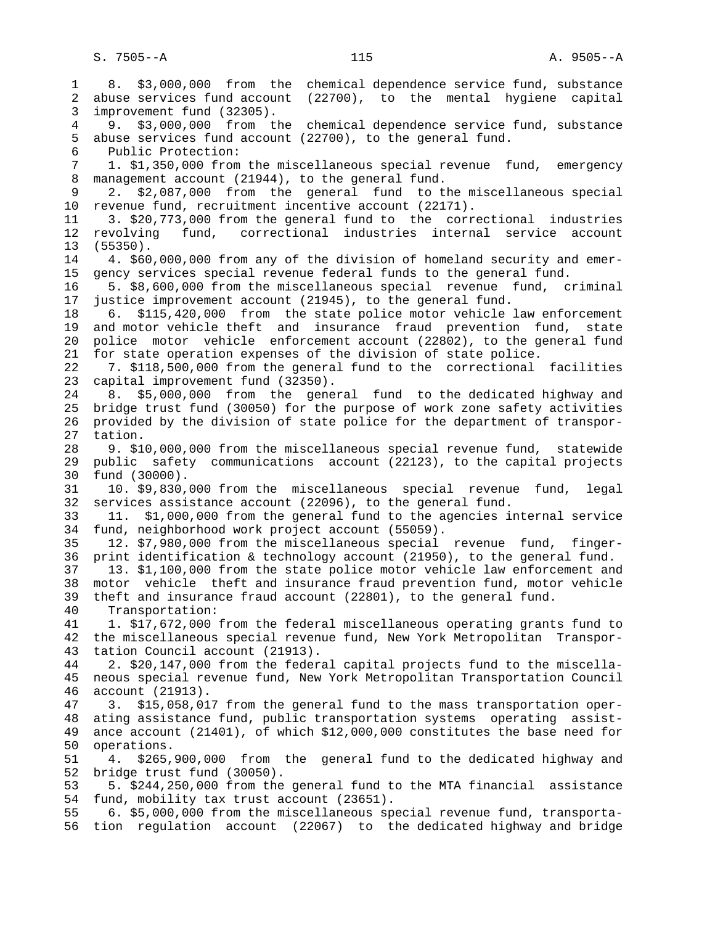1 8. \$3,000,000 from the chemical dependence service fund, substance 2 abuse services fund account (22700), to the mental hygiene capital 3 improvement fund (32305). 4 9. \$3,000,000 from the chemical dependence service fund, substance 5 abuse services fund account (22700), to the general fund. 6 Public Protection: 7 1. \$1,350,000 from the miscellaneous special revenue fund, emergency 8 management account (21944), to the general fund.<br>9 2. \$2,087,000 from the general fund to t 9 2. \$2,087,000 from the general fund to the miscellaneous special 10 revenue fund, recruitment incentive account (22171). 11 3. \$20,773,000 from the general fund to the correctional industries 12 revolving fund, correctional industries internal service account 13 (55350). 14 4. \$60,000,000 from any of the division of homeland security and emer- 15 gency services special revenue federal funds to the general fund. 16 5. \$8,600,000 from the miscellaneous special revenue fund, criminal 17 justice improvement account (21945), to the general fund. 18 6. \$115,420,000 from the state police motor vehicle law enforcement 19 and motor vehicle theft and insurance fraud prevention fund, state 20 police motor vehicle enforcement account (22802), to the general fund 21 for state operation expenses of the division of state police. 22 7. \$118,500,000 from the general fund to the correctional facilities 23 capital improvement fund (32350). 24 8. \$5,000,000 from the general fund to the dedicated highway and 25 bridge trust fund (30050) for the purpose of work zone safety activities 26 provided by the division of state police for the department of transpor- 27 tation. 28 9. \$10,000,000 from the miscellaneous special revenue fund, statewide 29 public safety communications account (22123), to the capital projects 30 fund (30000). 31 10. \$9,830,000 from the miscellaneous special revenue fund, legal 32 services assistance account (22096), to the general fund. 33 11. \$1,000,000 from the general fund to the agencies internal service 34 fund, neighborhood work project account (55059). 35 12. \$7,980,000 from the miscellaneous special revenue fund, finger- 36 print identification & technology account (21950), to the general fund. 37 13. \$1,100,000 from the state police motor vehicle law enforcement and 38 motor vehicle theft and insurance fraud prevention fund, motor vehicle 39 theft and insurance fraud account (22801), to the general fund. 40 Transportation: 41 1. \$17,672,000 from the federal miscellaneous operating grants fund to 42 the miscellaneous special revenue fund, New York Metropolitan Transpor- 43 tation Council account (21913). 44 2. \$20,147,000 from the federal capital projects fund to the miscella- 45 neous special revenue fund, New York Metropolitan Transportation Council 46 account (21913). 47 3. \$15,058,017 from the general fund to the mass transportation oper- 48 ating assistance fund, public transportation systems operating assist- 49 ance account (21401), of which \$12,000,000 constitutes the base need for 50 operations. 51 4. \$265,900,000 from the general fund to the dedicated highway and 52 bridge trust fund (30050). 53 5. \$244,250,000 from the general fund to the MTA financial assistance 54 fund, mobility tax trust account (23651). 55 6. \$5,000,000 from the miscellaneous special revenue fund, transporta- 56 tion regulation account (22067) to the dedicated highway and bridge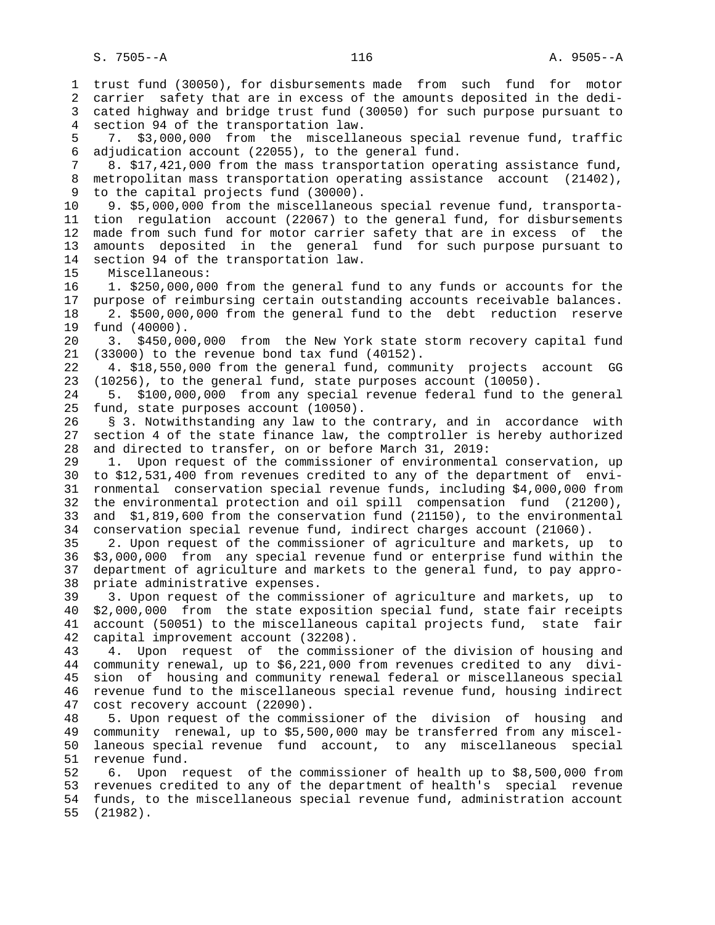1 trust fund (30050), for disbursements made from such fund for motor 2 carrier safety that are in excess of the amounts deposited in the dedi- 3 cated highway and bridge trust fund (30050) for such purpose pursuant to 4 section 94 of the transportation law. 5 7. \$3,000,000 from the miscellaneous special revenue fund, traffic 6 adjudication account (22055), to the general fund. 7 8. \$17,421,000 from the mass transportation operating assistance fund, 8 metropolitan mass transportation operating assistance account (21402),<br>9 to the capital projects fund (30000). to the capital projects fund (30000). 10 9. \$5,000,000 from the miscellaneous special revenue fund, transporta- 11 tion regulation account (22067) to the general fund, for disbursements 12 made from such fund for motor carrier safety that are in excess of the 13 amounts deposited in the general fund for such purpose pursuant to 14 section 94 of the transportation law. 15 Miscellaneous: 16 1. \$250,000,000 from the general fund to any funds or accounts for the 17 purpose of reimbursing certain outstanding accounts receivable balances. 18 2. \$500,000,000 from the general fund to the debt reduction reserve 19 fund (40000). 20 3. \$450,000,000 from the New York state storm recovery capital fund 21 (33000) to the revenue bond tax fund (40152). 22 4. \$18,550,000 from the general fund, community projects account GG 23 (10256), to the general fund, state purposes account (10050). 24 5. \$100,000,000 from any special revenue federal fund to the general 25 fund, state purposes account (10050). 26 § 3. Notwithstanding any law to the contrary, and in accordance with 27 section 4 of the state finance law, the comptroller is hereby authorized 28 and directed to transfer, on or before March 31, 2019: 29 1. Upon request of the commissioner of environmental conservation, up 30 to \$12,531,400 from revenues credited to any of the department of envi- 31 ronmental conservation special revenue funds, including \$4,000,000 from 32 the environmental protection and oil spill compensation fund (21200), 33 and \$1,819,600 from the conservation fund (21150), to the environmental 34 conservation special revenue fund, indirect charges account (21060). 35 2. Upon request of the commissioner of agriculture and markets, up to 36 \$3,000,000 from any special revenue fund or enterprise fund within the 37 department of agriculture and markets to the general fund, to pay appro- 38 priate administrative expenses. 39 3. Upon request of the commissioner of agriculture and markets, up to 40 \$2,000,000 from the state exposition special fund, state fair receipts 41 account (50051) to the miscellaneous capital projects fund, state fair 42 capital improvement account (32208). 43 4. Upon request of the commissioner of the division of housing and 44 community renewal, up to \$6,221,000 from revenues credited to any divi- 45 sion of housing and community renewal federal or miscellaneous special 46 revenue fund to the miscellaneous special revenue fund, housing indirect 47 cost recovery account (22090). 48 5. Upon request of the commissioner of the division of housing and 49 community renewal, up to \$5,500,000 may be transferred from any miscel- 50 laneous special revenue fund account, to any miscellaneous special 51 revenue fund. 52 6. Upon request of the commissioner of health up to \$8,500,000 from 53 revenues credited to any of the department of health's special revenue 54 funds, to the miscellaneous special revenue fund, administration account 55 (21982).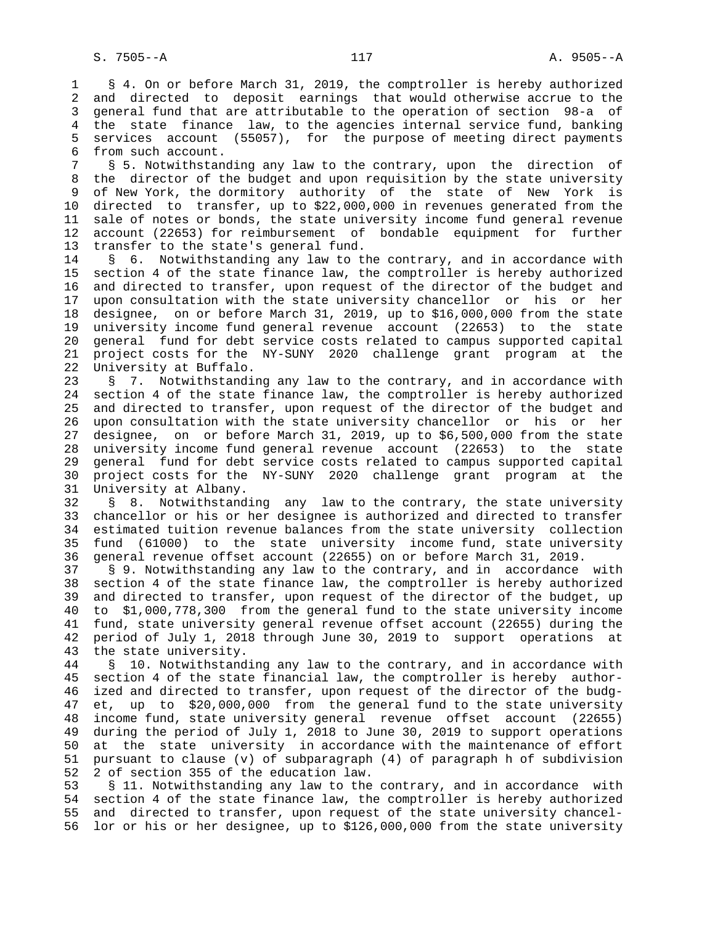1 § 4. On or before March 31, 2019, the comptroller is hereby authorized 2 and directed to deposit earnings that would otherwise accrue to the 3 general fund that are attributable to the operation of section 98-a of 4 the state finance law, to the agencies internal service fund, banking 5 services account (55057), for the purpose of meeting direct payments 6 from such account.

 7 § 5. Notwithstanding any law to the contrary, upon the direction of 8 the director of the budget and upon requisition by the state university<br>9 of New York, the dormitory authority of the state of New York is of New York, the dormitory authority of the state of New York is 10 directed to transfer, up to \$22,000,000 in revenues generated from the 11 sale of notes or bonds, the state university income fund general revenue 12 account (22653) for reimbursement of bondable equipment for further 13 transfer to the state's general fund.

 14 § 6. Notwithstanding any law to the contrary, and in accordance with 15 section 4 of the state finance law, the comptroller is hereby authorized 16 and directed to transfer, upon request of the director of the budget and 17 upon consultation with the state university chancellor or his or her 18 designee, on or before March 31, 2019, up to \$16,000,000 from the state 19 university income fund general revenue account (22653) to the state 20 general fund for debt service costs related to campus supported capital 21 project costs for the NY-SUNY 2020 challenge grant program at the 22 University at Buffalo.

 23 § 7. Notwithstanding any law to the contrary, and in accordance with 24 section 4 of the state finance law, the comptroller is hereby authorized 25 and directed to transfer, upon request of the director of the budget and 26 upon consultation with the state university chancellor or his or her 27 designee, on or before March 31, 2019, up to \$6,500,000 from the state 28 university income fund general revenue account (22653) to the state 29 general fund for debt service costs related to campus supported capital 30 project costs for the NY-SUNY 2020 challenge grant program at the 31 University at Albany.

 32 § 8. Notwithstanding any law to the contrary, the state university 33 chancellor or his or her designee is authorized and directed to transfer 34 estimated tuition revenue balances from the state university collection 35 fund (61000) to the state university income fund, state university 36 general revenue offset account (22655) on or before March 31, 2019.

 37 § 9. Notwithstanding any law to the contrary, and in accordance with 38 section 4 of the state finance law, the comptroller is hereby authorized 39 and directed to transfer, upon request of the director of the budget, up 40 to \$1,000,778,300 from the general fund to the state university income 41 fund, state university general revenue offset account (22655) during the 42 period of July 1, 2018 through June 30, 2019 to support operations at 43 the state university.

 44 § 10. Notwithstanding any law to the contrary, and in accordance with 45 section 4 of the state financial law, the comptroller is hereby author- 46 ized and directed to transfer, upon request of the director of the budg- 47 et, up to \$20,000,000 from the general fund to the state university 48 income fund, state university general revenue offset account (22655) 49 during the period of July 1, 2018 to June 30, 2019 to support operations 50 at the state university in accordance with the maintenance of effort 51 pursuant to clause (v) of subparagraph (4) of paragraph h of subdivision 52 2 of section 355 of the education law.

 53 § 11. Notwithstanding any law to the contrary, and in accordance with 54 section 4 of the state finance law, the comptroller is hereby authorized 55 and directed to transfer, upon request of the state university chancel- 56 lor or his or her designee, up to \$126,000,000 from the state university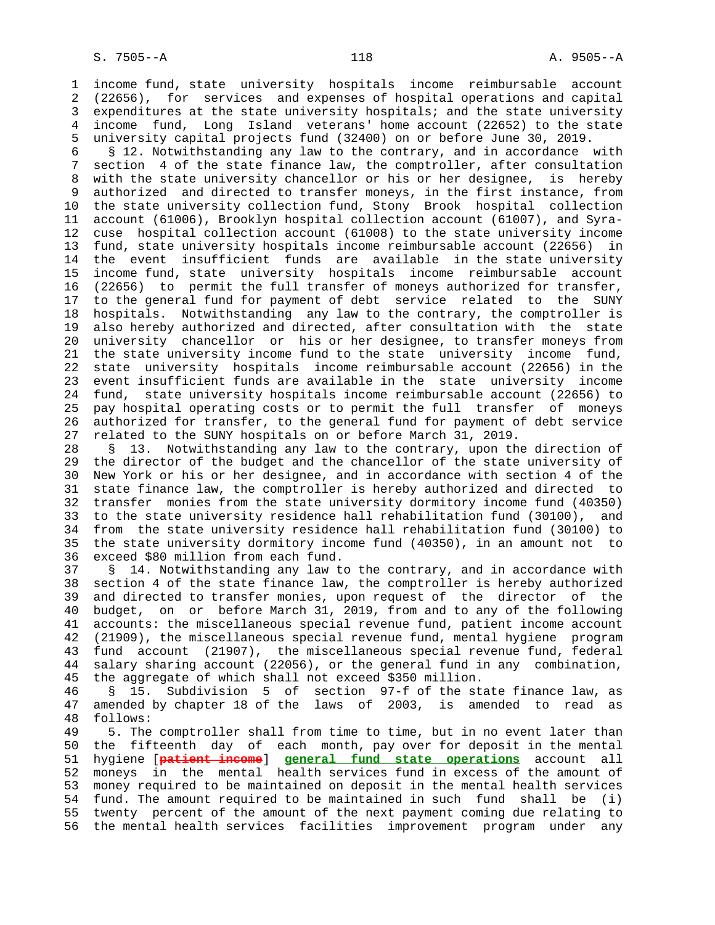1 income fund, state university hospitals income reimbursable account 2 (22656), for services and expenses of hospital operations and capital 3 expenditures at the state university hospitals; and the state university 4 income fund, Long Island veterans' home account (22652) to the state 5 university capital projects fund (32400) on or before June 30, 2019.

 6 § 12. Notwithstanding any law to the contrary, and in accordance with 7 section 4 of the state finance law, the comptroller, after consultation 8 with the state university chancellor or his or her designee, is hereby<br>9 authorized and directed to transfer moneys, in the first instance, from authorized and directed to transfer moneys, in the first instance, from 10 the state university collection fund, Stony Brook hospital collection 11 account (61006), Brooklyn hospital collection account (61007), and Syra- 12 cuse hospital collection account (61008) to the state university income 13 fund, state university hospitals income reimbursable account (22656) in 14 the event insufficient funds are available in the state university 15 income fund, state university hospitals income reimbursable account 16 (22656) to permit the full transfer of moneys authorized for transfer, 17 to the general fund for payment of debt service related to the SUNY 18 hospitals. Notwithstanding any law to the contrary, the comptroller is 19 also hereby authorized and directed, after consultation with the state 20 university chancellor or his or her designee, to transfer moneys from 21 the state university income fund to the state university income fund, 22 state university hospitals income reimbursable account (22656) in the 23 event insufficient funds are available in the state university income 24 fund, state university hospitals income reimbursable account (22656) to 25 pay hospital operating costs or to permit the full transfer of moneys 26 authorized for transfer, to the general fund for payment of debt service 27 related to the SUNY hospitals on or before March 31, 2019.

 28 § 13. Notwithstanding any law to the contrary, upon the direction of 29 the director of the budget and the chancellor of the state university of 30 New York or his or her designee, and in accordance with section 4 of the 31 state finance law, the comptroller is hereby authorized and directed to 32 transfer monies from the state university dormitory income fund (40350) 33 to the state university residence hall rehabilitation fund (30100), and 34 from the state university residence hall rehabilitation fund (30100) to 35 the state university dormitory income fund (40350), in an amount not to 36 exceed \$80 million from each fund.

 37 § 14. Notwithstanding any law to the contrary, and in accordance with 38 section 4 of the state finance law, the comptroller is hereby authorized 39 and directed to transfer monies, upon request of the director of the 40 budget, on or before March 31, 2019, from and to any of the following 41 accounts: the miscellaneous special revenue fund, patient income account 42 (21909), the miscellaneous special revenue fund, mental hygiene program 43 fund account (21907), the miscellaneous special revenue fund, federal 44 salary sharing account (22056), or the general fund in any combination, 45 the aggregate of which shall not exceed \$350 million.

 46 § 15. Subdivision 5 of section 97-f of the state finance law, as 47 amended by chapter 18 of the laws of 2003, is amended to read as 48 follows:

 49 5. The comptroller shall from time to time, but in no event later than 50 the fifteenth day of each month, pay over for deposit in the mental 51 hygiene [**patient income**] **general fund state operations** account all 52 moneys in the mental health services fund in excess of the amount of 53 money required to be maintained on deposit in the mental health services 54 fund. The amount required to be maintained in such fund shall be (i) 55 twenty percent of the amount of the next payment coming due relating to 56 the mental health services facilities improvement program under any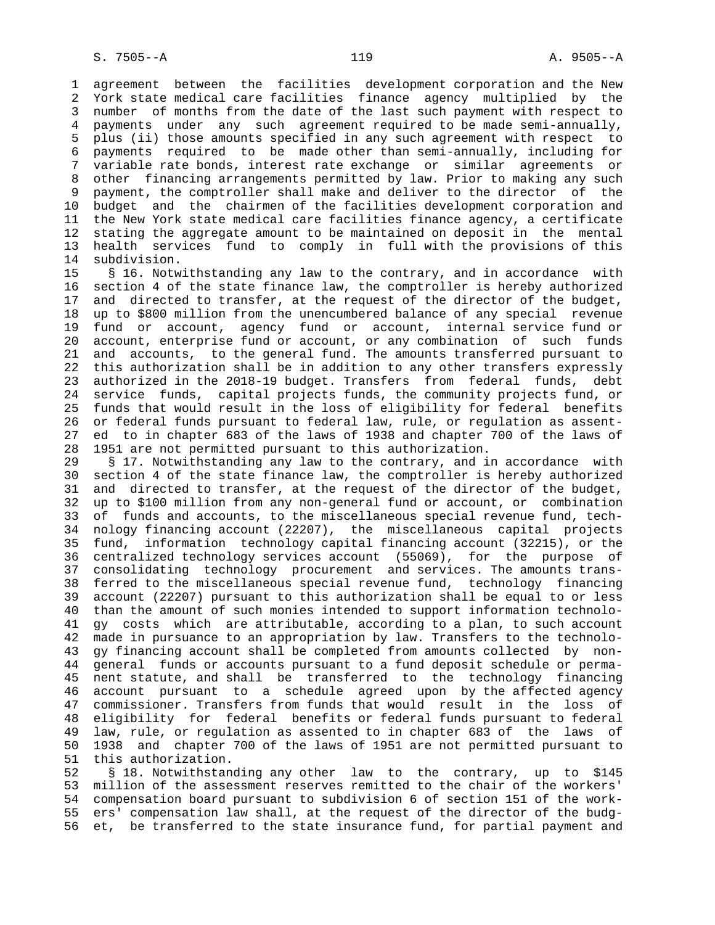1 agreement between the facilities development corporation and the New 2 York state medical care facilities finance agency multiplied by the 3 number of months from the date of the last such payment with respect to 4 payments under any such agreement required to be made semi-annually, 5 plus (ii) those amounts specified in any such agreement with respect to 6 payments required to be made other than semi-annually, including for 7 variable rate bonds, interest rate exchange or similar agreements or 8 other financing arrangements permitted by law. Prior to making any such 9 payment, the comptroller shall make and deliver to the director of the 10 budget and the chairmen of the facilities development corporation and 11 the New York state medical care facilities finance agency, a certificate 12 stating the aggregate amount to be maintained on deposit in the mental 13 health services fund to comply in full with the provisions of this 14 subdivision.

 15 § 16. Notwithstanding any law to the contrary, and in accordance with 16 section 4 of the state finance law, the comptroller is hereby authorized 17 and directed to transfer, at the request of the director of the budget, 18 up to \$800 million from the unencumbered balance of any special revenue 19 fund or account, agency fund or account, internal service fund or 20 account, enterprise fund or account, or any combination of such funds 21 and accounts, to the general fund. The amounts transferred pursuant to 22 this authorization shall be in addition to any other transfers expressly 23 authorized in the 2018-19 budget. Transfers from federal funds, debt 24 service funds, capital projects funds, the community projects fund, or 25 funds that would result in the loss of eligibility for federal benefits 26 or federal funds pursuant to federal law, rule, or regulation as assent- 27 ed to in chapter 683 of the laws of 1938 and chapter 700 of the laws of 28 1951 are not permitted pursuant to this authorization.

 29 § 17. Notwithstanding any law to the contrary, and in accordance with 30 section 4 of the state finance law, the comptroller is hereby authorized 31 and directed to transfer, at the request of the director of the budget, 32 up to \$100 million from any non-general fund or account, or combination 33 of funds and accounts, to the miscellaneous special revenue fund, tech- 34 nology financing account (22207), the miscellaneous capital projects 35 fund, information technology capital financing account (32215), or the 36 centralized technology services account (55069), for the purpose of 37 consolidating technology procurement and services. The amounts trans- 38 ferred to the miscellaneous special revenue fund, technology financing 39 account (22207) pursuant to this authorization shall be equal to or less 40 than the amount of such monies intended to support information technolo- 41 gy costs which are attributable, according to a plan, to such account 42 made in pursuance to an appropriation by law. Transfers to the technolo- 43 gy financing account shall be completed from amounts collected by non- 44 general funds or accounts pursuant to a fund deposit schedule or perma- 45 nent statute, and shall be transferred to the technology financing 46 account pursuant to a schedule agreed upon by the affected agency 47 commissioner. Transfers from funds that would result in the loss of 48 eligibility for federal benefits or federal funds pursuant to federal 49 law, rule, or regulation as assented to in chapter 683 of the laws of 50 1938 and chapter 700 of the laws of 1951 are not permitted pursuant to 51 this authorization.

 52 § 18. Notwithstanding any other law to the contrary, up to \$145 53 million of the assessment reserves remitted to the chair of the workers' 54 compensation board pursuant to subdivision 6 of section 151 of the work- 55 ers' compensation law shall, at the request of the director of the budg- 56 et, be transferred to the state insurance fund, for partial payment and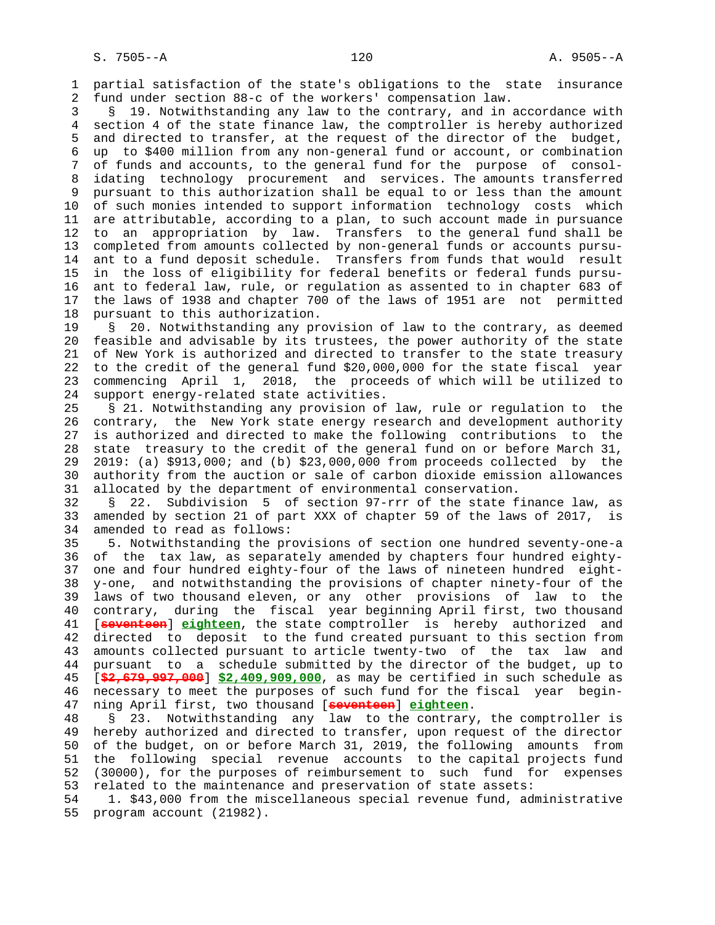1 partial satisfaction of the state's obligations to the state insurance 2 fund under section 88-c of the workers' compensation law.

 3 § 19. Notwithstanding any law to the contrary, and in accordance with 4 section 4 of the state finance law, the comptroller is hereby authorized 5 and directed to transfer, at the request of the director of the budget, 6 up to \$400 million from any non-general fund or account, or combination 7 of funds and accounts, to the general fund for the purpose of consol- 8 idating technology procurement and services. The amounts transferred 9 pursuant to this authorization shall be equal to or less than the amount 10 of such monies intended to support information technology costs which 11 are attributable, according to a plan, to such account made in pursuance 12 to an appropriation by law. Transfers to the general fund shall be 13 completed from amounts collected by non-general funds or accounts pursu- 14 ant to a fund deposit schedule. Transfers from funds that would result 15 in the loss of eligibility for federal benefits or federal funds pursu- 16 ant to federal law, rule, or regulation as assented to in chapter 683 of 17 the laws of 1938 and chapter 700 of the laws of 1951 are not permitted 18 pursuant to this authorization.

 19 § 20. Notwithstanding any provision of law to the contrary, as deemed 20 feasible and advisable by its trustees, the power authority of the state 21 of New York is authorized and directed to transfer to the state treasury 22 to the credit of the general fund \$20,000,000 for the state fiscal year 23 commencing April 1, 2018, the proceeds of which will be utilized to 24 support energy-related state activities.

 25 § 21. Notwithstanding any provision of law, rule or regulation to the 26 contrary, the New York state energy research and development authority 27 is authorized and directed to make the following contributions to the 28 state treasury to the credit of the general fund on or before March 31, 29 2019: (a) \$913,000; and (b) \$23,000,000 from proceeds collected by the 30 authority from the auction or sale of carbon dioxide emission allowances 31 allocated by the department of environmental conservation.

 32 § 22. Subdivision 5 of section 97-rrr of the state finance law, as 33 amended by section 21 of part XXX of chapter 59 of the laws of 2017, is 34 amended to read as follows:

 35 5. Notwithstanding the provisions of section one hundred seventy-one-a 36 of the tax law, as separately amended by chapters four hundred eighty- 37 one and four hundred eighty-four of the laws of nineteen hundred eight- 38 y-one, and notwithstanding the provisions of chapter ninety-four of the 39 laws of two thousand eleven, or any other provisions of law to the 40 contrary, during the fiscal year beginning April first, two thousand 41 [**seventeen**] **eighteen**, the state comptroller is hereby authorized and 42 directed to deposit to the fund created pursuant to this section from 43 amounts collected pursuant to article twenty-two of the tax law and 44 pursuant to a schedule submitted by the director of the budget, up to 45 [**\$2,679,997,000**] **\$2,409,909,000**, as may be certified in such schedule as 46 necessary to meet the purposes of such fund for the fiscal year begin- 47 ning April first, two thousand [**seventeen**] **eighteen**.

 48 § 23. Notwithstanding any law to the contrary, the comptroller is 49 hereby authorized and directed to transfer, upon request of the director 50 of the budget, on or before March 31, 2019, the following amounts from 51 the following special revenue accounts to the capital projects fund 52 (30000), for the purposes of reimbursement to such fund for expenses 53 related to the maintenance and preservation of state assets:

 54 1. \$43,000 from the miscellaneous special revenue fund, administrative 55 program account (21982).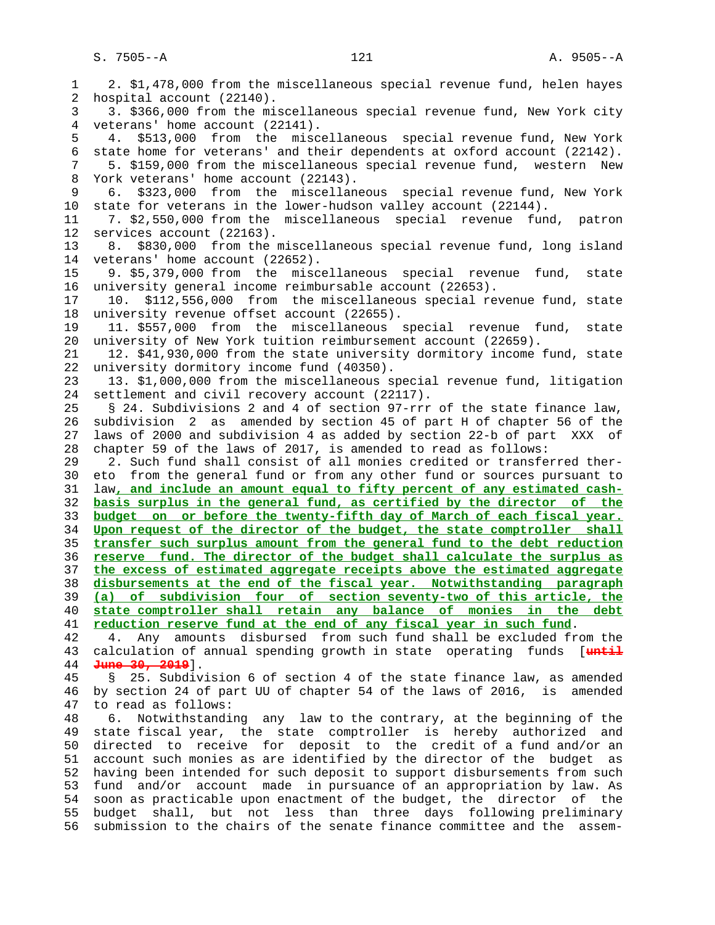1 2. \$1,478,000 from the miscellaneous special revenue fund, helen hayes 2 hospital account (22140). 3 3. \$366,000 from the miscellaneous special revenue fund, New York city 4 veterans' home account (22141). 5 4. \$513,000 from the miscellaneous special revenue fund, New York 6 state home for veterans' and their dependents at oxford account (22142). 7 5. \$159,000 from the miscellaneous special revenue fund, western New 8 York veterans' home account (22143).<br>9 6. \$323,000 from the miscellan 9 6. \$323,000 from the miscellaneous special revenue fund, New York 10 state for veterans in the lower-hudson valley account (22144). 11 7. \$2,550,000 from the miscellaneous special revenue fund, patron services account (22163). 13 8. \$830,000 from the miscellaneous special revenue fund, long island 14 veterans' home account (22652). 15 9. \$5,379,000 from the miscellaneous special revenue fund, state 16 university general income reimbursable account (22653). 17 10. \$112,556,000 from the miscellaneous special revenue fund, state 18 university revenue offset account (22655). 19 11. \$557,000 from the miscellaneous special revenue fund, state 20 university of New York tuition reimbursement account (22659). 21 12. \$41,930,000 from the state university dormitory income fund, state 22 university dormitory income fund (40350). 23 13. \$1,000,000 from the miscellaneous special revenue fund, litigation 24 settlement and civil recovery account (22117). 25 § 24. Subdivisions 2 and 4 of section 97-rrr of the state finance law, 26 subdivision 2 as amended by section 45 of part H of chapter 56 of the 27 laws of 2000 and subdivision 4 as added by section 22-b of part XXX of 28 chapter 59 of the laws of 2017, is amended to read as follows: 29 2. Such fund shall consist of all monies credited or transferred ther- 30 eto from the general fund or from any other fund or sources pursuant to 31 law**, and include an amount equal to fifty percent of any estimated cash-** 32 **basis surplus in the general fund, as certified by the director of the** 33 **budget on or before the twenty-fifth day of March of each fiscal year.** 34 **Upon request of the director of the budget, the state comptroller shall** 35 **transfer such surplus amount from the general fund to the debt reduction** 36 **reserve fund. The director of the budget shall calculate the surplus as** 37 **the excess of estimated aggregate receipts above the estimated aggregate** 38 **disbursements at the end of the fiscal year. Notwithstanding paragraph** 39 **(a) of subdivision four of section seventy-two of this article, the** 40 **state comptroller shall retain any balance of monies in the debt** 41 **reduction reserve fund at the end of any fiscal year in such fund**. 42 4. Any amounts disbursed from such fund shall be excluded from the 43 calculation of annual spending growth in state operating funds [**until** 44 **June 30, 2019**]. 45 § 25. Subdivision 6 of section 4 of the state finance law, as amended 46 by section 24 of part UU of chapter 54 of the laws of 2016, is amended 47 to read as follows: 48 6. Notwithstanding any law to the contrary, at the beginning of the 49 state fiscal year, the state comptroller is hereby authorized and 50 directed to receive for deposit to the credit of a fund and/or an 51 account such monies as are identified by the director of the budget as 52 having been intended for such deposit to support disbursements from such 53 fund and/or account made in pursuance of an appropriation by law. As 54 soon as practicable upon enactment of the budget, the director of the 55 budget shall, but not less than three days following preliminary 56 submission to the chairs of the senate finance committee and the assem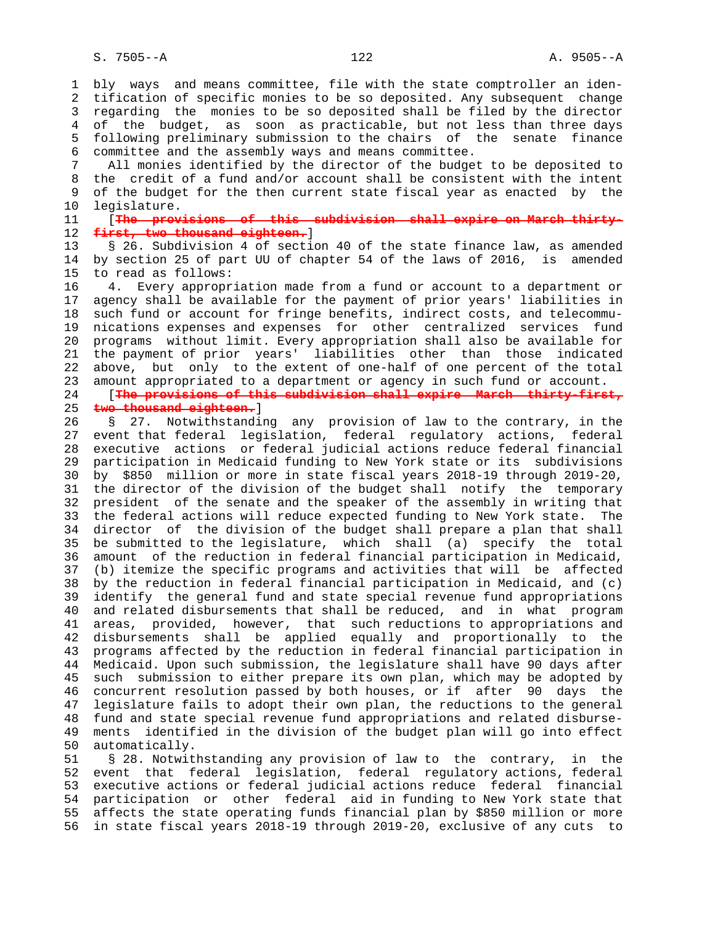1 bly ways and means committee, file with the state comptroller an iden- 2 tification of specific monies to be so deposited. Any subsequent change 3 regarding the monies to be so deposited shall be filed by the director 4 of the budget, as soon as practicable, but not less than three days 5 following preliminary submission to the chairs of the senate finance 6 committee and the assembly ways and means committee.

 7 All monies identified by the director of the budget to be deposited to 8 the credit of a fund and/or account shall be consistent with the intent<br>9 of the budget for the then current state fiscal year as enacted by the of the budget for the then current state fiscal year as enacted by the 10 legislature.

 11 [**The provisions of this subdivision shall expire on March thirty-** 12 **first, two thousand eighteen.**]

 13 § 26. Subdivision 4 of section 40 of the state finance law, as amended 14 by section 25 of part UU of chapter 54 of the laws of 2016, is amended 15 to read as follows:

 16 4. Every appropriation made from a fund or account to a department or 17 agency shall be available for the payment of prior years' liabilities in 18 such fund or account for fringe benefits, indirect costs, and telecommu- 19 nications expenses and expenses for other centralized services fund 20 programs without limit. Every appropriation shall also be available for 21 the payment of prior years' liabilities other than those indicated 22 above, but only to the extent of one-half of one percent of the total 23 amount appropriated to a department or agency in such fund or account.

24 [**The provisions of this subdivision shall expire March thirty-first,**

25 **two thousand eighteen.**]

 26 § 27. Notwithstanding any provision of law to the contrary, in the 27 event that federal legislation, federal regulatory actions, federal 28 executive actions or federal judicial actions reduce federal financial 29 participation in Medicaid funding to New York state or its subdivisions 30 by \$850 million or more in state fiscal years 2018-19 through 2019-20, 31 the director of the division of the budget shall notify the temporary 32 president of the senate and the speaker of the assembly in writing that 33 the federal actions will reduce expected funding to New York state. The 34 director of the division of the budget shall prepare a plan that shall 35 be submitted to the legislature, which shall (a) specify the total 36 amount of the reduction in federal financial participation in Medicaid, 37 (b) itemize the specific programs and activities that will be affected 38 by the reduction in federal financial participation in Medicaid, and (c) 39 identify the general fund and state special revenue fund appropriations 40 and related disbursements that shall be reduced, and in what program 41 areas, provided, however, that such reductions to appropriations and 42 disbursements shall be applied equally and proportionally to the 43 programs affected by the reduction in federal financial participation in 44 Medicaid. Upon such submission, the legislature shall have 90 days after 45 such submission to either prepare its own plan, which may be adopted by 46 concurrent resolution passed by both houses, or if after 90 days the 47 legislature fails to adopt their own plan, the reductions to the general 48 fund and state special revenue fund appropriations and related disburse- 49 ments identified in the division of the budget plan will go into effect 50 automatically.

 51 § 28. Notwithstanding any provision of law to the contrary, in the 52 event that federal legislation, federal regulatory actions, federal 53 executive actions or federal judicial actions reduce federal financial 54 participation or other federal aid in funding to New York state that 55 affects the state operating funds financial plan by \$850 million or more 56 in state fiscal years 2018-19 through 2019-20, exclusive of any cuts to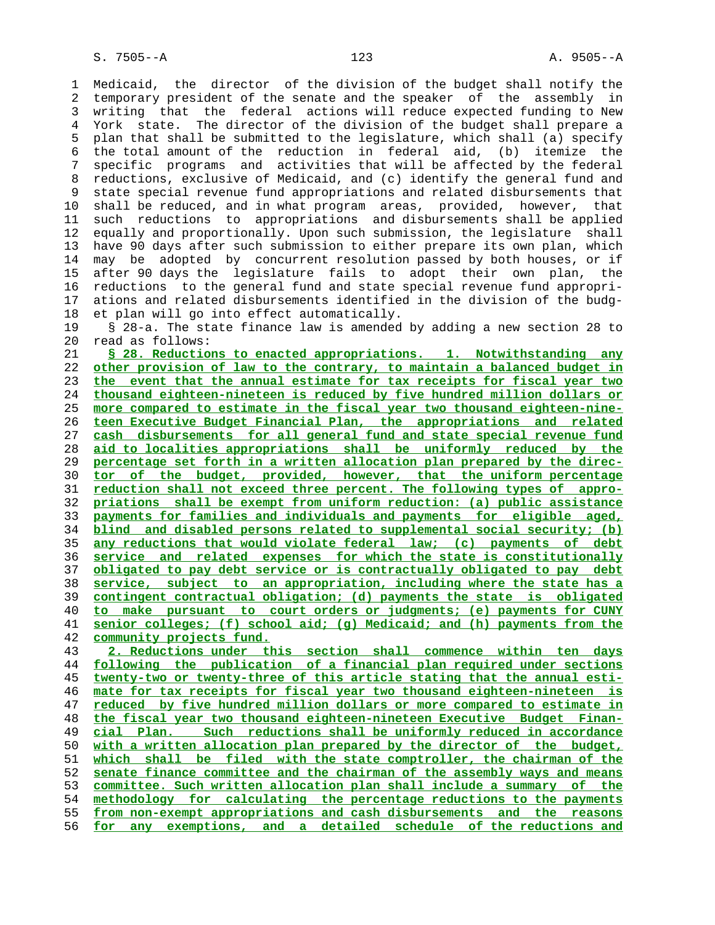1 Medicaid, the director of the division of the budget shall notify the 2 temporary president of the senate and the speaker of the assembly in 3 writing that the federal actions will reduce expected funding to New 4 York state. The director of the division of the budget shall prepare a 5 plan that shall be submitted to the legislature, which shall (a) specify 6 the total amount of the reduction in federal aid, (b) itemize the 7 specific programs and activities that will be affected by the federal 8 reductions, exclusive of Medicaid, and (c) identify the general fund and<br>9 state special revenue fund appropriations and related disbursements that state special revenue fund appropriations and related disbursements that 10 shall be reduced, and in what program areas, provided, however, that 11 such reductions to appropriations and disbursements shall be applied 12 equally and proportionally. Upon such submission, the legislature shall 13 have 90 days after such submission to either prepare its own plan, which 14 may be adopted by concurrent resolution passed by both houses, or if 15 after 90 days the legislature fails to adopt their own plan, the 16 reductions to the general fund and state special revenue fund appropri- 17 ations and related disbursements identified in the division of the budg- 18 et plan will go into effect automatically.

 19 § 28-a. The state finance law is amended by adding a new section 28 to 20 read as follows:

**§ 28. Reductions to enacted appropriations. 1. Notwithstanding any other provision of law to the contrary, to maintain a balanced budget in the event that the annual estimate for tax receipts for fiscal year two thousand eighteen-nineteen is reduced by five hundred million dollars or more compared to estimate in the fiscal year two thousand eighteen-nine- teen Executive Budget Financial Plan, the appropriations and related cash disbursements for all general fund and state special revenue fund aid to localities appropriations shall be uniformly reduced by the percentage set forth in a written allocation plan prepared by the direc- tor of the budget, provided, however, that the uniform percentage reduction shall not exceed three percent. The following types of appro- priations shall be exempt from uniform reduction: (a) public assistance payments for families and individuals and payments for eligible aged, blind and disabled persons related to supplemental social security; (b) any reductions that would violate federal law; (c) payments of debt service and related expenses for which the state is constitutionally obligated to pay debt service or is contractually obligated to pay debt service, subject to an appropriation, including where the state has a contingent contractual obligation; (d) payments the state is obligated to make pursuant to court orders or judgments; (e) payments for CUNY senior colleges; (f) school aid; (g) Medicaid; and (h) payments from the community projects fund.**

**2. Reductions under this section shall commence within ten days following the publication of a financial plan required under sections twenty-two or twenty-three of this article stating that the annual esti- mate for tax receipts for fiscal year two thousand eighteen-nineteen is reduced by five hundred million dollars or more compared to estimate in the fiscal year two thousand eighteen-nineteen Executive Budget Finan- cial Plan. Such reductions shall be uniformly reduced in accordance with a written allocation plan prepared by the director of the budget, which shall be filed with the state comptroller, the chairman of the senate finance committee and the chairman of the assembly ways and means committee. Such written allocation plan shall include a summary of the methodology for calculating the percentage reductions to the payments from non-exempt appropriations and cash disbursements and the reasons for any exemptions, and a detailed schedule of the reductions and**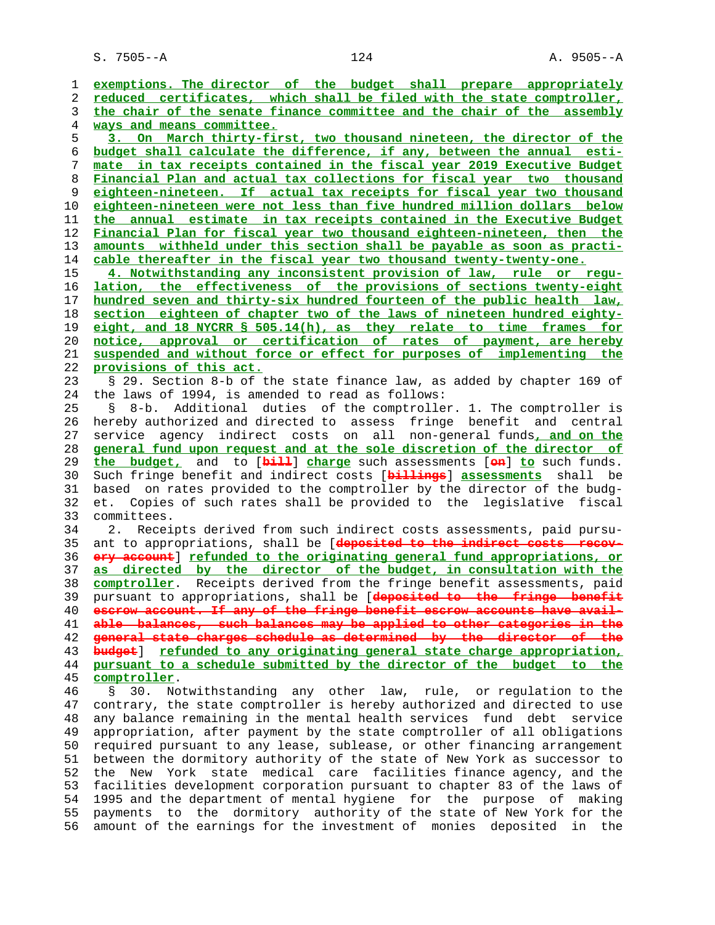S. 7505--A 124 A. 9505--A

 1 **exemptions. The director of the budget shall prepare appropriately** 2 **reduced certificates, which shall be filed with the state comptroller,** 3 **the chair of the senate finance committee and the chair of the assembly** 4 **ways and means committee.** 5 **3. On March thirty-first, two thousand nineteen, the director of the** 6 **budget shall calculate the difference, if any, between the annual esti-** 7 **mate in tax receipts contained in the fiscal year 2019 Executive Budget** 8 **Financial Plan and actual tax collections for fiscal year two thousand** 9 **eighteen-nineteen. If actual tax receipts for fiscal year two thousand** 10 **eighteen-nineteen were not less than five hundred million dollars below** 11 **the annual estimate in tax receipts contained in the Executive Budget** 12 **Financial Plan for fiscal year two thousand eighteen-nineteen, then the** 13 **amounts withheld under this section shall be payable as soon as practi-** 14 **cable thereafter in the fiscal year two thousand twenty-twenty-one.** 15 **4. Notwithstanding any inconsistent provision of law, rule or regu-** 16 **lation, the effectiveness of the provisions of sections twenty-eight** 17 **hundred seven and thirty-six hundred fourteen of the public health law,** 18 **section eighteen of chapter two of the laws of nineteen hundred eighty-** 19 **eight, and 18 NYCRR § 505.14(h), as they relate to time frames for** 20 **notice, approval or certification of rates of payment, are hereby** 21 **suspended and without force or effect for purposes of implementing the** 22 **provisions of this act.** 23 § 29. Section 8-b of the state finance law, as added by chapter 169 of 24 the laws of 1994, is amended to read as follows: 25 § 8-b. Additional duties of the comptroller. 1. The comptroller is 26 hereby authorized and directed to assess fringe benefit and central 27 service agency indirect costs on all non-general funds**, and on the** 28 **general fund upon request and at the sole discretion of the director of** 29 **the budget,** and to [**bill**] **charge** such assessments [**on**] **to** such funds. 30 Such fringe benefit and indirect costs [**billings**] **assessments** shall be 31 based on rates provided to the comptroller by the director of the budg- 32 et. Copies of such rates shall be provided to the legislative fiscal 33 committees. 34 2. Receipts derived from such indirect costs assessments, paid pursu- 35 ant to appropriations, shall be [**deposited to the indirect costs recov-** 36 **ery account**] **refunded to the originating general fund appropriations, or** 37 **as directed by the director of the budget, in consultation with the** 38 **comptroller**. Receipts derived from the fringe benefit assessments, paid 39 pursuant to appropriations, shall be [**deposited to the fringe benefit** 40 **escrow account. If any of the fringe benefit escrow accounts have avail-** 41 **able balances, such balances may be applied to other categories in the** 42 **general state charges schedule as determined by the director of the** 43 **budget**] **refunded to any originating general state charge appropriation,** 44 **pursuant to a schedule submitted by the director of the budget to the** 45 **comptroller**. 46 § 30. Notwithstanding any other law, rule, or regulation to the 47 contrary, the state comptroller is hereby authorized and directed to use 48 any balance remaining in the mental health services fund debt service 49 appropriation, after payment by the state comptroller of all obligations 50 required pursuant to any lease, sublease, or other financing arrangement 51 between the dormitory authority of the state of New York as successor to 52 the New York state medical care facilities finance agency, and the 53 facilities development corporation pursuant to chapter 83 of the laws of 54 1995 and the department of mental hygiene for the purpose of making 55 payments to the dormitory authority of the state of New York for the 56 amount of the earnings for the investment of monies deposited in the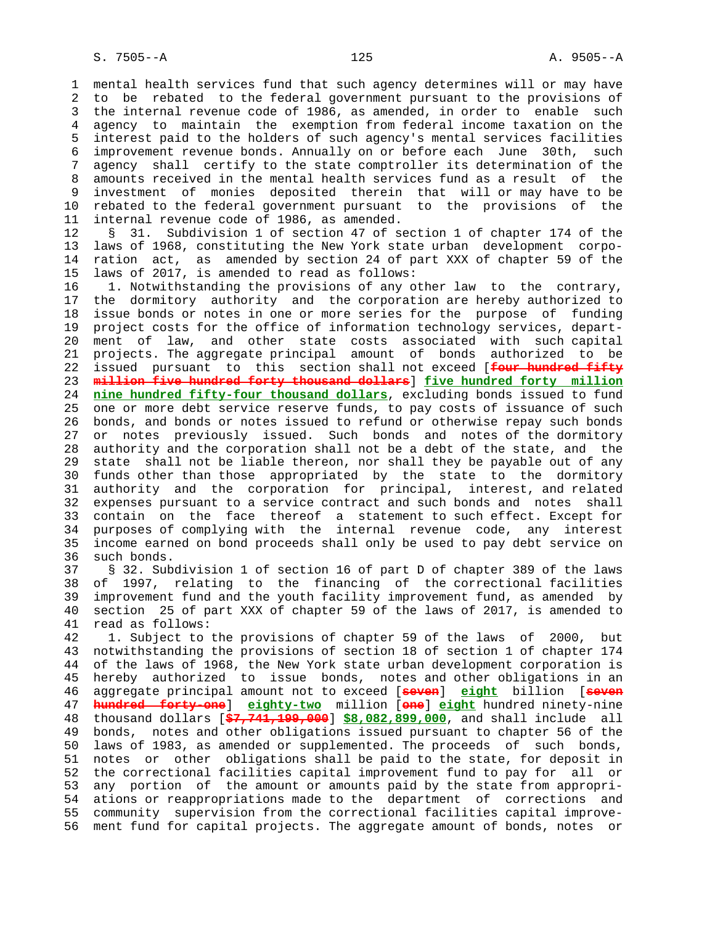1 mental health services fund that such agency determines will or may have 2 to be rebated to the federal government pursuant to the provisions of 3 the internal revenue code of 1986, as amended, in order to enable such 4 agency to maintain the exemption from federal income taxation on the 5 interest paid to the holders of such agency's mental services facilities 6 improvement revenue bonds. Annually on or before each June 30th, such 7 agency shall certify to the state comptroller its determination of the 8 amounts received in the mental health services fund as a result of the investment of monies deposited therein that will or may have to be 10 rebated to the federal government pursuant to the provisions of the 11 internal revenue code of 1986, as amended.

 12 § 31. Subdivision 1 of section 47 of section 1 of chapter 174 of the 13 laws of 1968, constituting the New York state urban development corpo- 14 ration act, as amended by section 24 of part XXX of chapter 59 of the 15 laws of 2017, is amended to read as follows:

 16 1. Notwithstanding the provisions of any other law to the contrary, 17 the dormitory authority and the corporation are hereby authorized to 18 issue bonds or notes in one or more series for the purpose of funding 19 project costs for the office of information technology services, depart- 20 ment of law, and other state costs associated with such capital 21 projects. The aggregate principal amount of bonds authorized to be 22 issued pursuant to this section shall not exceed [**four hundred fifty** 23 **million five hundred forty thousand dollars**] **five hundred forty million** 24 **nine hundred fifty-four thousand dollars**, excluding bonds issued to fund 25 one or more debt service reserve funds, to pay costs of issuance of such 26 bonds, and bonds or notes issued to refund or otherwise repay such bonds 27 or notes previously issued. Such bonds and notes of the dormitory 28 authority and the corporation shall not be a debt of the state, and the 29 state shall not be liable thereon, nor shall they be payable out of any 30 funds other than those appropriated by the state to the dormitory 31 authority and the corporation for principal, interest, and related 32 expenses pursuant to a service contract and such bonds and notes shall 33 contain on the face thereof a statement to such effect. Except for 34 purposes of complying with the internal revenue code, any interest 35 income earned on bond proceeds shall only be used to pay debt service on 36 such bonds.

 37 § 32. Subdivision 1 of section 16 of part D of chapter 389 of the laws 38 of 1997, relating to the financing of the correctional facilities 39 improvement fund and the youth facility improvement fund, as amended by 40 section 25 of part XXX of chapter 59 of the laws of 2017, is amended to 41 read as follows:

 42 1. Subject to the provisions of chapter 59 of the laws of 2000, but 43 notwithstanding the provisions of section 18 of section 1 of chapter 174 44 of the laws of 1968, the New York state urban development corporation is 45 hereby authorized to issue bonds, notes and other obligations in an 46 aggregate principal amount not to exceed [**seven**] **eight** billion [**seven** 47 **hundred forty-one**] **eighty-two** million [**one**] **eight** hundred ninety-nine 48 thousand dollars [**\$7,741,199,000**] **\$8,082,899,000**, and shall include all 49 bonds, notes and other obligations issued pursuant to chapter 56 of the 50 laws of 1983, as amended or supplemented. The proceeds of such bonds, 51 notes or other obligations shall be paid to the state, for deposit in 52 the correctional facilities capital improvement fund to pay for all or 53 any portion of the amount or amounts paid by the state from appropri- 54 ations or reappropriations made to the department of corrections and 55 community supervision from the correctional facilities capital improve- 56 ment fund for capital projects. The aggregate amount of bonds, notes or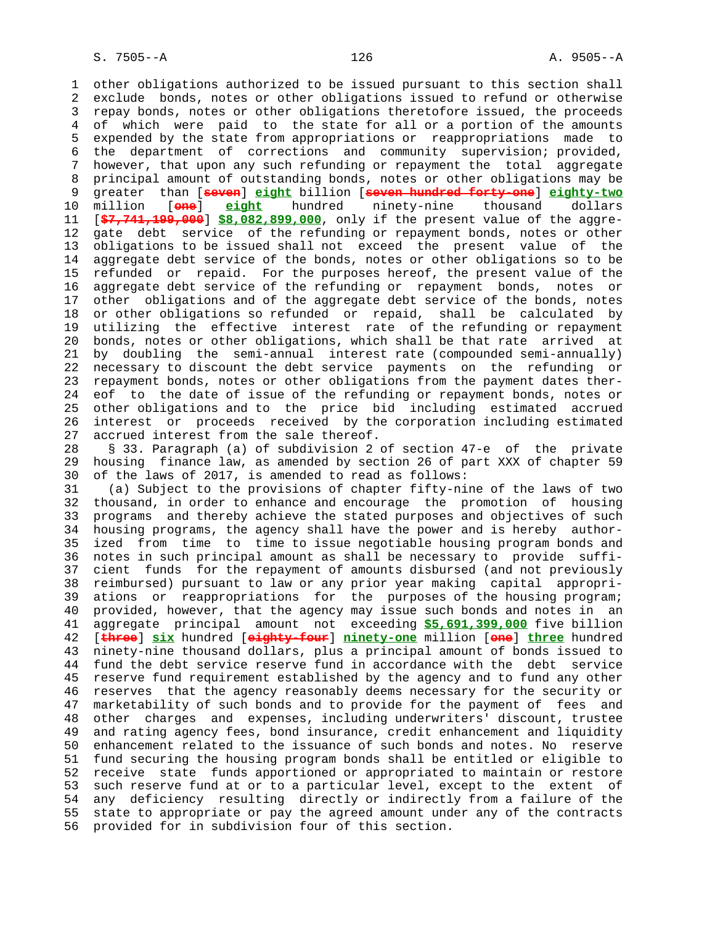1 other obligations authorized to be issued pursuant to this section shall 2 exclude bonds, notes or other obligations issued to refund or otherwise 3 repay bonds, notes or other obligations theretofore issued, the proceeds 4 of which were paid to the state for all or a portion of the amounts 5 expended by the state from appropriations or reappropriations made to 6 the department of corrections and community supervision; provided, 7 however, that upon any such refunding or repayment the total aggregate 8 principal amount of outstanding bonds, notes or other obligations may be<br>9 greater than [seven] eight billion [seven hundred forty-one] eighty-two 9 greater than [**seven**] **eight** billion [**seven hundred forty-one**] **eighty-two** 10 million [**one**] **eight** hundred ninety-nine thousand dollars 11 [**\$7,741,199,000**] **\$8,082,899,000**, only if the present value of the aggre- 12 gate debt service of the refunding or repayment bonds, notes or other 13 obligations to be issued shall not exceed the present value of the 14 aggregate debt service of the bonds, notes or other obligations so to be 15 refunded or repaid. For the purposes hereof, the present value of the 16 aggregate debt service of the refunding or repayment bonds, notes or 17 other obligations and of the aggregate debt service of the bonds, notes 18 or other obligations so refunded or repaid, shall be calculated by 19 utilizing the effective interest rate of the refunding or repayment 20 bonds, notes or other obligations, which shall be that rate arrived at 21 by doubling the semi-annual interest rate (compounded semi-annually) 22 necessary to discount the debt service payments on the refunding or 23 repayment bonds, notes or other obligations from the payment dates ther- 24 eof to the date of issue of the refunding or repayment bonds, notes or 25 other obligations and to the price bid including estimated accrued 26 interest or proceeds received by the corporation including estimated 27 accrued interest from the sale thereof. 28 § 33. Paragraph (a) of subdivision 2 of section 47-e of the private 29 housing finance law, as amended by section 26 of part XXX of chapter 59 30 of the laws of 2017, is amended to read as follows: 31 (a) Subject to the provisions of chapter fifty-nine of the laws of two 32 thousand, in order to enhance and encourage the promotion of housing 33 programs and thereby achieve the stated purposes and objectives of such 34 housing programs, the agency shall have the power and is hereby author- 35 ized from time to time to issue negotiable housing program bonds and 36 notes in such principal amount as shall be necessary to provide suffi- 37 cient funds for the repayment of amounts disbursed (and not previously 38 reimbursed) pursuant to law or any prior year making capital appropri- 39 ations or reappropriations for the purposes of the housing program; 40 provided, however, that the agency may issue such bonds and notes in an 41 aggregate principal amount not exceeding **\$5,691,399,000** five billion 42 [**three**] **six** hundred [**eighty-four**] **ninety-one** million [**one**] **three** hundred 43 ninety-nine thousand dollars, plus a principal amount of bonds issued to 44 fund the debt service reserve fund in accordance with the debt service 45 reserve fund requirement established by the agency and to fund any other 46 reserves that the agency reasonably deems necessary for the security or 47 marketability of such bonds and to provide for the payment of fees and 48 other charges and expenses, including underwriters' discount, trustee 49 and rating agency fees, bond insurance, credit enhancement and liquidity 50 enhancement related to the issuance of such bonds and notes. No reserve 51 fund securing the housing program bonds shall be entitled or eligible to 52 receive state funds apportioned or appropriated to maintain or restore 53 such reserve fund at or to a particular level, except to the extent of 54 any deficiency resulting directly or indirectly from a failure of the 55 state to appropriate or pay the agreed amount under any of the contracts 56 provided for in subdivision four of this section.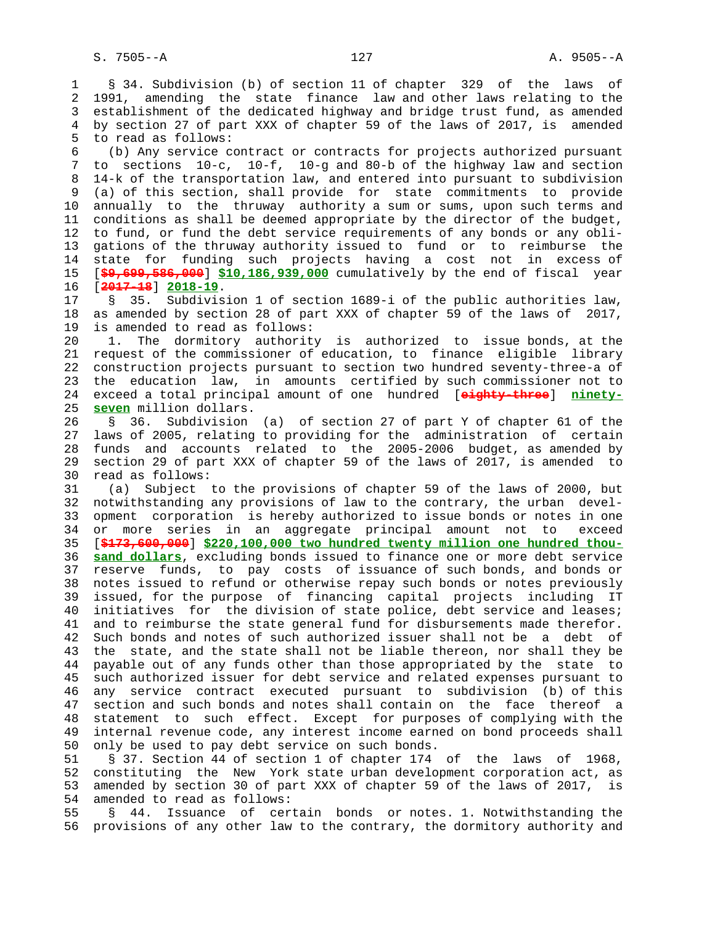1 § 34. Subdivision (b) of section 11 of chapter 329 of the laws of 2 1991, amending the state finance law and other laws relating to the 3 establishment of the dedicated highway and bridge trust fund, as amended 4 by section 27 of part XXX of chapter 59 of the laws of 2017, is amended 5 to read as follows: 6 (b) Any service contract or contracts for projects authorized pursuant 7 to sections 10-c, 10-f, 10-g and 80-b of the highway law and section 8 14-k of the transportation law, and entered into pursuant to subdivision 9 (a) of this section, shall provide for state commitments to provide 10 annually to the thruway authority a sum or sums, upon such terms and 11 conditions as shall be deemed appropriate by the director of the budget, 12 to fund, or fund the debt service requirements of any bonds or any obli- 13 gations of the thruway authority issued to fund or to reimburse the 14 state for funding such projects having a cost not in excess of 15 [**\$9,699,586,000**] **\$10,186,939,000** cumulatively by the end of fiscal year 16 [**2017-18**] **2018-19**. 17 § 35. Subdivision 1 of section 1689-i of the public authorities law, 18 as amended by section 28 of part XXX of chapter 59 of the laws of 2017, 19 is amended to read as follows: 20 1. The dormitory authority is authorized to issue bonds, at the 21 request of the commissioner of education, to finance eligible library 22 construction projects pursuant to section two hundred seventy-three-a of 23 the education law, in amounts certified by such commissioner not to 24 exceed a total principal amount of one hundred [**eighty-three**] **ninety-** 25 **seven** million dollars. 26 § 36. Subdivision (a) of section 27 of part Y of chapter 61 of the 27 laws of 2005, relating to providing for the administration of certain 28 funds and accounts related to the 2005-2006 budget, as amended by 29 section 29 of part XXX of chapter 59 of the laws of 2017, is amended to 30 read as follows: 31 (a) Subject to the provisions of chapter 59 of the laws of 2000, but 32 notwithstanding any provisions of law to the contrary, the urban devel- 33 opment corporation is hereby authorized to issue bonds or notes in one 34 or more series in an aggregate principal amount not to exceed 35 [**\$173,600,000**] **\$220,100,000 two hundred twenty million one hundred thou-** 36 **sand dollars**, excluding bonds issued to finance one or more debt service 37 reserve funds, to pay costs of issuance of such bonds, and bonds or 38 notes issued to refund or otherwise repay such bonds or notes previously 39 issued, for the purpose of financing capital projects including IT 40 initiatives for the division of state police, debt service and leases; 41 and to reimburse the state general fund for disbursements made therefor. 42 Such bonds and notes of such authorized issuer shall not be a debt of 43 the state, and the state shall not be liable thereon, nor shall they be 44 payable out of any funds other than those appropriated by the state to 45 such authorized issuer for debt service and related expenses pursuant to 46 any service contract executed pursuant to subdivision (b) of this 47 section and such bonds and notes shall contain on the face thereof a 48 statement to such effect. Except for purposes of complying with the 49 internal revenue code, any interest income earned on bond proceeds shall 50 only be used to pay debt service on such bonds. 51 § 37. Section 44 of section 1 of chapter 174 of the laws of 1968,

 52 constituting the New York state urban development corporation act, as 53 amended by section 30 of part XXX of chapter 59 of the laws of 2017, is 54 amended to read as follows:

 55 § 44. Issuance of certain bonds or notes. 1. Notwithstanding the 56 provisions of any other law to the contrary, the dormitory authority and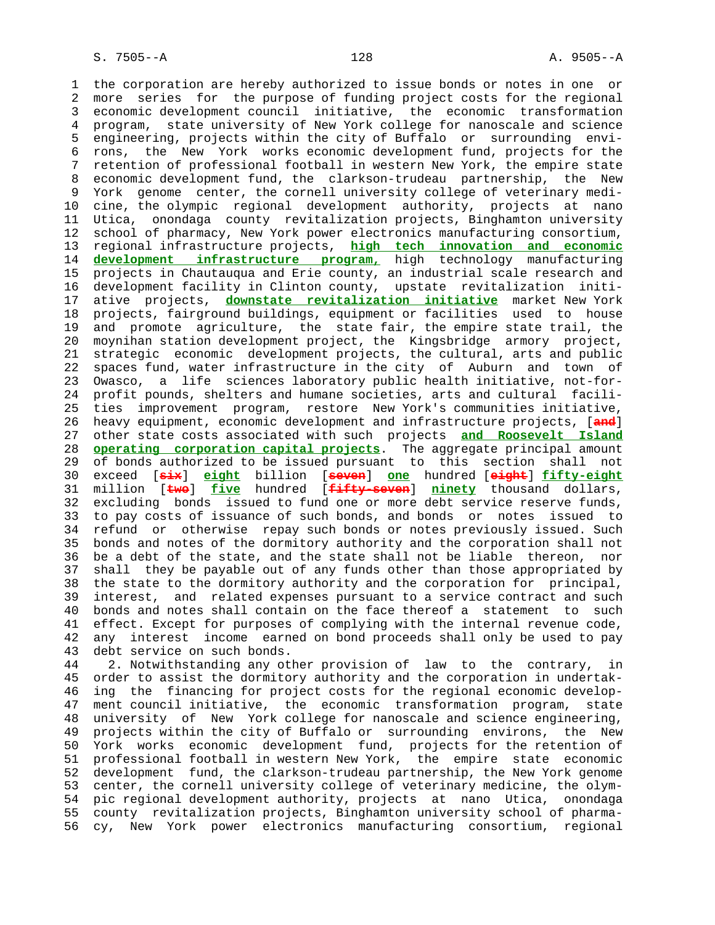1 the corporation are hereby authorized to issue bonds or notes in one or 2 more series for the purpose of funding project costs for the regional 3 economic development council initiative, the economic transformation 4 program, state university of New York college for nanoscale and science 5 engineering, projects within the city of Buffalo or surrounding envi- 6 rons, the New York works economic development fund, projects for the 7 retention of professional football in western New York, the empire state 8 economic development fund, the clarkson-trudeau partnership, the New<br>9 York genome center, the cornell university college of veterinary medi- 9 York genome center, the cornell university college of veterinary medi- 10 cine, the olympic regional development authority, projects at nano 11 Utica, onondaga county revitalization projects, Binghamton university 12 school of pharmacy, New York power electronics manufacturing consortium, 13 regional infrastructure projects, **high tech innovation and economic** 14 **development infrastructure program,** high technology manufacturing 15 projects in Chautauqua and Erie county, an industrial scale research and 16 development facility in Clinton county, upstate revitalization initi- 17 ative projects, **downstate revitalization initiative** market New York 18 projects, fairground buildings, equipment or facilities used to house 19 and promote agriculture, the state fair, the empire state trail, the 20 moynihan station development project, the Kingsbridge armory project, 21 strategic economic development projects, the cultural, arts and public 22 spaces fund, water infrastructure in the city of Auburn and town of 23 Owasco, a life sciences laboratory public health initiative, not-for- 24 profit pounds, shelters and humane societies, arts and cultural facili- 25 ties improvement program, restore New York's communities initiative, 26 heavy equipment, economic development and infrastructure projects, [**and**] 27 other state costs associated with such projects **and Roosevelt Island** 28 **operating corporation capital projects**. The aggregate principal amount 29 of bonds authorized to be issued pursuant to this section shall not 30 exceed [**six**] **eight** billion [**seven**] **one** hundred [**eight**] **fifty-eight** 31 million [**two**] **five** hundred [**fifty-seven**] **ninety** thousand dollars, 32 excluding bonds issued to fund one or more debt service reserve funds, 33 to pay costs of issuance of such bonds, and bonds or notes issued to 34 refund or otherwise repay such bonds or notes previously issued. Such 35 bonds and notes of the dormitory authority and the corporation shall not 36 be a debt of the state, and the state shall not be liable thereon, nor 37 shall they be payable out of any funds other than those appropriated by 38 the state to the dormitory authority and the corporation for principal, 39 interest, and related expenses pursuant to a service contract and such 40 bonds and notes shall contain on the face thereof a statement to such 41 effect. Except for purposes of complying with the internal revenue code, 42 any interest income earned on bond proceeds shall only be used to pay 43 debt service on such bonds.

 44 2. Notwithstanding any other provision of law to the contrary, in 45 order to assist the dormitory authority and the corporation in undertak- 46 ing the financing for project costs for the regional economic develop- 47 ment council initiative, the economic transformation program, state 48 university of New York college for nanoscale and science engineering, 49 projects within the city of Buffalo or surrounding environs, the New 50 York works economic development fund, projects for the retention of 51 professional football in western New York, the empire state economic 52 development fund, the clarkson-trudeau partnership, the New York genome 53 center, the cornell university college of veterinary medicine, the olym- 54 pic regional development authority, projects at nano Utica, onondaga 55 county revitalization projects, Binghamton university school of pharma- 56 cy, New York power electronics manufacturing consortium, regional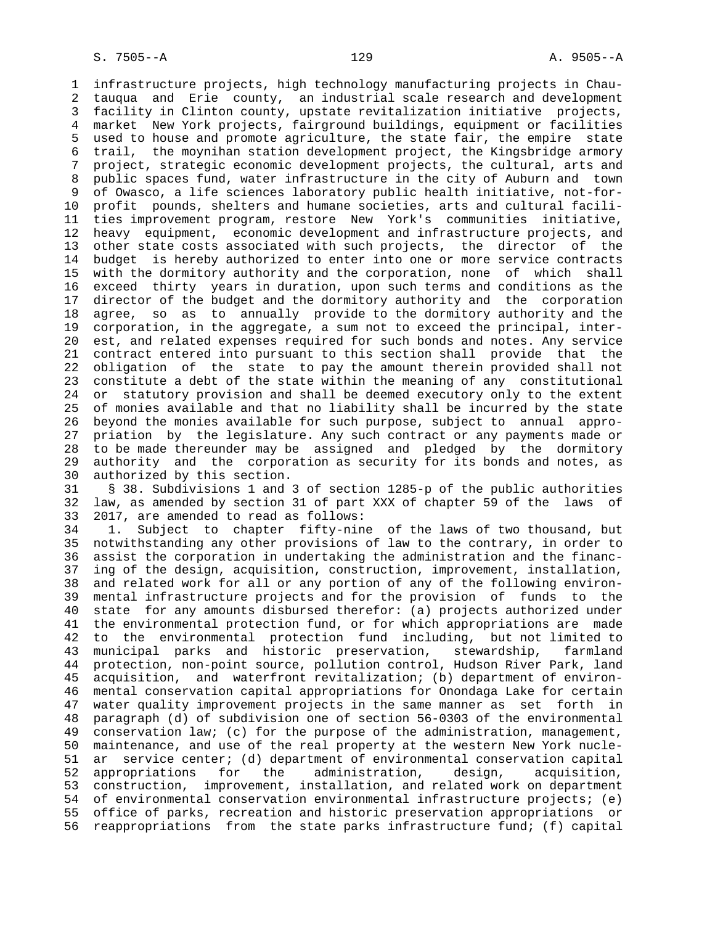1 infrastructure projects, high technology manufacturing projects in Chau- 2 tauqua and Erie county, an industrial scale research and development 3 facility in Clinton county, upstate revitalization initiative projects, 4 market New York projects, fairground buildings, equipment or facilities 5 used to house and promote agriculture, the state fair, the empire state 6 trail, the moynihan station development project, the Kingsbridge armory 7 project, strategic economic development projects, the cultural, arts and 8 public spaces fund, water infrastructure in the city of Auburn and town 9 of Owasco, a life sciences laboratory public health initiative, not-for- 10 profit pounds, shelters and humane societies, arts and cultural facili- 11 ties improvement program, restore New York's communities initiative, 12 heavy equipment, economic development and infrastructure projects, and 13 other state costs associated with such projects, the director of the 14 budget is hereby authorized to enter into one or more service contracts 15 with the dormitory authority and the corporation, none of which shall 16 exceed thirty years in duration, upon such terms and conditions as the 17 director of the budget and the dormitory authority and the corporation 18 agree, so as to annually provide to the dormitory authority and the 19 corporation, in the aggregate, a sum not to exceed the principal, inter- 20 est, and related expenses required for such bonds and notes. Any service 21 contract entered into pursuant to this section shall provide that the 22 obligation of the state to pay the amount therein provided shall not 23 constitute a debt of the state within the meaning of any constitutional 24 or statutory provision and shall be deemed executory only to the extent 25 of monies available and that no liability shall be incurred by the state 26 beyond the monies available for such purpose, subject to annual appro- 27 priation by the legislature. Any such contract or any payments made or 28 to be made thereunder may be assigned and pledged by the dormitory 29 authority and the corporation as security for its bonds and notes, as 30 authorized by this section.

 31 § 38. Subdivisions 1 and 3 of section 1285-p of the public authorities 32 law, as amended by section 31 of part XXX of chapter 59 of the laws of 33 2017, are amended to read as follows:

 34 1. Subject to chapter fifty-nine of the laws of two thousand, but 35 notwithstanding any other provisions of law to the contrary, in order to 36 assist the corporation in undertaking the administration and the financ- 37 ing of the design, acquisition, construction, improvement, installation, 38 and related work for all or any portion of any of the following environ- 39 mental infrastructure projects and for the provision of funds to the 40 state for any amounts disbursed therefor: (a) projects authorized under 41 the environmental protection fund, or for which appropriations are made 42 to the environmental protection fund including, but not limited to 43 municipal parks and historic preservation, stewardship, farmland 44 protection, non-point source, pollution control, Hudson River Park, land 45 acquisition, and waterfront revitalization; (b) department of environ- 46 mental conservation capital appropriations for Onondaga Lake for certain 47 water quality improvement projects in the same manner as set forth in 48 paragraph (d) of subdivision one of section 56-0303 of the environmental 49 conservation law; (c) for the purpose of the administration, management, 50 maintenance, and use of the real property at the western New York nucle- 51 ar service center; (d) department of environmental conservation capital 52 appropriations for the administration, design, acquisition, 53 construction, improvement, installation, and related work on department 54 of environmental conservation environmental infrastructure projects; (e) 55 office of parks, recreation and historic preservation appropriations or 56 reappropriations from the state parks infrastructure fund; (f) capital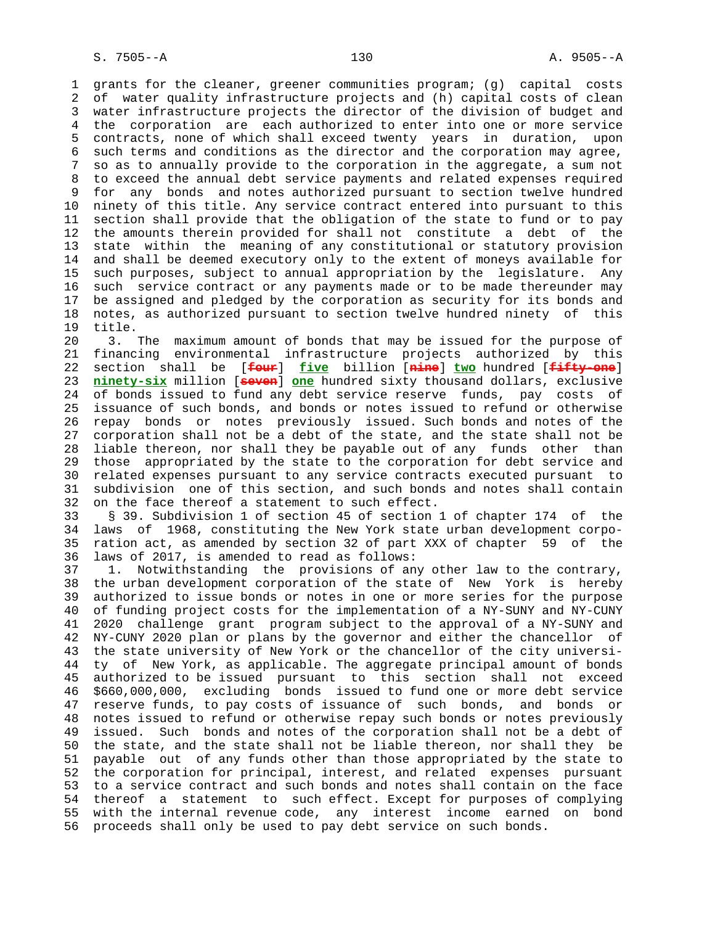1 grants for the cleaner, greener communities program; (g) capital costs 2 of water quality infrastructure projects and (h) capital costs of clean 3 water infrastructure projects the director of the division of budget and 4 the corporation are each authorized to enter into one or more service 5 contracts, none of which shall exceed twenty years in duration, upon 6 such terms and conditions as the director and the corporation may agree, 7 so as to annually provide to the corporation in the aggregate, a sum not 8 to exceed the annual debt service payments and related expenses required 9 for any bonds and notes authorized pursuant to section twelve hundred 10 ninety of this title. Any service contract entered into pursuant to this 11 section shall provide that the obligation of the state to fund or to pay 12 the amounts therein provided for shall not constitute a debt of the 13 state within the meaning of any constitutional or statutory provision 14 and shall be deemed executory only to the extent of moneys available for 15 such purposes, subject to annual appropriation by the legislature. Any 16 such service contract or any payments made or to be made thereunder may 17 be assigned and pledged by the corporation as security for its bonds and 18 notes, as authorized pursuant to section twelve hundred ninety of this 19 title.

 20 3. The maximum amount of bonds that may be issued for the purpose of 21 financing environmental infrastructure projects authorized by this 22 section shall be [**four**] **five** billion [**nine**] **two** hundred [**fifty-one**] 23 **ninety-six** million [**seven**] **one** hundred sixty thousand dollars, exclusive 24 of bonds issued to fund any debt service reserve funds, pay costs of 25 issuance of such bonds, and bonds or notes issued to refund or otherwise 26 repay bonds or notes previously issued. Such bonds and notes of the 27 corporation shall not be a debt of the state, and the state shall not be 28 liable thereon, nor shall they be payable out of any funds other than 29 those appropriated by the state to the corporation for debt service and 30 related expenses pursuant to any service contracts executed pursuant to 31 subdivision one of this section, and such bonds and notes shall contain 32 on the face thereof a statement to such effect.

 33 § 39. Subdivision 1 of section 45 of section 1 of chapter 174 of the 34 laws of 1968, constituting the New York state urban development corpo- 35 ration act, as amended by section 32 of part XXX of chapter 59 of the 36 laws of 2017, is amended to read as follows:

 37 1. Notwithstanding the provisions of any other law to the contrary, 38 the urban development corporation of the state of New York is hereby 39 authorized to issue bonds or notes in one or more series for the purpose 40 of funding project costs for the implementation of a NY-SUNY and NY-CUNY 41 2020 challenge grant program subject to the approval of a NY-SUNY and 42 NY-CUNY 2020 plan or plans by the governor and either the chancellor of 43 the state university of New York or the chancellor of the city universi- 44 ty of New York, as applicable. The aggregate principal amount of bonds 45 authorized to be issued pursuant to this section shall not exceed 46 \$660,000,000, excluding bonds issued to fund one or more debt service 47 reserve funds, to pay costs of issuance of such bonds, and bonds or 48 notes issued to refund or otherwise repay such bonds or notes previously 49 issued. Such bonds and notes of the corporation shall not be a debt of 50 the state, and the state shall not be liable thereon, nor shall they be 51 payable out of any funds other than those appropriated by the state to 52 the corporation for principal, interest, and related expenses pursuant 53 to a service contract and such bonds and notes shall contain on the face 54 thereof a statement to such effect. Except for purposes of complying 55 with the internal revenue code, any interest income earned on bond 56 proceeds shall only be used to pay debt service on such bonds.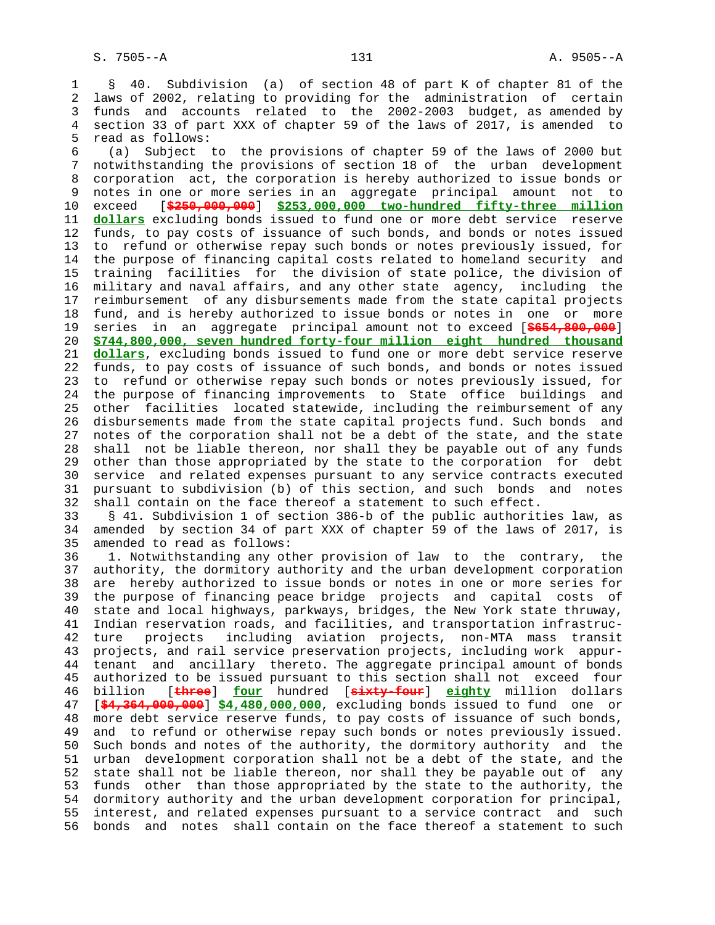1 § 40. Subdivision (a) of section 48 of part K of chapter 81 of the 2 laws of 2002, relating to providing for the administration of certain 3 funds and accounts related to the 2002-2003 budget, as amended by 4 section 33 of part XXX of chapter 59 of the laws of 2017, is amended to 5 read as follows:

 6 (a) Subject to the provisions of chapter 59 of the laws of 2000 but 7 notwithstanding the provisions of section 18 of the urban development 8 corporation act, the corporation is hereby authorized to issue bonds or 9 notes in one or more series in an aggregate principal amount not to 10 exceed [**\$250,000,000**] **\$253,000,000 two-hundred fifty-three million** 11 **dollars** excluding bonds issued to fund one or more debt service reserve 12 funds, to pay costs of issuance of such bonds, and bonds or notes issued 13 to refund or otherwise repay such bonds or notes previously issued, for 14 the purpose of financing capital costs related to homeland security and 15 training facilities for the division of state police, the division of 16 military and naval affairs, and any other state agency, including the 17 reimbursement of any disbursements made from the state capital projects 18 fund, and is hereby authorized to issue bonds or notes in one or more 19 series in an aggregate principal amount not to exceed [**\$654,800,000**] 20 **\$744,800,000, seven hundred forty-four million eight hundred thousand** 21 **dollars**, excluding bonds issued to fund one or more debt service reserve 22 funds, to pay costs of issuance of such bonds, and bonds or notes issued 23 to refund or otherwise repay such bonds or notes previously issued, for 24 the purpose of financing improvements to State office buildings and 25 other facilities located statewide, including the reimbursement of any 26 disbursements made from the state capital projects fund. Such bonds and 27 notes of the corporation shall not be a debt of the state, and the state 28 shall not be liable thereon, nor shall they be payable out of any funds 29 other than those appropriated by the state to the corporation for debt 30 service and related expenses pursuant to any service contracts executed 31 pursuant to subdivision (b) of this section, and such bonds and notes 32 shall contain on the face thereof a statement to such effect.

 33 § 41. Subdivision 1 of section 386-b of the public authorities law, as 34 amended by section 34 of part XXX of chapter 59 of the laws of 2017, is 35 amended to read as follows:

 36 1. Notwithstanding any other provision of law to the contrary, the 37 authority, the dormitory authority and the urban development corporation 38 are hereby authorized to issue bonds or notes in one or more series for 39 the purpose of financing peace bridge projects and capital costs of 40 state and local highways, parkways, bridges, the New York state thruway, 41 Indian reservation roads, and facilities, and transportation infrastruc- 42 ture projects including aviation projects, non-MTA mass transit 43 projects, and rail service preservation projects, including work appur- 44 tenant and ancillary thereto. The aggregate principal amount of bonds 45 authorized to be issued pursuant to this section shall not exceed four 46 billion [**three**] **four** hundred [**sixty-four**] **eighty** million dollars 47 [**\$4,364,000,000**] **\$4,480,000,000**, excluding bonds issued to fund one or 48 more debt service reserve funds, to pay costs of issuance of such bonds, 49 and to refund or otherwise repay such bonds or notes previously issued. 50 Such bonds and notes of the authority, the dormitory authority and the 51 urban development corporation shall not be a debt of the state, and the 52 state shall not be liable thereon, nor shall they be payable out of any 53 funds other than those appropriated by the state to the authority, the 54 dormitory authority and the urban development corporation for principal, 55 interest, and related expenses pursuant to a service contract and such 56 bonds and notes shall contain on the face thereof a statement to such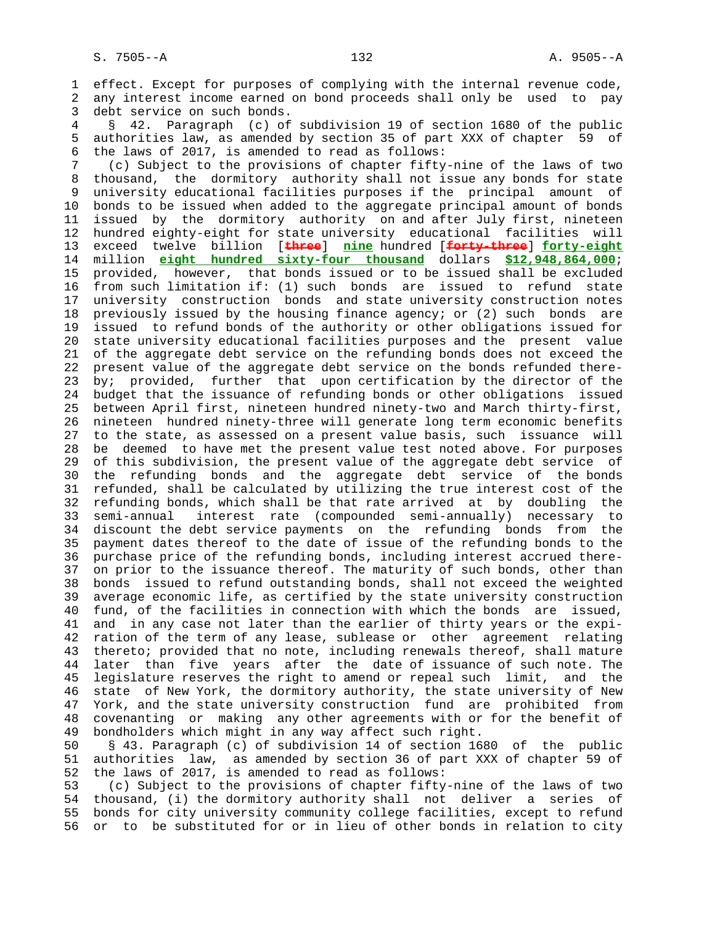1 effect. Except for purposes of complying with the internal revenue code, 2 any interest income earned on bond proceeds shall only be used to pay 3 debt service on such bonds.

 4 § 42. Paragraph (c) of subdivision 19 of section 1680 of the public 5 authorities law, as amended by section 35 of part XXX of chapter 59 of 6 the laws of 2017, is amended to read as follows:

 7 (c) Subject to the provisions of chapter fifty-nine of the laws of two 8 thousand, the dormitory authority shall not issue any bonds for state<br>9 university educational facilities purposes if the principal amount of university educational facilities purposes if the principal amount of 10 bonds to be issued when added to the aggregate principal amount of bonds 11 issued by the dormitory authority on and after July first, nineteen 12 hundred eighty-eight for state university educational facilities will 13 exceed twelve billion [**three**] **nine** hundred [**forty-three**] **forty-eight** 14 million **eight hundred sixty-four thousand** dollars **\$12,948,864,000**; 15 provided, however, that bonds issued or to be issued shall be excluded 16 from such limitation if: (1) such bonds are issued to refund state 17 university construction bonds and state university construction notes 18 previously issued by the housing finance agency; or (2) such bonds are 19 issued to refund bonds of the authority or other obligations issued for 20 state university educational facilities purposes and the present value 21 of the aggregate debt service on the refunding bonds does not exceed the 22 present value of the aggregate debt service on the bonds refunded there- 23 by; provided, further that upon certification by the director of the 24 budget that the issuance of refunding bonds or other obligations issued 25 between April first, nineteen hundred ninety-two and March thirty-first, 26 nineteen hundred ninety-three will generate long term economic benefits 27 to the state, as assessed on a present value basis, such issuance will 28 be deemed to have met the present value test noted above. For purposes 29 of this subdivision, the present value of the aggregate debt service of 30 the refunding bonds and the aggregate debt service of the bonds 31 refunded, shall be calculated by utilizing the true interest cost of the 32 refunding bonds, which shall be that rate arrived at by doubling the 33 semi-annual interest rate (compounded semi-annually) necessary to 34 discount the debt service payments on the refunding bonds from the 35 payment dates thereof to the date of issue of the refunding bonds to the 36 purchase price of the refunding bonds, including interest accrued there- 37 on prior to the issuance thereof. The maturity of such bonds, other than 38 bonds issued to refund outstanding bonds, shall not exceed the weighted 39 average economic life, as certified by the state university construction 40 fund, of the facilities in connection with which the bonds are issued, 41 and in any case not later than the earlier of thirty years or the expi- 42 ration of the term of any lease, sublease or other agreement relating 43 thereto; provided that no note, including renewals thereof, shall mature 44 later than five years after the date of issuance of such note. The 45 legislature reserves the right to amend or repeal such limit, and the 46 state of New York, the dormitory authority, the state university of New 47 York, and the state university construction fund are prohibited from 48 covenanting or making any other agreements with or for the benefit of 49 bondholders which might in any way affect such right.

 50 § 43. Paragraph (c) of subdivision 14 of section 1680 of the public 51 authorities law, as amended by section 36 of part XXX of chapter 59 of 52 the laws of 2017, is amended to read as follows:

 53 (c) Subject to the provisions of chapter fifty-nine of the laws of two 54 thousand, (i) the dormitory authority shall not deliver a series of 55 bonds for city university community college facilities, except to refund 56 or to be substituted for or in lieu of other bonds in relation to city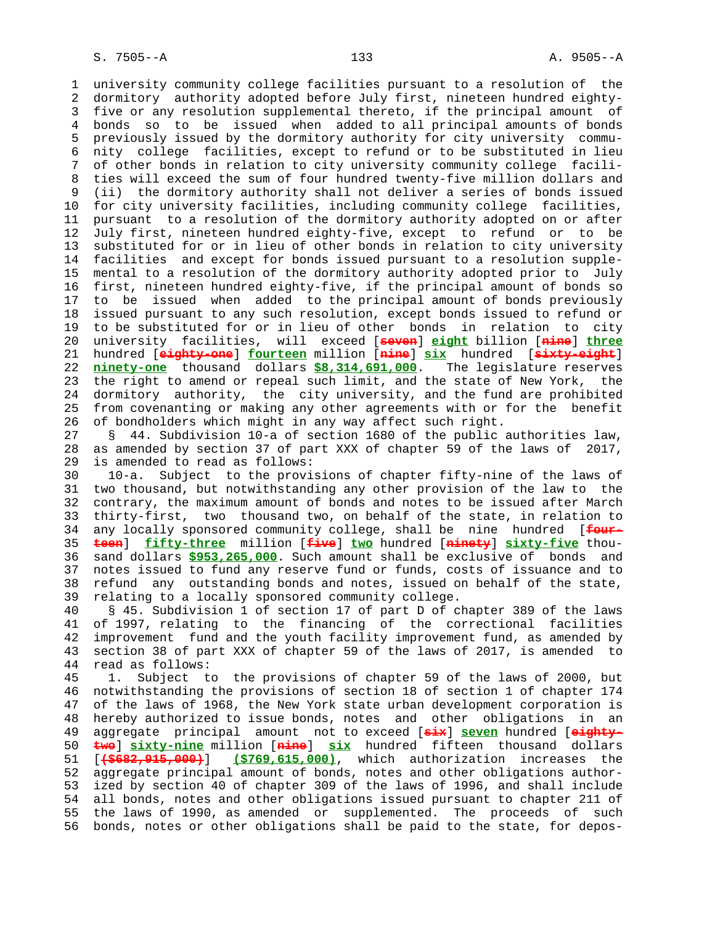1 university community college facilities pursuant to a resolution of the 2 dormitory authority adopted before July first, nineteen hundred eighty- 3 five or any resolution supplemental thereto, if the principal amount of 4 bonds so to be issued when added to all principal amounts of bonds 5 previously issued by the dormitory authority for city university commu- 6 nity college facilities, except to refund or to be substituted in lieu 7 of other bonds in relation to city university community college facili- 8 ties will exceed the sum of four hundred twenty-five million dollars and 9 (ii) the dormitory authority shall not deliver a series of bonds issued 10 for city university facilities, including community college facilities, 11 pursuant to a resolution of the dormitory authority adopted on or after 12 July first, nineteen hundred eighty-five, except to refund or to be 13 substituted for or in lieu of other bonds in relation to city university 14 facilities and except for bonds issued pursuant to a resolution supple- 15 mental to a resolution of the dormitory authority adopted prior to July 16 first, nineteen hundred eighty-five, if the principal amount of bonds so 17 to be issued when added to the principal amount of bonds previously 18 issued pursuant to any such resolution, except bonds issued to refund or 19 to be substituted for or in lieu of other bonds in relation to city 20 university facilities, will exceed [**seven**] **eight** billion [**nine**] **three** 21 hundred [**eighty-one**] **fourteen** million [**nine**] **six** hundred [**sixty-eight**] 22 **ninety-one** thousand dollars **\$8,314,691,000**. The legislature reserves 23 the right to amend or repeal such limit, and the state of New York, the 24 dormitory authority, the city university, and the fund are prohibited 25 from covenanting or making any other agreements with or for the benefit 26 of bondholders which might in any way affect such right. 27 § 44. Subdivision 10-a of section 1680 of the public authorities law,

 28 as amended by section 37 of part XXX of chapter 59 of the laws of 2017, 29 is amended to read as follows:

 30 10-a. Subject to the provisions of chapter fifty-nine of the laws of 31 two thousand, but notwithstanding any other provision of the law to the 32 contrary, the maximum amount of bonds and notes to be issued after March 33 thirty-first, two thousand two, on behalf of the state, in relation to 34 any locally sponsored community college, shall be nine hundred [**four-** 35 **teen**] **fifty-three** million [**five**] **two** hundred [**ninety**] **sixty-five** thou- 36 sand dollars **\$953,265,000**. Such amount shall be exclusive of bonds and 37 notes issued to fund any reserve fund or funds, costs of issuance and to 38 refund any outstanding bonds and notes, issued on behalf of the state, 39 relating to a locally sponsored community college.

 40 § 45. Subdivision 1 of section 17 of part D of chapter 389 of the laws 41 of 1997, relating to the financing of the correctional facilities 42 improvement fund and the youth facility improvement fund, as amended by 43 section 38 of part XXX of chapter 59 of the laws of 2017, is amended to 44 read as follows:

 45 1. Subject to the provisions of chapter 59 of the laws of 2000, but 46 notwithstanding the provisions of section 18 of section 1 of chapter 174 47 of the laws of 1968, the New York state urban development corporation is 48 hereby authorized to issue bonds, notes and other obligations in an 49 aggregate principal amount not to exceed [**six**] **seven** hundred [**eighty-** 50 **two**] **sixty-nine** million [**nine**] **six** hundred fifteen thousand dollars 51 [**(\$682,915,000)**] **(\$769,615,000)**, which authorization increases the 52 aggregate principal amount of bonds, notes and other obligations author- 53 ized by section 40 of chapter 309 of the laws of 1996, and shall include 54 all bonds, notes and other obligations issued pursuant to chapter 211 of 55 the laws of 1990, as amended or supplemented. The proceeds of such 56 bonds, notes or other obligations shall be paid to the state, for depos-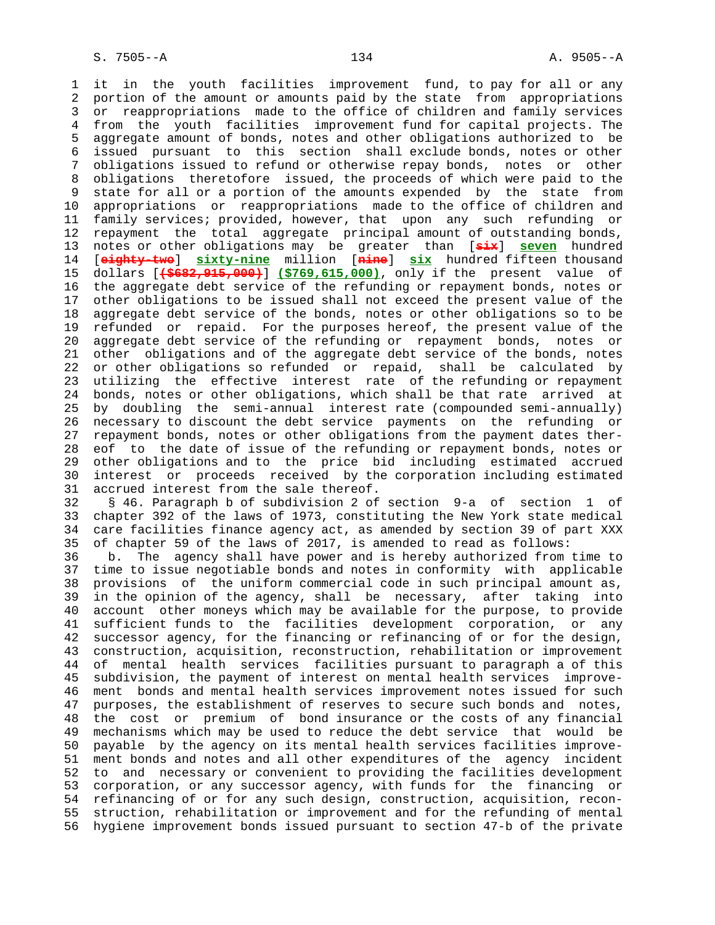1 it in the youth facilities improvement fund, to pay for all or any 2 portion of the amount or amounts paid by the state from appropriations 3 or reappropriations made to the office of children and family services 4 from the youth facilities improvement fund for capital projects. The 5 aggregate amount of bonds, notes and other obligations authorized to be 6 issued pursuant to this section shall exclude bonds, notes or other 7 obligations issued to refund or otherwise repay bonds, notes or other 8 obligations theretofore issued, the proceeds of which were paid to the<br>9 state for all or a portion of the amounts expended by the state from state for all or a portion of the amounts expended by the state from 10 appropriations or reappropriations made to the office of children and 11 family services; provided, however, that upon any such refunding or 12 repayment the total aggregate principal amount of outstanding bonds, 13 notes or other obligations may be greater than [**six**] **seven** hundred 14 [**eighty-two**] **sixty-nine** million [**nine**] **six** hundred fifteen thousand 15 dollars [**(\$682,915,000)**] **(\$769,615,000)**, only if the present value of 16 the aggregate debt service of the refunding or repayment bonds, notes or 17 other obligations to be issued shall not exceed the present value of the 18 aggregate debt service of the bonds, notes or other obligations so to be 19 refunded or repaid. For the purposes hereof, the present value of the 20 aggregate debt service of the refunding or repayment bonds, notes or 21 other obligations and of the aggregate debt service of the bonds, notes 22 or other obligations so refunded or repaid, shall be calculated by 23 utilizing the effective interest rate of the refunding or repayment 24 bonds, notes or other obligations, which shall be that rate arrived at 25 by doubling the semi-annual interest rate (compounded semi-annually) 26 necessary to discount the debt service payments on the refunding or 27 repayment bonds, notes or other obligations from the payment dates ther- 28 eof to the date of issue of the refunding or repayment bonds, notes or 29 other obligations and to the price bid including estimated accrued 30 interest or proceeds received by the corporation including estimated 31 accrued interest from the sale thereof. 32 § 46. Paragraph b of subdivision 2 of section 9-a of section 1 of 33 chapter 392 of the laws of 1973, constituting the New York state medical 34 care facilities finance agency act, as amended by section 39 of part XXX 35 of chapter 59 of the laws of 2017, is amended to read as follows: 36 b. The agency shall have power and is hereby authorized from time to 37 time to issue negotiable bonds and notes in conformity with applicable 38 provisions of the uniform commercial code in such principal amount as, 39 in the opinion of the agency, shall be necessary, after taking into 40 account other moneys which may be available for the purpose, to provide 41 sufficient funds to the facilities development corporation, or any 42 successor agency, for the financing or refinancing of or for the design, 43 construction, acquisition, reconstruction, rehabilitation or improvement 44 of mental health services facilities pursuant to paragraph a of this 45 subdivision, the payment of interest on mental health services improve- 46 ment bonds and mental health services improvement notes issued for such 47 purposes, the establishment of reserves to secure such bonds and notes, 48 the cost or premium of bond insurance or the costs of any financial 49 mechanisms which may be used to reduce the debt service that would be 50 payable by the agency on its mental health services facilities improve- 51 ment bonds and notes and all other expenditures of the agency incident 52 to and necessary or convenient to providing the facilities development 53 corporation, or any successor agency, with funds for the financing or 54 refinancing of or for any such design, construction, acquisition, recon-

 55 struction, rehabilitation or improvement and for the refunding of mental 56 hygiene improvement bonds issued pursuant to section 47-b of the private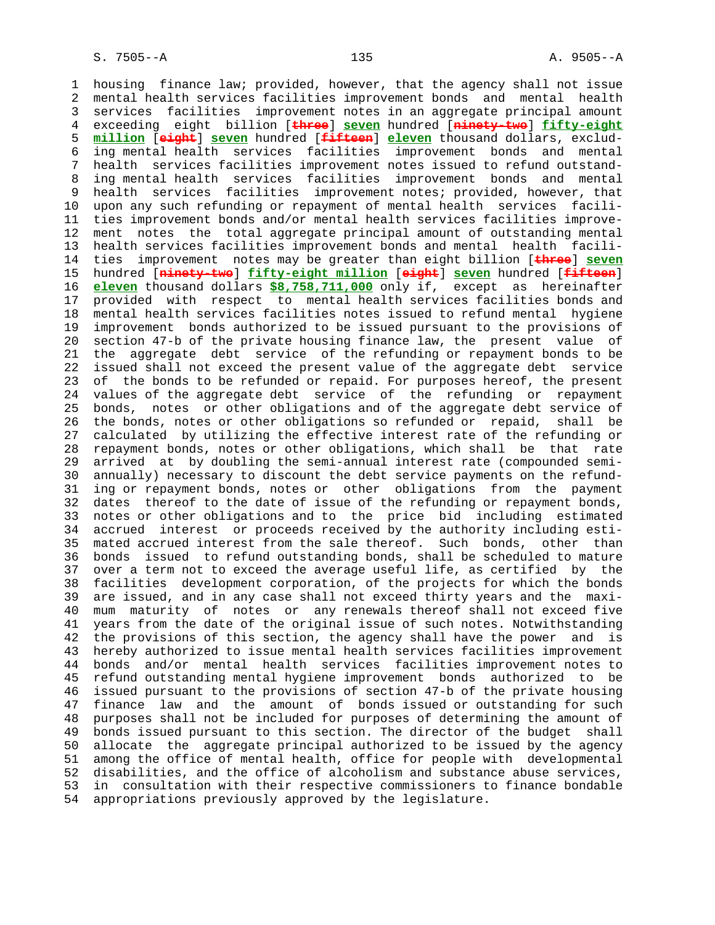1 housing finance law; provided, however, that the agency shall not issue 2 mental health services facilities improvement bonds and mental health 3 services facilities improvement notes in an aggregate principal amount 4 exceeding eight billion [**three**] **seven** hundred [**ninety-two**] **fifty-eight** 5 **million** [**eight**] **seven** hundred [**fifteen**] **eleven** thousand dollars, exclud- 6 ing mental health services facilities improvement bonds and mental 7 health services facilities improvement notes issued to refund outstand- 8 ing mental health services facilities improvement bonds and mental<br>9 health services facilities improvement notes; provided, however, that health services facilities improvement notes; provided, however, that 10 upon any such refunding or repayment of mental health services facili- 11 ties improvement bonds and/or mental health services facilities improve- 12 ment notes the total aggregate principal amount of outstanding mental 13 health services facilities improvement bonds and mental health facili- 14 ties improvement notes may be greater than eight billion [**three**] **seven** 15 hundred [**ninety-two**] **fifty-eight million** [**eight**] **seven** hundred [**fifteen**] 16 **eleven** thousand dollars **\$8,758,711,000** only if, except as hereinafter 17 provided with respect to mental health services facilities bonds and 18 mental health services facilities notes issued to refund mental hygiene 19 improvement bonds authorized to be issued pursuant to the provisions of 20 section 47-b of the private housing finance law, the present value of 21 the aggregate debt service of the refunding or repayment bonds to be 22 issued shall not exceed the present value of the aggregate debt service 23 of the bonds to be refunded or repaid. For purposes hereof, the present 24 values of the aggregate debt service of the refunding or repayment 25 bonds, notes or other obligations and of the aggregate debt service of 26 the bonds, notes or other obligations so refunded or repaid, shall be 27 calculated by utilizing the effective interest rate of the refunding or 28 repayment bonds, notes or other obligations, which shall be that rate 29 arrived at by doubling the semi-annual interest rate (compounded semi- 30 annually) necessary to discount the debt service payments on the refund- 31 ing or repayment bonds, notes or other obligations from the payment 32 dates thereof to the date of issue of the refunding or repayment bonds, 33 notes or other obligations and to the price bid including estimated 34 accrued interest or proceeds received by the authority including esti- 35 mated accrued interest from the sale thereof. Such bonds, other than 36 bonds issued to refund outstanding bonds, shall be scheduled to mature 37 over a term not to exceed the average useful life, as certified by the 38 facilities development corporation, of the projects for which the bonds 39 are issued, and in any case shall not exceed thirty years and the maxi- 40 mum maturity of notes or any renewals thereof shall not exceed five 41 years from the date of the original issue of such notes. Notwithstanding 42 the provisions of this section, the agency shall have the power and is 43 hereby authorized to issue mental health services facilities improvement 44 bonds and/or mental health services facilities improvement notes to 45 refund outstanding mental hygiene improvement bonds authorized to be 46 issued pursuant to the provisions of section 47-b of the private housing 47 finance law and the amount of bonds issued or outstanding for such 48 purposes shall not be included for purposes of determining the amount of 49 bonds issued pursuant to this section. The director of the budget shall 50 allocate the aggregate principal authorized to be issued by the agency 51 among the office of mental health, office for people with developmental 52 disabilities, and the office of alcoholism and substance abuse services, 53 in consultation with their respective commissioners to finance bondable 54 appropriations previously approved by the legislature.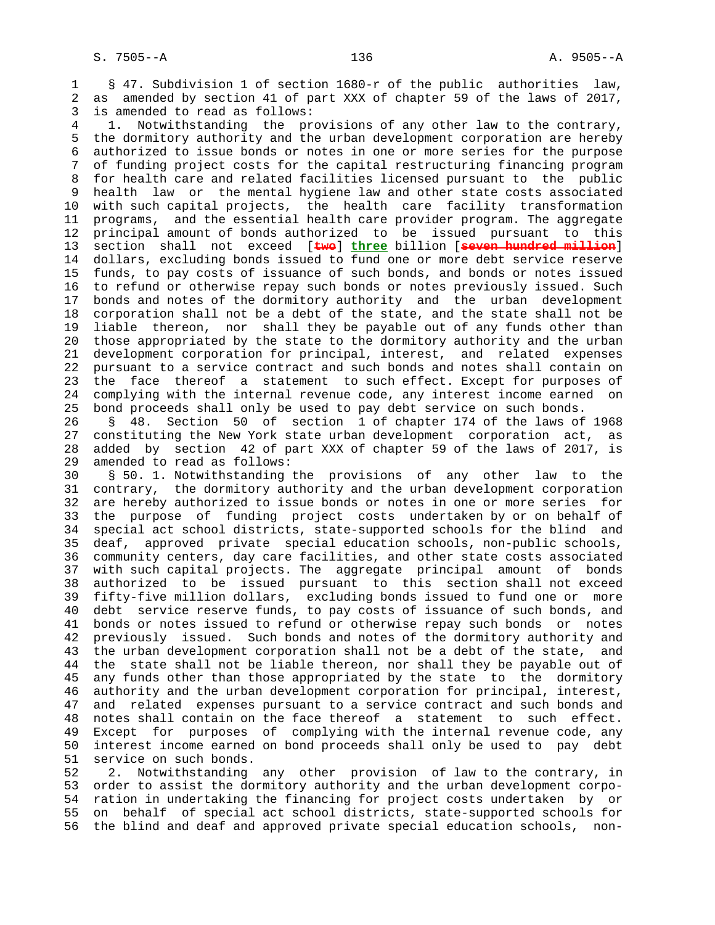1 § 47. Subdivision 1 of section 1680-r of the public authorities law, 2 as amended by section 41 of part XXX of chapter 59 of the laws of 2017, 3 is amended to read as follows:

 4 1. Notwithstanding the provisions of any other law to the contrary, 5 the dormitory authority and the urban development corporation are hereby 6 authorized to issue bonds or notes in one or more series for the purpose 7 of funding project costs for the capital restructuring financing program 8 for health care and related facilities licensed pursuant to the public 9 health law or the mental hygiene law and other state costs associated 10 with such capital projects, the health care facility transformation 11 programs, and the essential health care provider program. The aggregate 12 principal amount of bonds authorized to be issued pursuant to this 13 section shall not exceed [**two**] **three** billion [**seven hundred million**] 14 dollars, excluding bonds issued to fund one or more debt service reserve 15 funds, to pay costs of issuance of such bonds, and bonds or notes issued 16 to refund or otherwise repay such bonds or notes previously issued. Such 17 bonds and notes of the dormitory authority and the urban development 18 corporation shall not be a debt of the state, and the state shall not be 19 liable thereon, nor shall they be payable out of any funds other than 20 those appropriated by the state to the dormitory authority and the urban 21 development corporation for principal, interest, and related expenses 22 pursuant to a service contract and such bonds and notes shall contain on 23 the face thereof a statement to such effect. Except for purposes of 24 complying with the internal revenue code, any interest income earned on 25 bond proceeds shall only be used to pay debt service on such bonds.

 26 § 48. Section 50 of section 1 of chapter 174 of the laws of 1968 27 constituting the New York state urban development corporation act, as 28 added by section 42 of part XXX of chapter 59 of the laws of 2017, is 29 amended to read as follows:

 30 § 50. 1. Notwithstanding the provisions of any other law to the 31 contrary, the dormitory authority and the urban development corporation 32 are hereby authorized to issue bonds or notes in one or more series for 33 the purpose of funding project costs undertaken by or on behalf of 34 special act school districts, state-supported schools for the blind and 35 deaf, approved private special education schools, non-public schools, 36 community centers, day care facilities, and other state costs associated 37 with such capital projects. The aggregate principal amount of bonds 38 authorized to be issued pursuant to this section shall not exceed 39 fifty-five million dollars, excluding bonds issued to fund one or more 40 debt service reserve funds, to pay costs of issuance of such bonds, and 41 bonds or notes issued to refund or otherwise repay such bonds or notes 42 previously issued. Such bonds and notes of the dormitory authority and 43 the urban development corporation shall not be a debt of the state, and 44 the state shall not be liable thereon, nor shall they be payable out of 45 any funds other than those appropriated by the state to the dormitory 46 authority and the urban development corporation for principal, interest, 47 and related expenses pursuant to a service contract and such bonds and 48 notes shall contain on the face thereof a statement to such effect. 49 Except for purposes of complying with the internal revenue code, any 50 interest income earned on bond proceeds shall only be used to pay debt 51 service on such bonds.

 52 2. Notwithstanding any other provision of law to the contrary, in 53 order to assist the dormitory authority and the urban development corpo- 54 ration in undertaking the financing for project costs undertaken by or 55 on behalf of special act school districts, state-supported schools for 56 the blind and deaf and approved private special education schools, non-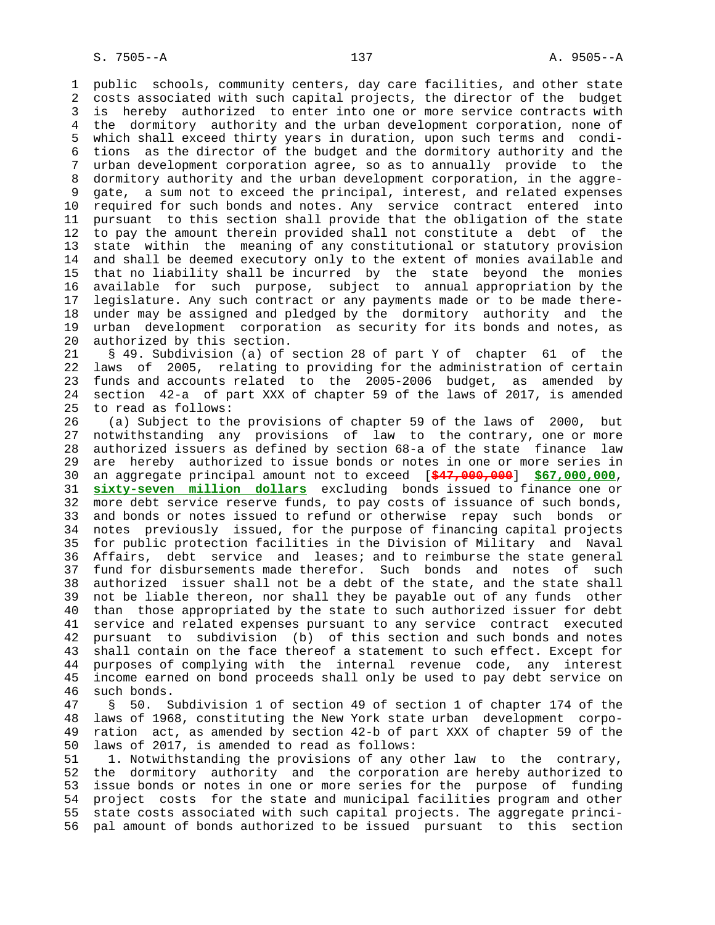1 public schools, community centers, day care facilities, and other state 2 costs associated with such capital projects, the director of the budget 3 is hereby authorized to enter into one or more service contracts with 4 the dormitory authority and the urban development corporation, none of 5 which shall exceed thirty years in duration, upon such terms and condi- 6 tions as the director of the budget and the dormitory authority and the 7 urban development corporation agree, so as to annually provide to the 8 dormitory authority and the urban development corporation, in the aggre-<br>9 gate, a sum not to exceed the principal, interest, and related expenses 9 gate, a sum not to exceed the principal, interest, and related expenses 10 required for such bonds and notes. Any service contract entered into 11 pursuant to this section shall provide that the obligation of the state 12 to pay the amount therein provided shall not constitute a debt of the 13 state within the meaning of any constitutional or statutory provision 14 and shall be deemed executory only to the extent of monies available and 15 that no liability shall be incurred by the state beyond the monies 16 available for such purpose, subject to annual appropriation by the 17 legislature. Any such contract or any payments made or to be made there- 18 under may be assigned and pledged by the dormitory authority and the 19 urban development corporation as security for its bonds and notes, as 20 authorized by this section.

 21 § 49. Subdivision (a) of section 28 of part Y of chapter 61 of the 22 laws of 2005, relating to providing for the administration of certain 23 funds and accounts related to the 2005-2006 budget, as amended by 24 section 42-a of part XXX of chapter 59 of the laws of 2017, is amended 25 to read as follows:

 26 (a) Subject to the provisions of chapter 59 of the laws of 2000, but 27 notwithstanding any provisions of law to the contrary, one or more 28 authorized issuers as defined by section 68-a of the state finance law 29 are hereby authorized to issue bonds or notes in one or more series in 30 an aggregate principal amount not to exceed [**\$47,000,000**] **\$67,000,000**, 31 **sixty-seven million dollars** excluding bonds issued to finance one or 32 more debt service reserve funds, to pay costs of issuance of such bonds, 33 and bonds or notes issued to refund or otherwise repay such bonds or 34 notes previously issued, for the purpose of financing capital projects 35 for public protection facilities in the Division of Military and Naval 36 Affairs, debt service and leases; and to reimburse the state general 37 fund for disbursements made therefor. Such bonds and notes of such 38 authorized issuer shall not be a debt of the state, and the state shall 39 not be liable thereon, nor shall they be payable out of any funds other 40 than those appropriated by the state to such authorized issuer for debt 41 service and related expenses pursuant to any service contract executed 42 pursuant to subdivision (b) of this section and such bonds and notes 43 shall contain on the face thereof a statement to such effect. Except for 44 purposes of complying with the internal revenue code, any interest 45 income earned on bond proceeds shall only be used to pay debt service on 46 such bonds.

 47 § 50. Subdivision 1 of section 49 of section 1 of chapter 174 of the 48 laws of 1968, constituting the New York state urban development corpo- 49 ration act, as amended by section 42-b of part XXX of chapter 59 of the 50 laws of 2017, is amended to read as follows:

 51 1. Notwithstanding the provisions of any other law to the contrary, 52 the dormitory authority and the corporation are hereby authorized to 53 issue bonds or notes in one or more series for the purpose of funding 54 project costs for the state and municipal facilities program and other 55 state costs associated with such capital projects. The aggregate princi- 56 pal amount of bonds authorized to be issued pursuant to this section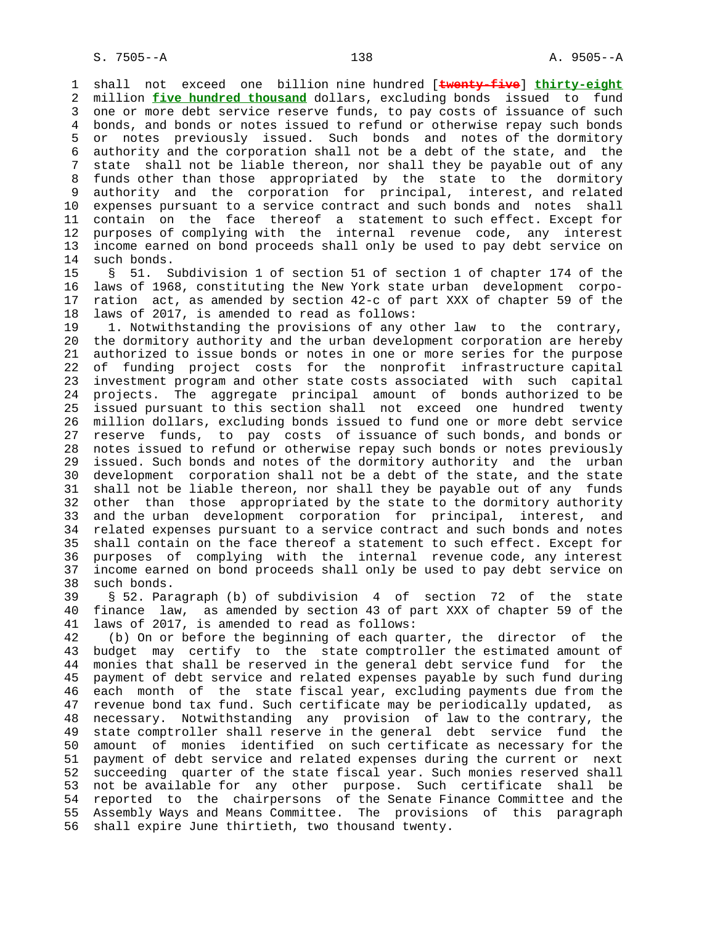1 shall not exceed one billion nine hundred [**twenty-five**] **thirty-eight** 2 million **five hundred thousand** dollars, excluding bonds issued to fund 3 one or more debt service reserve funds, to pay costs of issuance of such 4 bonds, and bonds or notes issued to refund or otherwise repay such bonds 5 or notes previously issued. Such bonds and notes of the dormitory 6 authority and the corporation shall not be a debt of the state, and the 7 state shall not be liable thereon, nor shall they be payable out of any 8 funds other than those appropriated by the state to the dormitory 9 authority and the corporation for principal, interest, and related 10 expenses pursuant to a service contract and such bonds and notes shall 11 contain on the face thereof a statement to such effect. Except for 12 purposes of complying with the internal revenue code, any interest 13 income earned on bond proceeds shall only be used to pay debt service on 14 such bonds.

 15 § 51. Subdivision 1 of section 51 of section 1 of chapter 174 of the 16 laws of 1968, constituting the New York state urban development corpo- 17 ration act, as amended by section 42-c of part XXX of chapter 59 of the 18 laws of 2017, is amended to read as follows:

 19 1. Notwithstanding the provisions of any other law to the contrary, 20 the dormitory authority and the urban development corporation are hereby 21 authorized to issue bonds or notes in one or more series for the purpose 22 of funding project costs for the nonprofit infrastructure capital 23 investment program and other state costs associated with such capital 24 projects. The aggregate principal amount of bonds authorized to be 25 issued pursuant to this section shall not exceed one hundred twenty 26 million dollars, excluding bonds issued to fund one or more debt service 27 reserve funds, to pay costs of issuance of such bonds, and bonds or 28 notes issued to refund or otherwise repay such bonds or notes previously 29 issued. Such bonds and notes of the dormitory authority and the urban 30 development corporation shall not be a debt of the state, and the state 31 shall not be liable thereon, nor shall they be payable out of any funds 32 other than those appropriated by the state to the dormitory authority 33 and the urban development corporation for principal, interest, and 34 related expenses pursuant to a service contract and such bonds and notes<br>35 shall contain on the face thereof a statement to such effect. Except for shall contain on the face thereof a statement to such effect. Except for 36 purposes of complying with the internal revenue code, any interest 37 income earned on bond proceeds shall only be used to pay debt service on 38 such bonds.

 39 § 52. Paragraph (b) of subdivision 4 of section 72 of the state 40 finance law, as amended by section 43 of part XXX of chapter 59 of the 41 laws of 2017, is amended to read as follows:

 42 (b) On or before the beginning of each quarter, the director of the 43 budget may certify to the state comptroller the estimated amount of 44 monies that shall be reserved in the general debt service fund for the 45 payment of debt service and related expenses payable by such fund during 46 each month of the state fiscal year, excluding payments due from the 47 revenue bond tax fund. Such certificate may be periodically updated, as 48 necessary. Notwithstanding any provision of law to the contrary, the 49 state comptroller shall reserve in the general debt service fund the 50 amount of monies identified on such certificate as necessary for the 51 payment of debt service and related expenses during the current or next 52 succeeding quarter of the state fiscal year. Such monies reserved shall 53 not be available for any other purpose. Such certificate shall be 54 reported to the chairpersons of the Senate Finance Committee and the 55 Assembly Ways and Means Committee. The provisions of this paragraph 56 shall expire June thirtieth, two thousand twenty.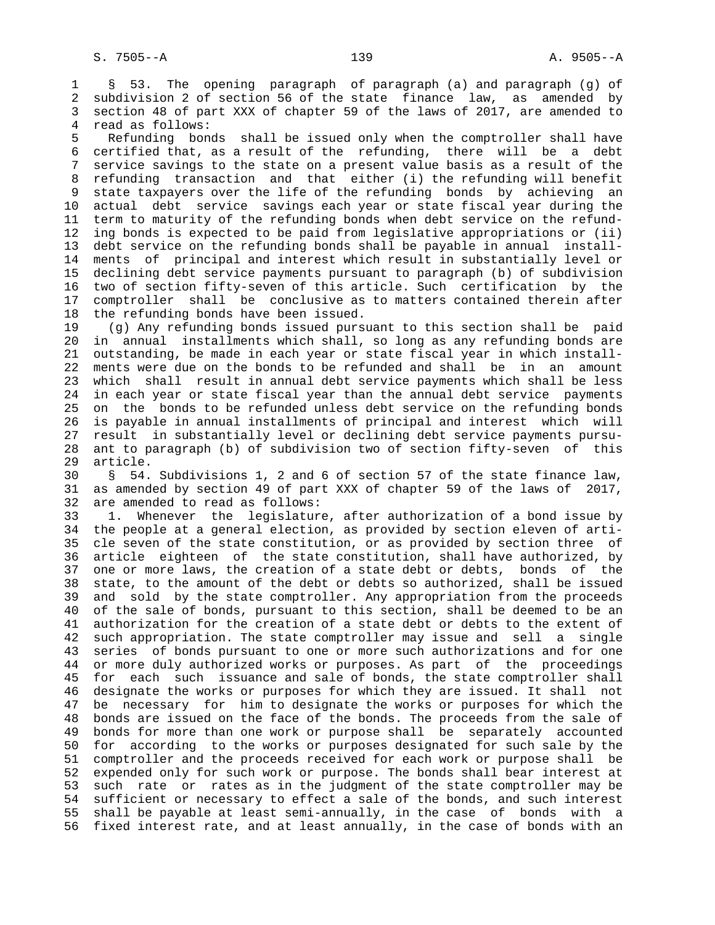1 § 53. The opening paragraph of paragraph (a) and paragraph (g) of 2 subdivision 2 of section 56 of the state finance law, as amended by 3 section 48 of part XXX of chapter 59 of the laws of 2017, are amended to 4 read as follows:

 5 Refunding bonds shall be issued only when the comptroller shall have 6 certified that, as a result of the refunding, there will be a debt 7 service savings to the state on a present value basis as a result of the 8 refunding transaction and that either (i) the refunding will benefit<br>9 state taxpayers over the life of the refunding bonds by achieving an state taxpayers over the life of the refunding bonds by achieving an 10 actual debt service savings each year or state fiscal year during the 11 term to maturity of the refunding bonds when debt service on the refund- 12 ing bonds is expected to be paid from legislative appropriations or (ii) 13 debt service on the refunding bonds shall be payable in annual install- 14 ments of principal and interest which result in substantially level or 15 declining debt service payments pursuant to paragraph (b) of subdivision 16 two of section fifty-seven of this article. Such certification by the 17 comptroller shall be conclusive as to matters contained therein after 18 the refunding bonds have been issued.

 19 (g) Any refunding bonds issued pursuant to this section shall be paid 20 in annual installments which shall, so long as any refunding bonds are 21 outstanding, be made in each year or state fiscal year in which install- 22 ments were due on the bonds to be refunded and shall be in an amount 23 which shall result in annual debt service payments which shall be less 24 in each year or state fiscal year than the annual debt service payments 25 on the bonds to be refunded unless debt service on the refunding bonds 26 is payable in annual installments of principal and interest which will 27 result in substantially level or declining debt service payments pursu- 28 ant to paragraph (b) of subdivision two of section fifty-seven of this 29 article.

 30 § 54. Subdivisions 1, 2 and 6 of section 57 of the state finance law, 31 as amended by section 49 of part XXX of chapter 59 of the laws of 2017, 32 are amended to read as follows:

 33 1. Whenever the legislature, after authorization of a bond issue by 34 the people at a general election, as provided by section eleven of arti- 35 cle seven of the state constitution, or as provided by section three of 36 article eighteen of the state constitution, shall have authorized, by 37 one or more laws, the creation of a state debt or debts, bonds of the 38 state, to the amount of the debt or debts so authorized, shall be issued 39 and sold by the state comptroller. Any appropriation from the proceeds 40 of the sale of bonds, pursuant to this section, shall be deemed to be an 41 authorization for the creation of a state debt or debts to the extent of 42 such appropriation. The state comptroller may issue and sell a single 43 series of bonds pursuant to one or more such authorizations and for one 44 or more duly authorized works or purposes. As part of the proceedings 45 for each such issuance and sale of bonds, the state comptroller shall 46 designate the works or purposes for which they are issued. It shall not 47 be necessary for him to designate the works or purposes for which the 48 bonds are issued on the face of the bonds. The proceeds from the sale of 49 bonds for more than one work or purpose shall be separately accounted 50 for according to the works or purposes designated for such sale by the 51 comptroller and the proceeds received for each work or purpose shall be 52 expended only for such work or purpose. The bonds shall bear interest at 53 such rate or rates as in the judgment of the state comptroller may be 54 sufficient or necessary to effect a sale of the bonds, and such interest 55 shall be payable at least semi-annually, in the case of bonds with a 56 fixed interest rate, and at least annually, in the case of bonds with an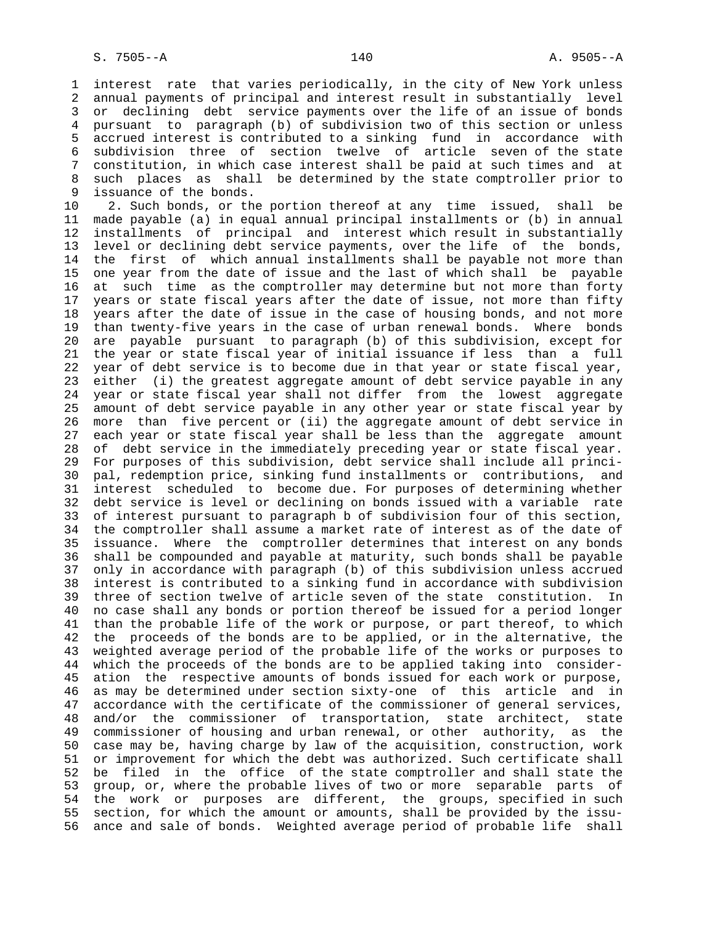1 interest rate that varies periodically, in the city of New York unless 2 annual payments of principal and interest result in substantially level 3 or declining debt service payments over the life of an issue of bonds 4 pursuant to paragraph (b) of subdivision two of this section or unless 5 accrued interest is contributed to a sinking fund in accordance with 6 subdivision three of section twelve of article seven of the state 7 constitution, in which case interest shall be paid at such times and at 8 such places as shall be determined by the state comptroller prior to<br>9 issuance of the bonds. issuance of the bonds.

 10 2. Such bonds, or the portion thereof at any time issued, shall be 11 made payable (a) in equal annual principal installments or (b) in annual 12 installments of principal and interest which result in substantially 13 level or declining debt service payments, over the life of the bonds, 14 the first of which annual installments shall be payable not more than 15 one year from the date of issue and the last of which shall be payable 16 at such time as the comptroller may determine but not more than forty 17 years or state fiscal years after the date of issue, not more than fifty 18 years after the date of issue in the case of housing bonds, and not more 19 than twenty-five years in the case of urban renewal bonds. Where bonds 20 are payable pursuant to paragraph (b) of this subdivision, except for 21 the year or state fiscal year of initial issuance if less than a full 22 year of debt service is to become due in that year or state fiscal year, 23 either (i) the greatest aggregate amount of debt service payable in any 24 year or state fiscal year shall not differ from the lowest aggregate 25 amount of debt service payable in any other year or state fiscal year by 26 more than five percent or (ii) the aggregate amount of debt service in 27 each year or state fiscal year shall be less than the aggregate amount 28 of debt service in the immediately preceding year or state fiscal year. 29 For purposes of this subdivision, debt service shall include all princi- 30 pal, redemption price, sinking fund installments or contributions, and 31 interest scheduled to become due. For purposes of determining whether 32 debt service is level or declining on bonds issued with a variable rate 33 of interest pursuant to paragraph b of subdivision four of this section, 34 the comptroller shall assume a market rate of interest as of the date of 35 issuance. Where the comptroller determines that interest on any bonds 36 shall be compounded and payable at maturity, such bonds shall be payable 37 only in accordance with paragraph (b) of this subdivision unless accrued 38 interest is contributed to a sinking fund in accordance with subdivision 39 three of section twelve of article seven of the state constitution. In 40 no case shall any bonds or portion thereof be issued for a period longer 41 than the probable life of the work or purpose, or part thereof, to which 42 the proceeds of the bonds are to be applied, or in the alternative, the 43 weighted average period of the probable life of the works or purposes to 44 which the proceeds of the bonds are to be applied taking into consider- 45 ation the respective amounts of bonds issued for each work or purpose, 46 as may be determined under section sixty-one of this article and in 47 accordance with the certificate of the commissioner of general services, 48 and/or the commissioner of transportation, state architect, state 49 commissioner of housing and urban renewal, or other authority, as the 50 case may be, having charge by law of the acquisition, construction, work 51 or improvement for which the debt was authorized. Such certificate shall 52 be filed in the office of the state comptroller and shall state the 53 group, or, where the probable lives of two or more separable parts of 54 the work or purposes are different, the groups, specified in such 55 section, for which the amount or amounts, shall be provided by the issu- 56 ance and sale of bonds. Weighted average period of probable life shall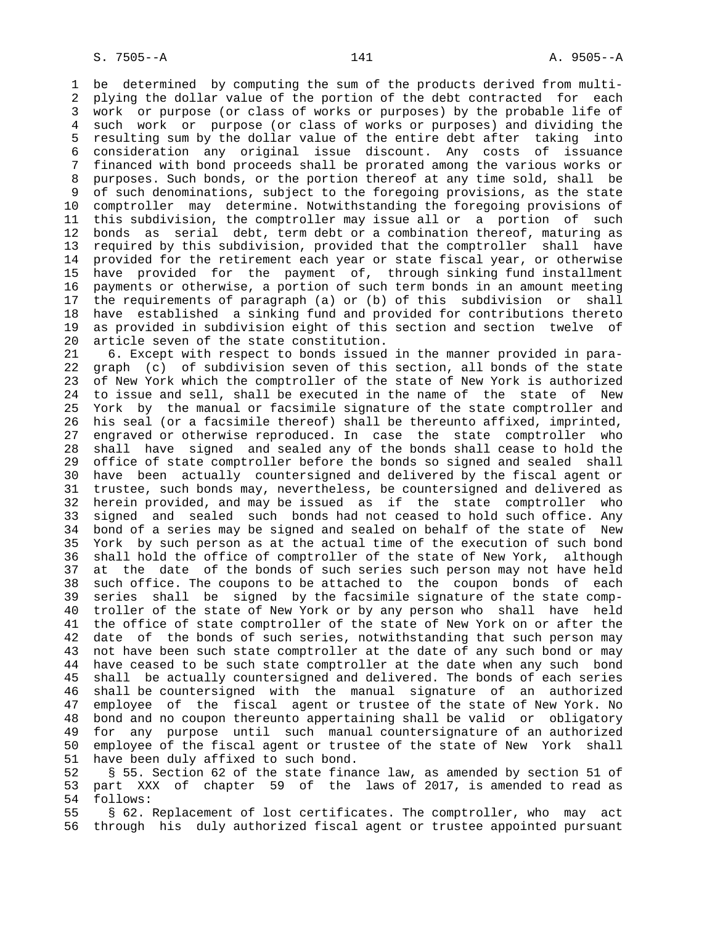1 be determined by computing the sum of the products derived from multi- 2 plying the dollar value of the portion of the debt contracted for each 3 work or purpose (or class of works or purposes) by the probable life of 4 such work or purpose (or class of works or purposes) and dividing the 5 resulting sum by the dollar value of the entire debt after taking into 6 consideration any original issue discount. Any costs of issuance 7 financed with bond proceeds shall be prorated among the various works or 8 purposes. Such bonds, or the portion thereof at any time sold, shall be<br>9 of such denominations, subject to the foregoing provisions, as the state of such denominations, subject to the foregoing provisions, as the state 10 comptroller may determine. Notwithstanding the foregoing provisions of 11 this subdivision, the comptroller may issue all or a portion of such 12 bonds as serial debt, term debt or a combination thereof, maturing as 13 required by this subdivision, provided that the comptroller shall have 14 provided for the retirement each year or state fiscal year, or otherwise 15 have provided for the payment of, through sinking fund installment 16 payments or otherwise, a portion of such term bonds in an amount meeting 17 the requirements of paragraph (a) or (b) of this subdivision or shall 18 have established a sinking fund and provided for contributions thereto 19 as provided in subdivision eight of this section and section twelve of 20 article seven of the state constitution.

 21 6. Except with respect to bonds issued in the manner provided in para- 22 graph (c) of subdivision seven of this section, all bonds of the state 23 of New York which the comptroller of the state of New York is authorized 24 to issue and sell, shall be executed in the name of the state of New 25 York by the manual or facsimile signature of the state comptroller and 26 his seal (or a facsimile thereof) shall be thereunto affixed, imprinted, 27 engraved or otherwise reproduced. In case the state comptroller who 28 shall have signed and sealed any of the bonds shall cease to hold the 29 office of state comptroller before the bonds so signed and sealed shall 30 have been actually countersigned and delivered by the fiscal agent or 31 trustee, such bonds may, nevertheless, be countersigned and delivered as 32 herein provided, and may be issued as if the state comptroller who 33 signed and sealed such bonds had not ceased to hold such office. Any 34 bond of a series may be signed and sealed on behalf of the state of New 35 York by such person as at the actual time of the execution of such bond 36 shall hold the office of comptroller of the state of New York, although 37 at the date of the bonds of such series such person may not have held 38 such office. The coupons to be attached to the coupon bonds of each 39 series shall be signed by the facsimile signature of the state comp- 40 troller of the state of New York or by any person who shall have held 41 the office of state comptroller of the state of New York on or after the 42 date of the bonds of such series, notwithstanding that such person may 43 not have been such state comptroller at the date of any such bond or may 44 have ceased to be such state comptroller at the date when any such bond 45 shall be actually countersigned and delivered. The bonds of each series 46 shall be countersigned with the manual signature of an authorized 47 employee of the fiscal agent or trustee of the state of New York. No 48 bond and no coupon thereunto appertaining shall be valid or obligatory 49 for any purpose until such manual countersignature of an authorized 50 employee of the fiscal agent or trustee of the state of New York shall 51 have been duly affixed to such bond.

 52 § 55. Section 62 of the state finance law, as amended by section 51 of 53 part XXX of chapter 59 of the laws of 2017, is amended to read as 54 follows:

 55 § 62. Replacement of lost certificates. The comptroller, who may act 56 through his duly authorized fiscal agent or trustee appointed pursuant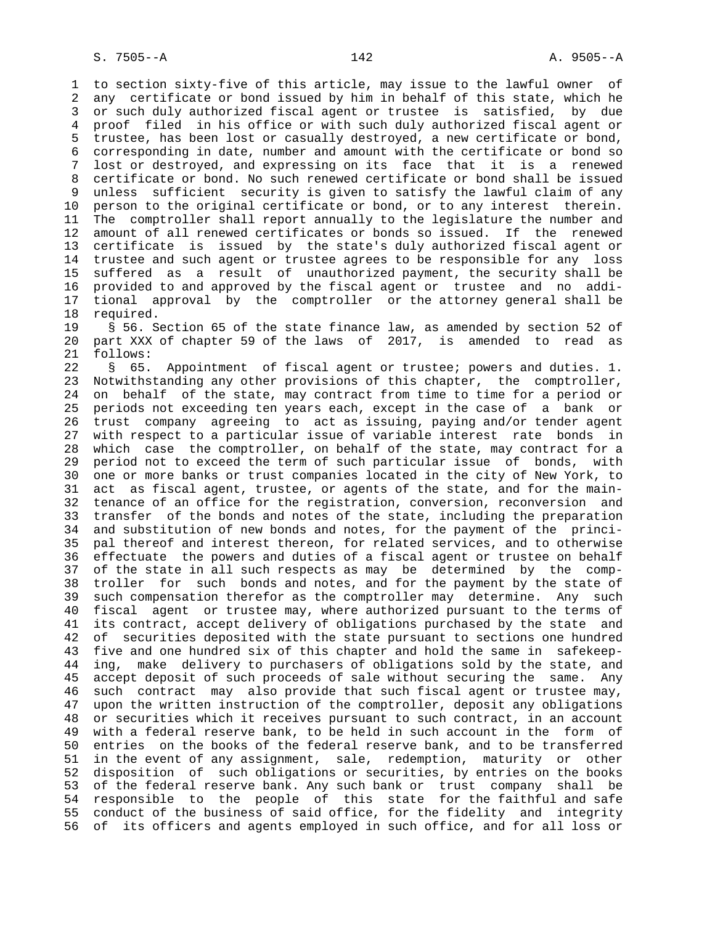1 to section sixty-five of this article, may issue to the lawful owner of 2 any certificate or bond issued by him in behalf of this state, which he 3 or such duly authorized fiscal agent or trustee is satisfied, by due 4 proof filed in his office or with such duly authorized fiscal agent or 5 trustee, has been lost or casually destroyed, a new certificate or bond, 6 corresponding in date, number and amount with the certificate or bond so 7 lost or destroyed, and expressing on its face that it is a renewed 8 certificate or bond. No such renewed certificate or bond shall be issued unless sufficient security is given to satisfy the lawful claim of any 10 person to the original certificate or bond, or to any interest therein. 11 The comptroller shall report annually to the legislature the number and 12 amount of all renewed certificates or bonds so issued. If the renewed 13 certificate is issued by the state's duly authorized fiscal agent or 14 trustee and such agent or trustee agrees to be responsible for any loss 15 suffered as a result of unauthorized payment, the security shall be 16 provided to and approved by the fiscal agent or trustee and no addi- 17 tional approval by the comptroller or the attorney general shall be 18 required.

 19 § 56. Section 65 of the state finance law, as amended by section 52 of 20 part XXX of chapter 59 of the laws of 2017, is amended to read as 21 follows:

 22 § 65. Appointment of fiscal agent or trustee; powers and duties. 1. 23 Notwithstanding any other provisions of this chapter, the comptroller, 24 on behalf of the state, may contract from time to time for a period or 25 periods not exceeding ten years each, except in the case of a bank or 26 trust company agreeing to act as issuing, paying and/or tender agent 27 with respect to a particular issue of variable interest rate bonds in 28 which case the comptroller, on behalf of the state, may contract for a 29 period not to exceed the term of such particular issue of bonds, with 30 one or more banks or trust companies located in the city of New York, to 31 act as fiscal agent, trustee, or agents of the state, and for the main- 32 tenance of an office for the registration, conversion, reconversion and 33 transfer of the bonds and notes of the state, including the preparation 34 and substitution of new bonds and notes, for the payment of the princi- 35 pal thereof and interest thereon, for related services, and to otherwise 36 effectuate the powers and duties of a fiscal agent or trustee on behalf 37 of the state in all such respects as may be determined by the comp- 38 troller for such bonds and notes, and for the payment by the state of 39 such compensation therefor as the comptroller may determine. Any such 40 fiscal agent or trustee may, where authorized pursuant to the terms of 41 its contract, accept delivery of obligations purchased by the state and 42 of securities deposited with the state pursuant to sections one hundred 43 five and one hundred six of this chapter and hold the same in safekeep- 44 ing, make delivery to purchasers of obligations sold by the state, and 45 accept deposit of such proceeds of sale without securing the same. Any 46 such contract may also provide that such fiscal agent or trustee may, 47 upon the written instruction of the comptroller, deposit any obligations 48 or securities which it receives pursuant to such contract, in an account 49 with a federal reserve bank, to be held in such account in the form of 50 entries on the books of the federal reserve bank, and to be transferred 51 in the event of any assignment, sale, redemption, maturity or other 52 disposition of such obligations or securities, by entries on the books 53 of the federal reserve bank. Any such bank or trust company shall be 54 responsible to the people of this state for the faithful and safe 55 conduct of the business of said office, for the fidelity and integrity 56 of its officers and agents employed in such office, and for all loss or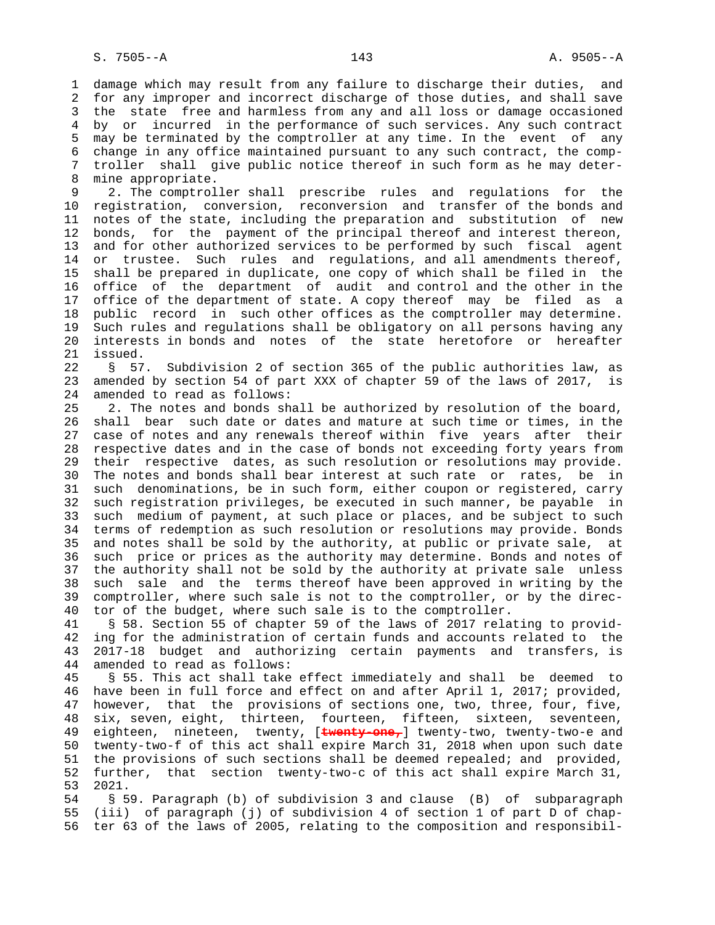1 damage which may result from any failure to discharge their duties, and 2 for any improper and incorrect discharge of those duties, and shall save 3 the state free and harmless from any and all loss or damage occasioned 4 by or incurred in the performance of such services. Any such contract 5 may be terminated by the comptroller at any time. In the event of any 6 change in any office maintained pursuant to any such contract, the comp- 7 troller shall give public notice thereof in such form as he may deter- 8 mine appropriate.<br>9 2. The comptrol

 9 2. The comptroller shall prescribe rules and regulations for the 10 registration, conversion, reconversion and transfer of the bonds and 11 notes of the state, including the preparation and substitution of new 12 bonds, for the payment of the principal thereof and interest thereon, 13 and for other authorized services to be performed by such fiscal agent 14 or trustee. Such rules and regulations, and all amendments thereof, 15 shall be prepared in duplicate, one copy of which shall be filed in the 16 office of the department of audit and control and the other in the 17 office of the department of state. A copy thereof may be filed as a 18 public record in such other offices as the comptroller may determine. 19 Such rules and regulations shall be obligatory on all persons having any 20 interests in bonds and notes of the state heretofore or hereafter 21 issued.

 22 § 57. Subdivision 2 of section 365 of the public authorities law, as 23 amended by section 54 of part XXX of chapter 59 of the laws of 2017, is 24 amended to read as follows:

 25 2. The notes and bonds shall be authorized by resolution of the board, 26 shall bear such date or dates and mature at such time or times, in the 27 case of notes and any renewals thereof within five years after their 28 respective dates and in the case of bonds not exceeding forty years from 29 their respective dates, as such resolution or resolutions may provide. 30 The notes and bonds shall bear interest at such rate or rates, be in 31 such denominations, be in such form, either coupon or registered, carry 32 such registration privileges, be executed in such manner, be payable in 33 such medium of payment, at such place or places, and be subject to such 34 terms of redemption as such resolution or resolutions may provide. Bonds 35 and notes shall be sold by the authority, at public or private sale, at 36 such price or prices as the authority may determine. Bonds and notes of 37 the authority shall not be sold by the authority at private sale unless 38 such sale and the terms thereof have been approved in writing by the 39 comptroller, where such sale is not to the comptroller, or by the direc- 40 tor of the budget, where such sale is to the comptroller.

 41 § 58. Section 55 of chapter 59 of the laws of 2017 relating to provid- 42 ing for the administration of certain funds and accounts related to the 43 2017-18 budget and authorizing certain payments and transfers, is 44 amended to read as follows:

 45 § 55. This act shall take effect immediately and shall be deemed to 46 have been in full force and effect on and after April 1, 2017; provided, 47 however, that the provisions of sections one, two, three, four, five, 48 six, seven, eight, thirteen, fourteen, fifteen, sixteen, seventeen, 49 eighteen, nineteen, twenty, [**twenty-one,**] twenty-two, twenty-two-e and 50 twenty-two-f of this act shall expire March 31, 2018 when upon such date 51 the provisions of such sections shall be deemed repealed; and provided, 52 further, that section twenty-two-c of this act shall expire March 31, 53 2021.

 54 § 59. Paragraph (b) of subdivision 3 and clause (B) of subparagraph 55 (iii) of paragraph (j) of subdivision 4 of section 1 of part D of chap- 56 ter 63 of the laws of 2005, relating to the composition and responsibil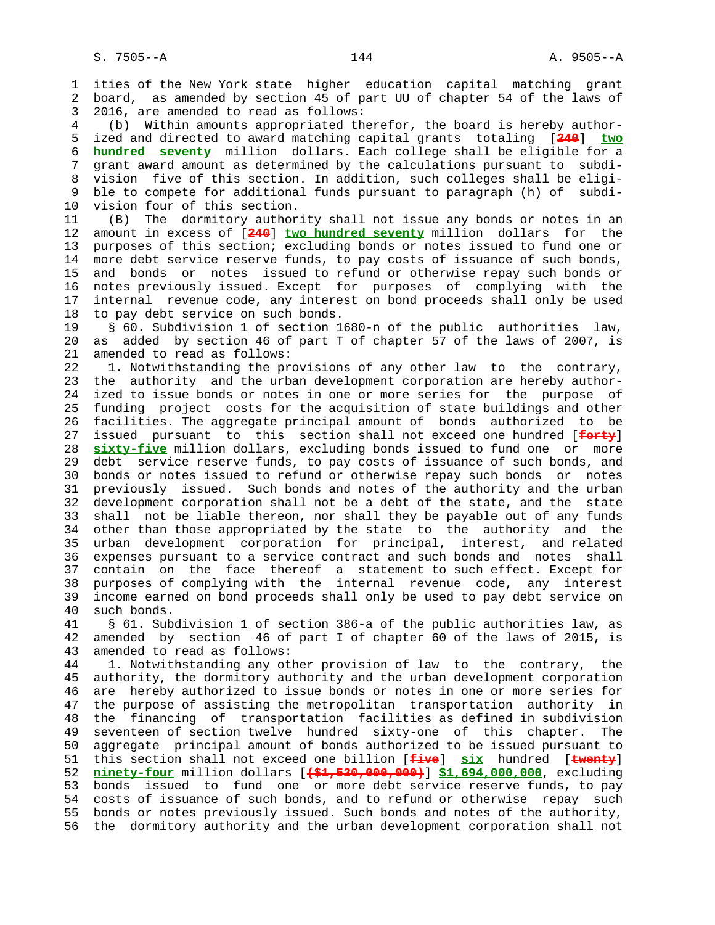1 ities of the New York state higher education capital matching grant 2 board, as amended by section 45 of part UU of chapter 54 of the laws of 3 2016, are amended to read as follows:

(b) Within amounts appropriated therefor, the board is hereby author- 5 ized and directed to award matching capital grants totaling [**240**] **two** 6 **hundred seventy** million dollars. Each college shall be eligible for a 7 grant award amount as determined by the calculations pursuant to subdi- 8 vision five of this section. In addition, such colleges shall be eligi ble to compete for additional funds pursuant to paragraph (h) of subdi-10 vision four of this section.

 11 (B) The dormitory authority shall not issue any bonds or notes in an 12 amount in excess of [**240**] **two hundred seventy** million dollars for the 13 purposes of this section; excluding bonds or notes issued to fund one or 14 more debt service reserve funds, to pay costs of issuance of such bonds, 15 and bonds or notes issued to refund or otherwise repay such bonds or 16 notes previously issued. Except for purposes of complying with the 17 internal revenue code, any interest on bond proceeds shall only be used 18 to pay debt service on such bonds.

 19 § 60. Subdivision 1 of section 1680-n of the public authorities law, 20 as added by section 46 of part T of chapter 57 of the laws of 2007, is 21 amended to read as follows:

 22 1. Notwithstanding the provisions of any other law to the contrary, 23 the authority and the urban development corporation are hereby author- 24 ized to issue bonds or notes in one or more series for the purpose of 25 funding project costs for the acquisition of state buildings and other 26 facilities. The aggregate principal amount of bonds authorized to be 27 issued pursuant to this section shall not exceed one hundred [**forty**] 28 **sixty-five** million dollars, excluding bonds issued to fund one or more 29 debt service reserve funds, to pay costs of issuance of such bonds, and 30 bonds or notes issued to refund or otherwise repay such bonds or notes 31 previously issued. Such bonds and notes of the authority and the urban 32 development corporation shall not be a debt of the state, and the state 33 shall not be liable thereon, nor shall they be payable out of any funds 34 other than those appropriated by the state to the authority and the 35 urban development corporation for principal, interest, and related 36 expenses pursuant to a service contract and such bonds and notes shall 37 contain on the face thereof a statement to such effect. Except for 38 purposes of complying with the internal revenue code, any interest 39 income earned on bond proceeds shall only be used to pay debt service on 40 such bonds.

 41 § 61. Subdivision 1 of section 386-a of the public authorities law, as 42 amended by section 46 of part I of chapter 60 of the laws of 2015, is 43 amended to read as follows:

 44 1. Notwithstanding any other provision of law to the contrary, the 45 authority, the dormitory authority and the urban development corporation 46 are hereby authorized to issue bonds or notes in one or more series for 47 the purpose of assisting the metropolitan transportation authority in 48 the financing of transportation facilities as defined in subdivision 49 seventeen of section twelve hundred sixty-one of this chapter. The 50 aggregate principal amount of bonds authorized to be issued pursuant to 51 this section shall not exceed one billion [**five**] **six** hundred [**twenty**] 52 **ninety-four** million dollars [**(\$1,520,000,000)**] **\$1,694,000,000**, excluding 53 bonds issued to fund one or more debt service reserve funds, to pay 54 costs of issuance of such bonds, and to refund or otherwise repay such 55 bonds or notes previously issued. Such bonds and notes of the authority, 56 the dormitory authority and the urban development corporation shall not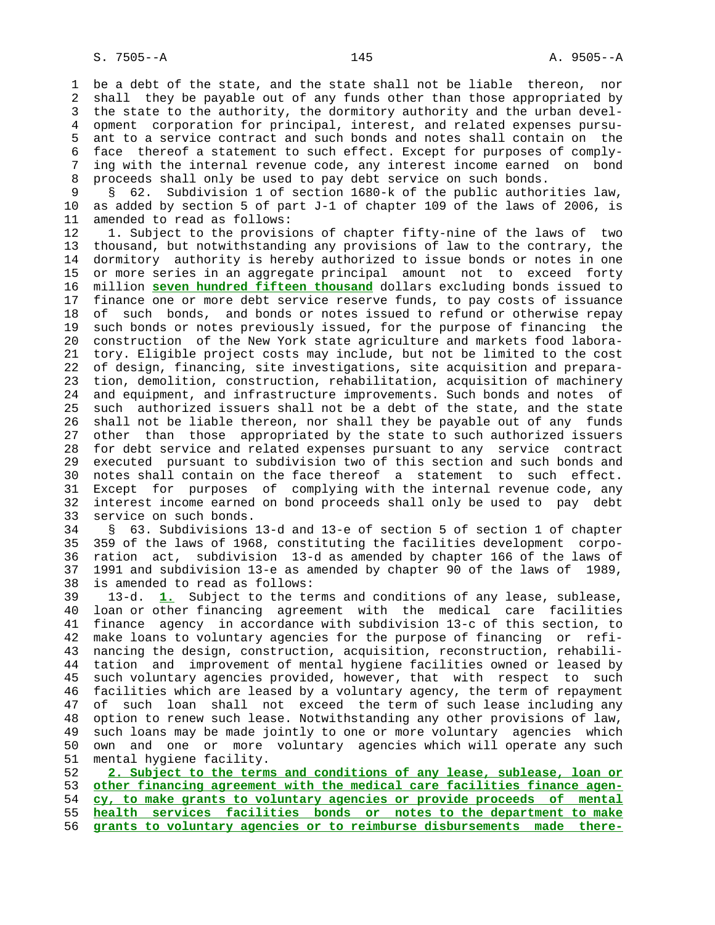1 be a debt of the state, and the state shall not be liable thereon, nor 2 shall they be payable out of any funds other than those appropriated by 3 the state to the authority, the dormitory authority and the urban devel- 4 opment corporation for principal, interest, and related expenses pursu- 5 ant to a service contract and such bonds and notes shall contain on the 6 face thereof a statement to such effect. Except for purposes of comply- 7 ing with the internal revenue code, any interest income earned on bond 8 proceeds shall only be used to pay debt service on such bonds.<br>9 8 62. Subdivision 1 of section 1680-k of the public author

 9 § 62. Subdivision 1 of section 1680-k of the public authorities law, 10 as added by section 5 of part J-1 of chapter 109 of the laws of 2006, is 11 amended to read as follows:

 12 1. Subject to the provisions of chapter fifty-nine of the laws of two 13 thousand, but notwithstanding any provisions of law to the contrary, the 14 dormitory authority is hereby authorized to issue bonds or notes in one 15 or more series in an aggregate principal amount not to exceed forty 16 million **seven hundred fifteen thousand** dollars excluding bonds issued to 17 finance one or more debt service reserve funds, to pay costs of issuance 18 of such bonds, and bonds or notes issued to refund or otherwise repay 19 such bonds or notes previously issued, for the purpose of financing the 20 construction of the New York state agriculture and markets food labora- 21 tory. Eligible project costs may include, but not be limited to the cost 22 of design, financing, site investigations, site acquisition and prepara- 23 tion, demolition, construction, rehabilitation, acquisition of machinery 24 and equipment, and infrastructure improvements. Such bonds and notes of 25 such authorized issuers shall not be a debt of the state, and the state 26 shall not be liable thereon, nor shall they be payable out of any funds 27 other than those appropriated by the state to such authorized issuers 28 for debt service and related expenses pursuant to any service contract 29 executed pursuant to subdivision two of this section and such bonds and 30 notes shall contain on the face thereof a statement to such effect. 31 Except for purposes of complying with the internal revenue code, any 32 interest income earned on bond proceeds shall only be used to pay debt 33 service on such bonds.

 34 § 63. Subdivisions 13-d and 13-e of section 5 of section 1 of chapter 35 359 of the laws of 1968, constituting the facilities development corpo- 36 ration act, subdivision 13-d as amended by chapter 166 of the laws of 37 1991 and subdivision 13-e as amended by chapter 90 of the laws of 1989, 38 is amended to read as follows:

 39 13-d. **1.** Subject to the terms and conditions of any lease, sublease, 40 loan or other financing agreement with the medical care facilities 41 finance agency in accordance with subdivision 13-c of this section, to 42 make loans to voluntary agencies for the purpose of financing or refi- 43 nancing the design, construction, acquisition, reconstruction, rehabili- 44 tation and improvement of mental hygiene facilities owned or leased by 45 such voluntary agencies provided, however, that with respect to such 46 facilities which are leased by a voluntary agency, the term of repayment 47 of such loan shall not exceed the term of such lease including any 48 option to renew such lease. Notwithstanding any other provisions of law, 49 such loans may be made jointly to one or more voluntary agencies which 50 own and one or more voluntary agencies which will operate any such 51 mental hygiene facility.

**2. Subject to the terms and conditions of any lease, sublease, loan or other financing agreement with the medical care facilities finance agen- cy, to make grants to voluntary agencies or provide proceeds of mental health services facilities bonds or notes to the department to make grants to voluntary agencies or to reimburse disbursements made there-**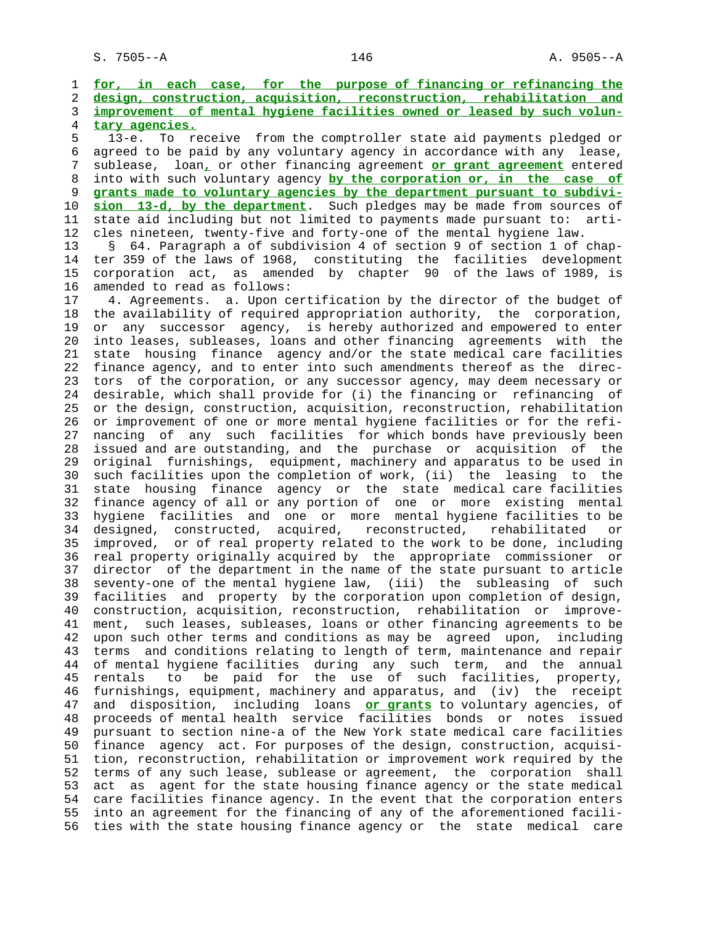1 **for, in each case, for the purpose of financing or refinancing the** 2 **design, construction, acquisition, reconstruction, rehabilitation and** 3 **improvement of mental hygiene facilities owned or leased by such volun-** 4 **tary agencies.** 5 13-e. To receive from the comptroller state aid payments pledged or 6 agreed to be paid by any voluntary agency in accordance with any lease, 7 sublease, loan**,** or other financing agreement **or grant agreement** entered 8 into with such voluntary agency **by the corporation or, in the case of** 9 **grants made to voluntary agencies by the department pursuant to subdivi-** 10 **sion 13-d, by the department**. Such pledges may be made from sources of 11 state aid including but not limited to payments made pursuant to: arti- 12 cles nineteen, twenty-five and forty-one of the mental hygiene law. 13 § 64. Paragraph a of subdivision 4 of section 9 of section 1 of chap- 14 ter 359 of the laws of 1968, constituting the facilities development 15 corporation act, as amended by chapter 90 of the laws of 1989, is 16 amended to read as follows: 17 4. Agreements. a. Upon certification by the director of the budget of 18 the availability of required appropriation authority, the corporation, 19 or any successor agency, is hereby authorized and empowered to enter 20 into leases, subleases, loans and other financing agreements with the 21 state housing finance agency and/or the state medical care facilities 22 finance agency, and to enter into such amendments thereof as the direc- 23 tors of the corporation, or any successor agency, may deem necessary or 24 desirable, which shall provide for (i) the financing or refinancing of 25 or the design, construction, acquisition, reconstruction, rehabilitation 26 or improvement of one or more mental hygiene facilities or for the refi- 27 nancing of any such facilities for which bonds have previously been 28 issued and are outstanding, and the purchase or acquisition of the 29 original furnishings, equipment, machinery and apparatus to be used in 30 such facilities upon the completion of work, (ii) the leasing to the 31 state housing finance agency or the state medical care facilities 32 finance agency of all or any portion of one or more existing mental 33 hygiene facilities and one or more mental hygiene facilities to be 34 designed, constructed, acquired, reconstructed, rehabilitated or 35 improved, or of real property related to the work to be done, including 36 real property originally acquired by the appropriate commissioner or 37 director of the department in the name of the state pursuant to article 38 seventy-one of the mental hygiene law, (iii) the subleasing of such 39 facilities and property by the corporation upon completion of design, 40 construction, acquisition, reconstruction, rehabilitation or improve- 41 ment, such leases, subleases, loans or other financing agreements to be 42 upon such other terms and conditions as may be agreed upon, including 43 terms and conditions relating to length of term, maintenance and repair 44 of mental hygiene facilities during any such term, and the annual 45 rentals to be paid for the use of such facilities, property, 46 furnishings, equipment, machinery and apparatus, and (iv) the receipt 47 and disposition, including loans **or grants** to voluntary agencies, of 48 proceeds of mental health service facilities bonds or notes issued 49 pursuant to section nine-a of the New York state medical care facilities 50 finance agency act. For purposes of the design, construction, acquisi- 51 tion, reconstruction, rehabilitation or improvement work required by the 52 terms of any such lease, sublease or agreement, the corporation shall 53 act as agent for the state housing finance agency or the state medical 54 care facilities finance agency. In the event that the corporation enters 55 into an agreement for the financing of any of the aforementioned facili- 56 ties with the state housing finance agency or the state medical care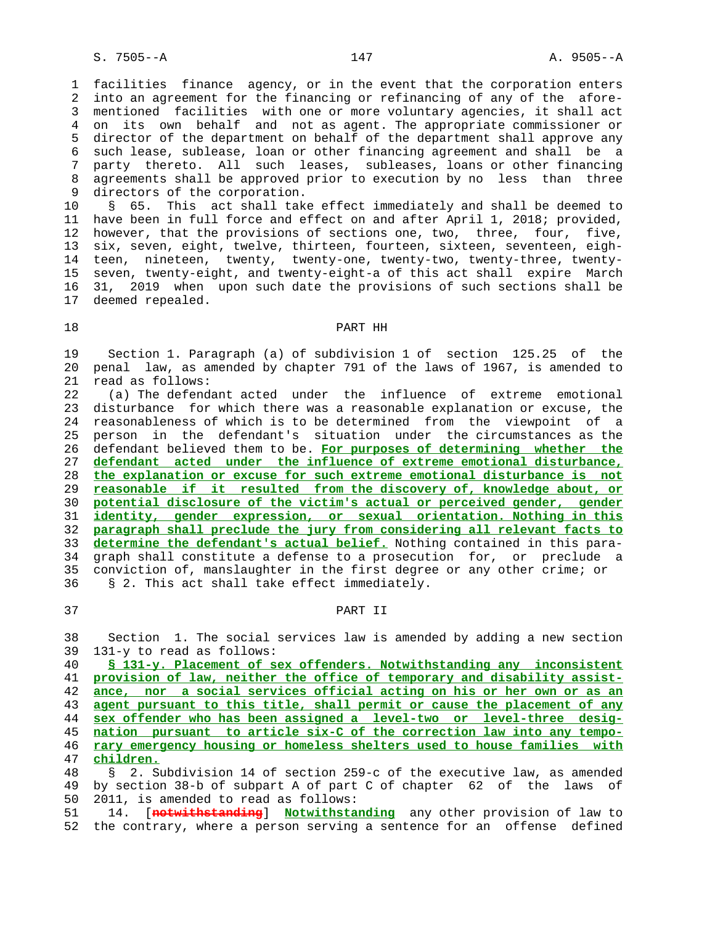1 facilities finance agency, or in the event that the corporation enters 2 into an agreement for the financing or refinancing of any of the afore- 3 mentioned facilities with one or more voluntary agencies, it shall act 4 on its own behalf and not as agent. The appropriate commissioner or 5 director of the department on behalf of the department shall approve any 6 such lease, sublease, loan or other financing agreement and shall be a 7 party thereto. All such leases, subleases, loans or other financing 8 agreements shall be approved prior to execution by no less than three<br>9 directors of the corporation. directors of the corporation.

 10 § 65. This act shall take effect immediately and shall be deemed to 11 have been in full force and effect on and after April 1, 2018; provided, 12 however, that the provisions of sections one, two, three, four, five, 13 six, seven, eight, twelve, thirteen, fourteen, sixteen, seventeen, eigh- 14 teen, nineteen, twenty, twenty-one, twenty-two, twenty-three, twenty- 15 seven, twenty-eight, and twenty-eight-a of this act shall expire March 16 31, 2019 when upon such date the provisions of such sections shall be 17 deemed repealed.

# 18 PART HH

 19 Section 1. Paragraph (a) of subdivision 1 of section 125.25 of the 20 penal law, as amended by chapter 791 of the laws of 1967, is amended to 21 read as follows:

 22 (a) The defendant acted under the influence of extreme emotional 23 disturbance for which there was a reasonable explanation or excuse, the 24 reasonableness of which is to be determined from the viewpoint of a 25 person in the defendant's situation under the circumstances as the 26 defendant believed them to be. **For purposes of determining whether the** 27 **defendant acted under the influence of extreme emotional disturbance,** 28 **the explanation or excuse for such extreme emotional disturbance is not** 29 **reasonable if it resulted from the discovery of, knowledge about, or** 30 **potential disclosure of the victim's actual or perceived gender, gender** 31 **identity, gender expression, or sexual orientation. Nothing in this** 32 **paragraph shall preclude the jury from considering all relevant facts to** 33 **determine the defendant's actual belief.** Nothing contained in this para- 34 graph shall constitute a defense to a prosecution for, or preclude a 35 conviction of, manslaughter in the first degree or any other crime; or 36 § 2. This act shall take effect immediately.

### 37 PART II

 38 Section 1. The social services law is amended by adding a new section 39 131-y to read as follows:

**§ 131-y. Placement of sex offenders. Notwithstanding any inconsistent provision of law, neither the office of temporary and disability assist- ance, nor a social services official acting on his or her own or as an agent pursuant to this title, shall permit or cause the placement of any sex offender who has been assigned a level-two or level-three desig- nation pursuant to article six-C of the correction law into any tempo- rary emergency housing or homeless shelters used to house families with children.** 48 § 2. Subdivision 14 of section 259-c of the executive law, as amended

 49 by section 38-b of subpart A of part C of chapter 62 of the laws of 50 2011, is amended to read as follows:

 51 14. [**notwithstanding**] **Notwithstanding** any other provision of law to 52 the contrary, where a person serving a sentence for an offense defined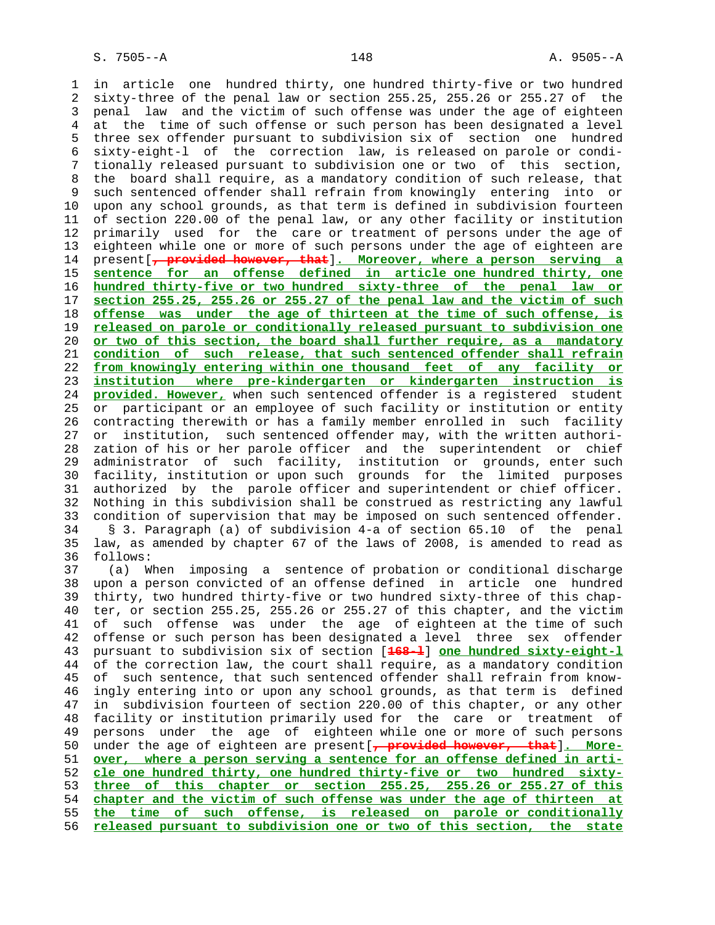1 in article one hundred thirty, one hundred thirty-five or two hundred 2 sixty-three of the penal law or section 255.25, 255.26 or 255.27 of the 3 penal law and the victim of such offense was under the age of eighteen 4 at the time of such offense or such person has been designated a level 5 three sex offender pursuant to subdivision six of section one hundred 6 sixty-eight-l of the correction law, is released on parole or condi- 7 tionally released pursuant to subdivision one or two of this section, 8 the board shall require, as a mandatory condition of such release, that such sentenced offender shall refrain from knowingly entering into or 10 upon any school grounds, as that term is defined in subdivision fourteen 11 of section 220.00 of the penal law, or any other facility or institution 12 primarily used for the care or treatment of persons under the age of 13 eighteen while one or more of such persons under the age of eighteen are 14 present[**, provided however, that**]**. Moreover, where a person serving a** 15 **sentence for an offense defined in article one hundred thirty, one** 16 **hundred thirty-five or two hundred sixty-three of the penal law or** 17 **section 255.25, 255.26 or 255.27 of the penal law and the victim of such** 18 **offense was under the age of thirteen at the time of such offense, is** 19 **released on parole or conditionally released pursuant to subdivision one** 20 **or two of this section, the board shall further require, as a mandatory** 21 **condition of such release, that such sentenced offender shall refrain** 22 **from knowingly entering within one thousand feet of any facility or** 23 **institution where pre-kindergarten or kindergarten instruction is** 24 **provided. However,** when such sentenced offender is a registered student 25 or participant or an employee of such facility or institution or entity 26 contracting therewith or has a family member enrolled in such facility 27 or institution, such sentenced offender may, with the written authori- 28 zation of his or her parole officer and the superintendent or chief 29 administrator of such facility, institution or grounds, enter such 30 facility, institution or upon such grounds for the limited purposes 31 authorized by the parole officer and superintendent or chief officer. 32 Nothing in this subdivision shall be construed as restricting any lawful 33 condition of supervision that may be imposed on such sentenced offender. 34 § 3. Paragraph (a) of subdivision 4-a of section 65.10 of the penal 35 law, as amended by chapter 67 of the laws of 2008, is amended to read as 36 follows:

 37 (a) When imposing a sentence of probation or conditional discharge 38 upon a person convicted of an offense defined in article one hundred 39 thirty, two hundred thirty-five or two hundred sixty-three of this chap- 40 ter, or section 255.25, 255.26 or 255.27 of this chapter, and the victim 41 of such offense was under the age of eighteen at the time of such 42 offense or such person has been designated a level three sex offender 43 pursuant to subdivision six of section [**168-l**] **one hundred sixty-eight-l** 44 of the correction law, the court shall require, as a mandatory condition 45 of such sentence, that such sentenced offender shall refrain from know- 46 ingly entering into or upon any school grounds, as that term is defined 47 in subdivision fourteen of section 220.00 of this chapter, or any other 48 facility or institution primarily used for the care or treatment of 49 persons under the age of eighteen while one or more of such persons 50 under the age of eighteen are present[**, provided however, that**]**. More-** 51 **over, where a person serving a sentence for an offense defined in arti-** 52 **cle one hundred thirty, one hundred thirty-five or two hundred sixty-** 53 **three of this chapter or section 255.25, 255.26 or 255.27 of this** 54 **chapter and the victim of such offense was under the age of thirteen at** 55 **the time of such offense, is released on parole or conditionally** 56 **released pursuant to subdivision one or two of this section, the state**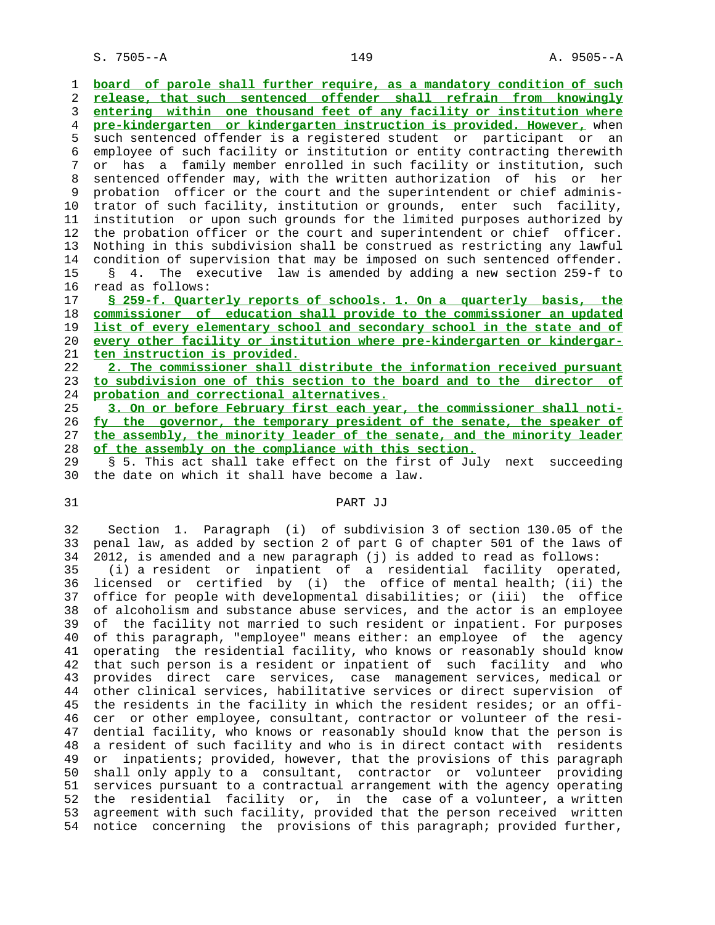S. 7505--A 149 A. 9505--A

 1 **board of parole shall further require, as a mandatory condition of such** 2 **release, that such sentenced offender shall refrain from knowingly** 3 **entering within one thousand feet of any facility or institution where** 4 **pre-kindergarten or kindergarten instruction is provided. However,** when 5 such sentenced offender is a registered student or participant or an 6 employee of such facility or institution or entity contracting therewith 7 or has a family member enrolled in such facility or institution, such 8 sentenced offender may, with the written authorization of his or her 9 probation officer or the court and the superintendent or chief adminis- 10 trator of such facility, institution or grounds, enter such facility, 11 institution or upon such grounds for the limited purposes authorized by 12 the probation officer or the court and superintendent or chief officer. 13 Nothing in this subdivision shall be construed as restricting any lawful 14 condition of supervision that may be imposed on such sentenced offender. 15 § 4. The executive law is amended by adding a new section 259-f to 16 read as follows:

**§ 259-f. Quarterly reports of schools. 1. On a quarterly basis, the commissioner of education shall provide to the commissioner an updated list of every elementary school and secondary school in the state and of every other facility or institution where pre-kindergarten or kindergar- ten instruction is provided.**

 22 **2. The commissioner shall distribute the information received pursuant** 23 **to subdivision one of this section to the board and to the director of** 24 **probation and correctional alternatives.**

**3. On or before February first each year, the commissioner shall noti- fy the governor, the temporary president of the senate, the speaker of the assembly, the minority leader of the senate, and the minority leader of the assembly on the compliance with this section.**

 29 § 5. This act shall take effect on the first of July next succeeding 30 the date on which it shall have become a law.

## 31 PART JJ

 32 Section 1. Paragraph (i) of subdivision 3 of section 130.05 of the penal law, as added by section 2 of part G of chapter 501 of the laws of 34 2012, is amended and a new paragraph (j) is added to read as follows:

 35 (i) a resident or inpatient of a residential facility operated, 36 licensed or certified by (i) the office of mental health; (ii) the 37 office for people with developmental disabilities; or (iii) the office 38 of alcoholism and substance abuse services, and the actor is an employee 39 of the facility not married to such resident or inpatient. For purposes 40 of this paragraph, "employee" means either: an employee of the agency 41 operating the residential facility, who knows or reasonably should know 42 that such person is a resident or inpatient of such facility and who 43 provides direct care services, case management services, medical or 44 other clinical services, habilitative services or direct supervision of 45 the residents in the facility in which the resident resides; or an offi- 46 cer or other employee, consultant, contractor or volunteer of the resi- 47 dential facility, who knows or reasonably should know that the person is 48 a resident of such facility and who is in direct contact with residents 49 or inpatients; provided, however, that the provisions of this paragraph 50 shall only apply to a consultant, contractor or volunteer providing 51 services pursuant to a contractual arrangement with the agency operating 52 the residential facility or, in the case of a volunteer, a written 53 agreement with such facility, provided that the person received written 54 notice concerning the provisions of this paragraph; provided further,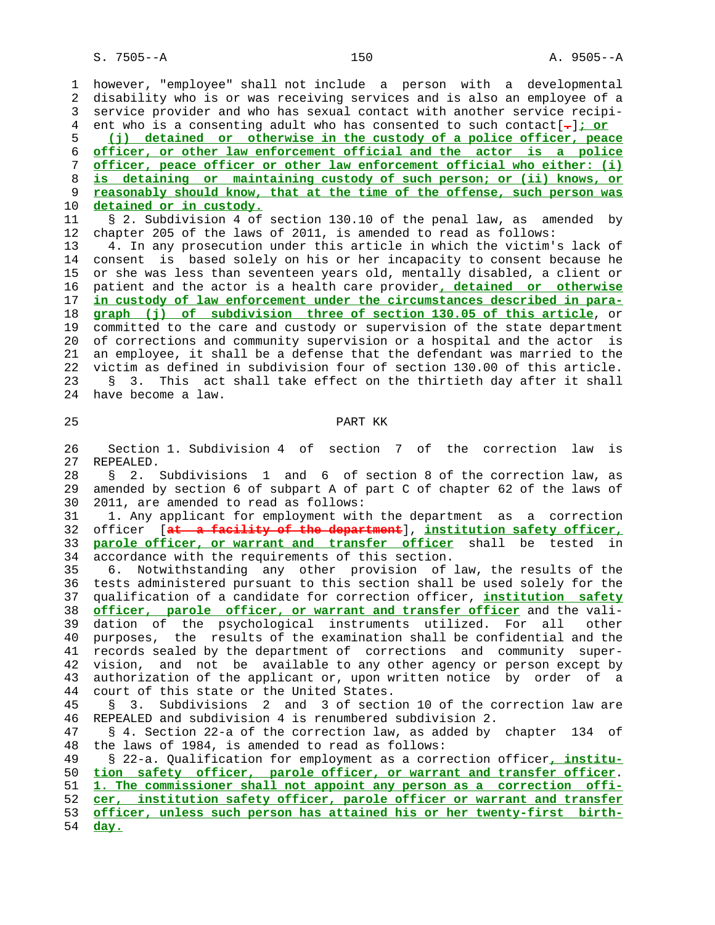1 however, "employee" shall not include a person with a developmental 2 disability who is or was receiving services and is also an employee of a 3 service provider and who has sexual contact with another service recipi- 4 ent who is a consenting adult who has consented to such contact[**.**]**; or** 5 **(j) detained or otherwise in the custody of a police officer, peace** 6 **officer, or other law enforcement official and the actor is a police** 7 **officer, peace officer or other law enforcement official who either: (i)** 8 **is detaining or maintaining custody of such person; or (ii) knows, or** 9 **reasonably should know, that at the time of the offense, such person was** 10 **detained or in custody.** 11 § 2. Subdivision 4 of section 130.10 of the penal law, as amended by 12 chapter 205 of the laws of 2011, is amended to read as follows: 13 4. In any prosecution under this article in which the victim's lack of 14 consent is based solely on his or her incapacity to consent because he 15 or she was less than seventeen years old, mentally disabled, a client or 16 patient and the actor is a health care provider**, detained or otherwise** 17 **in custody of law enforcement under the circumstances described in para-** 18 **graph (j) of subdivision three of section 130.05 of this article**, or 19 committed to the care and custody or supervision of the state department 20 of corrections and community supervision or a hospital and the actor is 21 an employee, it shall be a defense that the defendant was married to the 22 victim as defined in subdivision four of section 130.00 of this article. 23 § 3. This act shall take effect on the thirtieth day after it shall 24 have become a law. 25 PART KK 26 Section 1. Subdivision 4 of section 7 of the correction law is 27 REPEALED. 28 § 2. Subdivisions 1 and 6 of section 8 of the correction law, as 29 amended by section 6 of subpart A of part C of chapter 62 of the laws of 30 2011, are amended to read as follows: 31 1. Any applicant for employment with the department as a correction 32 officer [**at a facility of the department**], **institution safety officer,** 33 **parole officer, or warrant and transfer officer** shall be tested in 34 accordance with the requirements of this section. 35 6. Notwithstanding any other provision of law, the results of the 36 tests administered pursuant to this section shall be used solely for the 37 qualification of a candidate for correction officer, **institution safety** 38 **officer, parole officer, or warrant and transfer officer** and the vali- 39 dation of the psychological instruments utilized. For all other 40 purposes, the results of the examination shall be confidential and the 41 records sealed by the department of corrections and community super- 42 vision, and not be available to any other agency or person except by 43 authorization of the applicant or, upon written notice by order of a 44 court of this state or the United States. 45 § 3. Subdivisions 2 and 3 of section 10 of the correction law are 46 REPEALED and subdivision 4 is renumbered subdivision 2. 47 § 4. Section 22-a of the correction law, as added by chapter 134 of 48 the laws of 1984, is amended to read as follows: 49 § 22-a. Qualification for employment as a correction officer**, institu-** 50 **tion safety officer, parole officer, or warrant and transfer officer**. 51 **1. The commissioner shall not appoint any person as a correction offi-** 52 **cer, institution safety officer, parole officer or warrant and transfer** 53 **officer, unless such person has attained his or her twenty-first birth-** 54 **day.**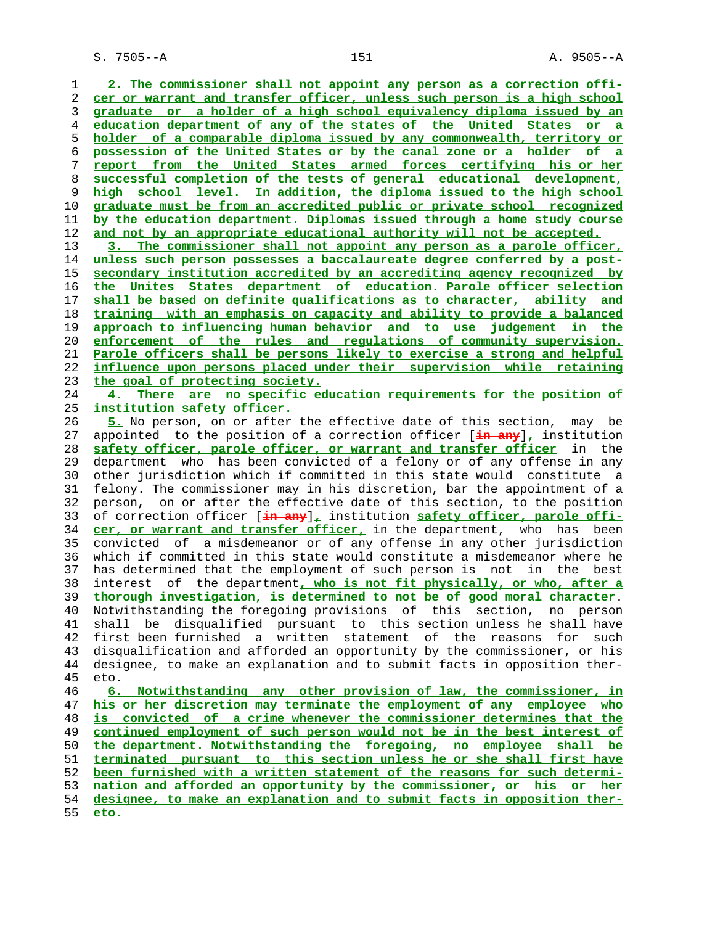**2. The commissioner shall not appoint any person as a correction offi- cer or warrant and transfer officer, unless such person is a high school graduate or a holder of a high school equivalency diploma issued by an education department of any of the states of the United States or a holder of a comparable diploma issued by any commonwealth, territory or possession of the United States or by the canal zone or a holder of a report from the United States armed forces certifying his or her successful completion of the tests of general educational development, high school level. In addition, the diploma issued to the high school graduate must be from an accredited public or private school recognized by the education department. Diplomas issued through a home study course and not by an appropriate educational authority will not be accepted. 3. The commissioner shall not appoint any person as a parole officer, unless such person possesses a baccalaureate degree conferred by a post- secondary institution accredited by an accrediting agency recognized by the Unites States department of education. Parole officer selection shall be based on definite qualifications as to character, ability and training with an emphasis on capacity and ability to provide a balanced approach to influencing human behavior and to use judgement in the enforcement of the rules and regulations of community supervision. Parole officers shall be persons likely to exercise a strong and helpful influence upon persons placed under their supervision while retaining the goal of protecting society. 4. There are no specific education requirements for the position of institution safety officer. 5.** No person, on or after the effective date of this section, may be 27 appointed to the position of a correction officer [**in any**]**,** institution **safety officer, parole officer, or warrant and transfer officer** in the 29 department who has been convicted of a felony or of any offense in any 30 other jurisdiction which if committed in this state would constitute a 31 felony. The commissioner may in his discretion, bar the appointment of a 32 person, on or after the effective date of this section, to the position 33 of correction officer [**in any**]**,** institution **safety officer, parole offi- cer, or warrant and transfer officer,** in the department, who has been 35 convicted of a misdemeanor or of any offense in any other jurisdiction 36 which if committed in this state would constitute a misdemeanor where he 37 has determined that the employment of such person is not in the best 38 interest of the department**, who is not fit physically, or who, after a thorough investigation, is determined to not be of good moral character**. 40 Notwithstanding the foregoing provisions of this section, no person 41 shall be disqualified pursuant to this section unless he shall have 42 first been furnished a written statement of the reasons for such 43 disqualification and afforded an opportunity by the commissioner, or his 44 designee, to make an explanation and to submit facts in opposition ther- 45 eto. **6. Notwithstanding any other provision of law, the commissioner, in his or her discretion may terminate the employment of any employee who is convicted of a crime whenever the commissioner determines that the continued employment of such person would not be in the best interest of the department. Notwithstanding the foregoing, no employee shall be terminated pursuant to this section unless he or she shall first have been furnished with a written statement of the reasons for such determi- nation and afforded an opportunity by the commissioner, or his or her designee, to make an explanation and to submit facts in opposition ther- eto.**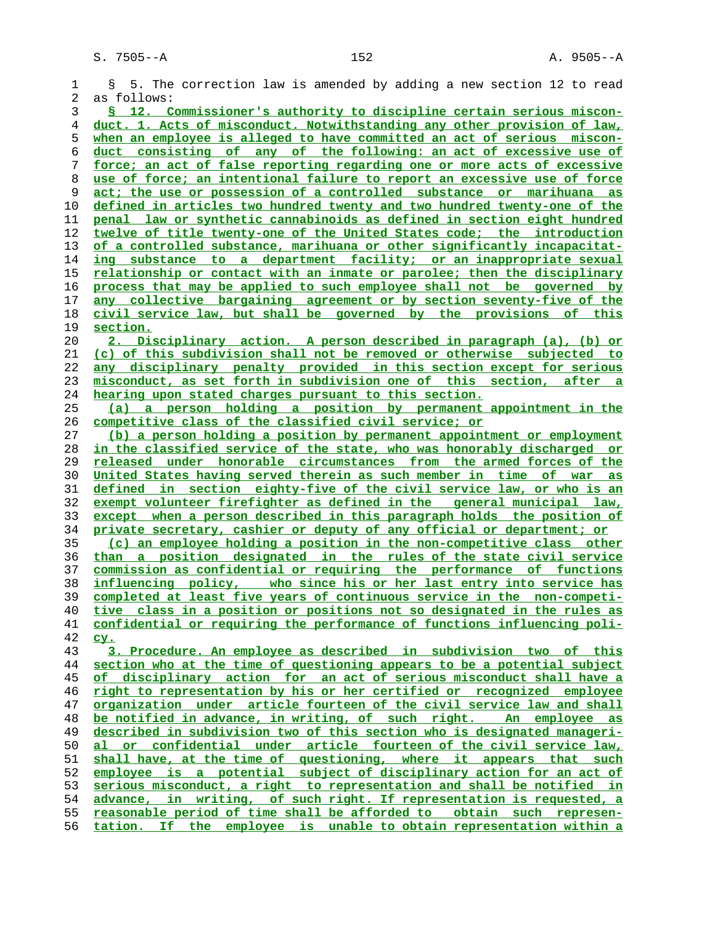1 § 5. The correction law is amended by adding a new section 12 to read 2 as follows: **§ 12. Commissioner's authority to discipline certain serious miscon- duct. 1. Acts of misconduct. Notwithstanding any other provision of law, when an employee is alleged to have committed an act of serious miscon- duct consisting of any of the following: an act of excessive use of force; an act of false reporting regarding one or more acts of excessive use of force; an intentional failure to report an excessive use of force act; the use or possession of a controlled substance or marihuana as defined in articles two hundred twenty and two hundred twenty-one of the penal law or synthetic cannabinoids as defined in section eight hundred twelve of title twenty-one of the United States code; the introduction of a controlled substance, marihuana or other significantly incapacitat- ing substance to a department facility; or an inappropriate sexual relationship or contact with an inmate or parolee; then the disciplinary process that may be applied to such employee shall not be governed by any collective bargaining agreement or by section seventy-five of the civil service law, but shall be governed by the provisions of this section. 2. Disciplinary action. A person described in paragraph (a), (b) or (c) of this subdivision shall not be removed or otherwise subjected to any disciplinary penalty provided in this section except for serious misconduct, as set forth in subdivision one of this section, after a hearing upon stated charges pursuant to this section. (a) a person holding a position by permanent appointment in the competitive class of the classified civil service; or (b) a person holding a position by permanent appointment or employment in the classified service of the state, who was honorably discharged or released under honorable circumstances from the armed forces of the United States having served therein as such member in time of war as defined in section eighty-five of the civil service law, or who is an exempt volunteer firefighter as defined in the general municipal law, except when a person described in this paragraph holds the position of private secretary, cashier or deputy of any official or department; or (c) an employee holding a position in the non-competitive class other than a position designated in the rules of the state civil service commission as confidential or requiring the performance of functions influencing policy, who since his or her last entry into service has completed at least five years of continuous service in the non-competi- tive class in a position or positions not so designated in the rules as confidential or requiring the performance of functions influencing poli- cy. 3. Procedure. An employee as described in subdivision two of this section who at the time of questioning appears to be a potential subject of disciplinary action for an act of serious misconduct shall have a right to representation by his or her certified or recognized employee organization under article fourteen of the civil service law and shall be notified in advance, in writing, of such right. An employee as described in subdivision two of this section who is designated manageri- al or confidential under article fourteen of the civil service law, shall have, at the time of questioning, where it appears that such employee is a potential subject of disciplinary action for an act of serious misconduct, a right to representation and shall be notified in advance, in writing, of such right. If representation is requested, a reasonable period of time shall be afforded to obtain such represen- tation. If the employee is unable to obtain representation within a**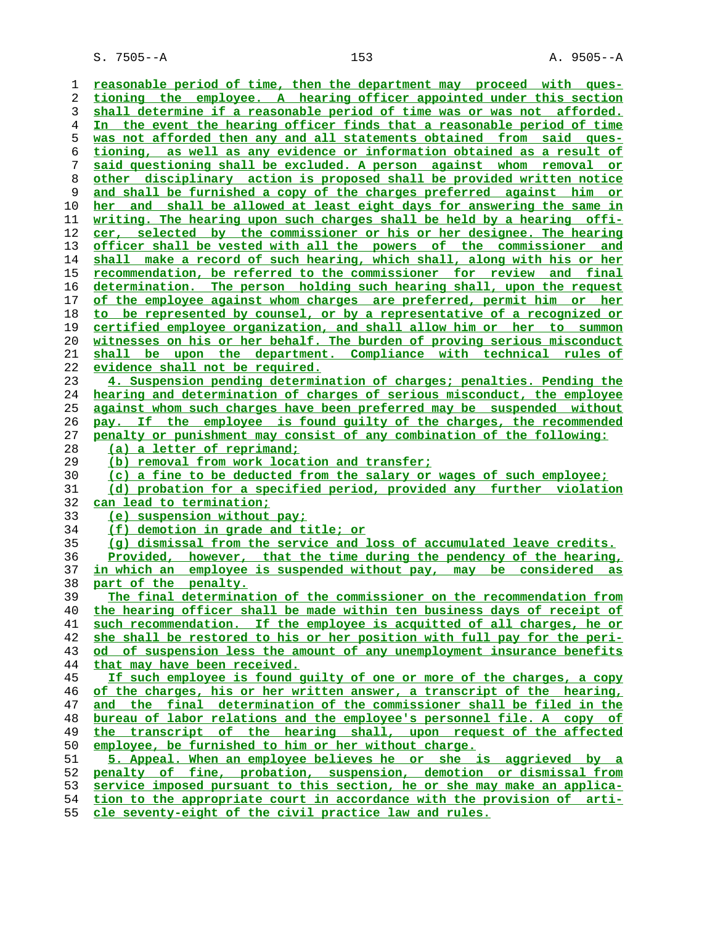S. 7505--A 153 A. 9505--A

**reasonable period of time, then the department may proceed with ques- tioning the employee. A hearing officer appointed under this section shall determine if a reasonable period of time was or was not afforded. In the event the hearing officer finds that a reasonable period of time was not afforded then any and all statements obtained from said ques- tioning, as well as any evidence or information obtained as a result of said questioning shall be excluded. A person against whom removal or other disciplinary action is proposed shall be provided written notice and shall be furnished a copy of the charges preferred against him or her and shall be allowed at least eight days for answering the same in writing. The hearing upon such charges shall be held by a hearing offi- cer, selected by the commissioner or his or her designee. The hearing officer shall be vested with all the powers of the commissioner and shall make a record of such hearing, which shall, along with his or her recommendation, be referred to the commissioner for review and final determination. The person holding such hearing shall, upon the request of the employee against whom charges are preferred, permit him or her to be represented by counsel, or by a representative of a recognized or certified employee organization, and shall allow him or her to summon witnesses on his or her behalf. The burden of proving serious misconduct shall be upon the department. Compliance with technical rules of evidence shall not be required. 4. Suspension pending determination of charges; penalties. Pending the hearing and determination of charges of serious misconduct, the employee against whom such charges have been preferred may be suspended without pay. If the employee is found guilty of the charges, the recommended penalty or punishment may consist of any combination of the following: (a) a letter of reprimand; (b) removal from work location and transfer; (c) a fine to be deducted from the salary or wages of such employee; (d) probation for a specified period, provided any further violation can lead to termination; (e) suspension without pay; (f) demotion in grade and title; or (g) dismissal from the service and loss of accumulated leave credits. Provided, however, that the time during the pendency of the hearing, in which an employee is suspended without pay, may be considered as part of the penalty. The final determination of the commissioner on the recommendation from the hearing officer shall be made within ten business days of receipt of such recommendation. If the employee is acquitted of all charges, he or she shall be restored to his or her position with full pay for the peri- od of suspension less the amount of any unemployment insurance benefits that may have been received. If such employee is found guilty of one or more of the charges, a copy of the charges, his or her written answer, a transcript of the hearing, and the final determination of the commissioner shall be filed in the bureau of labor relations and the employee's personnel file. A copy of the transcript of the hearing shall, upon request of the affected employee, be furnished to him or her without charge. 5. Appeal. When an employee believes he or she is aggrieved by a penalty of fine, probation, suspension, demotion or dismissal from service imposed pursuant to this section, he or she may make an applica- tion to the appropriate court in accordance with the provision of arti-**

**cle seventy-eight of the civil practice law and rules.**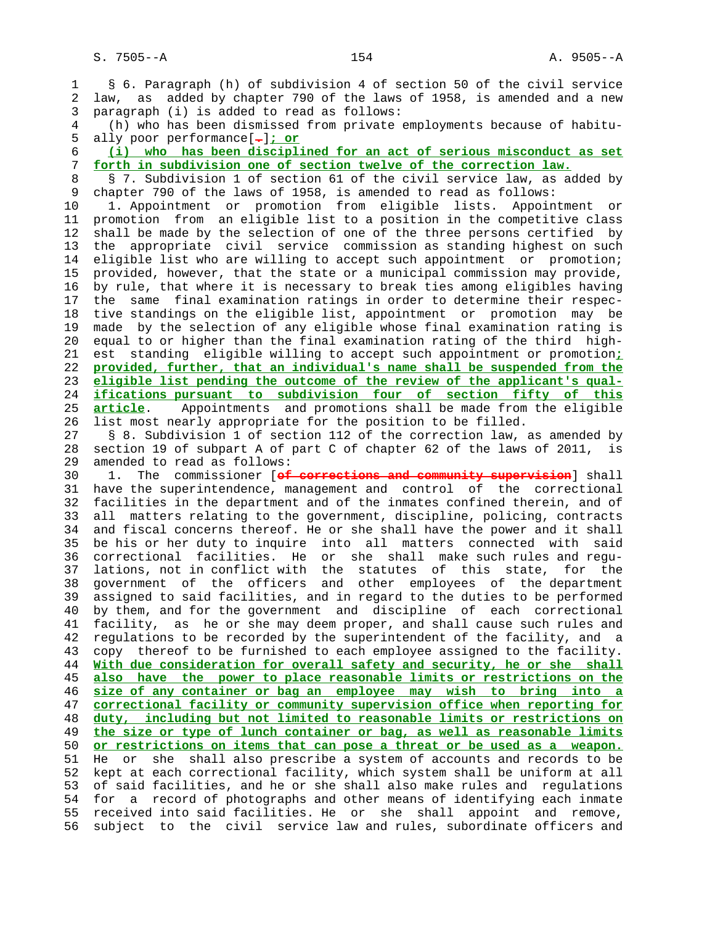1 § 6. Paragraph (h) of subdivision 4 of section 50 of the civil service 2 law, as added by chapter 790 of the laws of 1958, is amended and a new 3 paragraph (i) is added to read as follows: 4 (h) who has been dismissed from private employments because of habitu- 5 ally poor performance[**.**]**; or** 6 **(i) who has been disciplined for an act of serious misconduct as set** 7 **forth in subdivision one of section twelve of the correction law.** 8 § 7. Subdivision 1 of section 61 of the civil service law, as added by<br>9 chapter 790 of the laws of 1958, is amended to read as follows: chapter 790 of the laws of 1958, is amended to read as follows: 10 1. Appointment or promotion from eligible lists. Appointment or 11 promotion from an eligible list to a position in the competitive class 12 shall be made by the selection of one of the three persons certified by 13 the appropriate civil service commission as standing highest on such 14 eligible list who are willing to accept such appointment or promotion; 15 provided, however, that the state or a municipal commission may provide, 16 by rule, that where it is necessary to break ties among eligibles having 17 the same final examination ratings in order to determine their respec- 18 tive standings on the eligible list, appointment or promotion may be 19 made by the selection of any eligible whose final examination rating is 20 equal to or higher than the final examination rating of the third high- 21 est standing eligible willing to accept such appointment or promotion**;** 22 **provided, further, that an individual's name shall be suspended from the** 23 **eligible list pending the outcome of the review of the applicant's qual-** 24 **ifications pursuant to subdivision four of section fifty of this** 25 **article**. Appointments and promotions shall be made from the eligible 26 list most nearly appropriate for the position to be filled. 27 § 8. Subdivision 1 of section 112 of the correction law, as amended by 28 section 19 of subpart A of part C of chapter 62 of the laws of 2011, is 29 amended to read as follows: 30 1. The commissioner [**of corrections and community supervision**] shall 31 have the superintendence, management and control of the correctional 32 facilities in the department and of the inmates confined therein, and of 33 all matters relating to the government, discipline, policing, contracts 34 and fiscal concerns thereof. He or she shall have the power and it shall 35 be his or her duty to inquire into all matters connected with said 36 correctional facilities. He or she shall make such rules and regu- 37 lations, not in conflict with the statutes of this state, for the 38 government of the officers and other employees of the department 39 assigned to said facilities, and in regard to the duties to be performed 40 by them, and for the government and discipline of each correctional 41 facility, as he or she may deem proper, and shall cause such rules and 42 regulations to be recorded by the superintendent of the facility, and a 43 copy thereof to be furnished to each employee assigned to the facility. 44 **With due consideration for overall safety and security, he or she shall** 45 **also have the power to place reasonable limits or restrictions on the** 46 **size of any container or bag an employee may wish to bring into a** 47 **correctional facility or community supervision office when reporting for** 48 **duty, including but not limited to reasonable limits or restrictions on** 49 **the size or type of lunch container or bag, as well as reasonable limits** 50 **or restrictions on items that can pose a threat or be used as a weapon.** 51 He or she shall also prescribe a system of accounts and records to be 52 kept at each correctional facility, which system shall be uniform at all 53 of said facilities, and he or she shall also make rules and regulations 54 for a record of photographs and other means of identifying each inmate 55 received into said facilities. He or she shall appoint and remove, 56 subject to the civil service law and rules, subordinate officers and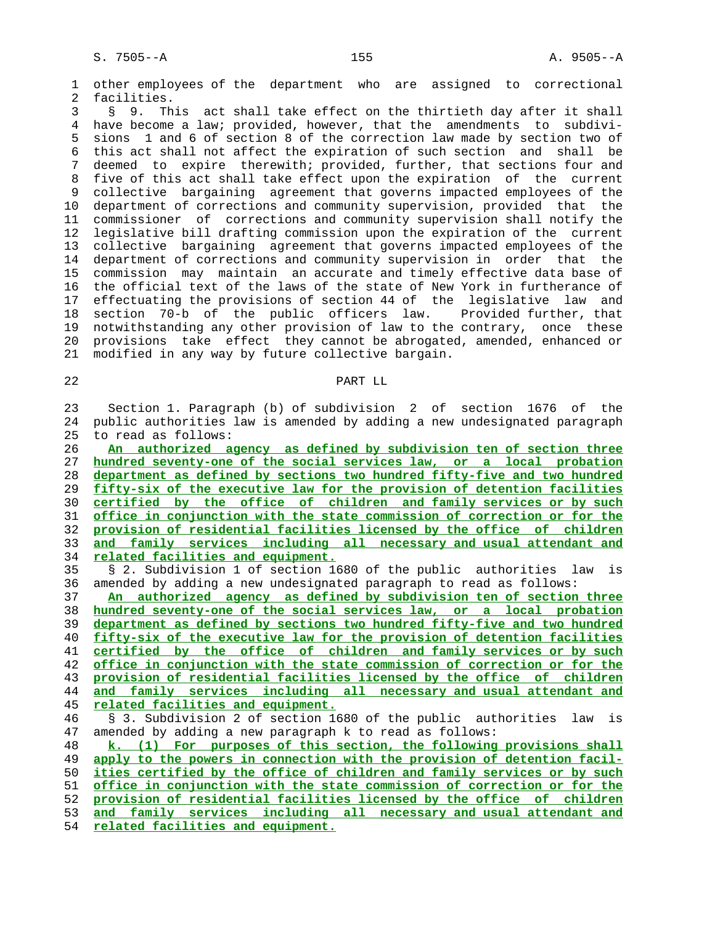1 other employees of the department who are assigned to correctional 2 facilities.

 3 § 9. This act shall take effect on the thirtieth day after it shall 4 have become a law; provided, however, that the amendments to subdivi- 5 sions 1 and 6 of section 8 of the correction law made by section two of 6 this act shall not affect the expiration of such section and shall be 7 deemed to expire therewith; provided, further, that sections four and 8 five of this act shall take effect upon the expiration of the current<br>9 collective bargaining agreement that governs impacted emplovees of the 9 collective bargaining agreement that governs impacted employees of the 10 department of corrections and community supervision, provided that the 11 commissioner of corrections and community supervision shall notify the 12 legislative bill drafting commission upon the expiration of the current 13 collective bargaining agreement that governs impacted employees of the 14 department of corrections and community supervision in order that the 15 commission may maintain an accurate and timely effective data base of 16 the official text of the laws of the state of New York in furtherance of 17 effectuating the provisions of section 44 of the legislative law and 18 section 70-b of the public officers law. Provided further, that 19 notwithstanding any other provision of law to the contrary, once these 20 provisions take effect they cannot be abrogated, amended, enhanced or 21 modified in any way by future collective bargain.

### 22 PART LL

 23 Section 1. Paragraph (b) of subdivision 2 of section 1676 of the 24 public authorities law is amended by adding a new undesignated paragraph 25 to read as follows:

**An authorized agency as defined by subdivision ten of section three hundred seventy-one of the social services law, or a local probation department as defined by sections two hundred fifty-five and two hundred fifty-six of the executive law for the provision of detention facilities certified by the office of children and family services or by such office in conjunction with the state commission of correction or for the provision of residential facilities licensed by the office of children and family services including all necessary and usual attendant and related facilities and equipment.** 35 § 2. Subdivision 1 of section 1680 of the public authorities law is 36 amended by adding a new undesignated paragraph to read as follows: **An authorized agency as defined by subdivision ten of section three hundred seventy-one of the social services law, or a local probation department as defined by sections two hundred fifty-five and two hundred fifty-six of the executive law for the provision of detention facilities certified by the office of children and family services or by such**

**office in conjunction with the state commission of correction or for the provision of residential facilities licensed by the office of children and family services including all necessary and usual attendant and related facilities and equipment.**

46 § 3. Subdivision 2 of section 1680 of the public authorities law is<br>47 amended by adding a new paragraph k to read as follows: amended by adding a new paragraph k to read as follows:

**k. (1) For purposes of this section, the following provisions shall apply to the powers in connection with the provision of detention facil- ities certified by the office of children and family services or by such office in conjunction with the state commission of correction or for the provision of residential facilities licensed by the office of children and family services including all necessary and usual attendant and related facilities and equipment.**